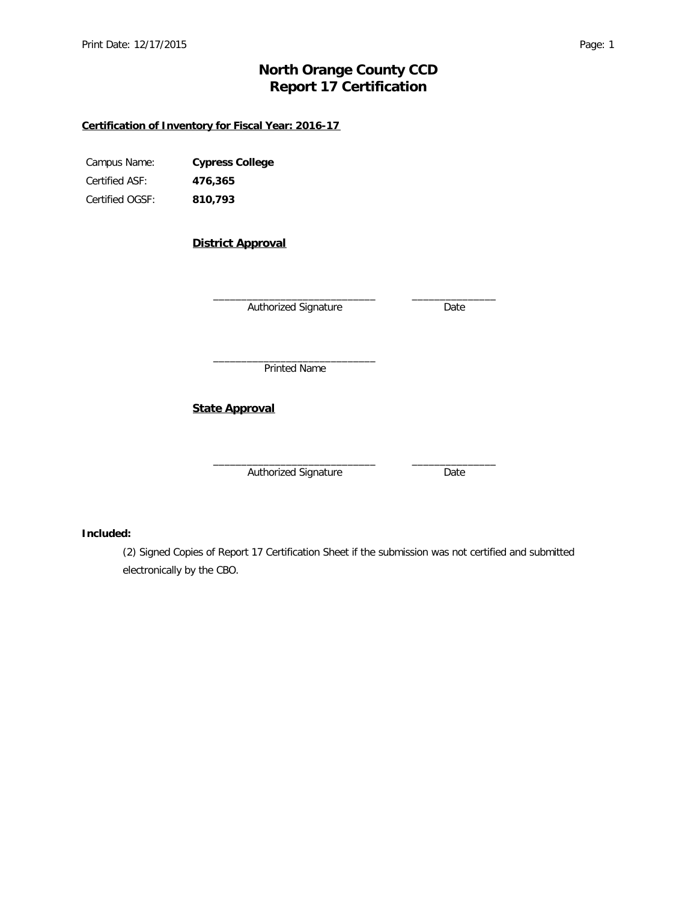### **Certification of Inventory for Fiscal Year: 2016-17**

| Campus Name:    | <b>Cypress College</b> |  |
|-----------------|------------------------|--|
| Certified ASF:  | 476.365                |  |
| Certified OGSF: | 810,793                |  |

**District Approval**

\_\_\_\_\_\_\_\_\_\_\_\_\_\_\_\_\_\_\_\_\_\_\_\_\_\_\_\_\_ \_\_\_\_\_\_\_\_\_\_\_\_\_\_\_ Authorized Signature **Date** 

\_\_\_\_\_\_\_\_\_\_\_\_\_\_\_\_\_\_\_\_\_\_\_\_\_\_\_\_\_ Printed Name

### **State Approval**

Authorized Signature Date

\_\_\_\_\_\_\_\_\_\_\_\_\_\_\_\_\_\_\_\_\_\_\_\_\_\_\_\_\_ \_\_\_\_\_\_\_\_\_\_\_\_\_\_\_

### **Included:**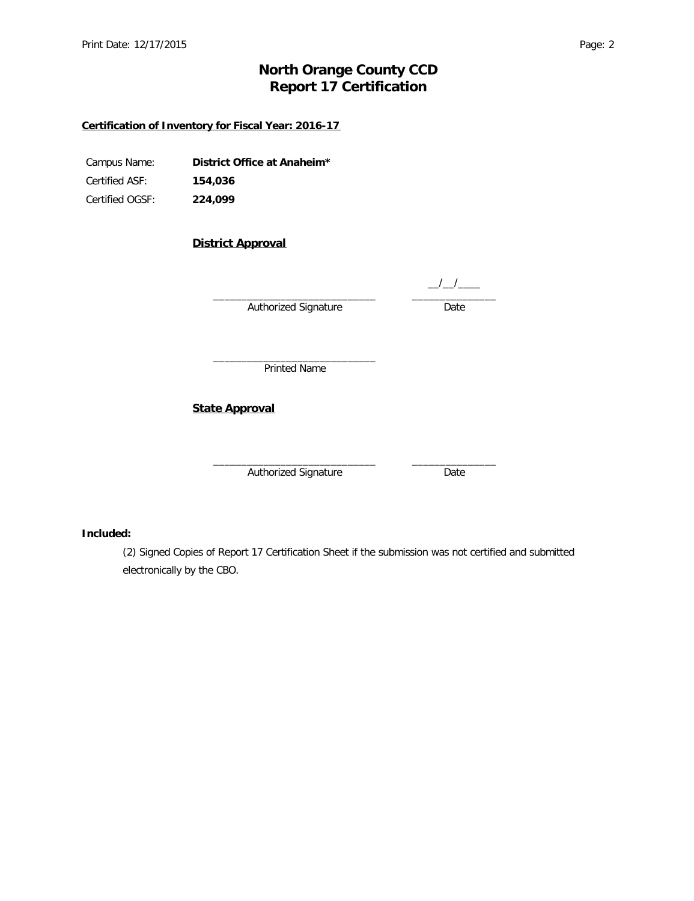### **Certification of Inventory for Fiscal Year: 2016-17**

| Campus Name:    | District Office at Anaheim* |  |
|-----------------|-----------------------------|--|
| Certified ASF:  | 154.036                     |  |
| Certified OGSF: | 224.099                     |  |

### **District Approval**

Authorized Signature Date

 $\_/-/-$ \_\_\_\_\_\_\_\_\_\_\_\_\_\_\_\_\_\_\_\_\_\_\_\_\_\_\_\_\_ \_\_\_\_\_\_\_\_\_\_\_\_\_\_\_

\_\_\_\_\_\_\_\_\_\_\_\_\_\_\_\_\_\_\_\_\_\_\_\_\_\_\_\_\_ Printed Name

### **State Approval**

Authorized Signature Date

\_\_\_\_\_\_\_\_\_\_\_\_\_\_\_\_\_\_\_\_\_\_\_\_\_\_\_\_\_ \_\_\_\_\_\_\_\_\_\_\_\_\_\_\_

### **Included:**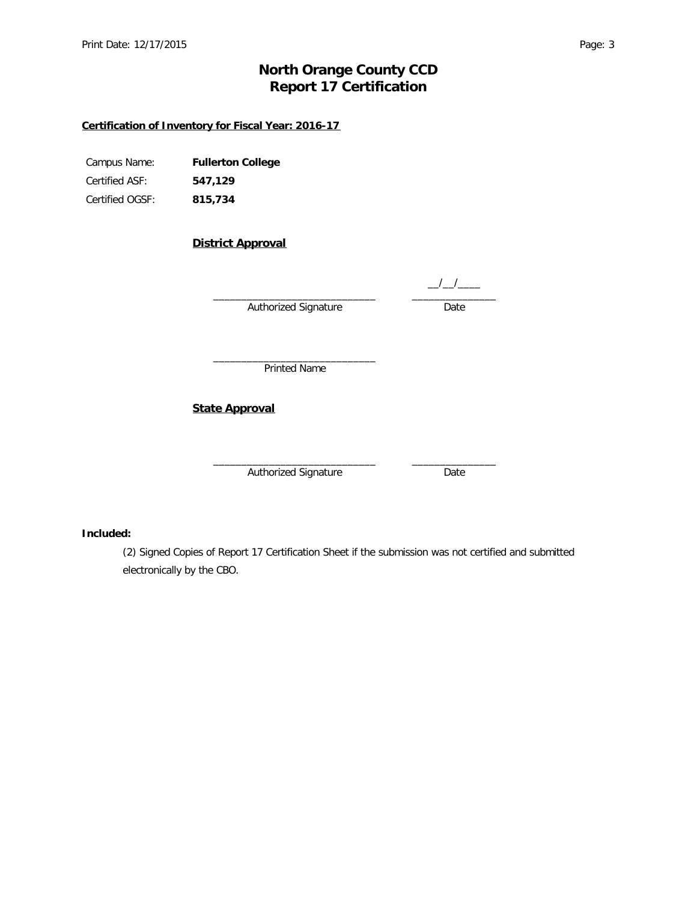### **Certification of Inventory for Fiscal Year: 2016-17**

| Campus Name:    | <b>Fullerton College</b> |  |
|-----------------|--------------------------|--|
| Certified ASF:  | 547.129                  |  |
| Certified OGSF: | 815,734                  |  |

**District Approval**

 $\_/-/-$ \_\_\_\_\_\_\_\_\_\_\_\_\_\_\_\_\_\_\_\_\_\_\_\_\_\_\_\_\_ \_\_\_\_\_\_\_\_\_\_\_\_\_\_\_

Authorized Signature Date

\_\_\_\_\_\_\_\_\_\_\_\_\_\_\_\_\_\_\_\_\_\_\_\_\_\_\_\_\_ Printed Name

### **State Approval**

Authorized Signature Date

\_\_\_\_\_\_\_\_\_\_\_\_\_\_\_\_\_\_\_\_\_\_\_\_\_\_\_\_\_ \_\_\_\_\_\_\_\_\_\_\_\_\_\_\_

### **Included:**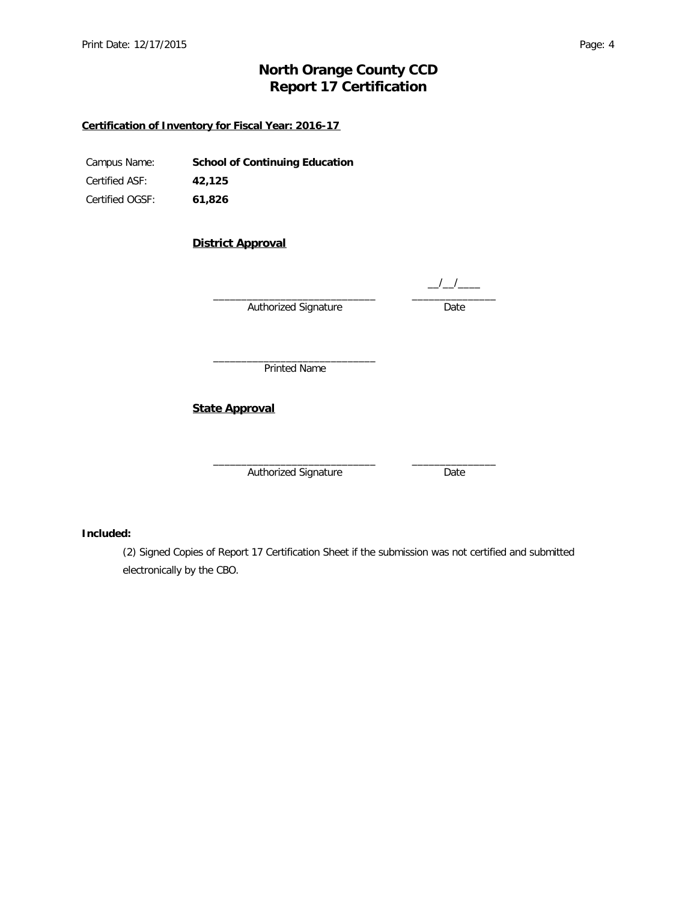### **Certification of Inventory for Fiscal Year: 2016-17**

| Campus Name:    | <b>School of Continuing Education</b> |
|-----------------|---------------------------------------|
| Certified ASF:  | 42.125                                |
| Certified OGSF: | 61.826                                |

### **District Approval**

Authorized Signature Date

\_\_\_\_\_\_\_\_\_\_\_\_\_\_\_\_\_\_\_\_\_\_\_\_\_\_\_\_\_ \_\_\_\_\_\_\_\_\_\_\_\_\_\_\_

 $\_/-/-$ 

\_\_\_\_\_\_\_\_\_\_\_\_\_\_\_\_\_\_\_\_\_\_\_\_\_\_\_\_\_ Printed Name

### **State Approval**

Authorized Signature Date

\_\_\_\_\_\_\_\_\_\_\_\_\_\_\_\_\_\_\_\_\_\_\_\_\_\_\_\_\_ \_\_\_\_\_\_\_\_\_\_\_\_\_\_\_

### **Included:**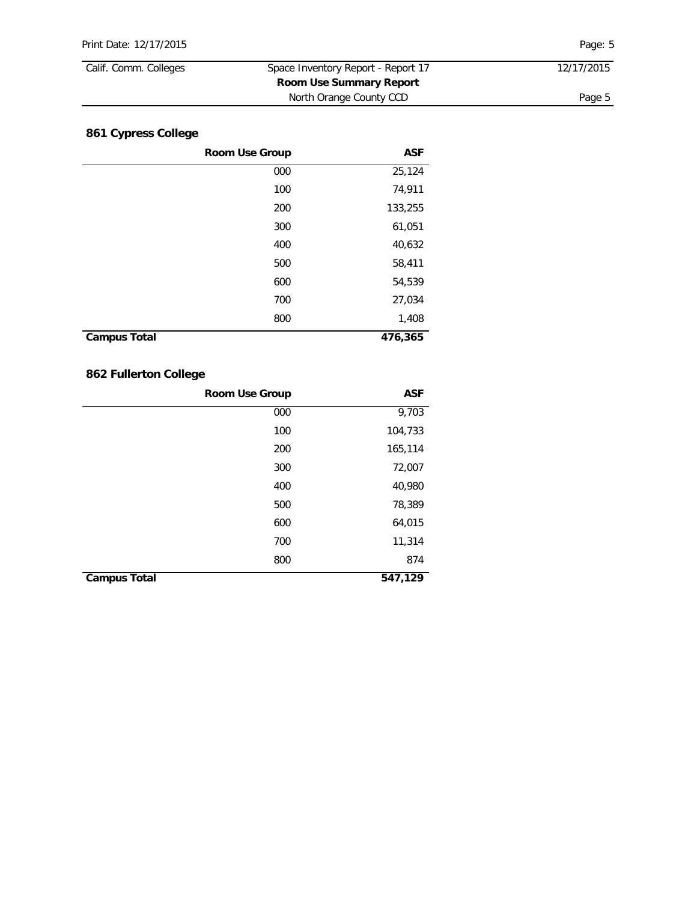| Calif. Comm. Colleges             | Space Inventory Report - Report 17 | 12/17/2015 |
|-----------------------------------|------------------------------------|------------|
| Room Use Summary Report           |                                    |            |
| North Orange County CCD<br>Page 5 |                                    |            |
|                                   |                                    |            |

# **861 Cypress College**

|                     | Room Use Group | <b>ASF</b> |
|---------------------|----------------|------------|
|                     | 000            | 25,124     |
|                     | 100            | 74,911     |
|                     | 200            | 133,255    |
|                     | 300            | 61,051     |
|                     | 400            | 40,632     |
|                     | 500            | 58,411     |
|                     | 600            | 54,539     |
|                     | 700            | 27,034     |
|                     | 800            | 1,408      |
| <b>Campus Total</b> |                | 476,365    |

# **862 Fullerton College**

|                     | Room Use Group | <b>ASF</b> |
|---------------------|----------------|------------|
|                     | 000            | 9,703      |
|                     | 100            | 104,733    |
|                     | 200            | 165,114    |
|                     | 300            | 72,007     |
|                     | 400            | 40,980     |
|                     | 500            | 78,389     |
|                     | 600            | 64,015     |
|                     | 700            | 11,314     |
|                     | 800            | 874        |
| <b>Campus Total</b> |                | 547,129    |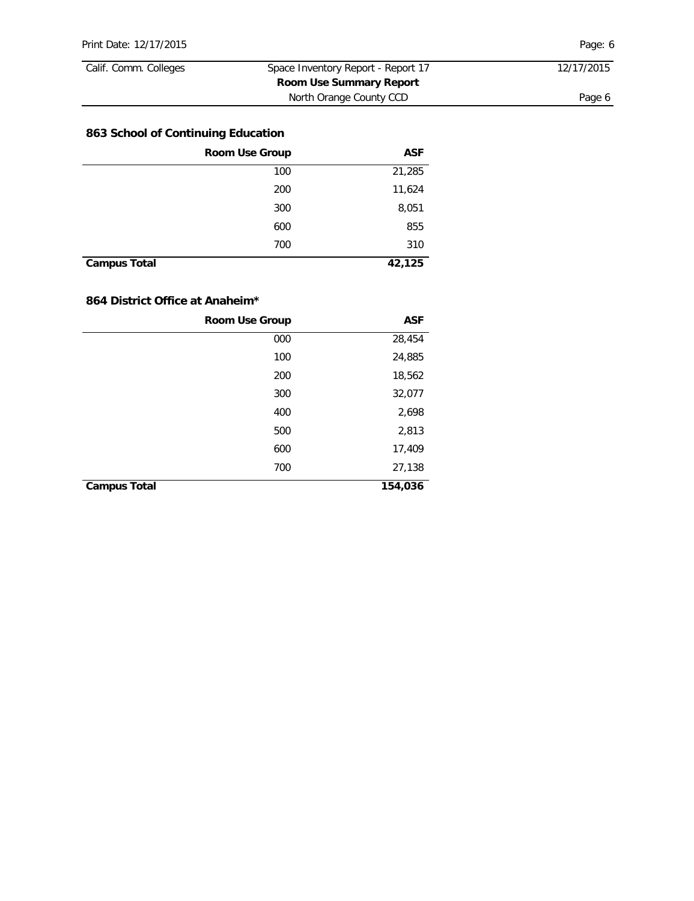### **863 School of Continuing Education**

|                     | <b>Room Use Group</b> |        |
|---------------------|-----------------------|--------|
|                     | 100                   | 21,285 |
|                     | 200                   | 11,624 |
|                     | 300                   | 8,051  |
|                     | 600                   | 855    |
|                     | 700                   | 310    |
| <b>Campus Total</b> |                       | 42,125 |

# **864 District Office at Anaheim\***

| <b>Room Use Group</b> | <b>ASF</b> |
|-----------------------|------------|
| 000                   | 28,454     |
| 100                   | 24,885     |
| 200                   | 18,562     |
| 300                   | 32,077     |
| 400                   | 2,698      |
| 500                   | 2,813      |
| 600                   | 17,409     |
| 700                   | 27,138     |
| <b>Campus Total</b>   | 154,036    |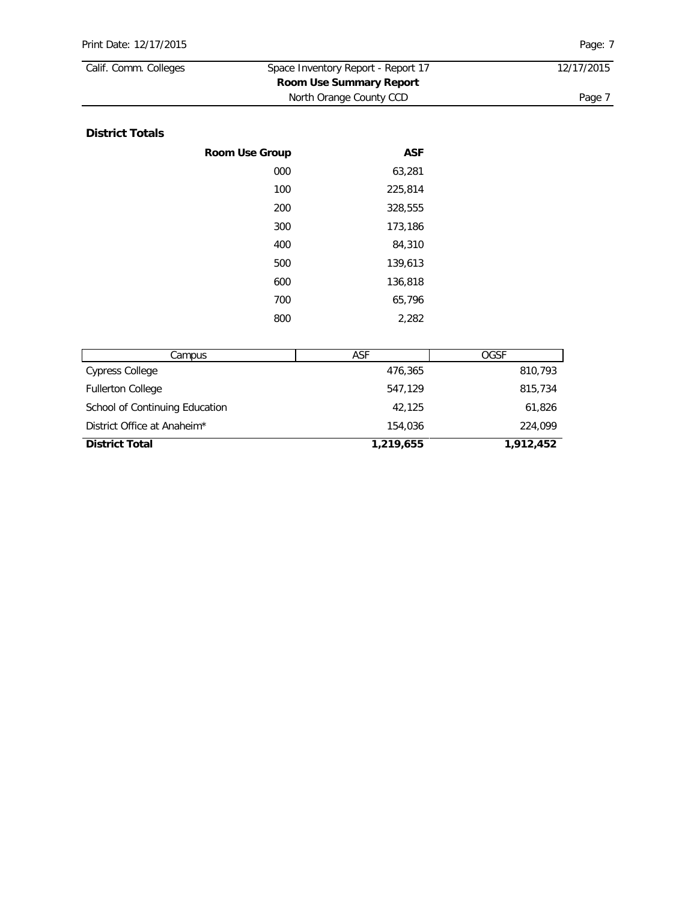| Calif. Comm. Colleges<br>Space Inventory Report - Report 17 |                         | 12/17/2015 |
|-------------------------------------------------------------|-------------------------|------------|
|                                                             | Room Use Summary Report |            |
|                                                             | North Orange County CCD | Page       |

### **District Totals**

| <b>Room Use Group</b> | <b>ASF</b> |  |
|-----------------------|------------|--|
| 000                   | 63,281     |  |
| 100                   | 225,814    |  |
| 200                   | 328,555    |  |
| 300                   | 173,186    |  |
| 400                   | 84,310     |  |
| 500                   | 139,613    |  |
| 600                   | 136,818    |  |
| 700                   | 65,796     |  |
| 800                   | 2,282      |  |

| Campus                         | ASF       | OGSF      |
|--------------------------------|-----------|-----------|
| Cypress College                | 476,365   | 810,793   |
| <b>Fullerton College</b>       | 547.129   | 815,734   |
| School of Continuing Education | 42.125    | 61,826    |
| District Office at Anaheim*    | 154,036   | 224,099   |
| <b>District Total</b>          | 1,219,655 | 1,912,452 |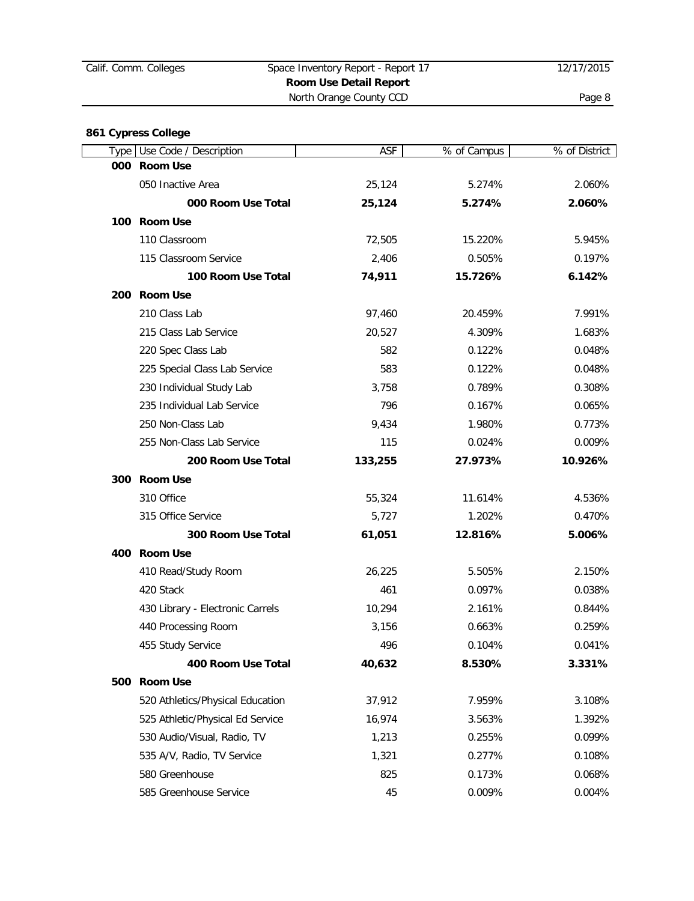|                     | Calif. Comm. Colleges            | Space Inventory Report - Report 17 |             | 12/17/2015    |  |  |
|---------------------|----------------------------------|------------------------------------|-------------|---------------|--|--|
|                     |                                  | Room Use Detail Report             |             |               |  |  |
|                     |                                  | North Orange County CCD            |             | Page 8        |  |  |
| 861 Cypress College |                                  |                                    |             |               |  |  |
|                     | Type Use Code / Description      | ASF                                | % of Campus | % of District |  |  |
|                     | 000 Room Use                     |                                    |             |               |  |  |
|                     | 050 Inactive Area                | 25,124                             | 5.274%      | 2.060%        |  |  |
|                     | 000 Room Use Total               | 25,124                             | 5.274%      | 2.060%        |  |  |
|                     | 100 Room Use                     |                                    |             |               |  |  |
|                     | 110 Classroom                    | 72,505                             | 15.220%     | 5.945%        |  |  |
|                     | 115 Classroom Service            | 2,406                              | 0.505%      | 0.197%        |  |  |
|                     | 100 Room Use Total               | 74,911                             | 15.726%     | 6.142%        |  |  |
|                     | 200 Room Use                     |                                    |             |               |  |  |
|                     | 210 Class Lab                    | 97,460                             | 20.459%     | 7.991%        |  |  |
|                     | 215 Class Lab Service            | 20,527                             | 4.309%      | 1.683%        |  |  |
|                     | 220 Spec Class Lab               | 582                                | 0.122%      | 0.048%        |  |  |
|                     | 225 Special Class Lab Service    | 583                                | 0.122%      | 0.048%        |  |  |
|                     | 230 Individual Study Lab         | 3,758                              | 0.789%      | 0.308%        |  |  |
|                     | 235 Individual Lab Service       | 796                                | 0.167%      | 0.065%        |  |  |
|                     | 250 Non-Class Lab                | 9,434                              | 1.980%      | 0.773%        |  |  |
|                     | 255 Non-Class Lab Service        | 115                                | 0.024%      | 0.009%        |  |  |
|                     | 200 Room Use Total               | 133,255                            | 27.973%     | 10.926%       |  |  |
|                     | 300 Room Use                     |                                    |             |               |  |  |
|                     | 310 Office                       | 55,324                             | 11.614%     | 4.536%        |  |  |
|                     | 315 Office Service               | 5,727                              | 1.202%      | 0.470%        |  |  |
|                     | 300 Room Use Total               | 61,051                             | 12.816%     | 5.006%        |  |  |
|                     | 400 Room Use                     |                                    |             |               |  |  |
|                     | 410 Read/Study Room              | 26,225                             | 5.505%      | 2.150%        |  |  |
|                     | 420 Stack                        | 461                                | 0.097%      | 0.038%        |  |  |
|                     | 430 Library - Electronic Carrels | 10,294                             | 2.161%      | 0.844%        |  |  |
|                     | 440 Processing Room              | 3,156                              | 0.663%      | 0.259%        |  |  |
|                     | 455 Study Service                | 496                                | 0.104%      | 0.041%        |  |  |
|                     | 400 Room Use Total               | 40,632                             | 8.530%      | 3.331%        |  |  |
|                     | 500 Room Use                     |                                    |             |               |  |  |
|                     | 520 Athletics/Physical Education | 37,912                             | 7.959%      | 3.108%        |  |  |
|                     | 525 Athletic/Physical Ed Service | 16,974                             | 3.563%      | 1.392%        |  |  |
|                     | 530 Audio/Visual, Radio, TV      | 1,213                              | 0.255%      | 0.099%        |  |  |
|                     | 535 A/V, Radio, TV Service       | 1,321                              | 0.277%      | 0.108%        |  |  |
|                     | 580 Greenhouse                   | 825                                | 0.173%      | 0.068%        |  |  |
|                     | 585 Greenhouse Service           | 45                                 | 0.009%      | 0.004%        |  |  |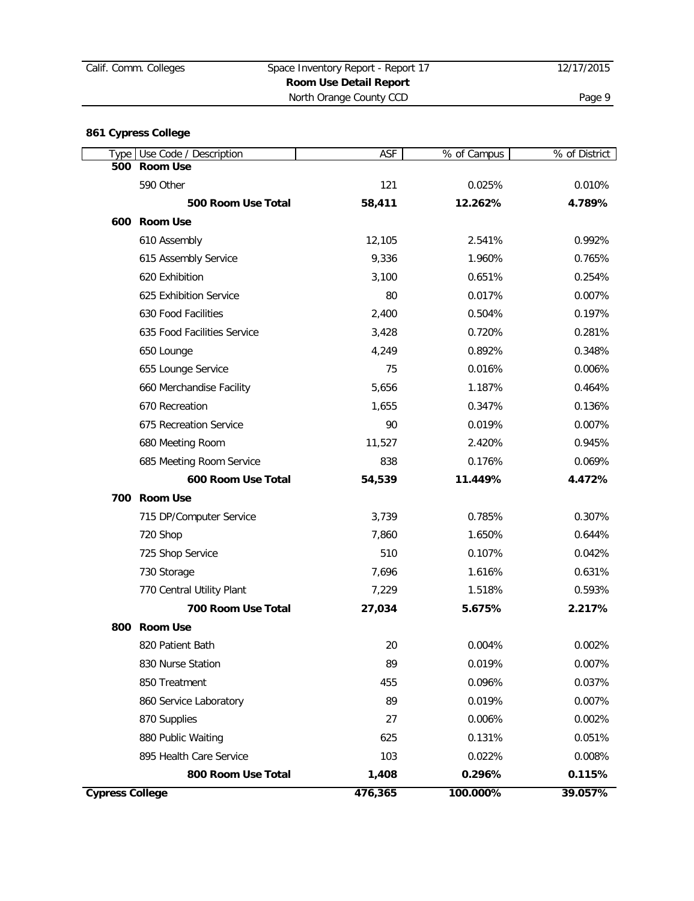| Calif. Comm. Colleges | Space Inventory Report - Report 17 | 12/17/2015 |
|-----------------------|------------------------------------|------------|
|                       | Room Use Detail Report             |            |
|                       | North Orange County CCD            | Page 9     |

# **861 Cypress College**

| Type Use Code / Description | <b>ASF</b> | % of Campus | % of District |
|-----------------------------|------------|-------------|---------------|
| 500 Room Use                |            |             |               |
| 590 Other                   | 121        | 0.025%      | 0.010%        |
| 500 Room Use Total          | 58,411     | 12.262%     | 4.789%        |
| 600 Room Use                |            |             |               |
| 610 Assembly                | 12,105     | 2.541%      | 0.992%        |
| 615 Assembly Service        | 9,336      | 1.960%      | 0.765%        |
| 620 Exhibition              | 3,100      | 0.651%      | 0.254%        |
| 625 Exhibition Service      | 80         | 0.017%      | 0.007%        |
| 630 Food Facilities         | 2,400      | 0.504%      | 0.197%        |
| 635 Food Facilities Service | 3,428      | 0.720%      | 0.281%        |
| 650 Lounge                  | 4,249      | 0.892%      | 0.348%        |
| 655 Lounge Service          | 75         | 0.016%      | 0.006%        |
| 660 Merchandise Facility    | 5,656      | 1.187%      | 0.464%        |
| 670 Recreation              | 1,655      | 0.347%      | 0.136%        |
| 675 Recreation Service      | 90         | 0.019%      | 0.007%        |
| 680 Meeting Room            | 11,527     | 2.420%      | 0.945%        |
| 685 Meeting Room Service    | 838        | 0.176%      | 0.069%        |
| 600 Room Use Total          | 54,539     | 11.449%     | 4.472%        |
| 700 Room Use                |            |             |               |
| 715 DP/Computer Service     | 3,739      | 0.785%      | 0.307%        |
| 720 Shop                    | 7,860      | 1.650%      | 0.644%        |
| 725 Shop Service            | 510        | 0.107%      | 0.042%        |
| 730 Storage                 | 7,696      | 1.616%      | 0.631%        |
| 770 Central Utility Plant   | 7,229      | 1.518%      | 0.593%        |
| 700 Room Use Total          | 27,034     | 5.675%      | 2.217%        |
| 800 Room Use                |            |             |               |
| 820 Patient Bath            | 20         | 0.004%      | 0.002%        |
| 830 Nurse Station           | 89         | 0.019%      | 0.007%        |
| 850 Treatment               | 455        | 0.096%      | 0.037%        |
| 860 Service Laboratory      | 89         | 0.019%      | 0.007%        |
| 870 Supplies                | 27         | 0.006%      | 0.002%        |
| 880 Public Waiting          | 625        | 0.131%      | 0.051%        |
| 895 Health Care Service     | 103        | 0.022%      | 0.008%        |
| 800 Room Use Total          | 1,408      | 0.296%      | 0.115%        |
| <b>Cypress College</b>      | 476,365    | 100.000%    | 39.057%       |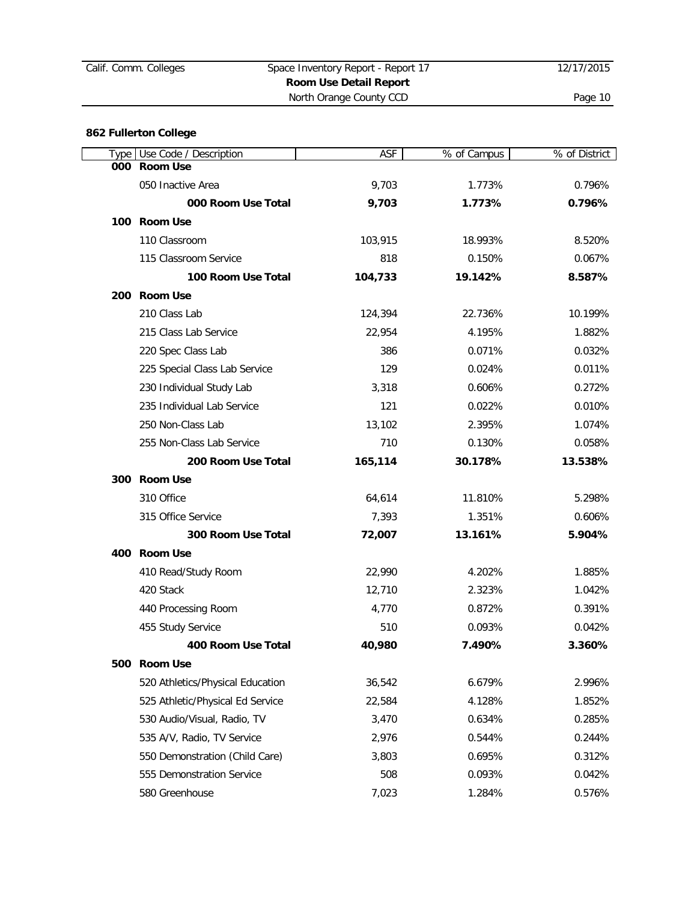| Calif. Comm. Colleges | Space Inventory Report - Report 17 | 12/17/2015 |
|-----------------------|------------------------------------|------------|
|                       | Room Use Detail Report             |            |
|                       | North Orange County CCD            | Page 10    |

# **862 Fullerton College**

| Type Use Code / Description      | <b>ASF</b> | % of Campus | % of District |
|----------------------------------|------------|-------------|---------------|
| 000 Room Use                     |            |             |               |
| 050 Inactive Area                | 9,703      | 1.773%      | 0.796%        |
| 000 Room Use Total               | 9,703      | 1.773%      | 0.796%        |
| 100 Room Use                     |            |             |               |
| 110 Classroom                    | 103,915    | 18.993%     | 8.520%        |
| 115 Classroom Service            | 818        | 0.150%      | 0.067%        |
| 100 Room Use Total               | 104,733    | 19.142%     | 8.587%        |
| 200 Room Use                     |            |             |               |
| 210 Class Lab                    | 124,394    | 22.736%     | 10.199%       |
| 215 Class Lab Service            | 22,954     | 4.195%      | 1.882%        |
| 220 Spec Class Lab               | 386        | 0.071%      | 0.032%        |
| 225 Special Class Lab Service    | 129        | 0.024%      | 0.011%        |
| 230 Individual Study Lab         | 3,318      | 0.606%      | 0.272%        |
| 235 Individual Lab Service       | 121        | 0.022%      | 0.010%        |
| 250 Non-Class Lab                | 13,102     | 2.395%      | 1.074%        |
| 255 Non-Class Lab Service        | 710        | 0.130%      | 0.058%        |
| 200 Room Use Total               | 165,114    | 30.178%     | 13.538%       |
| 300 Room Use                     |            |             |               |
| 310 Office                       | 64,614     | 11.810%     | 5.298%        |
| 315 Office Service               | 7,393      | 1.351%      | 0.606%        |
| 300 Room Use Total               | 72,007     | 13.161%     | 5.904%        |
| 400 Room Use                     |            |             |               |
| 410 Read/Study Room              | 22,990     | 4.202%      | 1.885%        |
| 420 Stack                        | 12,710     | 2.323%      | 1.042%        |
| 440 Processing Room              | 4,770      | 0.872%      | 0.391%        |
| 455 Study Service                | 510        | 0.093%      | 0.042%        |
| 400 Room Use Total               | 40,980     | 7.490%      | 3.360%        |
| 500 Room Use                     |            |             |               |
| 520 Athletics/Physical Education | 36,542     | 6.679%      | 2.996%        |
| 525 Athletic/Physical Ed Service | 22,584     | 4.128%      | 1.852%        |
| 530 Audio/Visual, Radio, TV      | 3,470      | 0.634%      | 0.285%        |
| 535 A/V, Radio, TV Service       | 2,976      | 0.544%      | 0.244%        |
| 550 Demonstration (Child Care)   | 3,803      | 0.695%      | 0.312%        |
| 555 Demonstration Service        | 508        | 0.093%      | 0.042%        |
| 580 Greenhouse                   | 7,023      | 1.284%      | 0.576%        |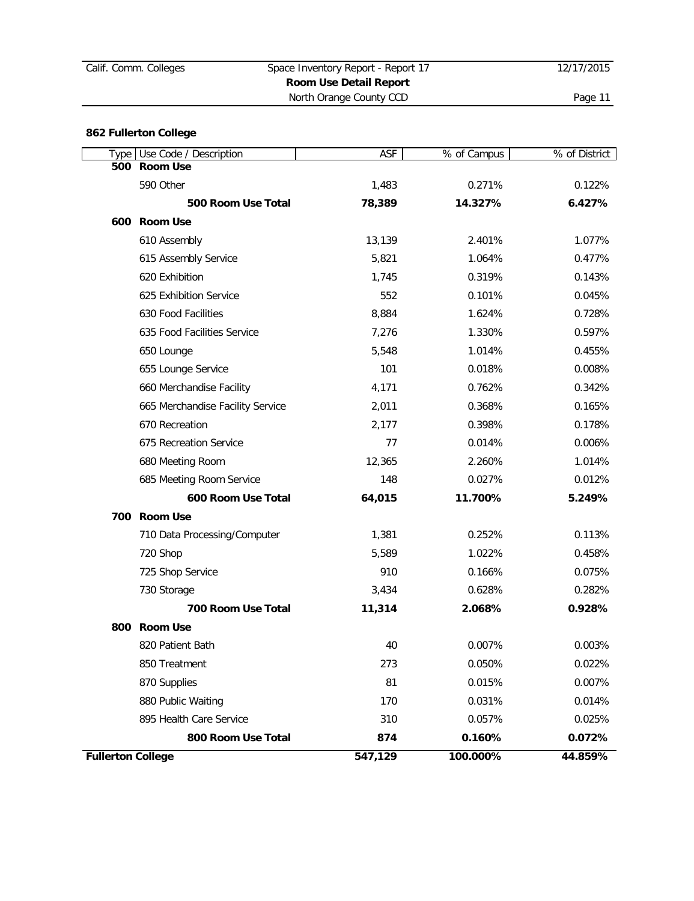| Calif. Comm. Colleges | Space Inventory Report - Report 17 | 12/17/2015 |
|-----------------------|------------------------------------|------------|
|                       | Room Use Detail Report             |            |
|                       | North Orange County CCD            | Page 11    |

# **862 Fullerton College**

| Type | Use Code / Description           | ASF     | % of Campus | % of District |
|------|----------------------------------|---------|-------------|---------------|
|      | 500 Room Use                     |         |             |               |
|      | 590 Other                        | 1,483   | 0.271%      | 0.122%        |
|      | 500 Room Use Total               | 78,389  | 14.327%     | 6.427%        |
|      | 600 Room Use                     |         |             |               |
|      | 610 Assembly                     | 13,139  | 2.401%      | 1.077%        |
|      | 615 Assembly Service             | 5,821   | 1.064%      | 0.477%        |
|      | 620 Exhibition                   | 1,745   | 0.319%      | 0.143%        |
|      | 625 Exhibition Service           | 552     | 0.101%      | 0.045%        |
|      | 630 Food Facilities              | 8,884   | 1.624%      | 0.728%        |
|      | 635 Food Facilities Service      | 7,276   | 1.330%      | 0.597%        |
|      | 650 Lounge                       | 5,548   | 1.014%      | 0.455%        |
|      | 655 Lounge Service               | 101     | 0.018%      | 0.008%        |
|      | 660 Merchandise Facility         | 4,171   | 0.762%      | 0.342%        |
|      | 665 Merchandise Facility Service | 2,011   | 0.368%      | 0.165%        |
|      | 670 Recreation                   | 2,177   | 0.398%      | 0.178%        |
|      | 675 Recreation Service           | 77      | 0.014%      | 0.006%        |
|      | 680 Meeting Room                 | 12,365  | 2.260%      | 1.014%        |
|      | 685 Meeting Room Service         | 148     | 0.027%      | 0.012%        |
|      | 600 Room Use Total               | 64,015  | 11.700%     | 5.249%        |
|      | 700 Room Use                     |         |             |               |
|      | 710 Data Processing/Computer     | 1,381   | 0.252%      | 0.113%        |
|      | 720 Shop                         | 5,589   | 1.022%      | 0.458%        |
|      | 725 Shop Service                 | 910     | 0.166%      | 0.075%        |
|      | 730 Storage                      | 3,434   | 0.628%      | 0.282%        |
|      | 700 Room Use Total               | 11,314  | 2.068%      | 0.928%        |
|      | 800 Room Use                     |         |             |               |
|      | 820 Patient Bath                 | 40      | 0.007%      | 0.003%        |
|      | 850 Treatment                    | 273     | 0.050%      | 0.022%        |
|      | 870 Supplies                     | 81      | 0.015%      | 0.007%        |
|      | 880 Public Waiting               | 170     | 0.031%      | 0.014%        |
|      | 895 Health Care Service          | 310     | 0.057%      | 0.025%        |
|      | 800 Room Use Total               | 874     | 0.160%      | 0.072%        |
|      | <b>Fullerton College</b>         | 547,129 | 100.000%    | 44.859%       |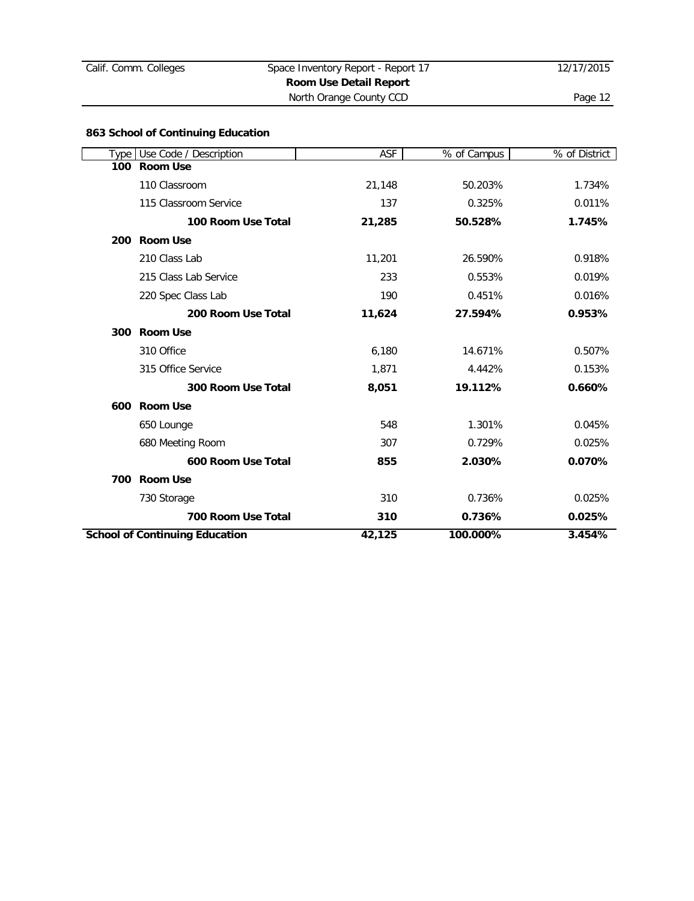| Calif. Comm. Colleges | Space Inventory Report - Report 17 | 12/17/2015 |
|-----------------------|------------------------------------|------------|
|                       | Room Use Detail Report             |            |
|                       | North Orange County CCD            | Page 12    |
|                       |                                    |            |

# **863 School of Continuing Education**

| Type | Use Code / Description                | <b>ASF</b> | % of Campus | % of District |
|------|---------------------------------------|------------|-------------|---------------|
|      | 100 Room Use                          |            |             |               |
|      | 110 Classroom                         | 21,148     | 50.203%     | 1.734%        |
|      | 115 Classroom Service                 | 137        | 0.325%      | 0.011%        |
|      | 100 Room Use Total                    | 21,285     | 50.528%     | 1.745%        |
|      | 200 Room Use                          |            |             |               |
|      | 210 Class Lab                         | 11,201     | 26.590%     | 0.918%        |
|      | 215 Class Lab Service                 | 233        | 0.553%      | 0.019%        |
|      | 220 Spec Class Lab                    | 190        | 0.451%      | 0.016%        |
|      | 200 Room Use Total                    | 11,624     | 27.594%     | 0.953%        |
|      | 300 Room Use                          |            |             |               |
|      | 310 Office                            | 6,180      | 14.671%     | 0.507%        |
|      | 315 Office Service                    | 1,871      | 4.442%      | 0.153%        |
|      | 300 Room Use Total                    | 8,051      | 19.112%     | 0.660%        |
|      | 600 Room Use                          |            |             |               |
|      | 650 Lounge                            | 548        | 1.301%      | 0.045%        |
|      | 680 Meeting Room                      | 307        | 0.729%      | 0.025%        |
|      | 600 Room Use Total                    | 855        | 2.030%      | 0.070%        |
|      | 700 Room Use                          |            |             |               |
|      | 730 Storage                           | 310        | 0.736%      | 0.025%        |
|      | 700 Room Use Total                    | 310        | 0.736%      | 0.025%        |
|      | <b>School of Continuing Education</b> | 42,125     | 100.000%    | 3.454%        |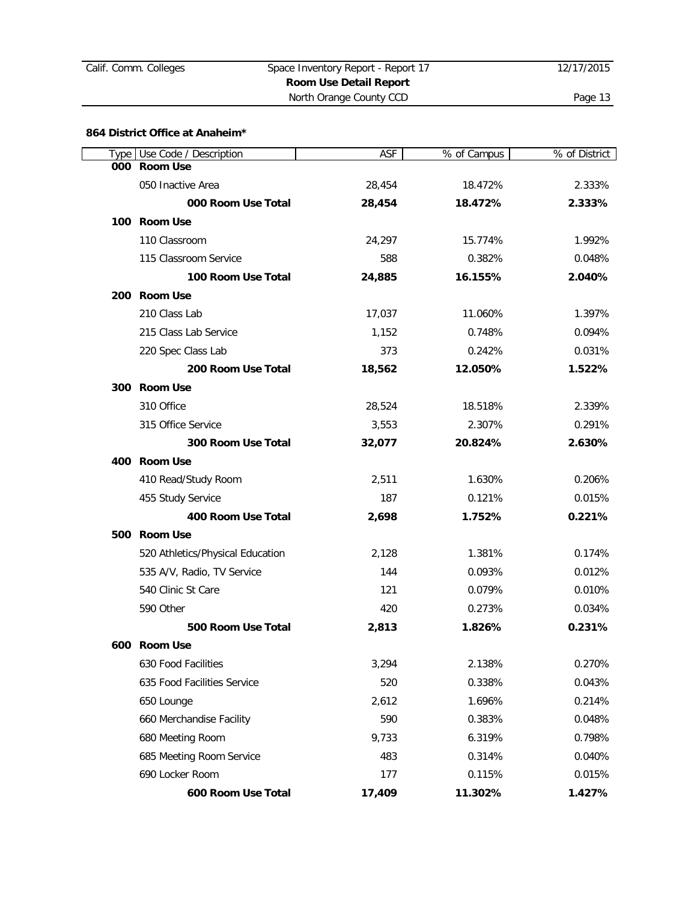| Calif. Comm. Colleges | Space Inventory Report - Report 17 | 12/17/2015 |
|-----------------------|------------------------------------|------------|
|                       | Room Use Detail Report             |            |
|                       | North Orange County CCD            | Page 13    |

# **864 District Office at Anaheim\***

| Type Use Code / Description      | <b>ASF</b> | % of Campus | % of District |
|----------------------------------|------------|-------------|---------------|
| 000 Room Use                     |            |             |               |
| 050 Inactive Area                | 28,454     | 18.472%     | 2.333%        |
| 000 Room Use Total               | 28,454     | 18.472%     | 2.333%        |
| 100 Room Use                     |            |             |               |
| 110 Classroom                    | 24,297     | 15.774%     | 1.992%        |
| 115 Classroom Service            | 588        | 0.382%      | 0.048%        |
| 100 Room Use Total               | 24,885     | 16.155%     | 2.040%        |
| 200 Room Use                     |            |             |               |
| 210 Class Lab                    | 17,037     | 11.060%     | 1.397%        |
| 215 Class Lab Service            | 1,152      | 0.748%      | 0.094%        |
| 220 Spec Class Lab               | 373        | 0.242%      | 0.031%        |
| 200 Room Use Total               | 18,562     | 12.050%     | 1.522%        |
| 300 Room Use                     |            |             |               |
| 310 Office                       | 28,524     | 18.518%     | 2.339%        |
| 315 Office Service               | 3,553      | 2.307%      | 0.291%        |
| 300 Room Use Total               | 32,077     | 20.824%     | 2.630%        |
| 400 Room Use                     |            |             |               |
| 410 Read/Study Room              | 2,511      | 1.630%      | 0.206%        |
| 455 Study Service                | 187        | 0.121%      | 0.015%        |
| 400 Room Use Total               | 2,698      | 1.752%      | 0.221%        |
| 500 Room Use                     |            |             |               |
| 520 Athletics/Physical Education | 2,128      | 1.381%      | 0.174%        |
| 535 A/V, Radio, TV Service       | 144        | 0.093%      | 0.012%        |
| 540 Clinic St Care               | 121        | 0.079%      | 0.010%        |
| 590 Other                        | 420        | 0.273%      | 0.034%        |
| 500 Room Use Total               | 2,813      | 1.826%      | 0.231%        |
| 600 Room Use                     |            |             |               |
| 630 Food Facilities              | 3,294      | 2.138%      | 0.270%        |
| 635 Food Facilities Service      | 520        | 0.338%      | 0.043%        |
| 650 Lounge                       | 2,612      | 1.696%      | 0.214%        |
| 660 Merchandise Facility         | 590        | 0.383%      | 0.048%        |
| 680 Meeting Room                 | 9,733      | 6.319%      | 0.798%        |
| 685 Meeting Room Service         | 483        | 0.314%      | 0.040%        |
| 690 Locker Room                  | 177        | 0.115%      | 0.015%        |
| 600 Room Use Total               | 17,409     | 11.302%     | 1.427%        |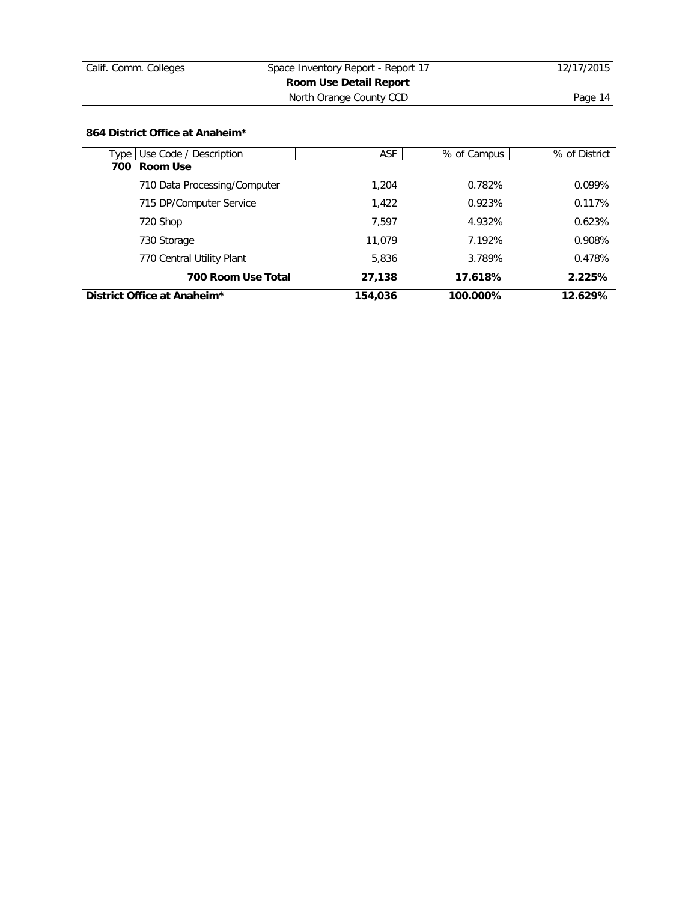| Calif. Comm. Colleges | Space Inventory Report - Report 17 | 12/17/2015 |
|-----------------------|------------------------------------|------------|
|                       | Room Use Detail Report             |            |
|                       | North Orange County CCD            | Page 14    |

# **864 District Office at Anaheim\***

| District Office at Anaheim <sup>*</sup> | 154,036    | 100.000%    | 12.629%       |
|-----------------------------------------|------------|-------------|---------------|
| 700 Room Use Total                      | 27,138     | 17.618%     | 2.225%        |
| 770 Central Utility Plant               | 5.836      | 3.789%      | 0.478%        |
| 730 Storage                             | 11.079     | 7.192%      | 0.908%        |
| 720 Shop                                | 7.597      | 4.932%      | 0.623%        |
| 715 DP/Computer Service                 | 1.422      | 0.923%      | 0.117%        |
| 710 Data Processing/Computer            | 1,204      | 0.782%      | $0.099\%$     |
| 700 Room Use                            |            |             |               |
| Type Use Code / Description             | <b>ASF</b> | % of Campus | % of District |
|                                         |            |             |               |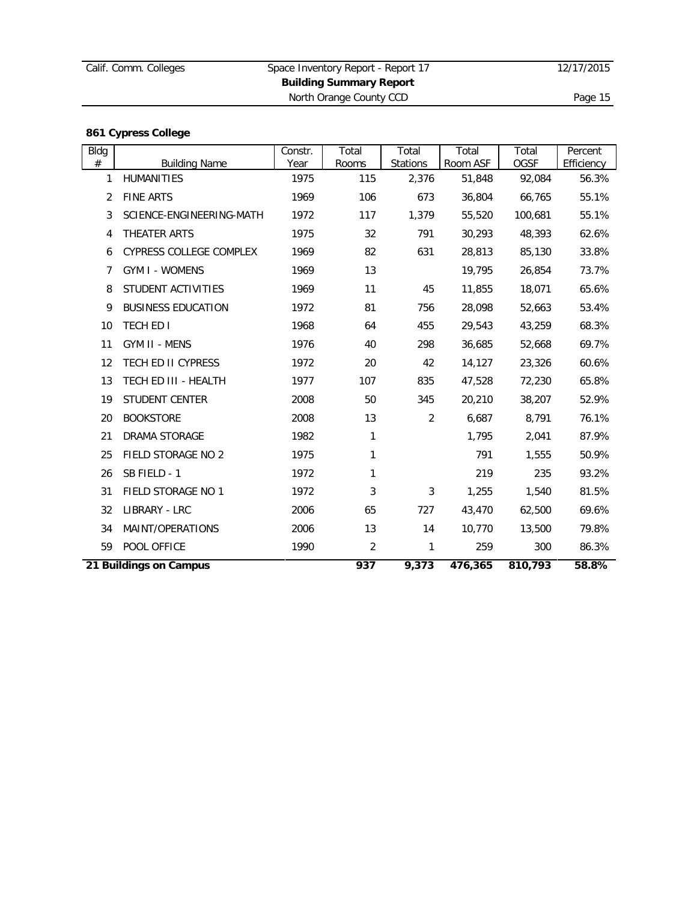| Calif. Comm. Colleges | Space Inventory Report - Report 17 | 12/17/2015 |
|-----------------------|------------------------------------|------------|
|                       | <b>Building Summary Report</b>     |            |
|                       | North Orange County CCD            | Page 15    |

# **861 Cypress College**

| Bldg |                           | Constr. | Total          | Total          | Total    | Total       | Percent    |
|------|---------------------------|---------|----------------|----------------|----------|-------------|------------|
| #    | <b>Building Name</b>      | Year    | Rooms          | Stations       | Room ASF | <b>OGSF</b> | Efficiency |
| 1    | HUMANITIES                | 1975    | 115            | 2,376          | 51,848   | 92,084      | 56.3%      |
| 2    | <b>FINE ARTS</b>          | 1969    | 106            | 673            | 36,804   | 66,765      | 55.1%      |
| 3    | SCIENCE-ENGINEERING-MATH  | 1972    | 117            | 1,379          | 55,520   | 100.681     | 55.1%      |
| 4    | THEATER ARTS              | 1975    | 32             | 791            | 30,293   | 48,393      | 62.6%      |
| 6    | CYPRESS COLLEGE COMPLEX   | 1969    | 82             | 631            | 28,813   | 85,130      | 33.8%      |
| 7    | <b>GYM I - WOMENS</b>     | 1969    | 13             |                | 19,795   | 26,854      | 73.7%      |
| 8    | STUDENT ACTIVITIES        | 1969    | 11             | 45             | 11,855   | 18,071      | 65.6%      |
| 9    | <b>BUSINESS EDUCATION</b> | 1972    | 81             | 756            | 28,098   | 52,663      | 53.4%      |
| 10   | TECH ED I                 | 1968    | 64             | 455            | 29,543   | 43,259      | 68.3%      |
| 11   | GYM II - MENS             | 1976    | 40             | 298            | 36,685   | 52,668      | 69.7%      |
| 12   | TECH ED II CYPRESS        | 1972    | 20             | 42             | 14,127   | 23,326      | 60.6%      |
| 13   | TECH ED III - HEALTH      | 1977    | 107            | 835            | 47,528   | 72,230      | 65.8%      |
| 19   | STUDENT CENTER            | 2008    | 50             | 345            | 20,210   | 38,207      | 52.9%      |
| 20   | <b>BOOKSTORE</b>          | 2008    | 13             | $\overline{2}$ | 6,687    | 8,791       | 76.1%      |
| 21   | DRAMA STORAGE             | 1982    | 1              |                | 1,795    | 2,041       | 87.9%      |
| 25   | FIELD STORAGE NO 2        | 1975    | 1              |                | 791      | 1,555       | 50.9%      |
| 26   | SB FIELD - 1              | 1972    | 1              |                | 219      | 235         | 93.2%      |
| 31   | FIELD STORAGE NO 1        | 1972    | 3              | 3              | 1,255    | 1,540       | 81.5%      |
| 32   | LIBRARY - LRC             | 2006    | 65             | 727            | 43,470   | 62,500      | 69.6%      |
| 34   | MAINT/OPERATIONS          | 2006    | 13             | 14             | 10,770   | 13,500      | 79.8%      |
| 59   | POOL OFFICE               | 1990    | $\overline{2}$ | 1              | 259      | 300         | 86.3%      |
|      | 21 Buildings on Campus    |         | 937            | 9,373          | 476,365  | 810,793     | 58.8%      |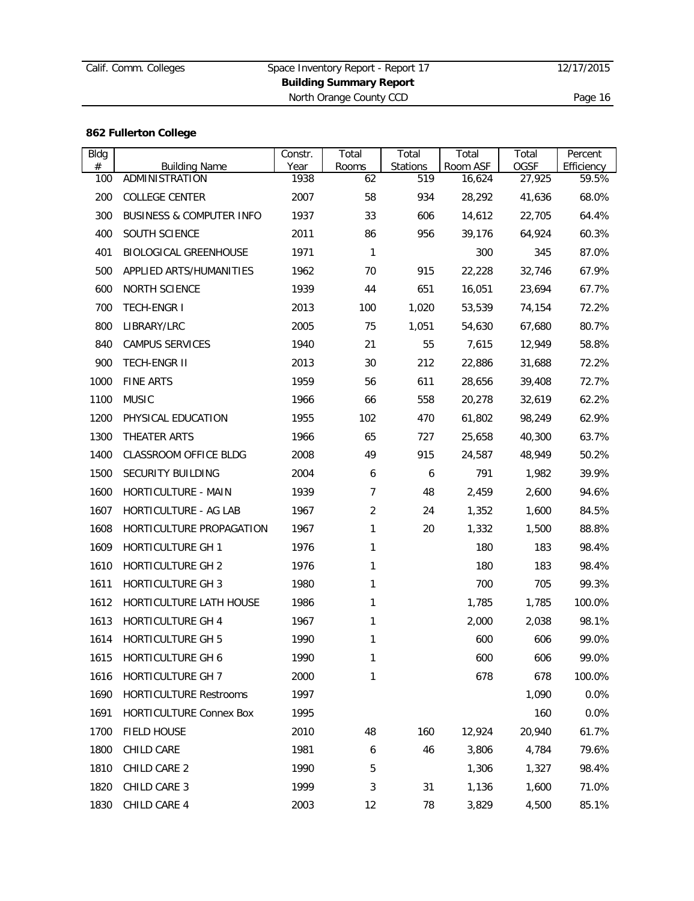| Calif. Comm. Colleges | Space Inventory Report - Report 17 | 12/17/2015 |
|-----------------------|------------------------------------|------------|
|                       | <b>Building Summary Report</b>     |            |
|                       | North Orange County CCD            | Page 16    |

# **862 Fullerton College**

| <b>Bldg</b><br>$\#$ | <b>Building Name</b>                | Constr.<br>Year | Total<br>Rooms | Total<br>Stations | Total<br>Room ASF | Total<br>OGSF | Percent<br>Efficiency |
|---------------------|-------------------------------------|-----------------|----------------|-------------------|-------------------|---------------|-----------------------|
| 100                 | ADMINISTRATION                      | 1938            | 62             | 519               | 16,624            | 27,925        | 59.5%                 |
| 200                 | COLLEGE CENTER                      | 2007            | 58             | 934               | 28,292            | 41,636        | 68.0%                 |
| 300                 | <b>BUSINESS &amp; COMPUTER INFO</b> | 1937            | 33             | 606               | 14,612            | 22,705        | 64.4%                 |
| 400                 | SOUTH SCIENCE                       | 2011            | 86             | 956               | 39,176            | 64,924        | 60.3%                 |
| 401                 | <b>BIOLOGICAL GREENHOUSE</b>        | 1971            | $\mathbf{1}$   |                   | 300               | 345           | 87.0%                 |
| 500                 | APPLIED ARTS/HUMANITIES             | 1962            | 70             | 915               | 22,228            | 32,746        | 67.9%                 |
| 600                 | NORTH SCIENCE                       | 1939            | 44             | 651               | 16,051            | 23,694        | 67.7%                 |
| 700                 | TECH-ENGR I                         | 2013            | 100            | 1,020             | 53,539            | 74,154        | 72.2%                 |
| 800                 | LIBRARY/LRC                         | 2005            | 75             | 1,051             | 54,630            | 67,680        | 80.7%                 |
| 840                 | CAMPUS SERVICES                     | 1940            | 21             | 55                | 7,615             | 12,949        | 58.8%                 |
| 900                 | TECH-ENGR II                        | 2013            | 30             | 212               | 22,886            | 31,688        | 72.2%                 |
| 1000                | <b>FINE ARTS</b>                    | 1959            | 56             | 611               | 28,656            | 39,408        | 72.7%                 |
| 1100                | <b>MUSIC</b>                        | 1966            | 66             | 558               | 20,278            | 32,619        | 62.2%                 |
| 1200                | PHYSICAL EDUCATION                  | 1955            | 102            | 470               | 61,802            | 98,249        | 62.9%                 |
| 1300                | THEATER ARTS                        | 1966            | 65             | 727               | 25,658            | 40,300        | 63.7%                 |
| 1400                | CLASSROOM OFFICE BLDG               | 2008            | 49             | 915               | 24,587            | 48,949        | 50.2%                 |
| 1500                | SECURITY BUILDING                   | 2004            | 6              | 6                 | 791               | 1,982         | 39.9%                 |
| 1600                | HORTICULTURE - MAIN                 | 1939            | 7              | 48                | 2,459             | 2,600         | 94.6%                 |
| 1607                | HORTICULTURE - AG LAB               | 1967            | 2              | 24                | 1,352             | 1,600         | 84.5%                 |
| 1608                | HORTICULTURE PROPAGATION            | 1967            | 1              | 20                | 1,332             | 1,500         | 88.8%                 |
| 1609                | HORTICULTURE GH 1                   | 1976            | 1              |                   | 180               | 183           | 98.4%                 |
| 1610                | HORTICULTURE GH 2                   | 1976            | 1              |                   | 180               | 183           | 98.4%                 |
| 1611                | HORTICULTURE GH 3                   | 1980            | 1              |                   | 700               | 705           | 99.3%                 |
| 1612                | HORTICULTURE LATH HOUSE             | 1986            | 1              |                   | 1,785             | 1,785         | 100.0%                |
| 1613                | HORTICULTURE GH 4                   | 1967            | 1              |                   | 2,000             | 2,038         | 98.1%                 |
| 1614                | <b>HORTICULTURE GH 5</b>            | 1990            | 1              |                   | 600               | 606           | 99.0%                 |
| 1615                | HORTICULTURE GH 6                   | 1990            |                |                   | 600               | 606           | 99.0%                 |
| 1616                | HORTICULTURE GH 7                   | 2000            | 1              |                   | 678               | 678           | 100.0%                |
| 1690                | <b>HORTICULTURE Restrooms</b>       | 1997            |                |                   |                   | 1,090         | 0.0%                  |
| 1691                | HORTICULTURE Connex Box             | 1995            |                |                   |                   | 160           | 0.0%                  |
| 1700                | FIELD HOUSE                         | 2010            | 48             | 160               | 12,924            | 20,940        | 61.7%                 |
| 1800                | CHILD CARE                          | 1981            | 6              | 46                | 3,806             | 4,784         | 79.6%                 |
| 1810                | CHILD CARE 2                        | 1990            | 5              |                   | 1,306             | 1,327         | 98.4%                 |
| 1820                | CHILD CARE 3                        | 1999            | 3              | 31                | 1,136             | 1,600         | 71.0%                 |
| 1830                | CHILD CARE 4                        | 2003            | 12             | 78                | 3,829             | 4,500         | 85.1%                 |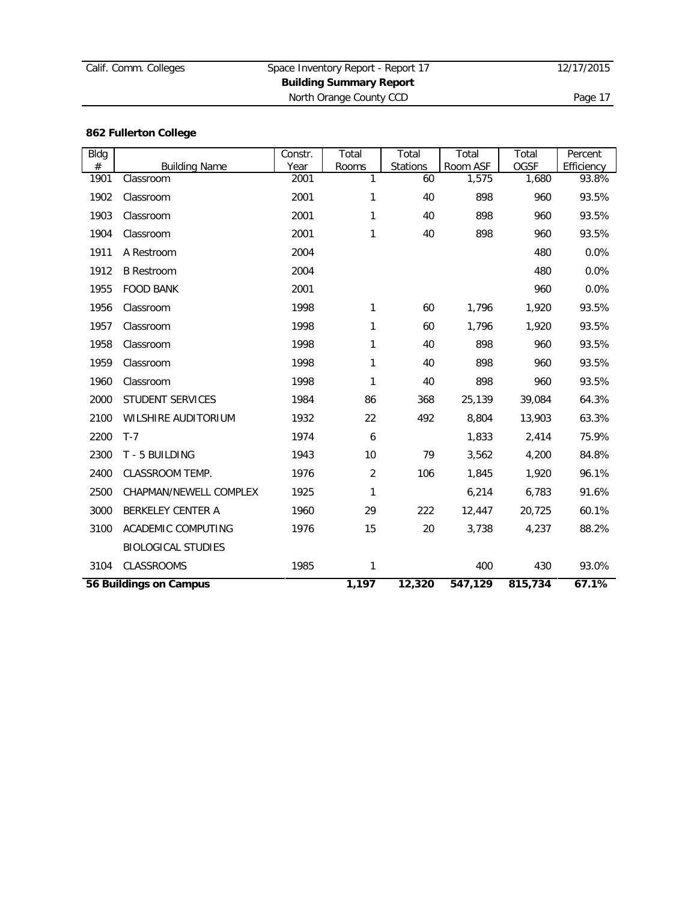North Orange County CCD Page 17

# **862 Fullerton College**

| <b>Bldg</b><br># |                                   | Constr.      | Total                 | Total                 | Total             | Total<br>OGSF | Percent             |
|------------------|-----------------------------------|--------------|-----------------------|-----------------------|-------------------|---------------|---------------------|
| 1901             | <b>Building Name</b><br>Classroom | Year<br>2001 | Rooms<br>$\mathbf{1}$ | <b>Stations</b><br>60 | Room ASF<br>1,575 | 1,680         | Efficiency<br>93.8% |
| 1902             | Classroom                         | 2001         | 1                     | 40                    | 898               | 960           | 93.5%               |
| 1903             | Classroom                         | 2001         | 1                     | 40                    | 898               | 960           | 93.5%               |
| 1904             | Classroom                         | 2001         | 1                     | 40                    | 898               | 960           | 93.5%               |
| 1911             | A Restroom                        | 2004         |                       |                       |                   | 480           | 0.0%                |
| 1912             | <b>B</b> Restroom                 | 2004         |                       |                       |                   | 480           | 0.0%                |
| 1955             | <b>FOOD BANK</b>                  | 2001         |                       |                       |                   | 960           | 0.0%                |
| 1956             | Classroom                         | 1998         | 1                     | 60                    | 1,796             | 1,920         | 93.5%               |
| 1957             | Classroom                         | 1998         | 1                     | 60                    | 1,796             | 1,920         | 93.5%               |
| 1958             | Classroom                         | 1998         | 1                     | 40                    | 898               | 960           | 93.5%               |
| 1959             | Classroom                         | 1998         | 1                     | 40                    | 898               | 960           | 93.5%               |
| 1960             | Classroom                         | 1998         | 1                     | 40                    | 898               | 960           | 93.5%               |
| 2000             | STUDENT SERVICES                  | 1984         | 86                    | 368                   | 25,139            | 39,084        | 64.3%               |
| 2100             | WILSHIRE AUDITORIUM               | 1932         | 22                    | 492                   | 8,804             | 13,903        | 63.3%               |
| 2200             | $T-7$                             | 1974         | 6                     |                       | 1,833             | 2,414         | 75.9%               |
| 2300             | T - 5 BUILDING                    | 1943         | 10                    | 79                    | 3,562             | 4,200         | 84.8%               |
| 2400             | CLASSROOM TEMP.                   | 1976         | $\overline{2}$        | 106                   | 1,845             | 1,920         | 96.1%               |
| 2500             | CHAPMAN/NEWELL COMPLEX            | 1925         | 1                     |                       | 6,214             | 6,783         | 91.6%               |
| 3000             | BERKELEY CENTER A                 | 1960         | 29                    | 222                   | 12,447            | 20,725        | 60.1%               |
| 3100             | ACADEMIC COMPUTING                | 1976         | 15                    | 20                    | 3,738             | 4,237         | 88.2%               |
|                  | <b>BIOLOGICAL STUDIES</b>         |              |                       |                       |                   |               |                     |
| 3104             | CLASSROOMS                        | 1985         | 1                     |                       | 400               | 430           | 93.0%               |
|                  | 56 Buildings on Campus            |              | 1,197                 | 12,320                | 547,129           | 815,734       | 67.1%               |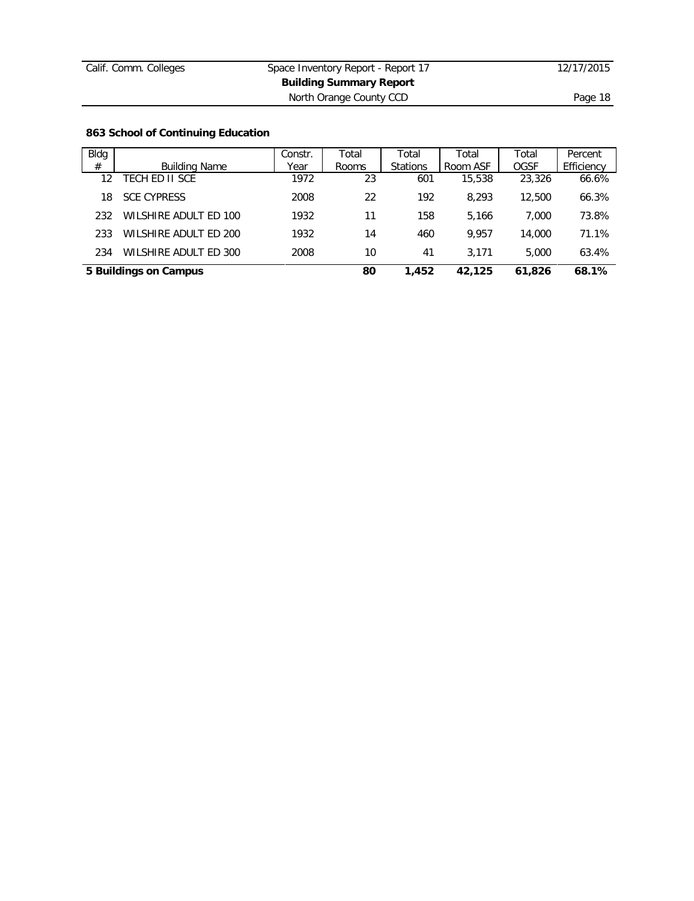# **863 School of Continuing Education**

| Bldg |                       | Constr. | Total | Total           | Total    | Total  | Percent    |
|------|-----------------------|---------|-------|-----------------|----------|--------|------------|
| #    | <b>Building Name</b>  | Year    | Rooms | <b>Stations</b> | Room ASF | OGSF   | Efficiency |
| 12   | TECH ED II SCE        | 1972    | 23    | 601             | 15,538   | 23,326 | 66.6%      |
| 18   | <b>SCE CYPRESS</b>    | 2008    | 22    | 192             | 8.293    | 12,500 | 66.3%      |
| 232  | WILSHIRE ADULT ED 100 | 1932    | 11    | 158             | 5.166    | 7.000  | 73.8%      |
| 233  | WILSHIRE ADULT ED 200 | 1932    | 14    | 460             | 9.957    | 14,000 | 71.1%      |
| 234  | WILSHIRE ADULT ED 300 | 2008    | 10    | 41              | 3.171    | 5,000  | 63.4%      |
|      | 5 Buildings on Campus |         | 80    | 1,452           | 42,125   | 61,826 | 68.1%      |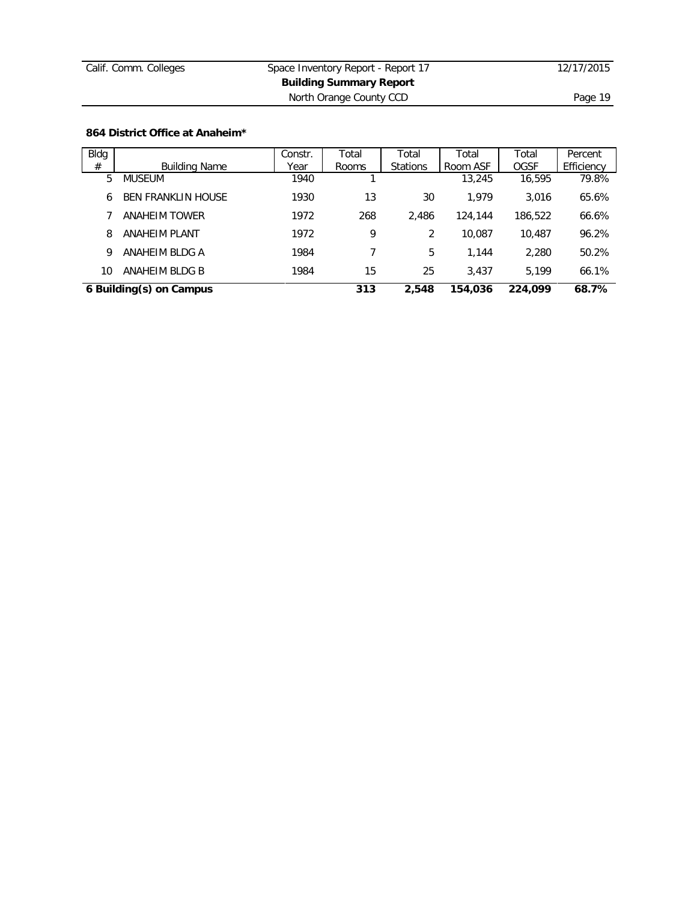| Space Inventory Report - Report 17 | 12/17/2015 |
|------------------------------------|------------|
| <b>Building Summary Report</b>     |            |
| North Orange County CCD            | Page 19    |
|                                    |            |

### **864 District Office at Anaheim\***

| <b>Bldg</b> |                           | Constr. | Total | Total           | Total    | Total       | Percent    |
|-------------|---------------------------|---------|-------|-----------------|----------|-------------|------------|
| #           | <b>Building Name</b>      | Year    | Rooms | <b>Stations</b> | Room ASF | <b>OGSF</b> | Efficiency |
| 5           | <b>MUSEUM</b>             | 1940    |       |                 | 13,245   | 16,595      | 79.8%      |
| 6           | <b>BEN FRANKLIN HOUSE</b> | 1930    | 13    | 30              | 1.979    | 3.016       | 65.6%      |
|             | ANAHEIM TOWER             | 1972    | 268   | 2.486           | 124,144  | 186,522     | 66.6%      |
| 8           | ANAHFIM PLANT             | 1972    | 9     | 2               | 10.087   | 10,487      | 96.2%      |
| 9           | ANAHEIM BLDG A            | 1984    |       | 5               | 1.144    | 2,280       | 50.2%      |
| 10          | ANAHEIM BLDG B            | 1984    | 15    | 25              | 3.437    | 5.199       | 66.1%      |
|             | 6 Building(s) on Campus   |         | 313   | 2,548           | 154,036  | 224.099     | 68.7%      |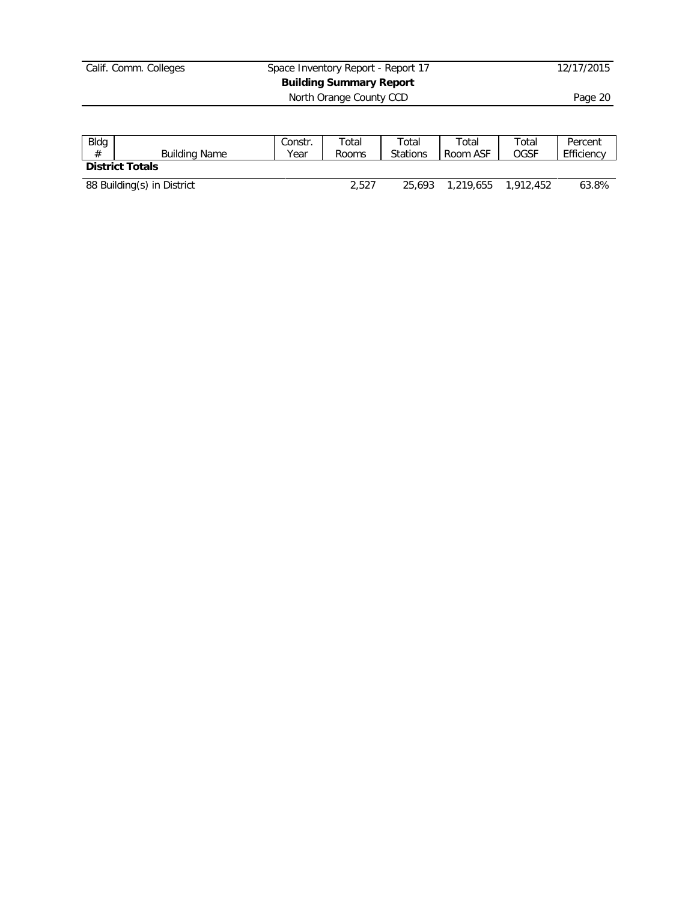| Calif. Comm. Colleges | Space Inventory Report - Report 17 | 12/17/2015 |
|-----------------------|------------------------------------|------------|
|                       | <b>Building Summary Report</b>     |            |
|                       | North Orange County CCD            | Page 20    |
|                       |                                    |            |

| Bldg |                            | Constr. | $\tau$ otal | Total    | $\tau$ otal | Total     | Percent    |
|------|----------------------------|---------|-------------|----------|-------------|-----------|------------|
| #    | Building Name              | Year    | Rooms       | Stations | Room ASF    | OGSF      | Efficiency |
|      | <b>District Totals</b>     |         |             |          |             |           |            |
|      | 88 Building(s) in District |         | 2.527       | 25,693   | 1,219,655   | 1.912.452 | 63.8%      |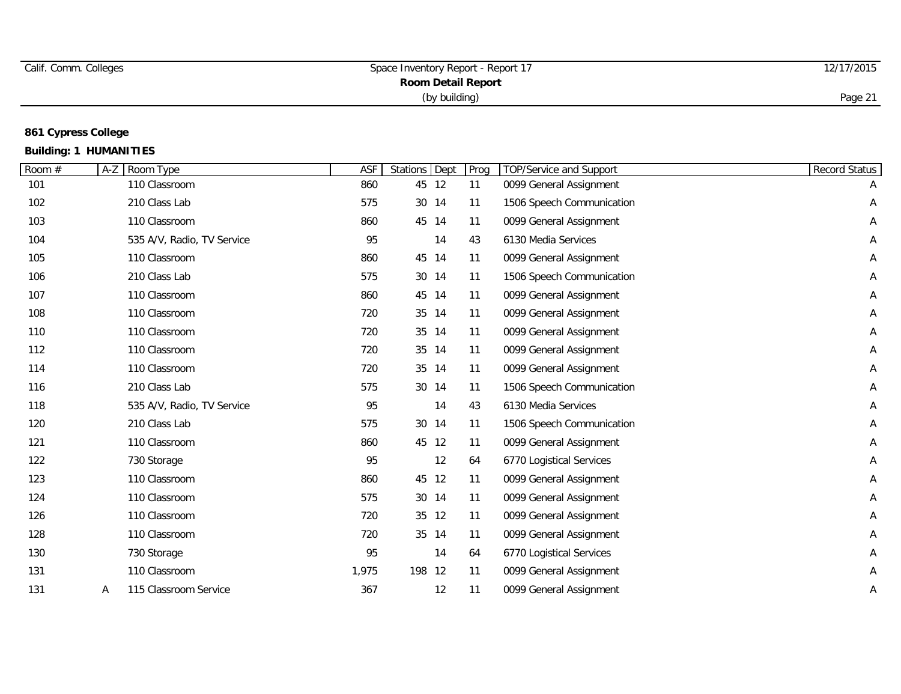| Calif. Comm. Colleges | Space Inventory Report - Report 17 | 12/17/2015 |
|-----------------------|------------------------------------|------------|
|                       | <b>Room Detail Report</b>          |            |
|                       | (by building)                      | Page 2     |

# **861 Cypress College**

**Building: 1 HUMANITIES**

| Room # | $A-Z$ | Room Type                  | <b>ASF</b> | Stations Dept |       | Prog | <b>TOP/Service and Support</b> | Record Status |
|--------|-------|----------------------------|------------|---------------|-------|------|--------------------------------|---------------|
| 101    |       | 110 Classroom              | 860        |               | 45 12 | 11   | 0099 General Assignment        | A             |
| 102    |       | 210 Class Lab              | 575        |               | 30 14 | 11   | 1506 Speech Communication      | А             |
| 103    |       | 110 Classroom              | 860        |               | 45 14 | 11   | 0099 General Assignment        | Α             |
| 104    |       | 535 A/V, Radio, TV Service | 95         |               | 14    | 43   | 6130 Media Services            | Α             |
| 105    |       | 110 Classroom              | 860        |               | 45 14 | 11   | 0099 General Assignment        | А             |
| 106    |       | 210 Class Lab              | 575        |               | 30 14 | 11   | 1506 Speech Communication      | Α             |
| 107    |       | 110 Classroom              | 860        |               | 45 14 | 11   | 0099 General Assignment        | Α             |
| 108    |       | 110 Classroom              | 720        |               | 35 14 | 11   | 0099 General Assignment        | Α             |
| 110    |       | 110 Classroom              | 720        |               | 35 14 | 11   | 0099 General Assignment        | Α             |
| 112    |       | 110 Classroom              | 720        |               | 35 14 | 11   | 0099 General Assignment        | Α             |
| 114    |       | 110 Classroom              | 720        |               | 35 14 | 11   | 0099 General Assignment        | Α             |
| 116    |       | 210 Class Lab              | 575        |               | 30 14 | 11   | 1506 Speech Communication      | А             |
| 118    |       | 535 A/V, Radio, TV Service | 95         |               | 14    | 43   | 6130 Media Services            | А             |
| 120    |       | 210 Class Lab              | 575        |               | 30 14 | 11   | 1506 Speech Communication      | Α             |
| 121    |       | 110 Classroom              | 860        |               | 45 12 | 11   | 0099 General Assignment        | Α             |
| 122    |       | 730 Storage                | 95         |               | 12    | 64   | 6770 Logistical Services       | Α             |
| 123    |       | 110 Classroom              | 860        |               | 45 12 | 11   | 0099 General Assignment        | А             |
| 124    |       | 110 Classroom              | 575        |               | 30 14 | 11   | 0099 General Assignment        | Α             |
| 126    |       | 110 Classroom              | 720        |               | 35 12 | 11   | 0099 General Assignment        | Α             |
| 128    |       | 110 Classroom              | 720        |               | 35 14 | 11   | 0099 General Assignment        | Α             |
| 130    |       | 730 Storage                | 95         |               | 14    | 64   | 6770 Logistical Services       | Α             |
| 131    |       | 110 Classroom              | 1,975      | 198 12        |       | 11   | 0099 General Assignment        | Α             |
| 131    | Α     | 115 Classroom Service      | 367        |               | 12    | 11   | 0099 General Assignment        | Α             |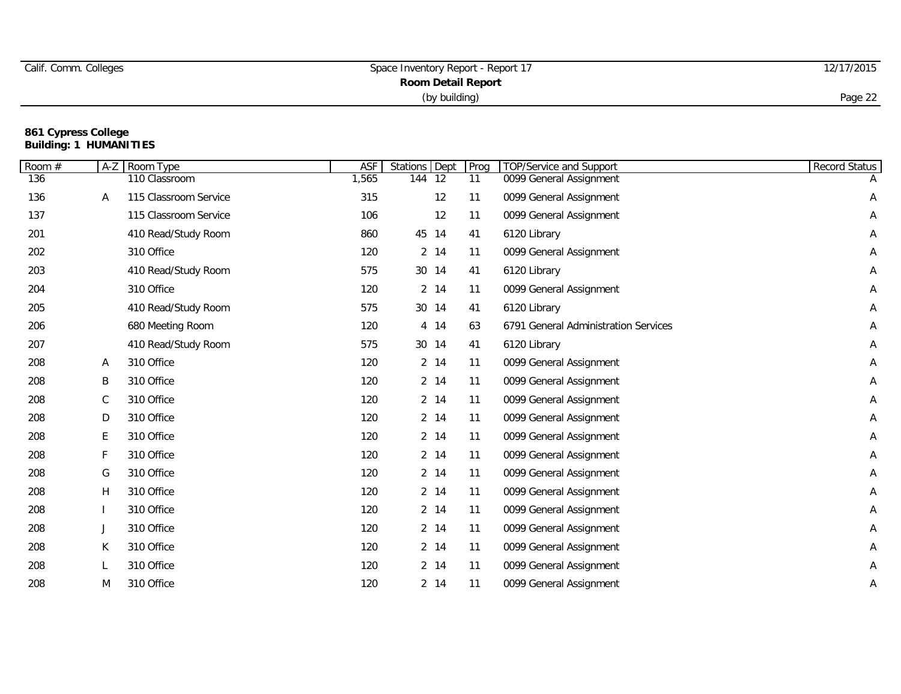| Calif. Comm. Colleges | Space Inventory Report - Report 17 | 12/17/2015 |
|-----------------------|------------------------------------|------------|
|                       | <b>Room Detail Report</b>          |            |
|                       | (by building)                      | Page 22    |

| Room # | $A-Z$ | Room Type             | <b>ASF</b> | <b>Stations</b> Dept |      | Prog | TOP/Service and Support              | Record Status |
|--------|-------|-----------------------|------------|----------------------|------|------|--------------------------------------|---------------|
| 136    |       | 110 Classroom         | 1,565      | 144 12               |      | 11   | 0099 General Assignment              | A             |
| 136    | Α     | 115 Classroom Service | 315        |                      | 12   | 11   | 0099 General Assignment              | Α             |
| 137    |       | 115 Classroom Service | 106        |                      | 12   | 11   | 0099 General Assignment              | Α             |
| 201    |       | 410 Read/Study Room   | 860        | 45 14                |      | 41   | 6120 Library                         | A             |
| 202    |       | 310 Office            | 120        |                      | 2 14 | 11   | 0099 General Assignment              | Α             |
| 203    |       | 410 Read/Study Room   | 575        | 30 14                |      | 41   | 6120 Library                         | Α             |
| 204    |       | 310 Office            | 120        |                      | 2 14 | 11   | 0099 General Assignment              | A             |
| 205    |       | 410 Read/Study Room   | 575        | 30 14                |      | 41   | 6120 Library                         | A             |
| 206    |       | 680 Meeting Room      | 120        |                      | 4 14 | 63   | 6791 General Administration Services | Α             |
| 207    |       | 410 Read/Study Room   | 575        | 30 14                |      | 41   | 6120 Library                         | A             |
| 208    | A     | 310 Office            | 120        |                      | 2 14 | 11   | 0099 General Assignment              | Α             |
| 208    | B     | 310 Office            | 120        |                      | 2 14 | 11   | 0099 General Assignment              | Α             |
| 208    | C     | 310 Office            | 120        |                      | 2 14 | 11   | 0099 General Assignment              | A             |
| 208    | D     | 310 Office            | 120        |                      | 2 14 | 11   | 0099 General Assignment              | A             |
| 208    | E     | 310 Office            | 120        |                      | 2 14 | 11   | 0099 General Assignment              | A             |
| 208    | F     | 310 Office            | 120        |                      | 2 14 | 11   | 0099 General Assignment              | Α             |
| 208    | G     | 310 Office            | 120        |                      | 2 14 | 11   | 0099 General Assignment              | Α             |
| 208    | H     | 310 Office            | 120        |                      | 2 14 | 11   | 0099 General Assignment              | A             |
| 208    |       | 310 Office            | 120        |                      | 2 14 | 11   | 0099 General Assignment              | Α             |
| 208    |       | 310 Office            | 120        |                      | 2 14 | 11   | 0099 General Assignment              | Α             |
| 208    | К     | 310 Office            | 120        |                      | 2 14 | 11   | 0099 General Assignment              | Α             |
| 208    |       | 310 Office            | 120        |                      | 2 14 | 11   | 0099 General Assignment              | Α             |
| 208    | M     | 310 Office            | 120        |                      | 2 14 | 11   | 0099 General Assignment              | Α             |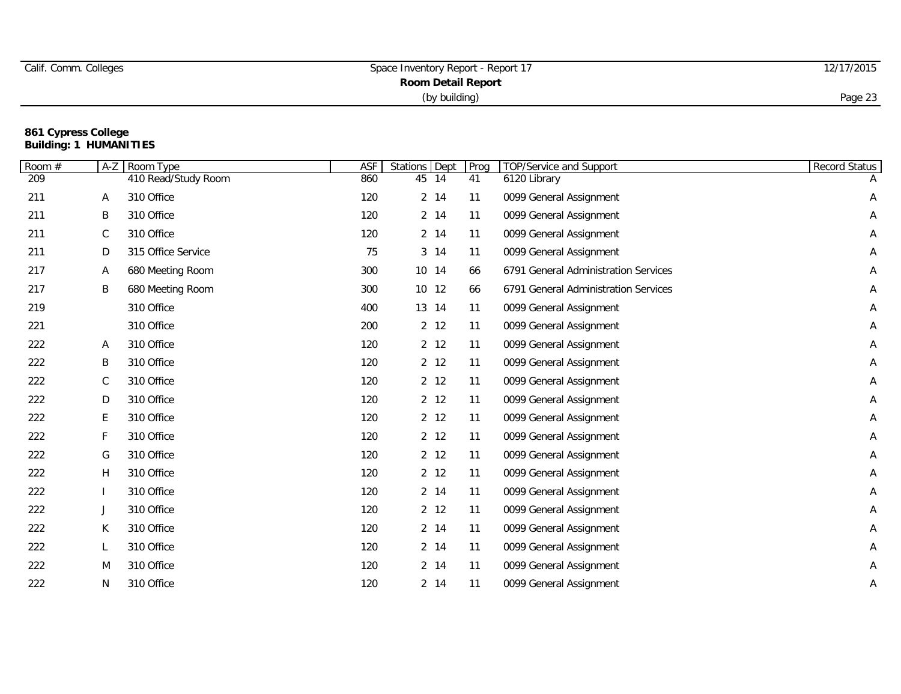| Calif. Comm. Colleges | Space Inventory Report - Report 17 | 12/17/2015 |
|-----------------------|------------------------------------|------------|
|                       | <b>Room Detail Report</b>          |            |
|                       | (by building)                      | Page 23    |

| Room # | $A-Z$       | Room Type           | ASF | Stations | Dept     | Prog | <b>TOP/Service</b> and Support       | Record Status |
|--------|-------------|---------------------|-----|----------|----------|------|--------------------------------------|---------------|
| 209    |             | 410 Read/Study Room | 860 | 45 14    |          | 41   | 6120 Library                         |               |
| 211    | Α           | 310 Office          | 120 |          | 2 14     | 11   | 0099 General Assignment              | Α             |
| 211    | B           | 310 Office          | 120 |          | 2 14     | 11   | 0099 General Assignment              | А             |
| 211    | $\mathsf C$ | 310 Office          | 120 |          | 2 14     | 11   | 0099 General Assignment              | Α             |
| 211    | D           | 315 Office Service  | 75  |          | 3 14     | 11   | 0099 General Assignment              | Α             |
| 217    | A           | 680 Meeting Room    | 300 | 10 14    |          | 66   | 6791 General Administration Services | Α             |
| 217    | B           | 680 Meeting Room    | 300 | 10 12    |          | 66   | 6791 General Administration Services | А             |
| 219    |             | 310 Office          | 400 | 13 14    |          | 11   | 0099 General Assignment              | Α             |
| 221    |             | 310 Office          | 200 |          | 2 12     | 11   | 0099 General Assignment              | Α             |
| 222    | Α           | 310 Office          | 120 |          | 2 12     | 11   | 0099 General Assignment              | Α             |
| 222    | B           | 310 Office          | 120 |          | 2 12     | 11   | 0099 General Assignment              | Α             |
| 222    | $\mathbb C$ | 310 Office          | 120 |          | 2 12     | 11   | 0099 General Assignment              | Α             |
| 222    | D           | 310 Office          | 120 |          | 2 12     | 11   | 0099 General Assignment              | А             |
| 222    | E           | 310 Office          | 120 |          | $2 \t12$ | 11   | 0099 General Assignment              | А             |
| 222    | F           | 310 Office          | 120 |          | 2 12     | 11   | 0099 General Assignment              | Α             |
| 222    | G           | 310 Office          | 120 |          | 2 12     | 11   | 0099 General Assignment              | А             |
| 222    | H           | 310 Office          | 120 |          | 2 12     | 11   | 0099 General Assignment              | Α             |
| 222    |             | 310 Office          | 120 |          | 2 14     | 11   | 0099 General Assignment              | А             |
| 222    | J           | 310 Office          | 120 |          | 2 12     | 11   | 0099 General Assignment              | A             |
| 222    | К           | 310 Office          | 120 |          | 2 14     | 11   | 0099 General Assignment              | Α             |
| 222    |             | 310 Office          | 120 |          | 2 14     | 11   | 0099 General Assignment              | Α             |
| 222    | M           | 310 Office          | 120 |          | 2 14     | 11   | 0099 General Assignment              | Α             |
| 222    | N           | 310 Office          | 120 |          | 2 14     | 11   | 0099 General Assignment              | Α             |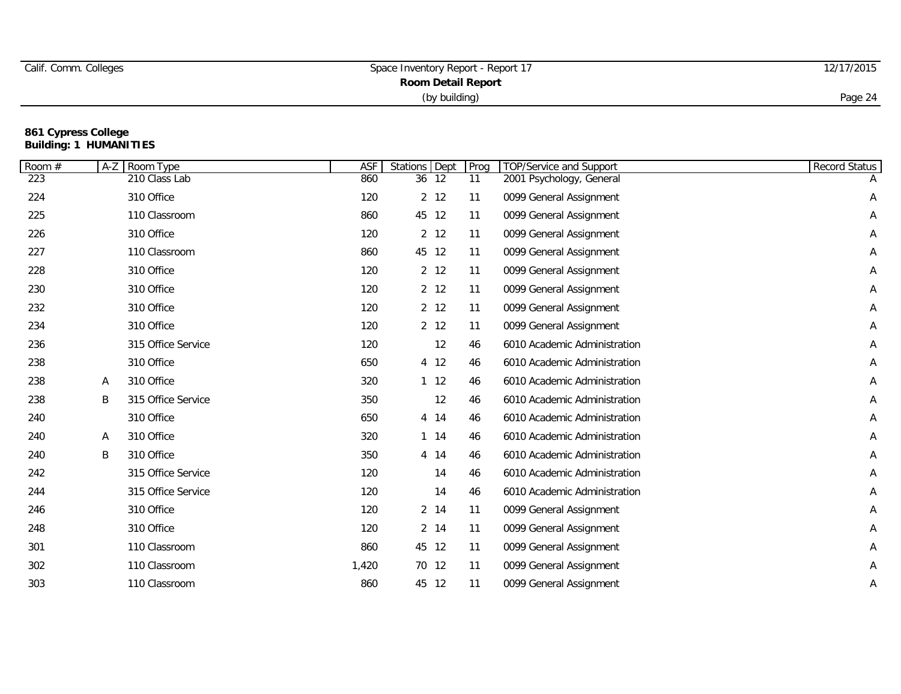| Calif. Comm. Colleges | Space Inventory Report - Report 17 | 12/17/2015 |
|-----------------------|------------------------------------|------------|
|                       | Room Detail Report                 |            |
|                       | (by building)                      | Page 24    |

| Room # | $A-Z$ | Room Type          | ASF   | <b>Stations</b> Dept |                 | Prog | <b>TOP/Service and Support</b> | Record Status |
|--------|-------|--------------------|-------|----------------------|-----------------|------|--------------------------------|---------------|
| 223    |       | 210 Class Lab      | 860   | $36 \t12$            |                 | 11   | 2001 Psychology, General       |               |
| 224    |       | 310 Office         | 120   |                      | 2 <sub>12</sub> | 11   | 0099 General Assignment        | Α             |
| 225    |       | 110 Classroom      | 860   | 45 12                |                 | 11   | 0099 General Assignment        | Α             |
| 226    |       | 310 Office         | 120   |                      | 2 12            | 11   | 0099 General Assignment        | Α             |
| 227    |       | 110 Classroom      | 860   | 45 12                |                 | 11   | 0099 General Assignment        | Α             |
| 228    |       | 310 Office         | 120   |                      | 2 12            | 11   | 0099 General Assignment        | Α             |
| 230    |       | 310 Office         | 120   |                      | 2 <sub>12</sub> | 11   | 0099 General Assignment        | Α             |
| 232    |       | 310 Office         | 120   |                      | $2$ 12          | 11   | 0099 General Assignment        | А             |
| 234    |       | 310 Office         | 120   |                      | 2 <sub>12</sub> | 11   | 0099 General Assignment        | Α             |
| 236    |       | 315 Office Service | 120   |                      | 12              | 46   | 6010 Academic Administration   | Α             |
| 238    |       | 310 Office         | 650   |                      | 4 12            | 46   | 6010 Academic Administration   | Α             |
| 238    | A     | 310 Office         | 320   |                      | $1 \quad 12$    | 46   | 6010 Academic Administration   | Α             |
| 238    | Β     | 315 Office Service | 350   |                      | 12              | 46   | 6010 Academic Administration   | Α             |
| 240    |       | 310 Office         | 650   |                      | 4 14            | 46   | 6010 Academic Administration   | Α             |
| 240    | A     | 310 Office         | 320   |                      | 114             | 46   | 6010 Academic Administration   | Α             |
| 240    | Β     | 310 Office         | 350   |                      | 4 14            | 46   | 6010 Academic Administration   | Α             |
| 242    |       | 315 Office Service | 120   |                      | 14              | 46   | 6010 Academic Administration   | Α             |
| 244    |       | 315 Office Service | 120   |                      | 14              | 46   | 6010 Academic Administration   | Α             |
| 246    |       | 310 Office         | 120   |                      | 2 14            | 11   | 0099 General Assignment        | А             |
| 248    |       | 310 Office         | 120   |                      | 2 14            | 11   | 0099 General Assignment        | Α             |
| 301    |       | 110 Classroom      | 860   | 45 12                |                 | 11   | 0099 General Assignment        | Α             |
| 302    |       | 110 Classroom      | 1,420 | 70 12                |                 | 11   | 0099 General Assignment        | Α             |
| 303    |       | 110 Classroom      | 860   | 45 12                |                 | 11   | 0099 General Assignment        | Α             |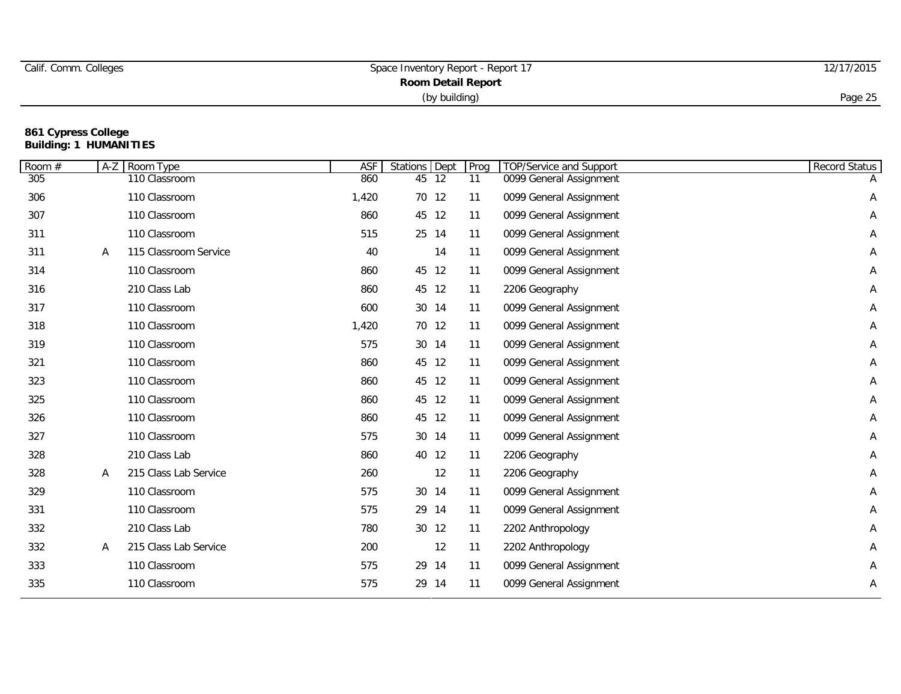| Calif. Comm. Colleges | Space Inventory Report - Report 17 | 12/17/2015 |
|-----------------------|------------------------------------|------------|
|                       | Room Detail Report                 |            |
|                       | (by building)                      | Page 25    |

| Room # | $A-Z$ | Room Type             | <b>ASF</b> | Stations Dept |    | Prog | <b>TOP/Service and Support</b> | Record Status |
|--------|-------|-----------------------|------------|---------------|----|------|--------------------------------|---------------|
| 305    |       | 110 Classroom         | 860        | 45 12         |    | 11   | 0099 General Assignment        |               |
| 306    |       | 110 Classroom         | 1,420      | 70 12         |    | 11   | 0099 General Assignment        | Α             |
| 307    |       | 110 Classroom         | 860        | 45 12         |    | 11   | 0099 General Assignment        | Α             |
| 311    |       | 110 Classroom         | 515        | 25 14         |    | 11   | 0099 General Assignment        | Α             |
| 311    | Α     | 115 Classroom Service | 40         |               | 14 | 11   | 0099 General Assignment        | Α             |
| 314    |       | 110 Classroom         | 860        | 45 12         |    | 11   | 0099 General Assignment        | Α             |
| 316    |       | 210 Class Lab         | 860        | 45 12         |    | 11   | 2206 Geography                 | Α             |
| 317    |       | 110 Classroom         | 600        | 30 14         |    | 11   | 0099 General Assignment        | Α             |
| 318    |       | 110 Classroom         | 1,420      | 70 12         |    | 11   | 0099 General Assignment        | Α             |
| 319    |       | 110 Classroom         | 575        | 30 14         |    | 11   | 0099 General Assignment        | A             |
| 321    |       | 110 Classroom         | 860        | 45 12         |    | 11   | 0099 General Assignment        | A             |
| 323    |       | 110 Classroom         | 860        | 45 12         |    | 11   | 0099 General Assignment        | Α             |
| 325    |       | 110 Classroom         | 860        | 45 12         |    | 11   | 0099 General Assignment        | Α             |
| 326    |       | 110 Classroom         | 860        | 45 12         |    | 11   | 0099 General Assignment        | Α             |
| 327    |       | 110 Classroom         | 575        | 30 14         |    | 11   | 0099 General Assignment        | Α             |
| 328    |       | 210 Class Lab         | 860        | 40 12         |    | 11   | 2206 Geography                 | Α             |
| 328    | Α     | 215 Class Lab Service | 260        |               | 12 | 11   | 2206 Geography                 | Α             |
| 329    |       | 110 Classroom         | 575        | 30 14         |    | 11   | 0099 General Assignment        | Α             |
| 331    |       | 110 Classroom         | 575        | 29 14         |    | 11   | 0099 General Assignment        | A             |
| 332    |       | 210 Class Lab         | 780        | 30 12         |    | 11   | 2202 Anthropology              | A             |
| 332    | Α     | 215 Class Lab Service | 200        |               | 12 | 11   | 2202 Anthropology              | Α             |
| 333    |       | 110 Classroom         | 575        | 29 14         |    | 11   | 0099 General Assignment        | Α             |
| 335    |       | 110 Classroom         | 575        | 29 14         |    | 11   | 0099 General Assignment        | Α             |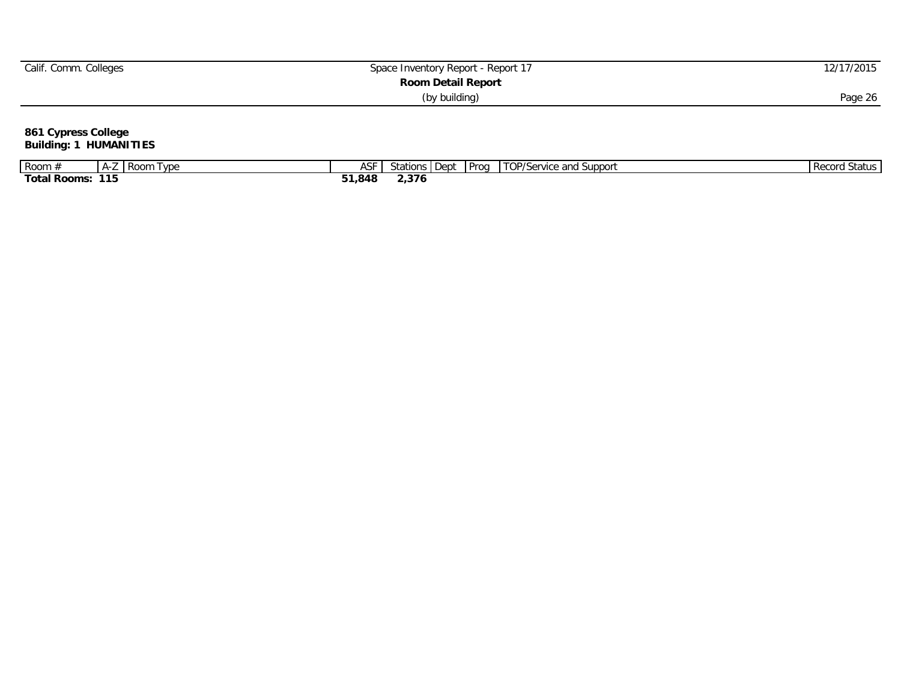| Calif. Comm. Colleges | Space Inventory Report - Report 17 | 12/17/2015 |
|-----------------------|------------------------------------|------------|
|                       | <b>Room Detail Report</b>          |            |
|                       | (by building)                      | Page 26    |

| Room                        |     | VDE<br>ROOM | ASI                | этаполь                       | -<br>. Dept | ' Prou | TOP/Service<br>-support<br>and | i Status<br>Record |
|-----------------------------|-----|-------------|--------------------|-------------------------------|-------------|--------|--------------------------------|--------------------|
| $\sim$<br>Total<br>' Rooms: | . . |             | - -<br>.848<br>J I | $\sim$ $\sim$ $\sim$<br>4,310 |             |        |                                |                    |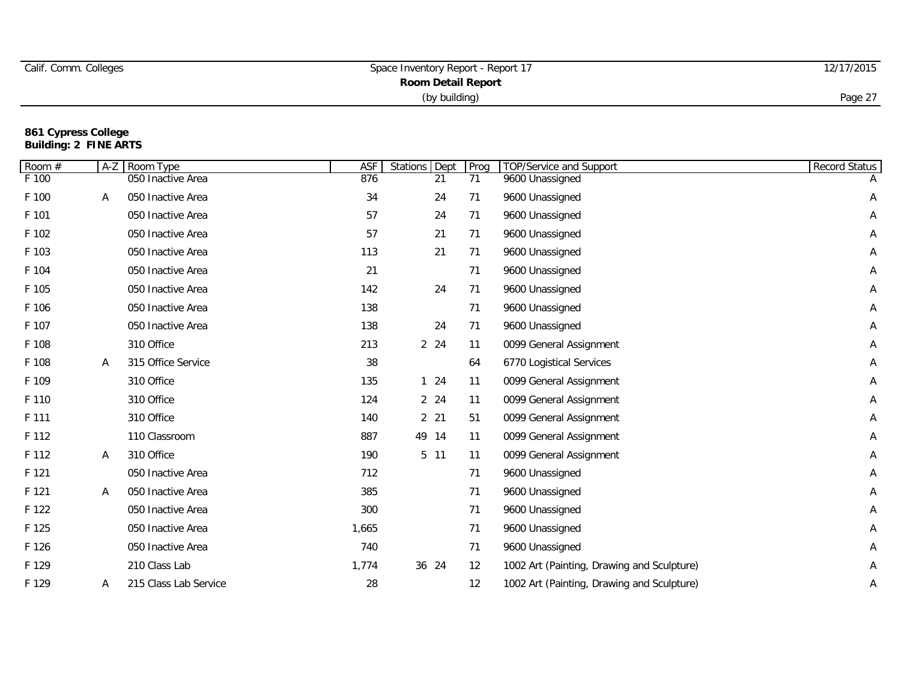| Calif. Comm. Colleges | Space Inventory Report - Report 17 | 12/17/2015 |  |  |
|-----------------------|------------------------------------|------------|--|--|
|                       | <b>Room Detail Report</b>          |            |  |  |
|                       | (by building)                      | Page 27    |  |  |

| Room # | $A-Z$ | Room Type             | <b>ASF</b> | Stations | Dept            | Prog | TOP/Service and Support                    | Record Status |
|--------|-------|-----------------------|------------|----------|-----------------|------|--------------------------------------------|---------------|
| F 100  |       | 050 Inactive Area     | 876        |          | 21              | 71   | 9600 Unassigned                            |               |
| F 100  | Α     | 050 Inactive Area     | 34         |          | 24              | 71   | 9600 Unassigned                            | Α             |
| F 101  |       | 050 Inactive Area     | 57         |          | 24              | 71   | 9600 Unassigned                            | Α             |
| F 102  |       | 050 Inactive Area     | 57         |          | 21              | 71   | 9600 Unassigned                            | Α             |
| F 103  |       | 050 Inactive Area     | 113        |          | 21              | 71   | 9600 Unassigned                            | Α             |
| F 104  |       | 050 Inactive Area     | 21         |          |                 | 71   | 9600 Unassigned                            | A             |
| F 105  |       | 050 Inactive Area     | 142        |          | 24              | 71   | 9600 Unassigned                            | A             |
| F 106  |       | 050 Inactive Area     | 138        |          |                 | 71   | 9600 Unassigned                            | Α             |
| F 107  |       | 050 Inactive Area     | 138        |          | 24              | 71   | 9600 Unassigned                            | Α             |
| F 108  |       | 310 Office            | 213        |          | 2 24            | 11   | 0099 General Assignment                    | Α             |
| F 108  | Α     | 315 Office Service    | 38         |          |                 | 64   | 6770 Logistical Services                   | Α             |
| F 109  |       | 310 Office            | 135        |          | $1 \quad 24$    | 11   | 0099 General Assignment                    | A             |
| F 110  |       | 310 Office            | 124        |          | 2 2 4           | 11   | 0099 General Assignment                    | Α             |
| F 111  |       | 310 Office            | 140        |          | 2 <sub>21</sub> | 51   | 0099 General Assignment                    | Α             |
| F 112  |       | 110 Classroom         | 887        |          | 49 14           | 11   | 0099 General Assignment                    | Α             |
| F 112  | A     | 310 Office            | 190        |          | 5 11            | 11   | 0099 General Assignment                    | Α             |
| F 121  |       | 050 Inactive Area     | 712        |          |                 | 71   | 9600 Unassigned                            | Α             |
| F 121  | Α     | 050 Inactive Area     | 385        |          |                 | 71   | 9600 Unassigned                            | A             |
| F 122  |       | 050 Inactive Area     | 300        |          |                 | 71   | 9600 Unassigned                            | Α             |
| F 125  |       | 050 Inactive Area     | 1,665      |          |                 | 71   | 9600 Unassigned                            | А             |
| F 126  |       | 050 Inactive Area     | 740        |          |                 | 71   | 9600 Unassigned                            | Α             |
| F 129  |       | 210 Class Lab         | 1,774      |          | 36 24           | 12   | 1002 Art (Painting, Drawing and Sculpture) | Α             |
| F 129  | A     | 215 Class Lab Service | 28         |          |                 | 12   | 1002 Art (Painting, Drawing and Sculpture) | A             |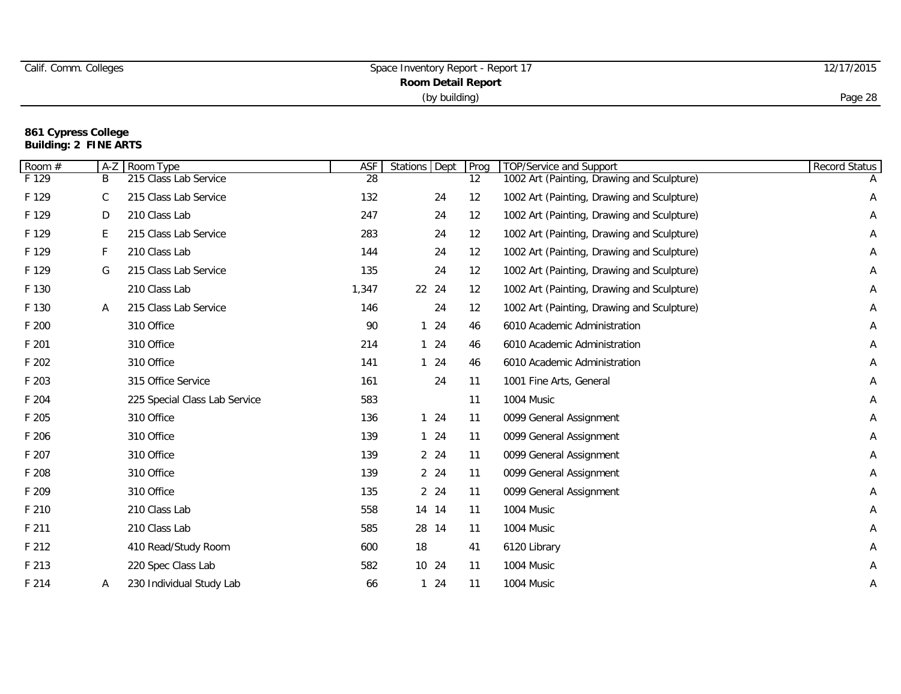| Calif. Comm. Colleges | Space Inventory Report - Report 17 | 12/17/2015 |
|-----------------------|------------------------------------|------------|
|                       | <b>Room Detail Report</b>          |            |
|                       | (by building)                      | Page 28    |

| Room # | $A-Z$ | Room Type                     | <b>ASF</b> | Stations Dept | Prog              | TOP/Service and Support                    | <b>Record Status</b> |
|--------|-------|-------------------------------|------------|---------------|-------------------|--------------------------------------------|----------------------|
| F 129  | B     | 215 Class Lab Service         | 28         |               | $12 \overline{ }$ | 1002 Art (Painting, Drawing and Sculpture) | A                    |
| F 129  | C     | 215 Class Lab Service         | 132        | 24            | 12                | 1002 Art (Painting, Drawing and Sculpture) | Α                    |
| F 129  | D     | 210 Class Lab                 | 247        | 24            | 12                | 1002 Art (Painting, Drawing and Sculpture) | A                    |
| F 129  | E     | 215 Class Lab Service         | 283        | 24            | 12                | 1002 Art (Painting, Drawing and Sculpture) | Α                    |
| F 129  | F     | 210 Class Lab                 | 144        | 24            | 12                | 1002 Art (Painting, Drawing and Sculpture) | Α                    |
| F 129  | G     | 215 Class Lab Service         | 135        | 24            | 12                | 1002 Art (Painting, Drawing and Sculpture) | Α                    |
| F 130  |       | 210 Class Lab                 | 1,347      | 22 24         | 12                | 1002 Art (Painting, Drawing and Sculpture) | Α                    |
| F 130  | Α     | 215 Class Lab Service         | 146        | 24            | 12                | 1002 Art (Painting, Drawing and Sculpture) | Α                    |
| F 200  |       | 310 Office                    | 90         | $1 \quad 24$  | 46                | 6010 Academic Administration               | Α                    |
| F 201  |       | 310 Office                    | 214        | $1 \quad 24$  | 46                | 6010 Academic Administration               | Α                    |
| F 202  |       | 310 Office                    | 141        | 124           | 46                | 6010 Academic Administration               | Α                    |
| F 203  |       | 315 Office Service            | 161        | 24            | 11                | 1001 Fine Arts, General                    | Α                    |
| F 204  |       | 225 Special Class Lab Service | 583        |               | 11                | 1004 Music                                 | A                    |
| F 205  |       | 310 Office                    | 136        | $1 \quad 24$  | 11                | 0099 General Assignment                    | Α                    |
| F 206  |       | 310 Office                    | 139        | $1 \quad 24$  | 11                | 0099 General Assignment                    | Α                    |
| F 207  |       | 310 Office                    | 139        | 2 24          | 11                | 0099 General Assignment                    | Α                    |
| F 208  |       | 310 Office                    | 139        | 2 2 4         | 11                | 0099 General Assignment                    | Α                    |
| F 209  |       | 310 Office                    | 135        | 2 24          | 11                | 0099 General Assignment                    | Α                    |
| F 210  |       | 210 Class Lab                 | 558        | 14 14         | 11                | 1004 Music                                 | A                    |
| F 211  |       | 210 Class Lab                 | 585        | 28 14         | 11                | 1004 Music                                 | Α                    |
| F 212  |       | 410 Read/Study Room           | 600        | 18            | 41                | 6120 Library                               | Α                    |
| F 213  |       | 220 Spec Class Lab            | 582        | 10 24         | 11                | 1004 Music                                 | Α                    |
| F 214  | Α     | 230 Individual Study Lab      | 66         | 124           | 11                | 1004 Music                                 | Α                    |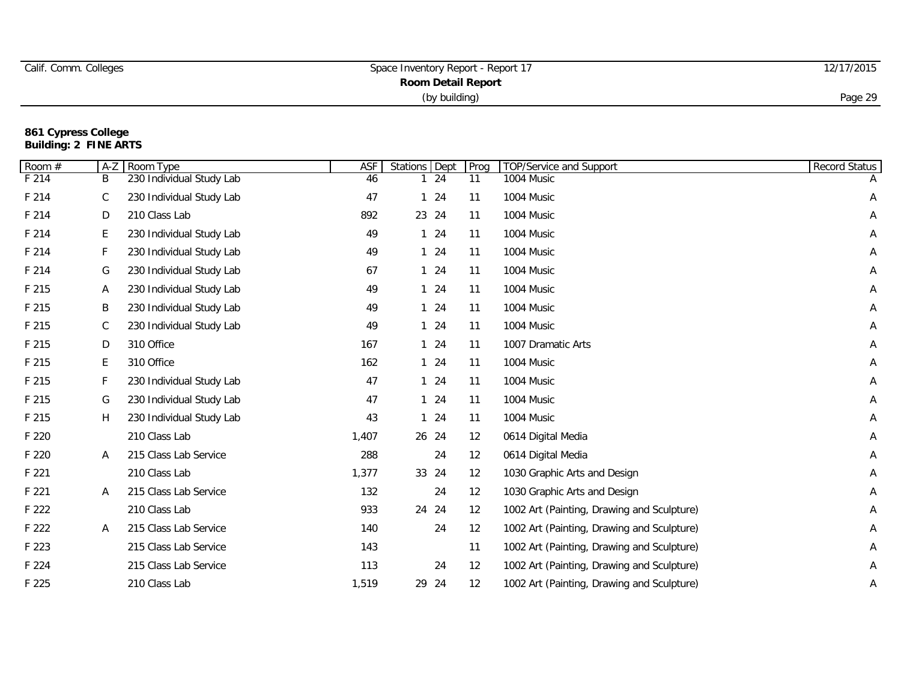| Calif. Comm. Colleges | Space Inventory Report - Report 17 | 12/17/2015 |
|-----------------------|------------------------------------|------------|
|                       | <b>Room Detail Report</b>          |            |
|                       | (by building)                      | Page 29    |

| Room #  | $A-Z$       | Room Type                | ASF   | <b>Stations</b> | Dept  | Prog | <b>TOP/Service and Support</b>             | Record Status |
|---------|-------------|--------------------------|-------|-----------------|-------|------|--------------------------------------------|---------------|
| $F$ 214 | B           | 230 Individual Study Lab | 46    |                 | 24    | 11   | 1004 Music                                 |               |
| F 214   | C           | 230 Individual Study Lab | 47    | $\mathbf{1}$    | 24    | 11   | 1004 Music                                 | Α             |
| F 214   | D           | 210 Class Lab            | 892   |                 | 23 24 | 11   | 1004 Music                                 | Α             |
| F 214   | E           | 230 Individual Study Lab | 49    |                 | $124$ | 11   | 1004 Music                                 | Α             |
| F 214   | F           | 230 Individual Study Lab | 49    |                 | $124$ | 11   | 1004 Music                                 | Α             |
| F 214   | G           | 230 Individual Study Lab | 67    |                 | $124$ | 11   | 1004 Music                                 | A             |
| F 215   | Α           | 230 Individual Study Lab | 49    |                 | $124$ | 11   | 1004 Music                                 | Α             |
| F 215   | B           | 230 Individual Study Lab | 49    |                 | $124$ | 11   | 1004 Music                                 | A             |
| F 215   | $\mathbb C$ | 230 Individual Study Lab | 49    |                 | $124$ | 11   | 1004 Music                                 | Α             |
| F 215   | D           | 310 Office               | 167   |                 | 124   | 11   | 1007 Dramatic Arts                         | Α             |
| F 215   | E.          | 310 Office               | 162   |                 | 124   | 11   | 1004 Music                                 | Α             |
| F 215   | F           | 230 Individual Study Lab | 47    |                 | $124$ | 11   | 1004 Music                                 | Α             |
| F 215   | G           | 230 Individual Study Lab | 47    |                 | $124$ | 11   | 1004 Music                                 | A             |
| F 215   | H           | 230 Individual Study Lab | 43    |                 | $124$ | 11   | 1004 Music                                 | Α             |
| F 220   |             | 210 Class Lab            | 1,407 |                 | 26 24 | 12   | 0614 Digital Media                         | Α             |
| F 220   | Α           | 215 Class Lab Service    | 288   |                 | 24    | 12   | 0614 Digital Media                         | Α             |
| F 221   |             | 210 Class Lab            | 1,377 |                 | 33 24 | 12   | 1030 Graphic Arts and Design               | Α             |
| F 221   | A           | 215 Class Lab Service    | 132   |                 | 24    | 12   | 1030 Graphic Arts and Design               | Α             |
| F 222   |             | 210 Class Lab            | 933   |                 | 24 24 | 12   | 1002 Art (Painting, Drawing and Sculpture) | A             |
| F 222   | Α           | 215 Class Lab Service    | 140   |                 | 24    | 12   | 1002 Art (Painting, Drawing and Sculpture) | Α             |
| F 223   |             | 215 Class Lab Service    | 143   |                 |       | 11   | 1002 Art (Painting, Drawing and Sculpture) | Α             |
| F 224   |             | 215 Class Lab Service    | 113   |                 | 24    | 12   | 1002 Art (Painting, Drawing and Sculpture) | Α             |
| F 225   |             | 210 Class Lab            | 1,519 |                 | 29 24 | 12   | 1002 Art (Painting, Drawing and Sculpture) | Α             |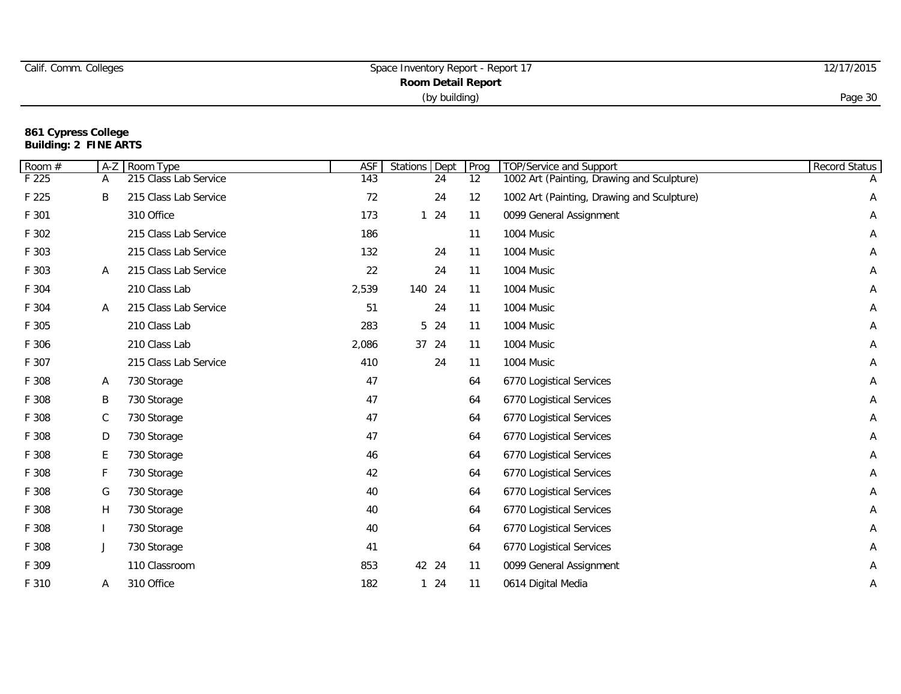| Calif. Comm. Colleges | Space Inventory Report - Report 17 | 12/17/2015 |
|-----------------------|------------------------------------|------------|
|                       | <b>Room Detail Report</b>          |            |
|                       | (by building)                      | Page 30    |

| Room # | $A-Z$ | Room Type             | <b>ASF</b> | Stations | Dept  | Prog              | <b>TOP/Service and Support</b>             | Record Status |
|--------|-------|-----------------------|------------|----------|-------|-------------------|--------------------------------------------|---------------|
| F 225  | Α     | 215 Class Lab Service | 143        |          | 24    | $12 \overline{ }$ | 1002 Art (Painting, Drawing and Sculpture) |               |
| F 225  | B     | 215 Class Lab Service | 72         |          | 24    | 12                | 1002 Art (Painting, Drawing and Sculpture) | Α             |
| F 301  |       | 310 Office            | 173        | 1.       | 24    | 11                | 0099 General Assignment                    | Α             |
| F 302  |       | 215 Class Lab Service | 186        |          |       | 11                | 1004 Music                                 | Α             |
| F 303  |       | 215 Class Lab Service | 132        |          | 24    | 11                | 1004 Music                                 | Α             |
| F 303  | A     | 215 Class Lab Service | 22         |          | 24    | 11                | 1004 Music                                 | Α             |
| F 304  |       | 210 Class Lab         | 2,539      | 140 24   |       | 11                | 1004 Music                                 | A             |
| F 304  | Α     | 215 Class Lab Service | 51         |          | 24    | 11                | 1004 Music                                 | Α             |
| F 305  |       | 210 Class Lab         | 283        |          | 5 24  | 11                | 1004 Music                                 | Α             |
| F 306  |       | 210 Class Lab         | 2,086      |          | 37 24 | 11                | 1004 Music                                 | Α             |
| F 307  |       | 215 Class Lab Service | 410        |          | 24    | 11                | 1004 Music                                 | Α             |
| F 308  | A     | 730 Storage           | 47         |          |       | 64                | 6770 Logistical Services                   | Α             |
| F 308  | Β     | 730 Storage           | 47         |          |       | 64                | 6770 Logistical Services                   | A             |
| F 308  | C     | 730 Storage           | 47         |          |       | 64                | 6770 Logistical Services                   | A             |
| F 308  | D     | 730 Storage           | 47         |          |       | 64                | 6770 Logistical Services                   | Α             |
| F 308  | E,    | 730 Storage           | 46         |          |       | 64                | 6770 Logistical Services                   | Α             |
| F 308  | F     | 730 Storage           | 42         |          |       | 64                | 6770 Logistical Services                   | Α             |
| F 308  | G     | 730 Storage           | 40         |          |       | 64                | 6770 Logistical Services                   | Α             |
| F 308  | H     | 730 Storage           | 40         |          |       | 64                | 6770 Logistical Services                   | A             |
| F 308  |       | 730 Storage           | 40         |          |       | 64                | 6770 Logistical Services                   | Α             |
| F 308  | J     | 730 Storage           | 41         |          |       | 64                | 6770 Logistical Services                   | Α             |
| F 309  |       | 110 Classroom         | 853        |          | 42 24 | 11                | 0099 General Assignment                    | Α             |
| F 310  | A     | 310 Office            | 182        | 1.       | 24    | 11                | 0614 Digital Media                         | Α             |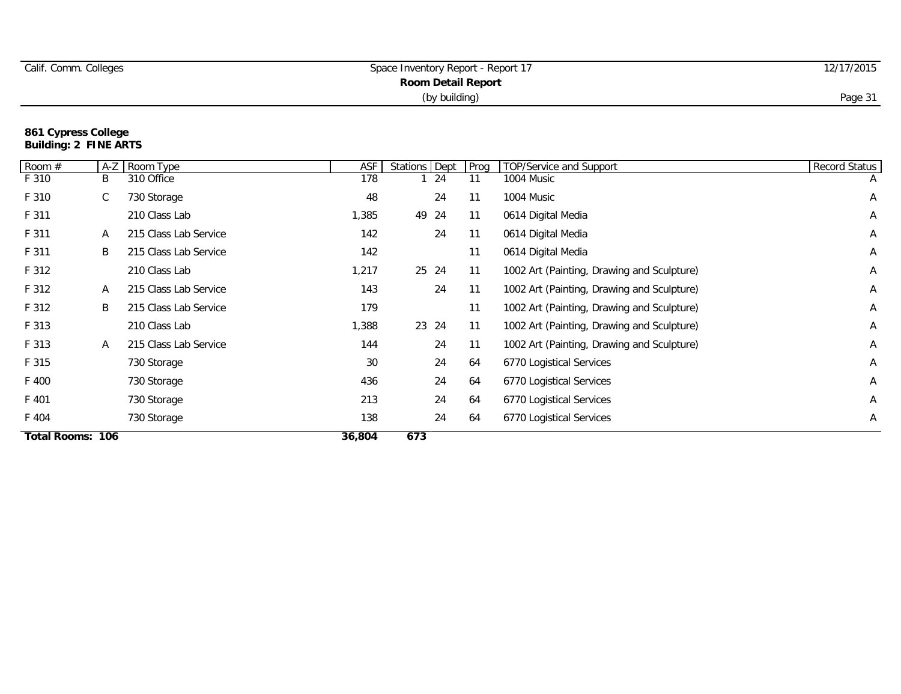| Calif. Comm. Colleges | Space Inventory Report - Report 17 | 12/17/2015 |
|-----------------------|------------------------------------|------------|
|                       | Room Detail Report                 |            |
|                       | (by building)                      | Page 3     |

| Room #           |   | A-Z Room Type         | ASF    | Stations Dept |       | Prog | <b>TOP/Service and Support</b>             | <b>Record Status</b> |
|------------------|---|-----------------------|--------|---------------|-------|------|--------------------------------------------|----------------------|
| F 310            | Β | 310 Office            | 178    |               | 24    | 11   | 1004 Music                                 | $\mathsf{A}$         |
| F 310            | C | 730 Storage           | 48     |               | 24    | 11   | 1004 Music                                 | A                    |
| F 311            |   | 210 Class Lab         | 1,385  |               | 49 24 | 11   | 0614 Digital Media                         | A                    |
| F 311            | A | 215 Class Lab Service | 142    |               | 24    | 11   | 0614 Digital Media                         | A                    |
| F 311            | B | 215 Class Lab Service | 142    |               |       | 11   | 0614 Digital Media                         | A                    |
| F 312            |   | 210 Class Lab         | 1,217  |               | 25 24 | 11   | 1002 Art (Painting, Drawing and Sculpture) | A                    |
| F 312            | A | 215 Class Lab Service | 143    |               | 24    | 11   | 1002 Art (Painting, Drawing and Sculpture) | Α                    |
| F 312            | B | 215 Class Lab Service | 179    |               |       | 11   | 1002 Art (Painting, Drawing and Sculpture) | A                    |
| F 313            |   | 210 Class Lab         | 1,388  |               | 23 24 | 11   | 1002 Art (Painting, Drawing and Sculpture) | Α                    |
| F 313            | A | 215 Class Lab Service | 144    |               | 24    | 11   | 1002 Art (Painting, Drawing and Sculpture) | Α                    |
| F 315            |   | 730 Storage           | 30     |               | 24    | 64   | 6770 Logistical Services                   | Α                    |
| F 400            |   | 730 Storage           | 436    |               | 24    | 64   | 6770 Logistical Services                   | A                    |
| F 401            |   | 730 Storage           | 213    |               | 24    | 64   | 6770 Logistical Services                   | A                    |
| F 404            |   | 730 Storage           | 138    |               | 24    | 64   | 6770 Logistical Services                   | A                    |
| Total Rooms: 106 |   |                       | 36,804 | 673           |       |      |                                            |                      |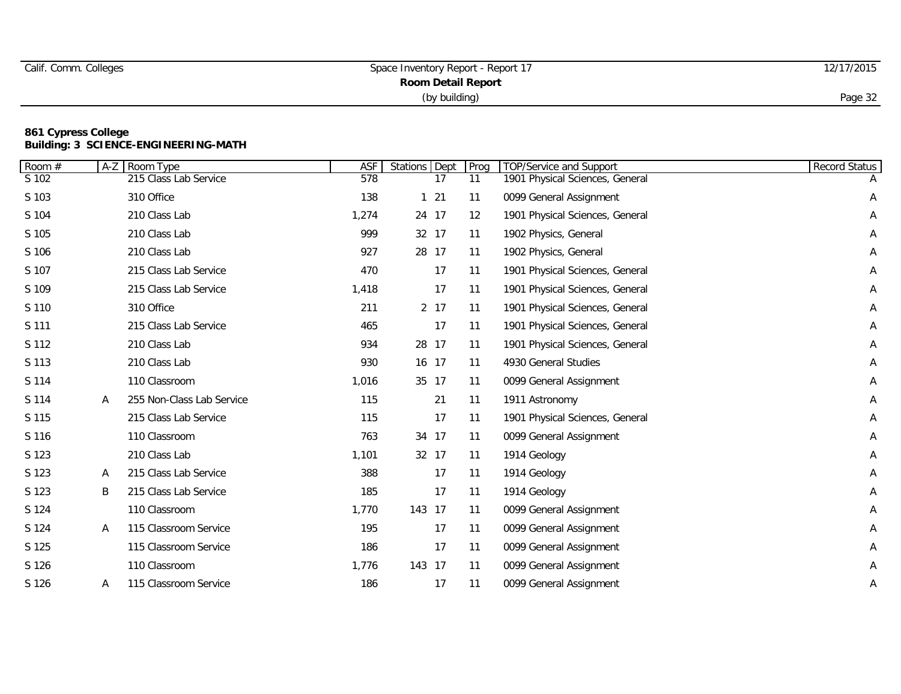|  | Calif. Comm. Colleges |
|--|-----------------------|
|  |                       |

| Room # | $A-Z$ | Room Type                 | <b>ASF</b> | <b>Stations</b> Dept | Prog | TOP/Service and Support         | Record Status |
|--------|-------|---------------------------|------------|----------------------|------|---------------------------------|---------------|
| S 102  |       | 215 Class Lab Service     | 578        | 17                   | 11   | 1901 Physical Sciences, General |               |
| S 103  |       | 310 Office                | 138        | $121$                | 11   | 0099 General Assignment         | Α             |
| S 104  |       | 210 Class Lab             | 1,274      | 24 17                | 12   | 1901 Physical Sciences, General | A             |
| S 105  |       | 210 Class Lab             | 999        | 32 17                | 11   | 1902 Physics, General           | Α             |
| S 106  |       | 210 Class Lab             | 927        | 28 17                | 11   | 1902 Physics, General           | Α             |
| S 107  |       | 215 Class Lab Service     | 470        | 17                   | 11   | 1901 Physical Sciences, General | A             |
| S 109  |       | 215 Class Lab Service     | 1,418      | 17                   | 11   | 1901 Physical Sciences, General | A             |
| S 110  |       | 310 Office                | 211        | 2 17                 | 11   | 1901 Physical Sciences, General | Α             |
| S 111  |       | 215 Class Lab Service     | 465        | 17                   | 11   | 1901 Physical Sciences, General | А             |
| S 112  |       | 210 Class Lab             | 934        | 28 17                | 11   | 1901 Physical Sciences, General | Α             |
| S 113  |       | 210 Class Lab             | 930        | 16 17                | 11   | 4930 General Studies            | Α             |
| S 114  |       | 110 Classroom             | 1,016      | 35 17                | 11   | 0099 General Assignment         | Α             |
| S 114  | A     | 255 Non-Class Lab Service | 115        | 21                   | 11   | 1911 Astronomy                  | A             |
| S 115  |       | 215 Class Lab Service     | 115        | 17                   | 11   | 1901 Physical Sciences, General | A             |
| S 116  |       | 110 Classroom             | 763        | 34 17                | 11   | 0099 General Assignment         | Α             |
| S 123  |       | 210 Class Lab             | 1,101      | 32 17                | 11   | 1914 Geology                    | Α             |
| S 123  | A     | 215 Class Lab Service     | 388        | 17                   | 11   | 1914 Geology                    | A             |
| S 123  | B     | 215 Class Lab Service     | 185        | 17                   | 11   | 1914 Geology                    | A             |
| S 124  |       | 110 Classroom             | 1,770      | 143 17               | 11   | 0099 General Assignment         | Α             |
| S 124  | A     | 115 Classroom Service     | 195        | 17                   | 11   | 0099 General Assignment         | Α             |
| S 125  |       | 115 Classroom Service     | 186        | 17                   | 11   | 0099 General Assignment         | Α             |
| S 126  |       | 110 Classroom             | 1,776      | 143 17               | 11   | 0099 General Assignment         | Α             |
| S 126  | Α     | 115 Classroom Service     | 186        | 17                   | 11   | 0099 General Assignment         | Α             |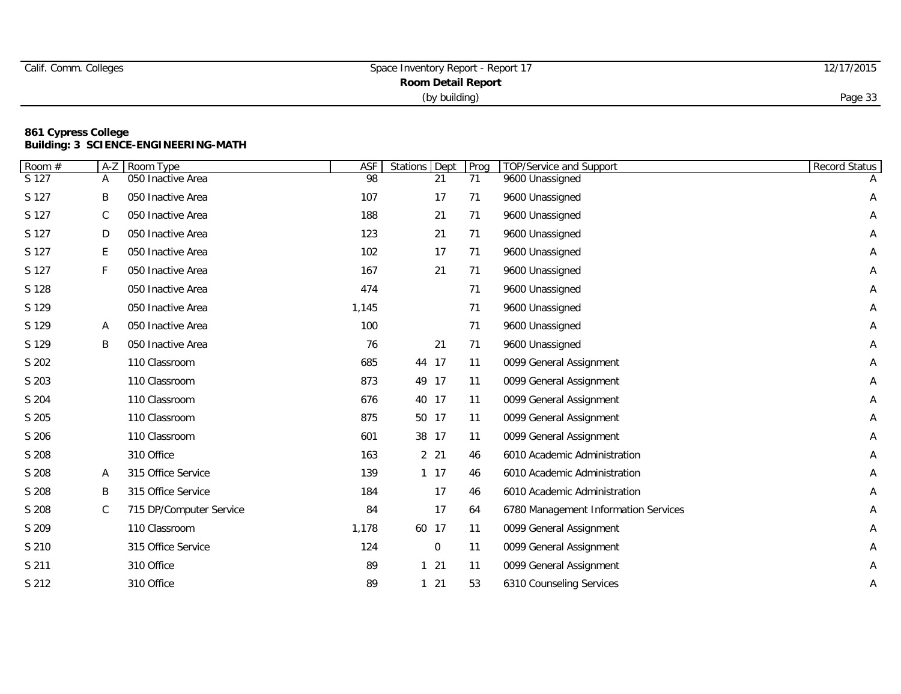|  | Calif. Comm. Colleges |
|--|-----------------------|
|  |                       |

| Room # | $A-Z$       | Room Type               | <b>ASF</b> | Stations<br>Dept | Prog | TOP/Service and Support              | Record Status |
|--------|-------------|-------------------------|------------|------------------|------|--------------------------------------|---------------|
| S 127  | Α           | 050 Inactive Area       | 98         | 21               | 71   | 9600 Unassigned                      |               |
| S 127  | Β           | 050 Inactive Area       | 107        | 17               | 71   | 9600 Unassigned                      | Α             |
| S 127  | $\mathsf C$ | 050 Inactive Area       | 188        | 21               | 71   | 9600 Unassigned                      | A             |
| S 127  | D           | 050 Inactive Area       | 123        | 21               | 71   | 9600 Unassigned                      | Α             |
| S 127  | E.          | 050 Inactive Area       | 102        | 17               | 71   | 9600 Unassigned                      | Α             |
| S 127  | F.          | 050 Inactive Area       | 167        | 21               | 71   | 9600 Unassigned                      | Α             |
| S 128  |             | 050 Inactive Area       | 474        |                  | 71   | 9600 Unassigned                      | A             |
| S 129  |             | 050 Inactive Area       | 1,145      |                  | 71   | 9600 Unassigned                      | A             |
| S 129  | A           | 050 Inactive Area       | 100        |                  | 71   | 9600 Unassigned                      | Α             |
| S 129  | B           | 050 Inactive Area       | 76         | 21               | 71   | 9600 Unassigned                      | Α             |
| S 202  |             | 110 Classroom           | 685        | 44 17            | 11   | 0099 General Assignment              | Α             |
| S 203  |             | 110 Classroom           | 873        | 49 17            | 11   | 0099 General Assignment              | A             |
| S 204  |             | 110 Classroom           | 676        | 40 17            | 11   | 0099 General Assignment              | Α             |
| S 205  |             | 110 Classroom           | 875        | 50 17            | 11   | 0099 General Assignment              | Α             |
| S 206  |             | 110 Classroom           | 601        | 38 17            | 11   | 0099 General Assignment              | Α             |
| S 208  |             | 310 Office              | 163        | $2 \t21$         | 46   | 6010 Academic Administration         | A             |
| S 208  | A           | 315 Office Service      | 139        | $1 \t17$         | 46   | 6010 Academic Administration         | A             |
| S 208  | B           | 315 Office Service      | 184        | 17               | 46   | 6010 Academic Administration         | Α             |
| S 208  | $\mathsf C$ | 715 DP/Computer Service | 84         | 17               | 64   | 6780 Management Information Services | Α             |
| S 209  |             | 110 Classroom           | 1,178      | 60 17            | 11   | 0099 General Assignment              | Α             |
| S 210  |             | 315 Office Service      | 124        | 0                | 11   | 0099 General Assignment              | Α             |
| S 211  |             | 310 Office              | 89         | $1 21$           | 11   | 0099 General Assignment              | Α             |
| S 212  |             | 310 Office              | 89         | $1 21$           | 53   | 6310 Counseling Services             | Α             |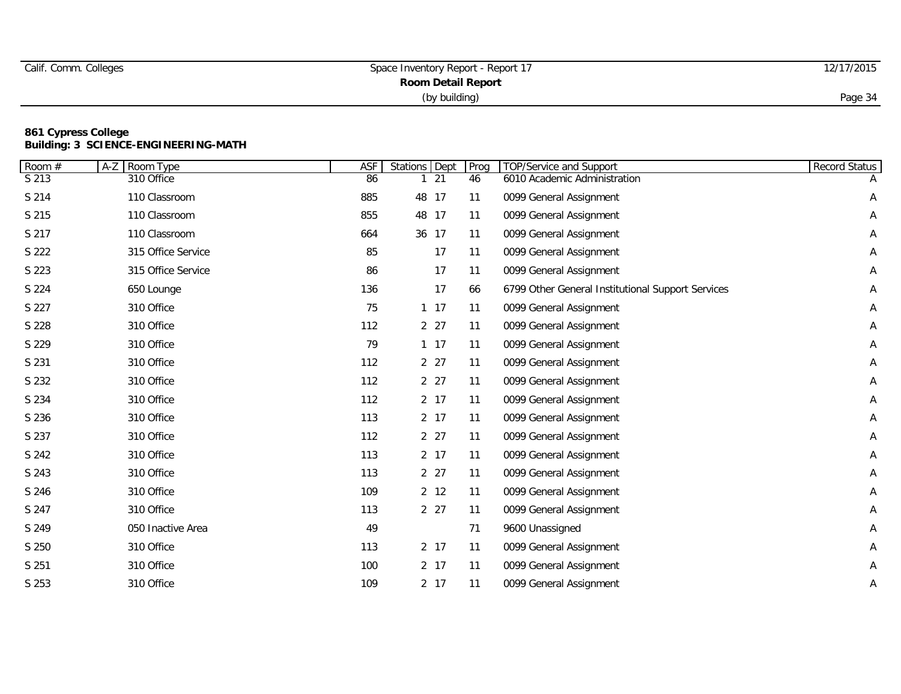|  | Calif. Comm. Colleges |
|--|-----------------------|
|  |                       |

| Room # | Room Type<br>$A-Z$ | <b>ASF</b> | Stations Dept |     | Prog | TOP/Service and Support                           | Record Status |
|--------|--------------------|------------|---------------|-----|------|---------------------------------------------------|---------------|
| S 213  | 310 Office         | 86         |               | 121 | 46   | 6010 Academic Administration                      |               |
| S 214  | 110 Classroom      | 885        | 48 17         |     | 11   | 0099 General Assignment                           | Α             |
| S 215  | 110 Classroom      | 855        | 48 17         |     | 11   | 0099 General Assignment                           | Α             |
| S 217  | 110 Classroom      | 664        | 36 17         |     | 11   | 0099 General Assignment                           | Α             |
| S 222  | 315 Office Service | 85         |               | 17  | 11   | 0099 General Assignment                           | Α             |
| S 223  | 315 Office Service | 86         |               | 17  | 11   | 0099 General Assignment                           | A             |
| S 224  | 650 Lounge         | 136        |               | 17  | 66   | 6799 Other General Institutional Support Services | A             |
| S 227  | 310 Office         | 75         | 111           |     | 11   | 0099 General Assignment                           | Α             |
| S 228  | 310 Office         | 112        | 2 27          |     | 11   | 0099 General Assignment                           | А             |
| S 229  | 310 Office         | 79         | $1 \t17$      |     | 11   | 0099 General Assignment                           | Α             |
| S 231  | 310 Office         | 112        | 2 27          |     | 11   | 0099 General Assignment                           | Α             |
| S 232  | 310 Office         | 112        | 2 27          |     | 11   | 0099 General Assignment                           | Α             |
| S 234  | 310 Office         | 112        | 2 17          |     | 11   | 0099 General Assignment                           | Α             |
| S 236  | 310 Office         | 113        | 2 17          |     | 11   | 0099 General Assignment                           | A             |
| S 237  | 310 Office         | 112        | 2 27          |     | 11   | 0099 General Assignment                           | Α             |
| S 242  | 310 Office         | 113        | 2 17          |     | 11   | 0099 General Assignment                           | Α             |
| S 243  | 310 Office         | 113        | 2 27          |     | 11   | 0099 General Assignment                           | A             |
| S 246  | 310 Office         | 109        | 2 12          |     | 11   | 0099 General Assignment                           | A             |
| S 247  | 310 Office         | 113        | 2 27          |     | 11   | 0099 General Assignment                           | Α             |
| S 249  | 050 Inactive Area  | 49         |               |     | 71   | 9600 Unassigned                                   | Α             |
| S 250  | 310 Office         | 113        | 2 17          |     | 11   | 0099 General Assignment                           | Α             |
| S 251  | 310 Office         | 100        | 2 17          |     | 11   | 0099 General Assignment                           | Α             |
| S 253  | 310 Office         | 109        | 2 17          |     | 11   | 0099 General Assignment                           | Α             |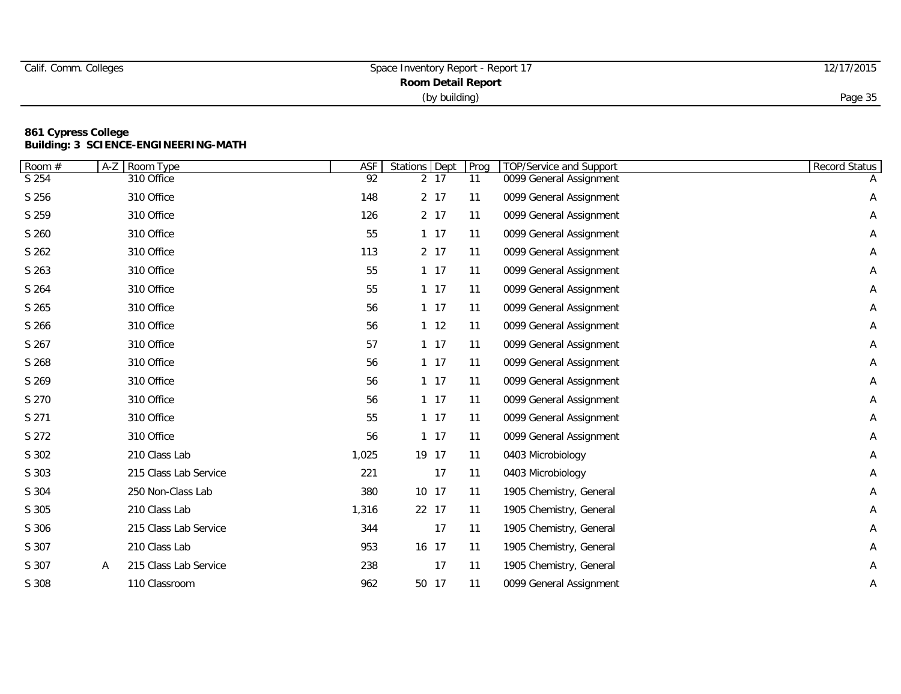| Calif. Comm. Colleges | Space Inventory Report - Report 17 | 12/17/2015 |  |
|-----------------------|------------------------------------|------------|--|
|                       | <b>Room Detail Report</b>          |            |  |
|                       | Page 35                            |            |  |

| Room # | $A-Z$ | Room Type             | <b>ASF</b> | <b>Stations</b> Dept |              | Prog | <b>TOP/Service and Support</b> | Record Status |
|--------|-------|-----------------------|------------|----------------------|--------------|------|--------------------------------|---------------|
| S 254  |       | 310 Office            | 92         |                      | 2 17         | 11   | 0099 General Assignment        |               |
| S 256  |       | 310 Office            | 148        |                      | 2 17         | 11   | 0099 General Assignment        | Α             |
| S 259  |       | 310 Office            | 126        |                      | 2 17         | 11   | 0099 General Assignment        | Α             |
| S 260  |       | 310 Office            | 55         |                      | $1 \t17$     | 11   | 0099 General Assignment        | Α             |
| S 262  |       | 310 Office            | 113        |                      | 2 17         | 11   | 0099 General Assignment        | Α             |
| S 263  |       | 310 Office            | 55         |                      | $1 \quad 17$ | 11   | 0099 General Assignment        | A             |
| S 264  |       | 310 Office            | 55         |                      | $1 \t17$     | 11   | 0099 General Assignment        | A             |
| S 265  |       | 310 Office            | 56         |                      | 111          | 11   | 0099 General Assignment        | A             |
| S 266  |       | 310 Office            | 56         |                      | $1 \quad 12$ | 11   | 0099 General Assignment        | Α             |
| S 267  |       | 310 Office            | 57         |                      | $1 \t17$     | 11   | 0099 General Assignment        | Α             |
| S 268  |       | 310 Office            | 56         |                      | $1 \quad 17$ | 11   | 0099 General Assignment        | Α             |
| S 269  |       | 310 Office            | 56         |                      | $1 \t17$     | 11   | 0099 General Assignment        | Α             |
| S 270  |       | 310 Office            | 56         |                      | $1 \quad 17$ | 11   | 0099 General Assignment        | A             |
| S 271  |       | 310 Office            | 55         |                      | 111          | 11   | 0099 General Assignment        | A             |
| S 272  |       | 310 Office            | 56         |                      | $1 \t17$     | 11   | 0099 General Assignment        | Α             |
| S 302  |       | 210 Class Lab         | 1,025      |                      | 19 17        | 11   | 0403 Microbiology              | Α             |
| S 303  |       | 215 Class Lab Service | 221        |                      | 17           | 11   | 0403 Microbiology              | Α             |
| S 304  |       | 250 Non-Class Lab     | 380        |                      | 10 17        | 11   | 1905 Chemistry, General        | A             |
| S 305  |       | 210 Class Lab         | 1,316      |                      | 22 17        | 11   | 1905 Chemistry, General        | Α             |
| S 306  |       | 215 Class Lab Service | 344        |                      | 17           | 11   | 1905 Chemistry, General        | A             |
| S 307  |       | 210 Class Lab         | 953        |                      | 16 17        | 11   | 1905 Chemistry, General        | Α             |
| S 307  | A     | 215 Class Lab Service | 238        |                      | 17           | 11   | 1905 Chemistry, General        | Α             |
| S 308  |       | 110 Classroom         | 962        |                      | 50 17        | 11   | 0099 General Assignment        | Α             |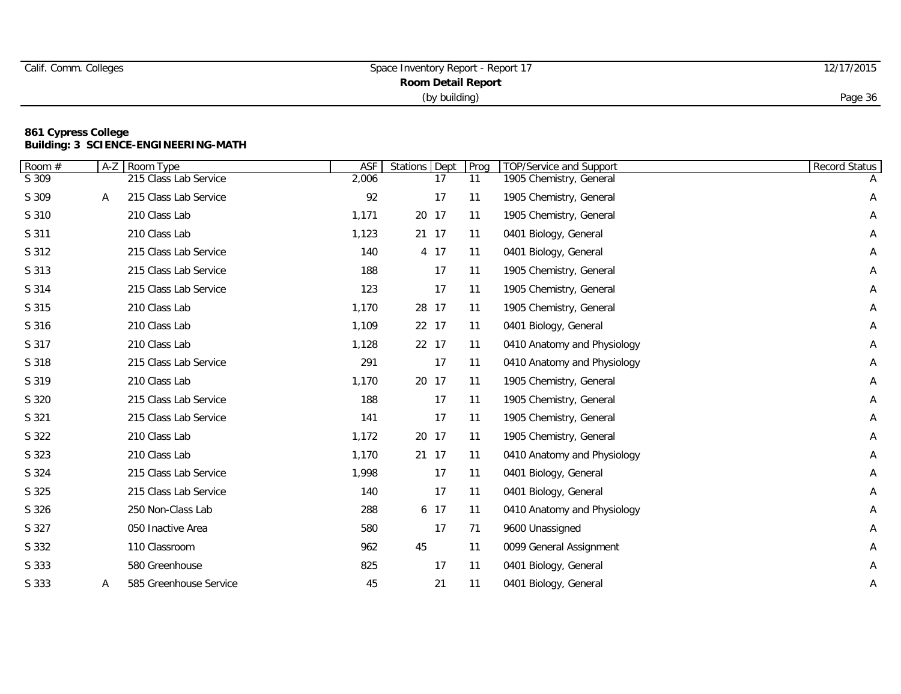|  | Calif. Comm. Colleges |
|--|-----------------------|
|  |                       |

| Room # | $A-Z$ | Room Type              | <b>ASF</b> | Stations | Dept | Prog | TOP/Service and Support     | Record Status |
|--------|-------|------------------------|------------|----------|------|------|-----------------------------|---------------|
| S 309  |       | 215 Class Lab Service  | 2,006      |          | 17   | 11   | 1905 Chemistry, General     |               |
| S 309  | Α     | 215 Class Lab Service  | 92         |          | 17   | 11   | 1905 Chemistry, General     | Α             |
| S 310  |       | 210 Class Lab          | 1,171      | 20 17    |      | 11   | 1905 Chemistry, General     | A             |
| S 311  |       | 210 Class Lab          | 1,123      | 21 17    |      | 11   | 0401 Biology, General       | Α             |
| S 312  |       | 215 Class Lab Service  | 140        | 4 17     |      | 11   | 0401 Biology, General       | Α             |
| S 313  |       | 215 Class Lab Service  | 188        |          | 17   | 11   | 1905 Chemistry, General     | A             |
| S 314  |       | 215 Class Lab Service  | 123        |          | 17   | 11   | 1905 Chemistry, General     | Α             |
| S 315  |       | 210 Class Lab          | 1,170      | 28 17    |      | 11   | 1905 Chemistry, General     | Α             |
| S 316  |       | 210 Class Lab          | 1,109      | 22 17    |      | 11   | 0401 Biology, General       | A             |
| S 317  |       | 210 Class Lab          | 1,128      | 22 17    |      | 11   | 0410 Anatomy and Physiology | Α             |
| S 318  |       | 215 Class Lab Service  | 291        |          | 17   | 11   | 0410 Anatomy and Physiology | Α             |
| S 319  |       | 210 Class Lab          | 1,170      | 20 17    |      | 11   | 1905 Chemistry, General     | A             |
| S 320  |       | 215 Class Lab Service  | 188        |          | 17   | 11   | 1905 Chemistry, General     | A             |
| S 321  |       | 215 Class Lab Service  | 141        |          | 17   | 11   | 1905 Chemistry, General     | A             |
| S 322  |       | 210 Class Lab          | 1,172      | 20 17    |      | 11   | 1905 Chemistry, General     | Α             |
| S 323  |       | 210 Class Lab          | 1,170      | 21 17    |      | 11   | 0410 Anatomy and Physiology | Α             |
| S 324  |       | 215 Class Lab Service  | 1,998      |          | 17   | 11   | 0401 Biology, General       | Α             |
| S 325  |       | 215 Class Lab Service  | 140        |          | 17   | 11   | 0401 Biology, General       | A             |
| S 326  |       | 250 Non-Class Lab      | 288        | 6 17     |      | 11   | 0410 Anatomy and Physiology | A             |
| S 327  |       | 050 Inactive Area      | 580        |          | 17   | 71   | 9600 Unassigned             | Α             |
| S 332  |       | 110 Classroom          | 962        | 45       |      | 11   | 0099 General Assignment     | Α             |
| S 333  |       | 580 Greenhouse         | 825        |          | 17   | 11   | 0401 Biology, General       | Α             |
| S 333  | A     | 585 Greenhouse Service | 45         |          | 21   | 11   | 0401 Biology, General       | Α             |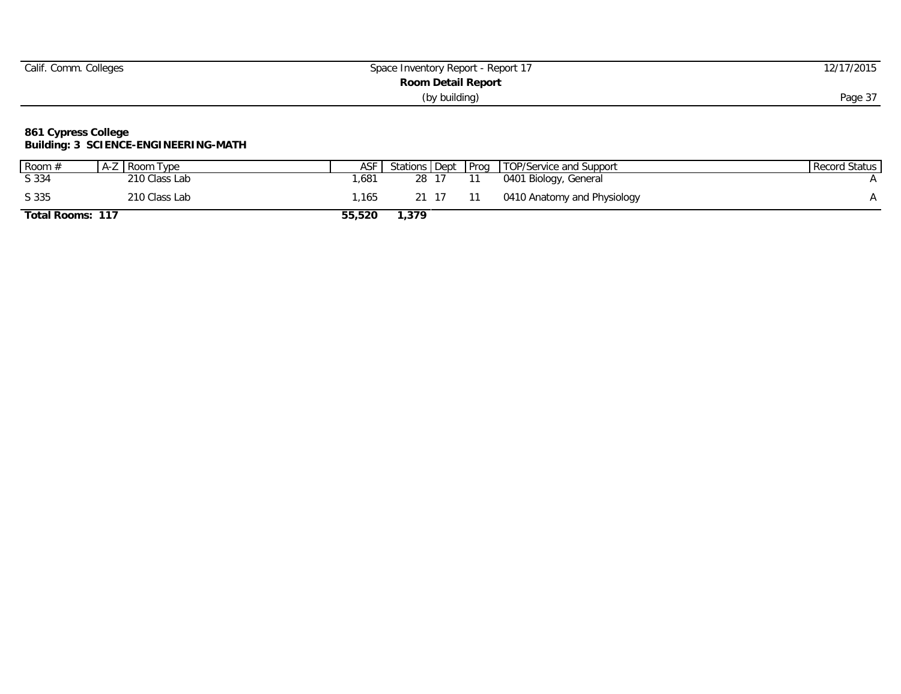| Space Inventory Report - Report 17 | 2/17/2015 |  |  |  |  |  |
|------------------------------------|-----------|--|--|--|--|--|
| Room Detail Report                 |           |  |  |  |  |  |
| (by building)                      | Page 3    |  |  |  |  |  |
|                                    |           |  |  |  |  |  |

#### **861 Cypress College Building: 3 SCIENCE-ENGINEERING-MATH**

| Room $#$         | A-Z Room Type | ASF    | Stations Dept | <b>Prog</b> TOP/Service and Support | Record Status |
|------------------|---------------|--------|---------------|-------------------------------------|---------------|
| S 334            | 210 Class Lab | .681   | 28            | 0401 Biology, General               |               |
| S 335            | 210 Class Lab | ,165   |               | 0410 Anatomy and Physiology         |               |
| Total Rooms: 117 |               | 55,520 | ,379          |                                     |               |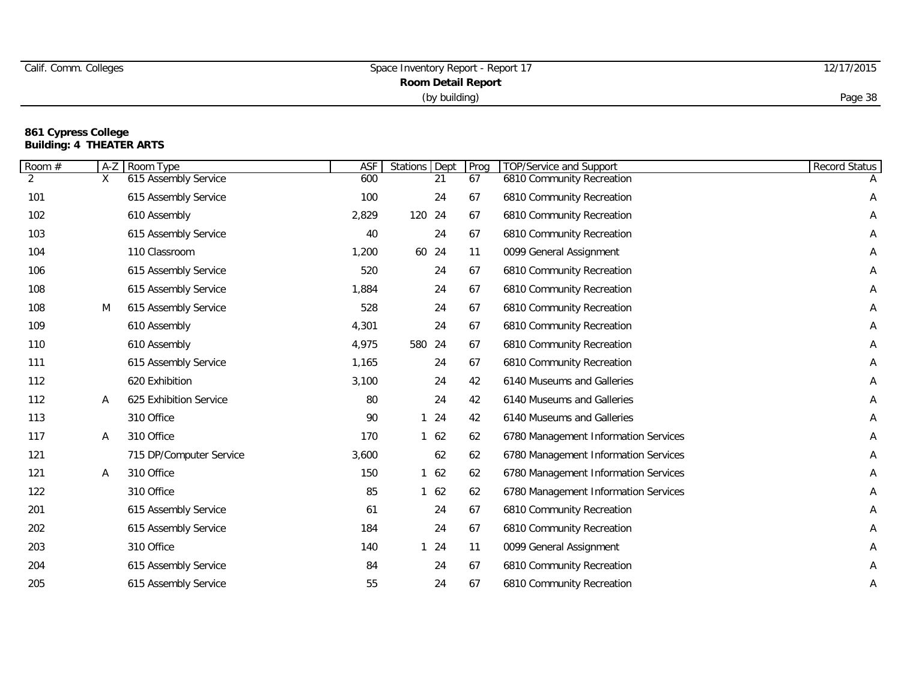| Calif. Comm. Colleges | Space Inventory Report - Report 17 | 12/17/2015 |
|-----------------------|------------------------------------|------------|
|                       |                                    |            |
|                       | (by building)                      | Page 38    |

## **861 Cypress College Building: 4 THEATER ARTS**

| Room # | $A-Z$ | Room Type               | ASF   | <b>Stations</b> | Dept         | Prog | TOP/Service and Support              | Record Status |
|--------|-------|-------------------------|-------|-----------------|--------------|------|--------------------------------------|---------------|
| 2      | X     | 615 Assembly Service    | 600   |                 | 21           | 67   | 6810 Community Recreation            |               |
| 101    |       | 615 Assembly Service    | 100   |                 | 24           | 67   | 6810 Community Recreation            | Α             |
| 102    |       | 610 Assembly            | 2,829 | 120             | 24           | 67   | 6810 Community Recreation            | Α             |
| 103    |       | 615 Assembly Service    | 40    |                 | 24           | 67   | 6810 Community Recreation            | Α             |
| 104    |       | 110 Classroom           | 1,200 | 60              | 24           | 11   | 0099 General Assignment              | Α             |
| 106    |       | 615 Assembly Service    | 520   |                 | 24           | 67   | 6810 Community Recreation            | A             |
| 108    |       | 615 Assembly Service    | 1,884 |                 | 24           | 67   | 6810 Community Recreation            | Α             |
| 108    | M     | 615 Assembly Service    | 528   |                 | 24           | 67   | 6810 Community Recreation            | Α             |
| 109    |       | 610 Assembly            | 4,301 |                 | 24           | 67   | 6810 Community Recreation            | Α             |
| 110    |       | 610 Assembly            | 4,975 | 580             | 24           | 67   | 6810 Community Recreation            | Α             |
| 111    |       | 615 Assembly Service    | 1,165 |                 | 24           | 67   | 6810 Community Recreation            | Α             |
| 112    |       | 620 Exhibition          | 3,100 |                 | 24           | 42   | 6140 Museums and Galleries           | Α             |
| 112    | A     | 625 Exhibition Service  | 80    |                 | 24           | 42   | 6140 Museums and Galleries           | A             |
| 113    |       | 310 Office              | 90    |                 | $1 \quad 24$ | 42   | 6140 Museums and Galleries           | Α             |
| 117    | A     | 310 Office              | 170   |                 | 162          | 62   | 6780 Management Information Services | Α             |
| 121    |       | 715 DP/Computer Service | 3,600 |                 | 62           | 62   | 6780 Management Information Services | Α             |
| 121    | A     | 310 Office              | 150   |                 | 162          | 62   | 6780 Management Information Services | Α             |
| 122    |       | 310 Office              | 85    |                 | 162          | 62   | 6780 Management Information Services | A             |
| 201    |       | 615 Assembly Service    | 61    |                 | 24           | 67   | 6810 Community Recreation            | A             |
| 202    |       | 615 Assembly Service    | 184   |                 | 24           | 67   | 6810 Community Recreation            | Α             |
| 203    |       | 310 Office              | 140   |                 | $1 \quad 24$ | 11   | 0099 General Assignment              | Α             |
| 204    |       | 615 Assembly Service    | 84    |                 | 24           | 67   | 6810 Community Recreation            | Α             |
| 205    |       | 615 Assembly Service    | 55    |                 | 24           | 67   | 6810 Community Recreation            | Α             |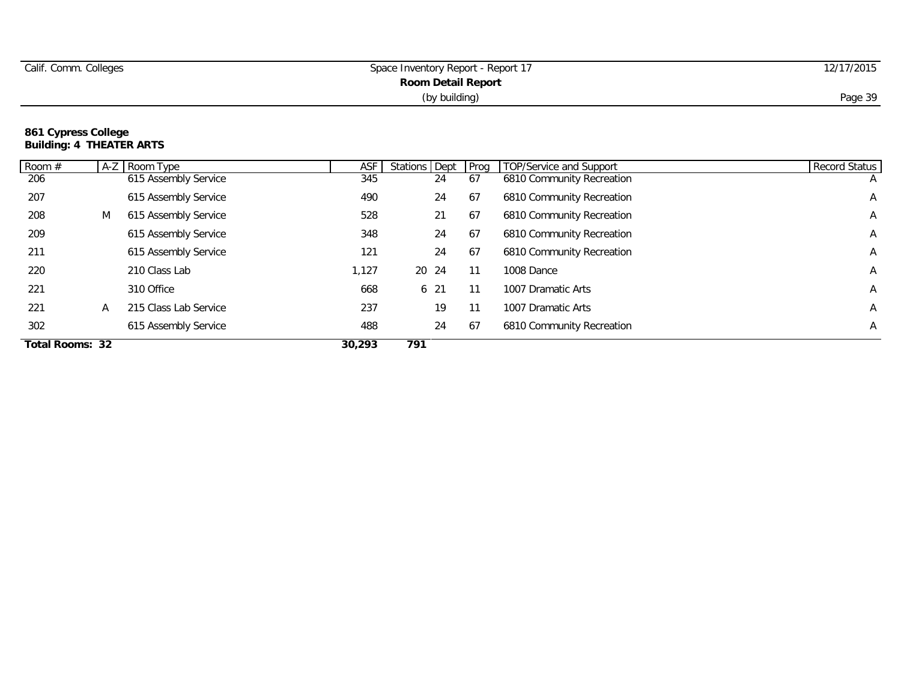| Calif. Comm. Colleges | Space Inventory Report - Report 17 | 12/17/2015 |  |  |  |  |
|-----------------------|------------------------------------|------------|--|--|--|--|
| Room Detail Report    |                                    |            |  |  |  |  |
|                       | (by building)                      | Page 39    |  |  |  |  |

#### **861 Cypress College Building: 4 THEATER ARTS**

| Room #                 | $A-Z$ | Noom Type             | ASF    | Stations Dept | Prog | <b>TOP/Service and Support</b> | Record Status  |
|------------------------|-------|-----------------------|--------|---------------|------|--------------------------------|----------------|
| 206                    |       | 615 Assembly Service  | 345    | 24            | 67   | 6810 Community Recreation      | $\overline{A}$ |
| 207                    |       | 615 Assembly Service  | 490    | 24            | 67   | 6810 Community Recreation      | A              |
| 208                    | M     | 615 Assembly Service  | 528    | 21            | 67   | 6810 Community Recreation      | A              |
| 209                    |       | 615 Assembly Service  | 348    | 24            | 67   | 6810 Community Recreation      | A              |
| 211                    |       | 615 Assembly Service  | 121    | 24            | 67   | 6810 Community Recreation      | A              |
| 220                    |       | 210 Class Lab         | 1,127  | 20 24         |      | 1008 Dance                     | A              |
| 221                    |       | 310 Office            | 668    | 621           |      | 1007 Dramatic Arts             | A              |
| 221                    | A     | 215 Class Lab Service | 237    | 19            |      | 1007 Dramatic Arts             | A              |
| 302                    |       | 615 Assembly Service  | 488    | 24            | 67   | 6810 Community Recreation      | A              |
| <b>Total Rooms: 32</b> |       |                       | 30,293 | 791           |      |                                |                |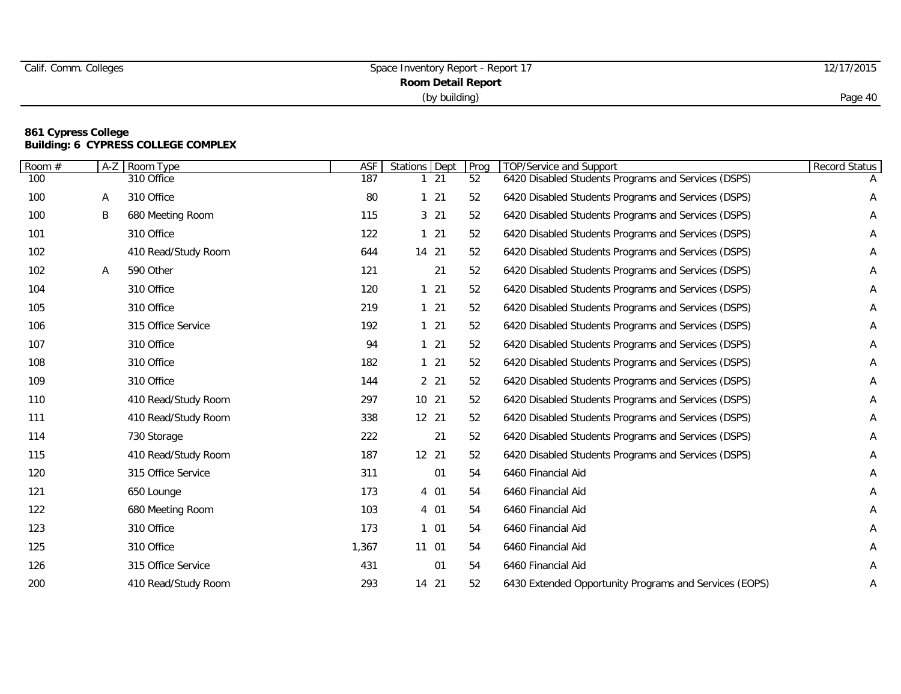# Calif. Comm. Colleges Space Inventory Report - Report 17 12/17/2015 **Room Detail Report** (by building) Page 40

| Room $#$ | $A-Z$ | Room Type           | <b>ASF</b> | Stations Dept |              | Prog | TOP/Service and Support                                | Record Status |
|----------|-------|---------------------|------------|---------------|--------------|------|--------------------------------------------------------|---------------|
| 100      |       | 310 Office          | 187        |               | 21           | 52   | 6420 Disabled Students Programs and Services (DSPS)    |               |
| 100      | A     | 310 Office          | 80         |               | $121$        | 52   | 6420 Disabled Students Programs and Services (DSPS)    | Α             |
| 100      | B     | 680 Meeting Room    | 115        |               | 321          | 52   | 6420 Disabled Students Programs and Services (DSPS)    | Α             |
| 101      |       | 310 Office          | 122        |               | $1 \t21$     | 52   | 6420 Disabled Students Programs and Services (DSPS)    | Α             |
| 102      |       | 410 Read/Study Room | 644        |               | 14 21        | 52   | 6420 Disabled Students Programs and Services (DSPS)    | Α             |
| 102      | A     | 590 Other           | 121        |               | 21           | 52   | 6420 Disabled Students Programs and Services (DSPS)    | A             |
| 104      |       | 310 Office          | 120        |               | $1 21$       | 52   | 6420 Disabled Students Programs and Services (DSPS)    | Α             |
| 105      |       | 310 Office          | 219        |               | $1 \t21$     | 52   | 6420 Disabled Students Programs and Services (DSPS)    | Α             |
| 106      |       | 315 Office Service  | 192        |               | $1 \t21$     | 52   | 6420 Disabled Students Programs and Services (DSPS)    | Α             |
| 107      |       | 310 Office          | 94         |               | $121$        | 52   | 6420 Disabled Students Programs and Services (DSPS)    | Α             |
| 108      |       | 310 Office          | 182        |               | $1 \quad 21$ | 52   | 6420 Disabled Students Programs and Services (DSPS)    | A             |
| 109      |       | 310 Office          | 144        |               | 2 21         | 52   | 6420 Disabled Students Programs and Services (DSPS)    | Α             |
| 110      |       | 410 Read/Study Room | 297        |               | 10 21        | 52   | 6420 Disabled Students Programs and Services (DSPS)    | Α             |
| 111      |       | 410 Read/Study Room | 338        |               | 12 21        | 52   | 6420 Disabled Students Programs and Services (DSPS)    | Α             |
| 114      |       | 730 Storage         | 222        |               | 21           | 52   | 6420 Disabled Students Programs and Services (DSPS)    | Α             |
| 115      |       | 410 Read/Study Room | 187        |               | 12 21        | 52   | 6420 Disabled Students Programs and Services (DSPS)    | Α             |
| 120      |       | 315 Office Service  | 311        |               | 01           | 54   | 6460 Financial Aid                                     | Α             |
| 121      |       | 650 Lounge          | 173        |               | 4 01         | 54   | 6460 Financial Aid                                     | Α             |
| 122      |       | 680 Meeting Room    | 103        |               | 4 01         | 54   | 6460 Financial Aid                                     | Α             |
| 123      |       | 310 Office          | 173        |               | 101          | 54   | 6460 Financial Aid                                     | Α             |
| 125      |       | 310 Office          | 1,367      |               | 11 01        | 54   | 6460 Financial Aid                                     | Α             |
| 126      |       | 315 Office Service  | 431        |               | 01           | 54   | 6460 Financial Aid                                     | Α             |
| 200      |       | 410 Read/Study Room | 293        |               | 14 21        | 52   | 6430 Extended Opportunity Programs and Services (EOPS) | Α             |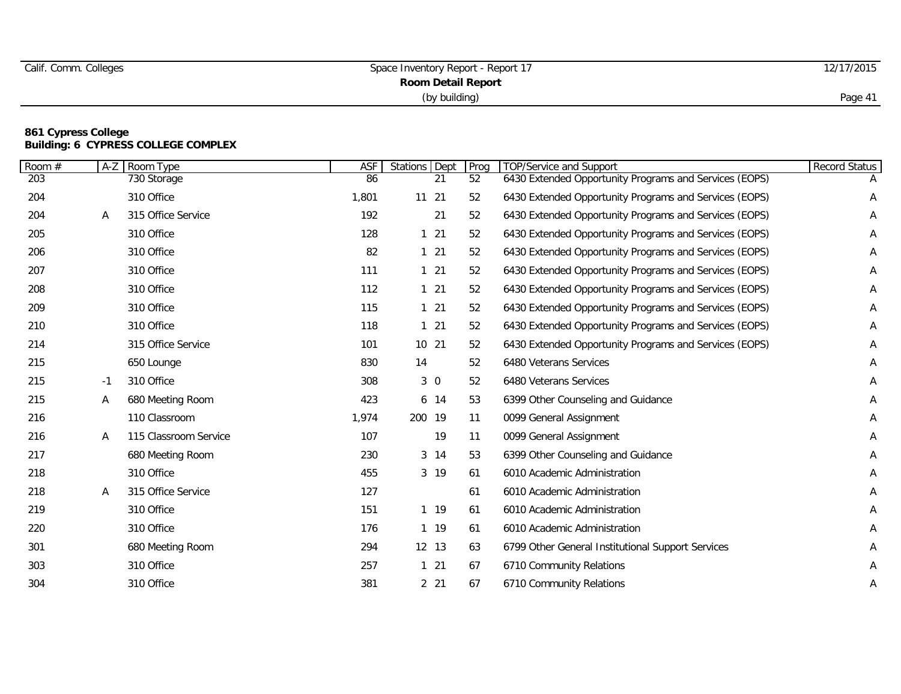|  | Calif. Comm. Colleges |
|--|-----------------------|
|  |                       |

Π

# Space Inventory Report - Report 17 12/17/2015 **Room Detail Report** (by building) Page 41

| Room # | $A-Z$ | Room Type             | ASF   | <b>Stations</b> Dept | Prog | TOP/Service and Support                                | Record Status |
|--------|-------|-----------------------|-------|----------------------|------|--------------------------------------------------------|---------------|
| 203    |       | 730 Storage           | 86    | 21                   | 52   | 6430 Extended Opportunity Programs and Services (EOPS) | A             |
| 204    |       | 310 Office            | 1,801 | 11 21                | 52   | 6430 Extended Opportunity Programs and Services (EOPS) | Α             |
| 204    | A     | 315 Office Service    | 192   | 21                   | 52   | 6430 Extended Opportunity Programs and Services (EOPS) | Α             |
| 205    |       | 310 Office            | 128   | $1 \t21$             | 52   | 6430 Extended Opportunity Programs and Services (EOPS) | Α             |
| 206    |       | 310 Office            | 82    | $121$                | 52   | 6430 Extended Opportunity Programs and Services (EOPS) | A             |
| 207    |       | 310 Office            | 111   | $121$                | 52   | 6430 Extended Opportunity Programs and Services (EOPS) | Α             |
| 208    |       | 310 Office            | 112   | 121                  | 52   | 6430 Extended Opportunity Programs and Services (EOPS) | Α             |
| 209    |       | 310 Office            | 115   | $1 \t21$             | 52   | 6430 Extended Opportunity Programs and Services (EOPS) | Α             |
| 210    |       | 310 Office            | 118   | $1 \t21$             | 52   | 6430 Extended Opportunity Programs and Services (EOPS) | Α             |
| 214    |       | 315 Office Service    | 101   | 10 21                | 52   | 6430 Extended Opportunity Programs and Services (EOPS) | A             |
| 215    |       | 650 Lounge            | 830   | 14                   | 52   | 6480 Veterans Services                                 | A             |
| 215    | -1    | 310 Office            | 308   | 30                   | 52   | 6480 Veterans Services                                 | Α             |
| 215    | Α     | 680 Meeting Room      | 423   | 6 14                 | 53   | 6399 Other Counseling and Guidance                     | Α             |
| 216    |       | 110 Classroom         | 1,974 | 200 19               | 11   | 0099 General Assignment                                | Α             |
| 216    | A     | 115 Classroom Service | 107   | 19                   | 11   | 0099 General Assignment                                | Α             |
| 217    |       | 680 Meeting Room      | 230   | 3 14                 | 53   | 6399 Other Counseling and Guidance                     | Α             |
| 218    |       | 310 Office            | 455   | 3 19                 | 61   | 6010 Academic Administration                           | Α             |
| 218    | A     | 315 Office Service    | 127   |                      | 61   | 6010 Academic Administration                           | Α             |
| 219    |       | 310 Office            | 151   | 1 19                 | 61   | 6010 Academic Administration                           | Α             |
| 220    |       | 310 Office            | 176   | 1 19                 | 61   | 6010 Academic Administration                           | Α             |
| 301    |       | 680 Meeting Room      | 294   | 12 13                | 63   | 6799 Other General Institutional Support Services      | Α             |
| 303    |       | 310 Office            | 257   | $121$                | 67   | 6710 Community Relations                               | A             |
| 304    |       | 310 Office            | 381   | $2^{2}$              | 67   | 6710 Community Relations                               | A             |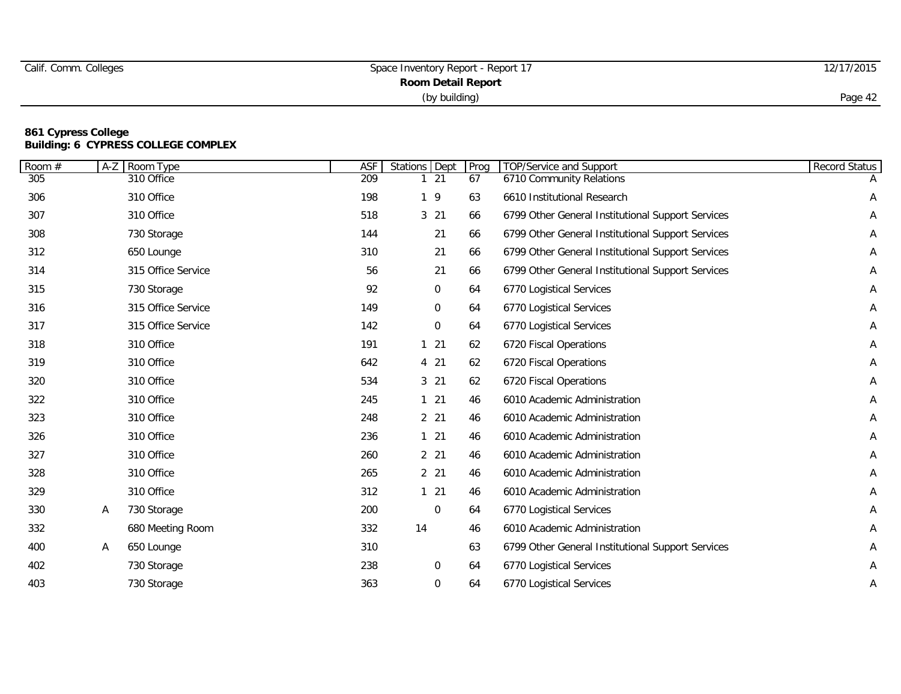|  | Calif. Comm. Colleges |
|--|-----------------------|
|  |                       |

Π

# Space Inventory Report - Report 17 12/17/2015 **Room Detail Report** (by building) Page 42

| Room # | $A-Z$ | Room Type          | ASF | Stations Dept   | Prog | TOP/Service and Support                           | Record Status |
|--------|-------|--------------------|-----|-----------------|------|---------------------------------------------------|---------------|
| 305    |       | 310 Office         | 209 | $\overline{21}$ | 67   | 6710 Community Relations                          |               |
| 306    |       | 310 Office         | 198 | 19              | 63   | 6610 Institutional Research                       | Α             |
| 307    |       | 310 Office         | 518 | 321             | 66   | 6799 Other General Institutional Support Services | Α             |
| 308    |       | 730 Storage        | 144 | 21              | 66   | 6799 Other General Institutional Support Services | Α             |
| 312    |       | 650 Lounge         | 310 | 21              | 66   | 6799 Other General Institutional Support Services | A             |
| 314    |       | 315 Office Service | 56  | 21              | 66   | 6799 Other General Institutional Support Services | Α             |
| 315    |       | 730 Storage        | 92  | 0               | 64   | 6770 Logistical Services                          | Α             |
| 316    |       | 315 Office Service | 149 | 0               | 64   | 6770 Logistical Services                          | Α             |
| 317    |       | 315 Office Service | 142 | 0               | 64   | 6770 Logistical Services                          | Α             |
| 318    |       | 310 Office         | 191 | $1 \quad 21$    | 62   | 6720 Fiscal Operations                            | Α             |
| 319    |       | 310 Office         | 642 | 4 21            | 62   | 6720 Fiscal Operations                            | Α             |
| 320    |       | 310 Office         | 534 | 321             | 62   | 6720 Fiscal Operations                            | A             |
| 322    |       | 310 Office         | 245 | $1 21$          | 46   | 6010 Academic Administration                      | A             |
| 323    |       | 310 Office         | 248 | 2 <sub>21</sub> | 46   | 6010 Academic Administration                      | A             |
| 326    |       | 310 Office         | 236 | $1 \quad 21$    | 46   | 6010 Academic Administration                      | Α             |
| 327    |       | 310 Office         | 260 | 2 21            | 46   | 6010 Academic Administration                      | Α             |
| 328    |       | 310 Office         | 265 | 2 21            | 46   | 6010 Academic Administration                      | Α             |
| 329    |       | 310 Office         | 312 | $1 \quad 21$    | 46   | 6010 Academic Administration                      | Α             |
| 330    | A     | 730 Storage        | 200 | 0               | 64   | 6770 Logistical Services                          | Α             |
| 332    |       | 680 Meeting Room   | 332 | 14              | 46   | 6010 Academic Administration                      | Α             |
| 400    | A     | 650 Lounge         | 310 |                 | 63   | 6799 Other General Institutional Support Services | Α             |
| 402    |       | 730 Storage        | 238 | 0               | 64   | 6770 Logistical Services                          | Α             |
| 403    |       | 730 Storage        | 363 | 0               | 64   | 6770 Logistical Services                          | Α             |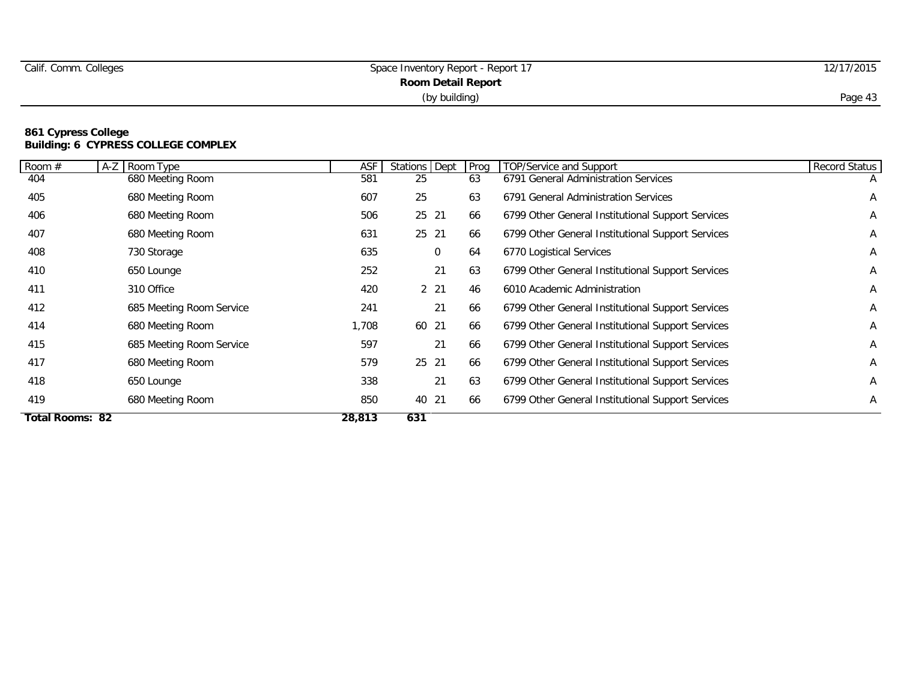# Calif. Comm. Colleges Space Inventory Report - Report 17 12/17/2015 **Room Detail Report** (by building) Page 43

| Room #                 | A-Z Room Type            | <b>ASF</b> | Stations Dept | Prog | TOP/Service and Support                           | Record Status  |
|------------------------|--------------------------|------------|---------------|------|---------------------------------------------------|----------------|
| 404                    | 680 Meeting Room         | 581        | 25            | 63   | 6791 General Administration Services              | $\overline{A}$ |
| 405                    | 680 Meeting Room         | 607        | 25            | 63   | 6791 General Administration Services              | Α              |
| 406                    | 680 Meeting Room         | 506        | 25 21         | 66   | 6799 Other General Institutional Support Services | Α              |
| 407                    | 680 Meeting Room         | 631        | 25 21         | 66   | 6799 Other General Institutional Support Services | A              |
| 408                    | 730 Storage              | 635        | 0             | 64   | 6770 Logistical Services                          | A              |
| 410                    | 650 Lounge               | 252        | 21            | 63   | 6799 Other General Institutional Support Services | Α              |
| 411                    | 310 Office               | 420        | 2 21          | 46   | 6010 Academic Administration                      | Α              |
| 412                    | 685 Meeting Room Service | 241        | 21            | 66   | 6799 Other General Institutional Support Services | Α              |
| 414                    | 680 Meeting Room         | 1,708      | 60 21         | 66   | 6799 Other General Institutional Support Services | A              |
| 415                    | 685 Meeting Room Service | 597        | 21            | 66   | 6799 Other General Institutional Support Services | A              |
| 417                    | 680 Meeting Room         | 579        | 25 21         | 66   | 6799 Other General Institutional Support Services | Α              |
| 418                    | 650 Lounge               | 338        | 21            | 63   | 6799 Other General Institutional Support Services | A              |
| 419                    | 680 Meeting Room         | 850        | 40 21         | 66   | 6799 Other General Institutional Support Services | Α              |
| <b>Total Rooms: 82</b> |                          | 28,813     | 631           |      |                                                   |                |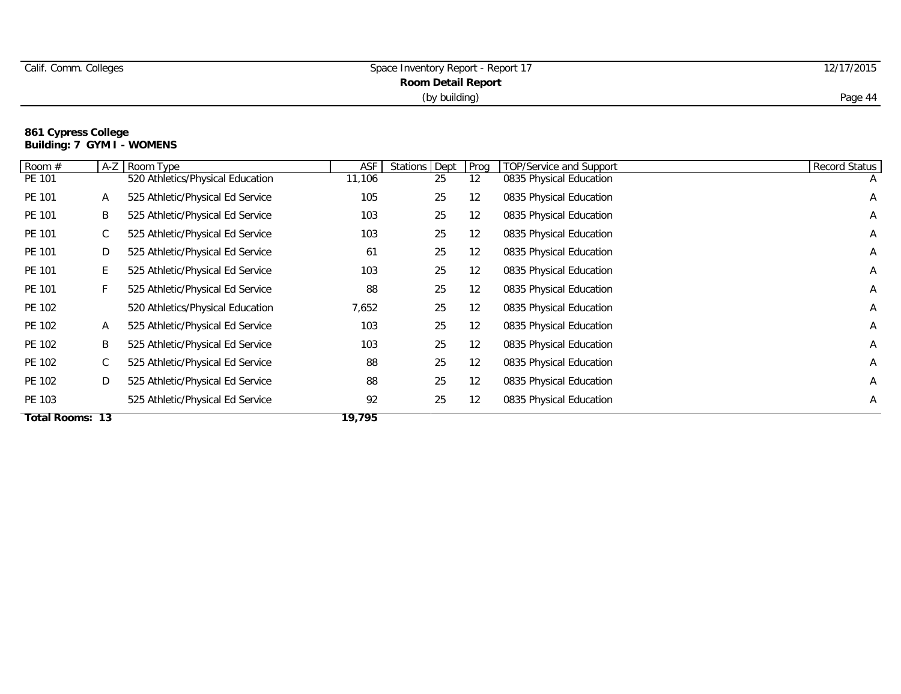| Calif. Comm. Colleges | Space Inventory Report - Report 17 | 12/17/2015 |
|-----------------------|------------------------------------|------------|
|                       |                                    |            |
|                       | (by building)                      | Page 44    |

## **861 Cypress College Building: 7 GYM I - WOMENS**

| Room #          |    | A-Z Room Type                    | <b>ASF</b> | Stations Dept | Prog              | <b>TOP/Service and Support</b> | <b>Record Status</b> |
|-----------------|----|----------------------------------|------------|---------------|-------------------|--------------------------------|----------------------|
| PE 101          |    | 520 Athletics/Physical Education | 11,106     | 25            | 12                | 0835 Physical Education        | $\overline{A}$       |
| PE 101          | A  | 525 Athletic/Physical Ed Service | 105        | 25            | 12                | 0835 Physical Education        | A                    |
| PE 101          | Β  | 525 Athletic/Physical Ed Service | 103        | 25            | 12                | 0835 Physical Education        | A                    |
| PE 101          | C  | 525 Athletic/Physical Ed Service | 103        | 25            | 12                | 0835 Physical Education        | Α                    |
| PE 101          | D  | 525 Athletic/Physical Ed Service | 61         | 25            | 12                | 0835 Physical Education        | Α                    |
| PE 101          | E. | 525 Athletic/Physical Ed Service | 103        | 25            | 12                | 0835 Physical Education        | Α                    |
| PE 101          |    | 525 Athletic/Physical Ed Service | 88         | 25            | 12                | 0835 Physical Education        | Α                    |
| PE 102          |    | 520 Athletics/Physical Education | 7,652      | 25            | $12 \overline{ }$ | 0835 Physical Education        | Α                    |
| PE 102          | A  | 525 Athletic/Physical Ed Service | 103        | 25            | $12 \overline{ }$ | 0835 Physical Education        | A                    |
| PE 102          | Β  | 525 Athletic/Physical Ed Service | 103        | 25            | 12                | 0835 Physical Education        | Α                    |
| PE 102          | C  | 525 Athletic/Physical Ed Service | 88         | 25            | 12                | 0835 Physical Education        | Α                    |
| PE 102          | D  | 525 Athletic/Physical Ed Service | 88         | 25            | 12                | 0835 Physical Education        | Α                    |
| PE 103          |    | 525 Athletic/Physical Ed Service | 92         | 25            | 12                | 0835 Physical Education        | A                    |
| Total Rooms: 13 |    |                                  | 19,795     |               |                   |                                |                      |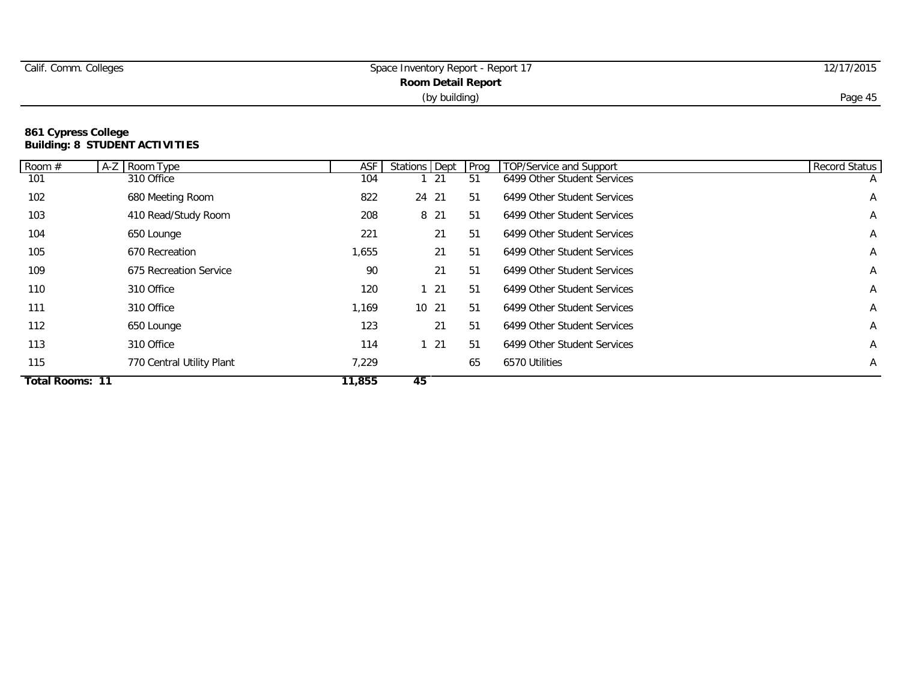| Calif. Comm. Colleges     | Space Inventory Report - Report 17 | 12/17/2015 |  |  |  |
|---------------------------|------------------------------------|------------|--|--|--|
| <b>Room Detail Report</b> |                                    |            |  |  |  |
|                           | (by building)                      | Page 45    |  |  |  |

## **861 Cypress College Building: 8 STUDENT ACTIVITIES**

| Room $#$               | A-Z Room Type             | ASF    | Stations Dept | Prog | <b>TOP/Service and Support</b> | <b>Record Status</b> |
|------------------------|---------------------------|--------|---------------|------|--------------------------------|----------------------|
| 101                    | 310 Office                | 104    | 21            | 51   | 6499 Other Student Services    | A                    |
| 102                    | 680 Meeting Room          | 822    | 24 21         | 51   | 6499 Other Student Services    | A                    |
| 103                    | 410 Read/Study Room       | 208    | 8 21          | 51   | 6499 Other Student Services    | A                    |
| 104                    | 650 Lounge                | 221    | 21            | 51   | 6499 Other Student Services    | A                    |
| 105                    | 670 Recreation            | 1,655  | 21            | 51   | 6499 Other Student Services    | A                    |
| 109                    | 675 Recreation Service    | 90     | 21            | 51   | 6499 Other Student Services    | A                    |
| 110                    | 310 Office                | 120    | - 21          | 51   | 6499 Other Student Services    | A                    |
| 111                    | 310 Office                | 1,169  | 10 21         | 51   | 6499 Other Student Services    | A                    |
| 112                    | 650 Lounge                | 123    | 21            | 51   | 6499 Other Student Services    | A                    |
| 113                    | 310 Office                | 114    | 21            | 51   | 6499 Other Student Services    | A                    |
| 115                    | 770 Central Utility Plant | 7,229  |               | 65   | 6570 Utilities                 | A                    |
| <b>Total Rooms: 11</b> |                           | 11,855 | 45            |      |                                |                      |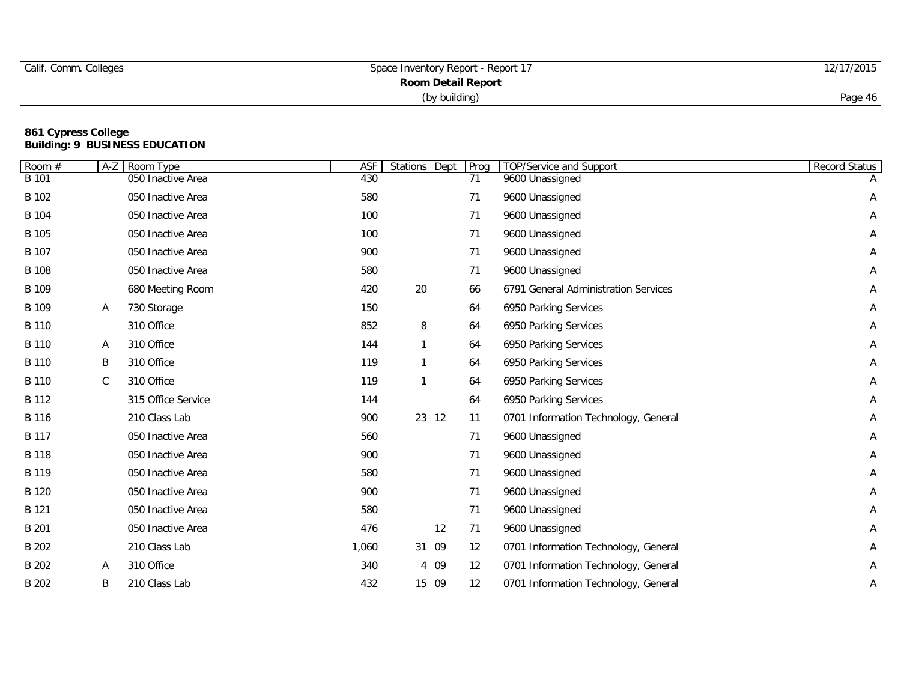| Calif. Comm. Colleges | Space Inventory Report - Report 17 | 12/17/2015 |
|-----------------------|------------------------------------|------------|
|                       |                                    |            |
|                       | (by building)                      | Page 46    |

| Room #       |             | A-Z Room Type      | <b>ASF</b> | <b>Stations</b><br>Dept | Prog | <b>TOP/Service and Support</b>       | Record Status |
|--------------|-------------|--------------------|------------|-------------------------|------|--------------------------------------|---------------|
| <b>B</b> 101 |             | 050 Inactive Area  | 430        |                         | 71   | 9600 Unassigned                      |               |
| B 102        |             | 050 Inactive Area  | 580        |                         | 71   | 9600 Unassigned                      | Α             |
| B 104        |             | 050 Inactive Area  | 100        |                         | 71   | 9600 Unassigned                      | А             |
| B 105        |             | 050 Inactive Area  | 100        |                         | 71   | 9600 Unassigned                      | Α             |
| B 107        |             | 050 Inactive Area  | 900        |                         | 71   | 9600 Unassigned                      | Α             |
| B 108        |             | 050 Inactive Area  | 580        |                         | 71   | 9600 Unassigned                      | Α             |
| B 109        |             | 680 Meeting Room   | 420        | 20                      | 66   | 6791 General Administration Services | Α             |
| B 109        | A           | 730 Storage        | 150        |                         | 64   | 6950 Parking Services                | Α             |
| B 110        |             | 310 Office         | 852        | 8                       | 64   | 6950 Parking Services                | Α             |
| B 110        | Α           | 310 Office         | 144        | $\mathbf{1}$            | 64   | 6950 Parking Services                | Α             |
| B 110        | Β           | 310 Office         | 119        | $\mathbf{1}$            | 64   | 6950 Parking Services                | Α             |
| B 110        | $\mathsf C$ | 310 Office         | 119        | $\mathbf{1}$            | 64   | 6950 Parking Services                | Α             |
| B 112        |             | 315 Office Service | 144        |                         | 64   | 6950 Parking Services                | Α             |
| B 116        |             | 210 Class Lab      | 900        | 23 12                   | 11   | 0701 Information Technology, General | А             |
| B 117        |             | 050 Inactive Area  | 560        |                         | 71   | 9600 Unassigned                      | А             |
| B 118        |             | 050 Inactive Area  | 900        |                         | 71   | 9600 Unassigned                      | А             |
| B 119        |             | 050 Inactive Area  | 580        |                         | 71   | 9600 Unassigned                      | Α             |
| B 120        |             | 050 Inactive Area  | 900        |                         | 71   | 9600 Unassigned                      | Α             |
| B 121        |             | 050 Inactive Area  | 580        |                         | 71   | 9600 Unassigned                      | Α             |
| B 201        |             | 050 Inactive Area  | 476        | 12                      | 71   | 9600 Unassigned                      | А             |
| B 202        |             | 210 Class Lab      | 1,060      | 31 09                   | 12   | 0701 Information Technology, General | Α             |
| B 202        | Α           | 310 Office         | 340        | 4 0 9                   | 12   | 0701 Information Technology, General | Α             |
| B 202        | Β           | 210 Class Lab      | 432        | 15 09                   | 12   | 0701 Information Technology, General | Α             |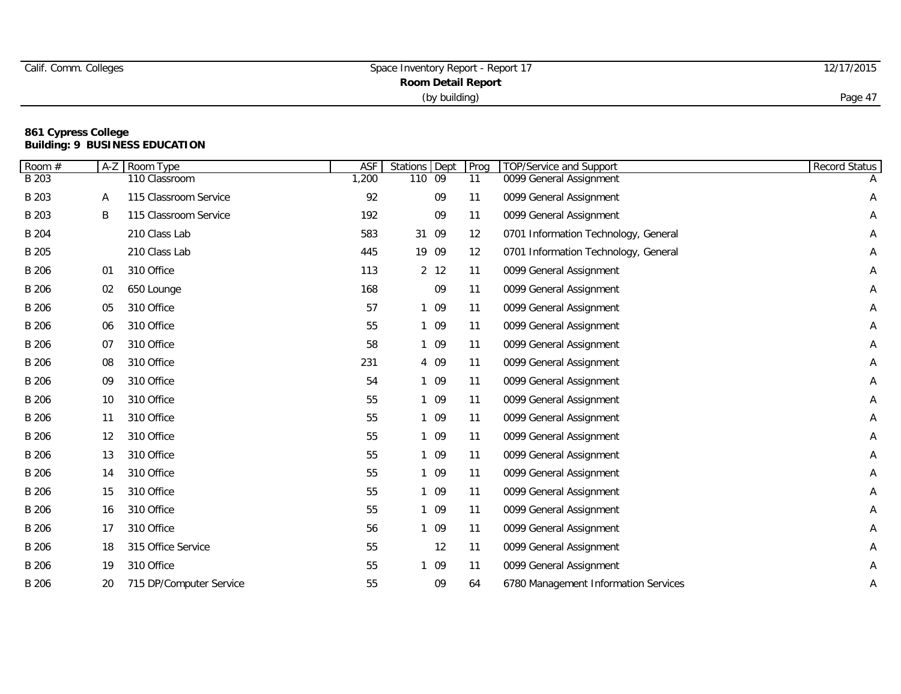| Calif. Comm. Colleges | Space Inventory Report - Report 17 | 12/17/2015 |
|-----------------------|------------------------------------|------------|
|                       | Room Detail Report                 |            |
|                       | (by building)                      | Page 47    |

| Room $#$ | $A-Z$ | Room Type               | <b>ASF</b> | Stations | Dept | Prog | TOP/Service and Support              | Record Status |
|----------|-------|-------------------------|------------|----------|------|------|--------------------------------------|---------------|
| B 203    |       | 110 Classroom           | 1,200      | 110 09   |      | 11   | 0099 General Assignment              |               |
| B 203    | Α     | 115 Classroom Service   | 92         |          | 09   | 11   | 0099 General Assignment              | Α             |
| B 203    | B     | 115 Classroom Service   | 192        |          | 09   | 11   | 0099 General Assignment              | А             |
| B 204    |       | 210 Class Lab           | 583        | 31 09    |      | 12   | 0701 Information Technology, General | Α             |
| B 205    |       | 210 Class Lab           | 445        | 19 09    |      | 12   | 0701 Information Technology, General | Α             |
| B 206    | 01    | 310 Office              | 113        | 2 12     |      | 11   | 0099 General Assignment              | A             |
| B 206    | 02    | 650 Lounge              | 168        |          | 09   | 11   | 0099 General Assignment              | Α             |
| B 206    | 05    | 310 Office              | 57         | 1 09     |      | 11   | 0099 General Assignment              | A             |
| B 206    | 06    | 310 Office              | 55         | 1 09     |      | 11   | 0099 General Assignment              | Α             |
| B 206    | 07    | 310 Office              | 58         | 1 09     |      | 11   | 0099 General Assignment              | Α             |
| B 206    | 08    | 310 Office              | 231        | 4 0 9    |      | 11   | 0099 General Assignment              | A             |
| B 206    | 09    | 310 Office              | 54         | 1 09     |      | 11   | 0099 General Assignment              | Α             |
| B 206    | 10    | 310 Office              | 55         | 1 09     |      | 11   | 0099 General Assignment              | Α             |
| B 206    | 11    | 310 Office              | 55         | 1 09     |      | 11   | 0099 General Assignment              | Α             |
| B 206    | 12    | 310 Office              | 55         | 1 09     |      | 11   | 0099 General Assignment              | Α             |
| B 206    | 13    | 310 Office              | 55         | 1 09     |      | 11   | 0099 General Assignment              | Α             |
| B 206    | 14    | 310 Office              | 55         | 1 09     |      | 11   | 0099 General Assignment              | Α             |
| B 206    | 15    | 310 Office              | 55         | 1 09     |      | 11   | 0099 General Assignment              | А             |
| B 206    | 16    | 310 Office              | 55         | 1 09     |      | 11   | 0099 General Assignment              | Α             |
| B 206    | 17    | 310 Office              | 56         | 1 09     |      | 11   | 0099 General Assignment              | Α             |
| B 206    | 18    | 315 Office Service      | 55         |          | 12   | 11   | 0099 General Assignment              | А             |
| B 206    | 19    | 310 Office              | 55         | 1 09     |      | 11   | 0099 General Assignment              | A             |
| B 206    | 20    | 715 DP/Computer Service | 55         |          | 09   | 64   | 6780 Management Information Services | Α             |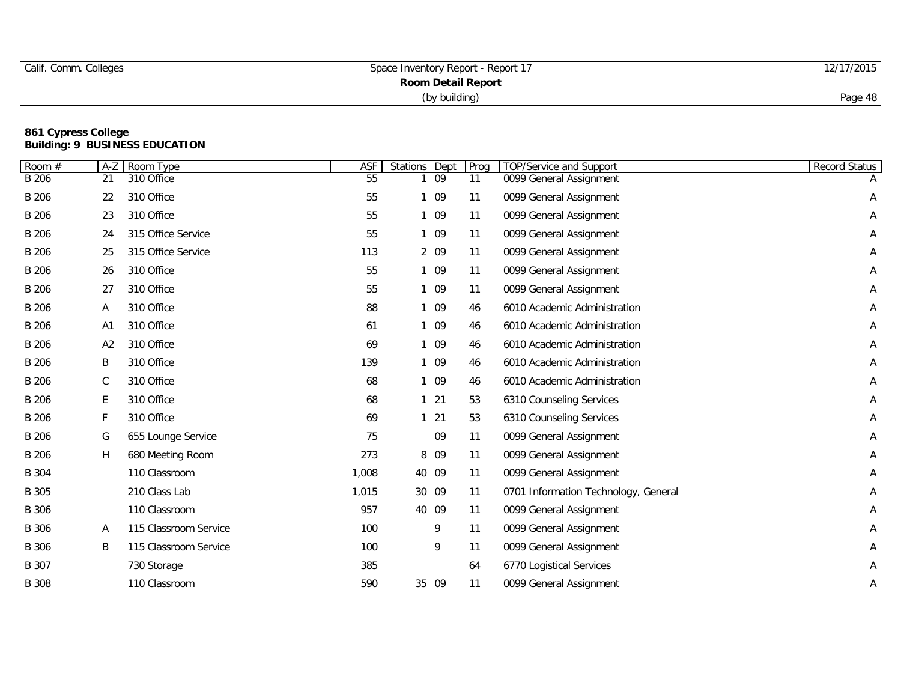| Calif. Comm. Colleges | Space Inventory Report - Report 17 | 12/17/2015 |
|-----------------------|------------------------------------|------------|
|                       |                                    |            |
|                       | (by building)                      | Page 48    |

| Room #       | $A-Z$ | Room Type             | ASF   | <b>Stations</b> | Dept  | Prog | <b>TOP/Service and Support</b>       | Record Status |
|--------------|-------|-----------------------|-------|-----------------|-------|------|--------------------------------------|---------------|
| B 206        | 21    | 310 Office            | 55    |                 | 09    | 11   | 0099 General Assignment              |               |
| B 206        | 22    | 310 Office            | 55    |                 | 1 09  | 11   | 0099 General Assignment              | Α             |
| B 206        | 23    | 310 Office            | 55    |                 | 1 09  | 11   | 0099 General Assignment              | Α             |
| B 206        | 24    | 315 Office Service    | 55    |                 | 1 09  | 11   | 0099 General Assignment              | Α             |
| B 206        | 25    | 315 Office Service    | 113   |                 | 2 09  | 11   | 0099 General Assignment              | Α             |
| B 206        | 26    | 310 Office            | 55    |                 | 1 09  | 11   | 0099 General Assignment              | Α             |
| B 206        | 27    | 310 Office            | 55    |                 | 1 09  | 11   | 0099 General Assignment              | Α             |
| B 206        | A     | 310 Office            | 88    |                 | 1 09  | 46   | 6010 Academic Administration         | Α             |
| B 206        | A1    | 310 Office            | 61    |                 | 1 09  | 46   | 6010 Academic Administration         | Α             |
| B 206        | A2    | 310 Office            | 69    |                 | 1 09  | 46   | 6010 Academic Administration         | Α             |
| B 206        | B     | 310 Office            | 139   |                 | 1 09  | 46   | 6010 Academic Administration         | Α             |
| B 206        | С     | 310 Office            | 68    |                 | 1 09  | 46   | 6010 Academic Administration         | А             |
| B 206        | Е     | 310 Office            | 68    |                 | $121$ | 53   | 6310 Counseling Services             | Α             |
| B 206        | F     | 310 Office            | 69    | 1               | 21    | 53   | 6310 Counseling Services             | Α             |
| B 206        | G     | 655 Lounge Service    | 75    |                 | 09    | 11   | 0099 General Assignment              | Α             |
| B 206        | H     | 680 Meeting Room      | 273   |                 | 8 0 9 | 11   | 0099 General Assignment              | Α             |
| B 304        |       | 110 Classroom         | 1,008 |                 | 40 09 | 11   | 0099 General Assignment              | Α             |
| B 305        |       | 210 Class Lab         | 1,015 |                 | 30 09 | 11   | 0701 Information Technology, General | Α             |
| B 306        |       | 110 Classroom         | 957   |                 | 40 09 | 11   | 0099 General Assignment              | Α             |
| B 306        | Α     | 115 Classroom Service | 100   |                 | 9     | 11   | 0099 General Assignment              | Α             |
| <b>B</b> 306 | Β     | 115 Classroom Service | 100   |                 | 9     | 11   | 0099 General Assignment              | Α             |
| B 307        |       | 730 Storage           | 385   |                 |       | 64   | 6770 Logistical Services             | Α             |
| B 308        |       | 110 Classroom         | 590   |                 | 35 09 | 11   | 0099 General Assignment              | Α             |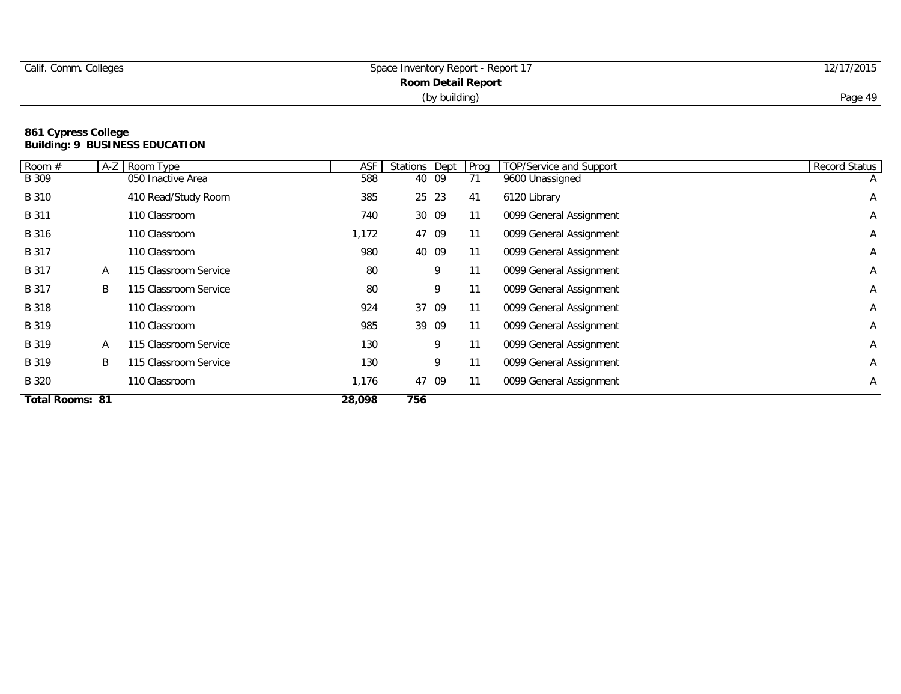| Calif. Comm. Colleges | Space Inventory Report - Report 17 | 12/17/2015 |
|-----------------------|------------------------------------|------------|
|                       | <b>Room Detail Report</b>          |            |
|                       | (by building)                      | Page 49    |

| Room #                 |   | A-Z Room Type         | ASF    | Stations Dept |       | Prog | TOP/Service and Support | <b>Record Status</b> |
|------------------------|---|-----------------------|--------|---------------|-------|------|-------------------------|----------------------|
| B 309                  |   | 050 Inactive Area     | 588    | 40 09         |       | 71   | 9600 Unassigned         | $\mathsf{A}$         |
| B 310                  |   | 410 Read/Study Room   | 385    |               | 25 23 | 41   | 6120 Library            | Α                    |
| B 311                  |   | 110 Classroom         | 740    |               | 30 09 | 11   | 0099 General Assignment | Α                    |
| B 316                  |   | 110 Classroom         | 1,172  |               | 47 09 | 11   | 0099 General Assignment | A                    |
| B 317                  |   | 110 Classroom         | 980    |               | 40 09 | 11   | 0099 General Assignment | A                    |
| B 317                  | A | 115 Classroom Service | 80     |               | 9     | 11   | 0099 General Assignment | Α                    |
| B 317                  | B | 115 Classroom Service | 80     |               | 9     | 11   | 0099 General Assignment | A                    |
| B 318                  |   | 110 Classroom         | 924    |               | 37 09 | 11   | 0099 General Assignment | A                    |
| B 319                  |   | 110 Classroom         | 985    |               | 39 09 | 11   | 0099 General Assignment | A                    |
| B 319                  | A | 115 Classroom Service | 130    |               | 9     | 11   | 0099 General Assignment | A                    |
| B 319                  | B | 115 Classroom Service | 130    |               | 9     | 11   | 0099 General Assignment | Α                    |
| B 320                  |   | 110 Classroom         | 1,176  | 47 09         |       | 11   | 0099 General Assignment | Α                    |
| <b>Total Rooms: 81</b> |   |                       | 28,098 | 756           |       |      |                         |                      |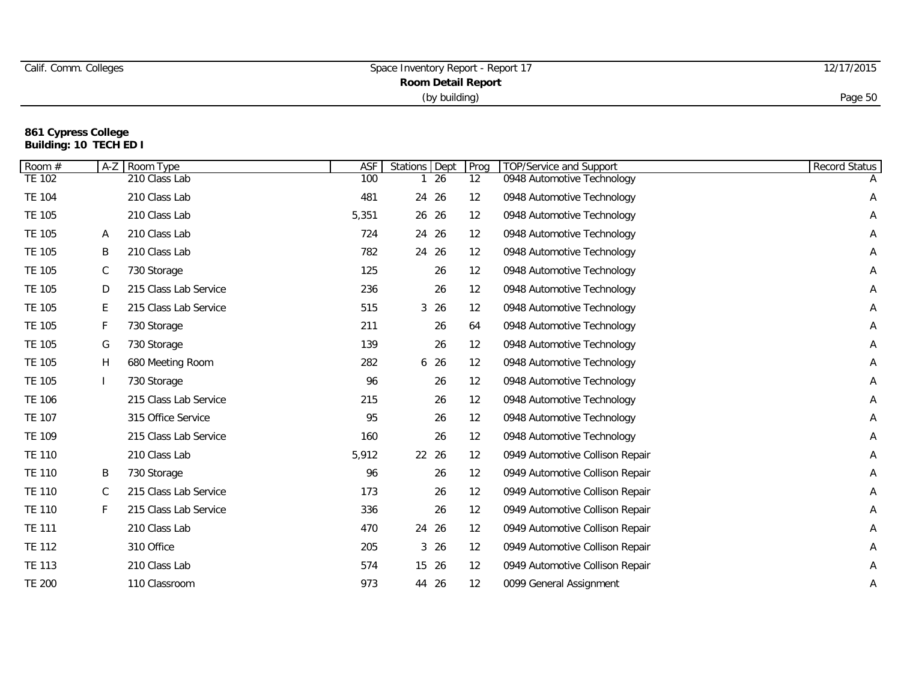| Calif. Comm. Colleges | Space Inventory Report - Report 17 | 12/17/2015 |
|-----------------------|------------------------------------|------------|
|                       |                                    |            |
|                       | (by building)                      | Page 50    |

#### **861 Cypress College Building: 10 TECH ED I**

| Room#         | $A-Z$ | Room Type             | ASF   | <b>Stations</b> | Dept  | Prog              | <b>TOP/Service and Support</b>  | Record Status |
|---------------|-------|-----------------------|-------|-----------------|-------|-------------------|---------------------------------|---------------|
| <b>TE 102</b> |       | 210 Class Lab         | 100   |                 | 26    | 12                | 0948 Automotive Technology      |               |
| <b>TE 104</b> |       | 210 Class Lab         | 481   |                 | 24 26 | 12                | 0948 Automotive Technology      | A             |
| <b>TE 105</b> |       | 210 Class Lab         | 5,351 |                 | 26 26 | 12                | 0948 Automotive Technology      | A             |
| TE 105        | A     | 210 Class Lab         | 724   |                 | 24 26 | 12                | 0948 Automotive Technology      | Α             |
| TE 105        | Β     | 210 Class Lab         | 782   |                 | 24 26 | 12                | 0948 Automotive Technology      | Α             |
| <b>TE 105</b> | С     | 730 Storage           | 125   |                 | 26    | 12                | 0948 Automotive Technology      | A             |
| TE 105        | D     | 215 Class Lab Service | 236   |                 | 26    | 12                | 0948 Automotive Technology      | A             |
| <b>TE 105</b> | E.    | 215 Class Lab Service | 515   |                 | 3 26  | 12                | 0948 Automotive Technology      | A             |
| <b>TE 105</b> | F     | 730 Storage           | 211   |                 | 26    | 64                | 0948 Automotive Technology      | A             |
| TE 105        | G     | 730 Storage           | 139   |                 | 26    | 12                | 0948 Automotive Technology      | Α             |
| <b>TE 105</b> | H     | 680 Meeting Room      | 282   |                 | 6 26  | 12                | 0948 Automotive Technology      | Α             |
| <b>TE 105</b> |       | 730 Storage           | 96    |                 | 26    | $12 \overline{ }$ | 0948 Automotive Technology      | A             |
| <b>TE 106</b> |       | 215 Class Lab Service | 215   |                 | 26    | 12                | 0948 Automotive Technology      | A             |
| <b>TE 107</b> |       | 315 Office Service    | 95    |                 | 26    | 12                | 0948 Automotive Technology      | A             |
| <b>TE 109</b> |       | 215 Class Lab Service | 160   |                 | 26    | 12                | 0948 Automotive Technology      | A             |
| <b>TE 110</b> |       | 210 Class Lab         | 5,912 |                 | 22 26 | 12                | 0949 Automotive Collison Repair | Α             |
| <b>TE 110</b> | B     | 730 Storage           | 96    |                 | 26    | 12                | 0949 Automotive Collison Repair | Α             |
| <b>TE 110</b> | С     | 215 Class Lab Service | 173   |                 | 26    | 12                | 0949 Automotive Collison Repair | A             |
| <b>TE 110</b> | F     | 215 Class Lab Service | 336   |                 | 26    | 12                | 0949 Automotive Collison Repair | A             |
| <b>TE 111</b> |       | 210 Class Lab         | 470   |                 | 24 26 | 12                | 0949 Automotive Collison Repair | A             |
| <b>TE 112</b> |       | 310 Office            | 205   |                 | 3 26  | 12                | 0949 Automotive Collison Repair | Α             |
| <b>TE 113</b> |       | 210 Class Lab         | 574   |                 | 15 26 | $12 \overline{ }$ | 0949 Automotive Collison Repair | Α             |
| <b>TE 200</b> |       | 110 Classroom         | 973   |                 | 44 26 | 12                | 0099 General Assignment         | Α             |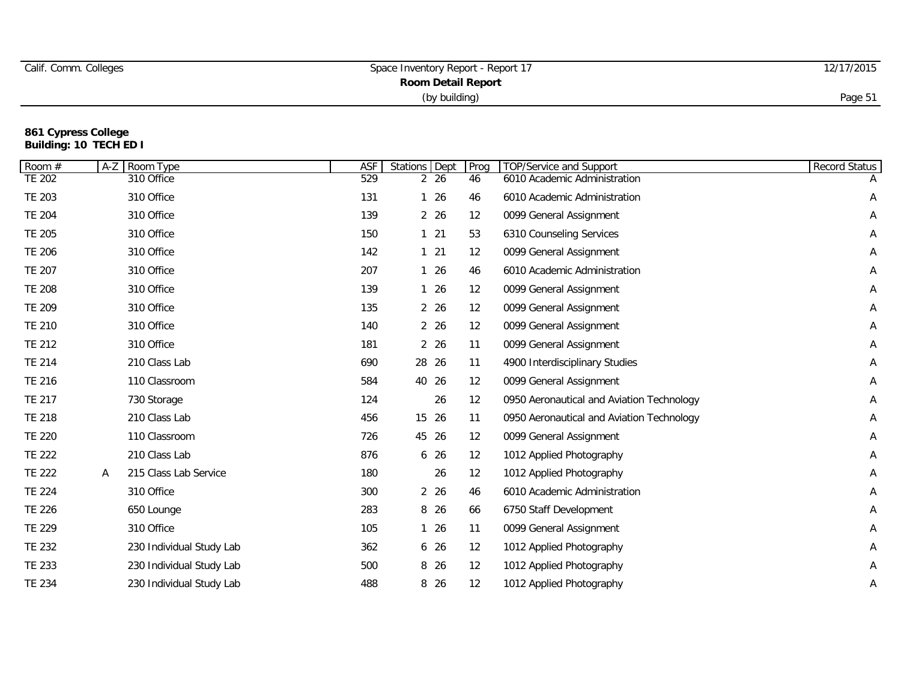| Calif. Comm. Colleges     | Space Inventory Report - Report 17 | 12/17/2015 |  |  |  |  |
|---------------------------|------------------------------------|------------|--|--|--|--|
| <b>Room Detail Report</b> |                                    |            |  |  |  |  |
|                           | (by building)                      | Page 5     |  |  |  |  |

#### **861 Cypress College Building: 10 TECH ED I**

| Room #        | $A-Z$ | Room Type                | <b>ASF</b> | <b>Stations</b> Dept |              | Prog | <b>TOP/Service and Support</b>            | Record Status |
|---------------|-------|--------------------------|------------|----------------------|--------------|------|-------------------------------------------|---------------|
| <b>TE 202</b> |       | 310 Office               | 529        |                      | 2 26         | 46   | 6010 Academic Administration              |               |
| <b>TE 203</b> |       | 310 Office               | 131        |                      | 126          | 46   | 6010 Academic Administration              | Α             |
| <b>TE 204</b> |       | 310 Office               | 139        |                      | 2 26         | 12   | 0099 General Assignment                   | A             |
| <b>TE 205</b> |       | 310 Office               | 150        |                      | $1 \quad 21$ | 53   | 6310 Counseling Services                  | А             |
| TE 206        |       | 310 Office               | 142        |                      | $1 \t21$     | 12   | 0099 General Assignment                   | Α             |
| <b>TE 207</b> |       | 310 Office               | 207        |                      | 126          | 46   | 6010 Academic Administration              | Α             |
| <b>TE 208</b> |       | 310 Office               | 139        |                      | 126          | 12   | 0099 General Assignment                   | Α             |
| <b>TE 209</b> |       | 310 Office               | 135        |                      | 2 26         | 12   | 0099 General Assignment                   | A             |
| <b>TE 210</b> |       | 310 Office               | 140        |                      | 2 26         | 12   | 0099 General Assignment                   | Α             |
| <b>TE 212</b> |       | 310 Office               | 181        |                      | 2 26         | 11   | 0099 General Assignment                   | Α             |
| <b>TE 214</b> |       | 210 Class Lab            | 690        |                      | 28 26        | 11   | 4900 Interdisciplinary Studies            | Α             |
| <b>TE 216</b> |       | 110 Classroom            | 584        |                      | 40 26        | 12   | 0099 General Assignment                   | Α             |
| <b>TE 217</b> |       | 730 Storage              | 124        |                      | 26           | 12   | 0950 Aeronautical and Aviation Technology | А             |
| <b>TE 218</b> |       | 210 Class Lab            | 456        |                      | 15 26        | 11   | 0950 Aeronautical and Aviation Technology | А             |
| <b>TE 220</b> |       | 110 Classroom            | 726        |                      | 45 26        | 12   | 0099 General Assignment                   | A             |
| <b>TE 222</b> |       | 210 Class Lab            | 876        |                      | 6 26         | 12   | 1012 Applied Photography                  | Α             |
| <b>TE 222</b> | A     | 215 Class Lab Service    | 180        |                      | 26           | 12   | 1012 Applied Photography                  | Α             |
| <b>TE 224</b> |       | 310 Office               | 300        |                      | 2 26         | 46   | 6010 Academic Administration              | А             |
| <b>TE 226</b> |       | 650 Lounge               | 283        |                      | 8 26         | 66   | 6750 Staff Development                    | Α             |
| <b>TE 229</b> |       | 310 Office               | 105        |                      | 126          | 11   | 0099 General Assignment                   | Α             |
| <b>TE 232</b> |       | 230 Individual Study Lab | 362        |                      | 6 26         | 12   | 1012 Applied Photography                  | Α             |
| <b>TE 233</b> |       | 230 Individual Study Lab | 500        |                      | 8 26         | 12   | 1012 Applied Photography                  | Α             |
| <b>TE 234</b> |       | 230 Individual Study Lab | 488        |                      | 8 26         | 12   | 1012 Applied Photography                  | Α             |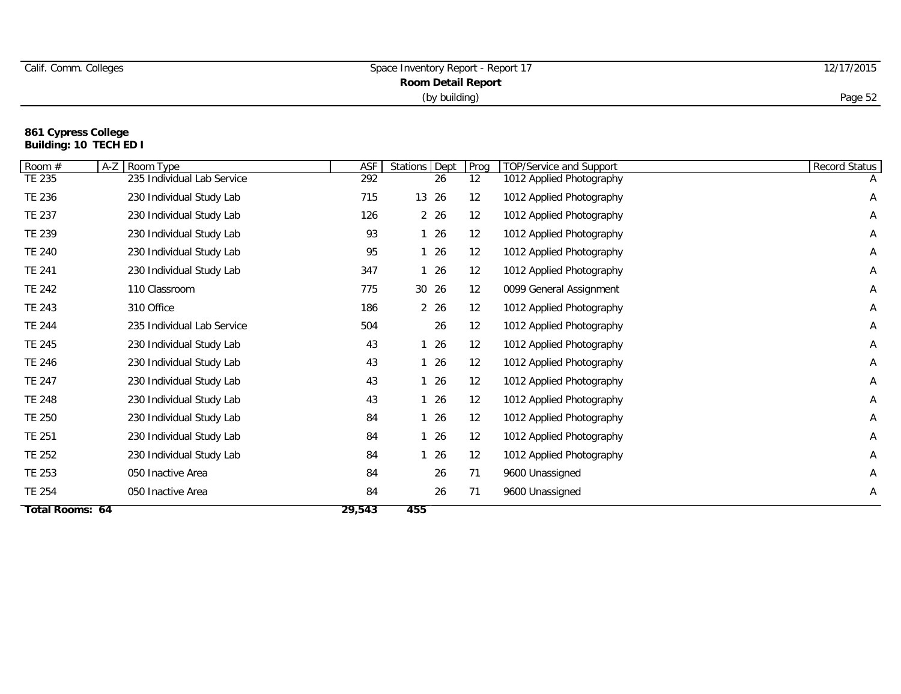| Calif. Comm. Colleges | Space Inventory Report - Report 17 | 12/17/2015 |
|-----------------------|------------------------------------|------------|
|                       | Room Detail Report                 |            |
|                       | (by building)                      | Page 52    |

## **861 Cypress College Building: 10 TECH ED I**

| Total Rooms: 64 |                            | 29,543     | 455           |      |                                |                      |
|-----------------|----------------------------|------------|---------------|------|--------------------------------|----------------------|
| <b>TE 254</b>   | 050 Inactive Area          | 84         | 26            | 71   | 9600 Unassigned                | A                    |
| <b>TE 253</b>   | 050 Inactive Area          | 84         | 26            | 71   | 9600 Unassigned                | Α                    |
| <b>TE 252</b>   | 230 Individual Study Lab   | 84         | 126           | 12   | 1012 Applied Photography       | A                    |
| <b>TE 251</b>   | 230 Individual Study Lab   | 84         | 126           | 12   | 1012 Applied Photography       | A                    |
| <b>TE 250</b>   | 230 Individual Study Lab   | 84         | 126           | 12   | 1012 Applied Photography       | A                    |
| <b>TE 248</b>   | 230 Individual Study Lab   | 43         | 126           | 12   | 1012 Applied Photography       | A                    |
| <b>TE 247</b>   | 230 Individual Study Lab   | 43         | 126           | 12   | 1012 Applied Photography       | A                    |
| <b>TE 246</b>   | 230 Individual Study Lab   | 43         | 126           | 12   | 1012 Applied Photography       | A                    |
| <b>TE 245</b>   | 230 Individual Study Lab   | 43         | 126           | 12   | 1012 Applied Photography       | A                    |
| <b>TE 244</b>   | 235 Individual Lab Service | 504        | 26            | 12   | 1012 Applied Photography       | A                    |
| <b>TE 243</b>   | 310 Office                 | 186        | 2 26          | 12   | 1012 Applied Photography       | A                    |
| <b>TE 242</b>   | 110 Classroom              | 775        | 30 26         | 12   | 0099 General Assignment        | A                    |
| <b>TE 241</b>   | 230 Individual Study Lab   | 347        | 126           | 12   | 1012 Applied Photography       | A                    |
| <b>TE 240</b>   | 230 Individual Study Lab   | 95         | 126           | 12   | 1012 Applied Photography       | A                    |
| <b>TE 239</b>   | 230 Individual Study Lab   | 93         | 126           | 12   | 1012 Applied Photography       | A                    |
| <b>TE 237</b>   | 230 Individual Study Lab   | 126        | 2 26          | 12   | 1012 Applied Photography       | Α                    |
| <b>TE 236</b>   | 230 Individual Study Lab   | 715        | 13 26         | 12   | 1012 Applied Photography       | Α                    |
| <b>TE 235</b>   | 235 Individual Lab Service | 292        | 26            | 12   | 1012 Applied Photography       |                      |
| Room $#$        | Room Type<br>$A-Z$         | <b>ASF</b> | Stations Dept | Prog | <b>TOP/Service and Support</b> | <b>Record Status</b> |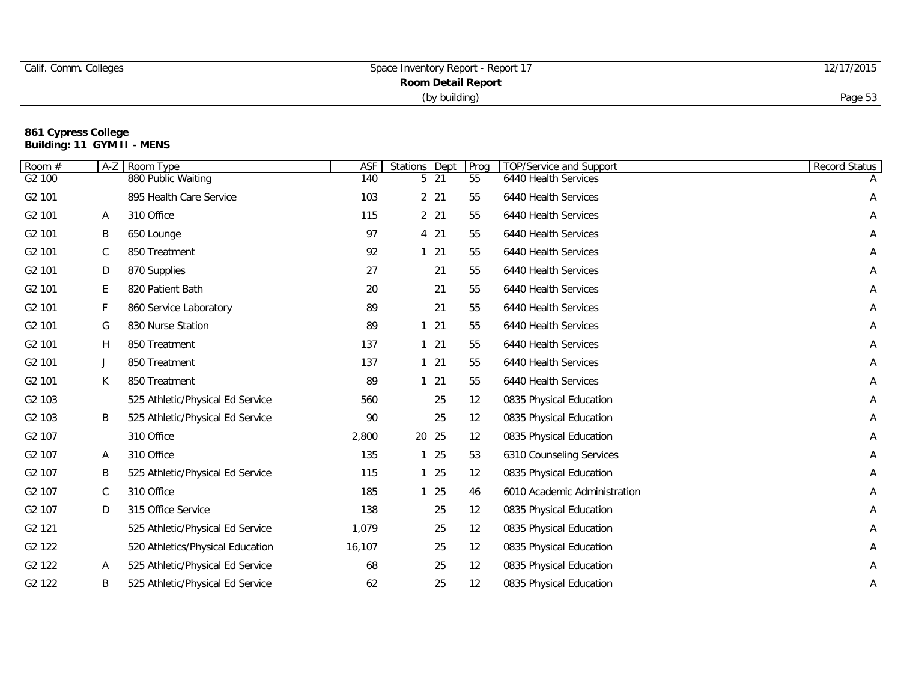| Calif. Comm. Colleges     | Space Inventory Report - Report 17 | 12/17/2015 |  |  |  |
|---------------------------|------------------------------------|------------|--|--|--|
| <b>Room Detail Report</b> |                                    |            |  |  |  |
|                           | (by building)                      | Page 53    |  |  |  |

### **861 Cypress College Building: 11 GYM II - MENS**

| Room #             | $A-Z$ | Room Type                        | ASF    | Stations Dept   |    | Prog | TOP/Service and Support      | Record Status |
|--------------------|-------|----------------------------------|--------|-----------------|----|------|------------------------------|---------------|
| G2 100             |       | 880 Public Waiting               | 140    | 5 21            |    | 55   | 6440 Health Services         |               |
| G <sub>2</sub> 101 |       | 895 Health Care Service          | 103    | 2 21            |    | 55   | 6440 Health Services         | Α             |
| G2 101             | A     | 310 Office                       | 115    | 2 <sub>21</sub> |    | 55   | 6440 Health Services         | Α             |
| G <sub>2</sub> 101 | Β     | 650 Lounge                       | 97     | 4 21            |    | 55   | 6440 Health Services         | Α             |
| G2 101             | C     | 850 Treatment                    | 92     | 121             |    | 55   | 6440 Health Services         | Α             |
| G2 101             | D     | 870 Supplies                     | 27     |                 | 21 | 55   | 6440 Health Services         | A             |
| G2 101             | E.    | 820 Patient Bath                 | 20     |                 | 21 | 55   | 6440 Health Services         | Α             |
| G2 101             | F     | 860 Service Laboratory           | 89     |                 | 21 | 55   | 6440 Health Services         | Α             |
| G <sub>2</sub> 101 | G     | 830 Nurse Station                | 89     | $1 \quad 21$    |    | 55   | 6440 Health Services         | Α             |
| G2 101             | H     | 850 Treatment                    | 137    | $1 \quad 21$    |    | 55   | 6440 Health Services         | Α             |
| G2 101             | J     | 850 Treatment                    | 137    | $1 \quad 21$    |    | 55   | 6440 Health Services         | Α             |
| G2 101             | K.    | 850 Treatment                    | 89     | $1 \quad 21$    |    | 55   | 6440 Health Services         | Α             |
| G2 103             |       | 525 Athletic/Physical Ed Service | 560    |                 | 25 | 12   | 0835 Physical Education      | Α             |
| G <sub>2</sub> 103 | Β     | 525 Athletic/Physical Ed Service | 90     |                 | 25 | 12   | 0835 Physical Education      | Α             |
| G2 107             |       | 310 Office                       | 2,800  | 20 25           |    | 12   | 0835 Physical Education      | Α             |
| G <sub>2</sub> 107 | A     | 310 Office                       | 135    | 1 25            |    | 53   | 6310 Counseling Services     | Α             |
| G <sub>2</sub> 107 | Β     | 525 Athletic/Physical Ed Service | 115    | 125             |    | 12   | 0835 Physical Education      | Α             |
| G2 107             | C     | 310 Office                       | 185    | 1 25            |    | 46   | 6010 Academic Administration | A             |
| G2 107             | D     | 315 Office Service               | 138    |                 | 25 | 12   | 0835 Physical Education      | A             |
| G <sub>2</sub> 121 |       | 525 Athletic/Physical Ed Service | 1,079  |                 | 25 | 12   | 0835 Physical Education      | Α             |
| G2 122             |       | 520 Athletics/Physical Education | 16,107 |                 | 25 | 12   | 0835 Physical Education      | Α             |
| G <sub>2</sub> 122 | A     | 525 Athletic/Physical Ed Service | 68     |                 | 25 | 12   | 0835 Physical Education      | Α             |
| G2 122             | Β     | 525 Athletic/Physical Ed Service | 62     |                 | 25 | 12   | 0835 Physical Education      | Α             |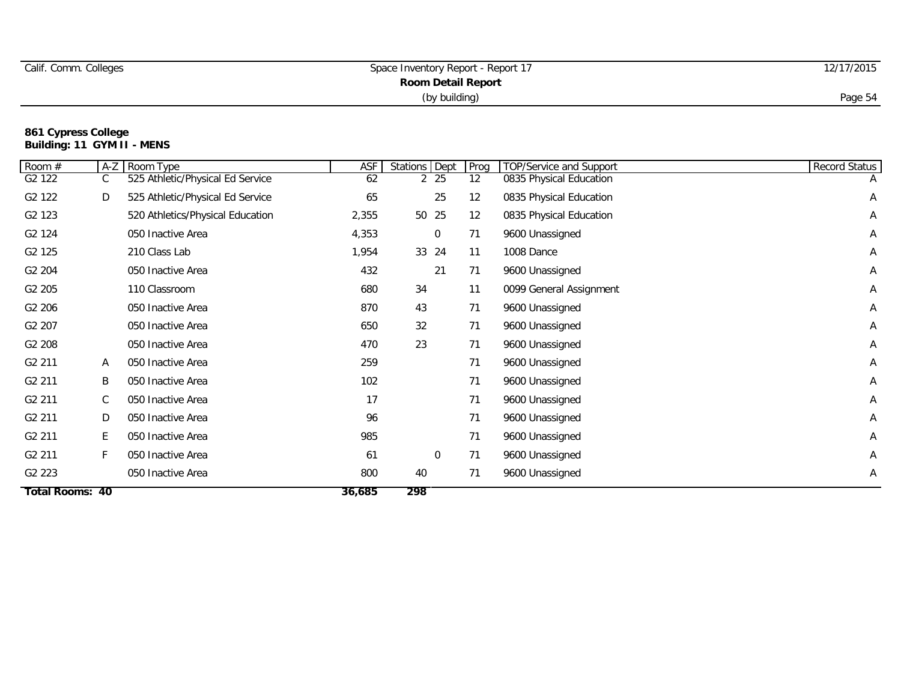| Calif. Comm. Colleges     | Space Inventory Report - Report 17 | 12/17/2015 |  |  |  |  |
|---------------------------|------------------------------------|------------|--|--|--|--|
| <b>Room Detail Report</b> |                                    |            |  |  |  |  |
|                           | (by building)                      | Page 54    |  |  |  |  |

#### **861 Cypress College Building: 11 GYM II - MENS**

| Room #             | $A-Z$ | Room Type                        | <b>ASF</b> | Stations Dept    | Prog              | <b>TOP/Service</b> and Support | <b>Record Status</b> |
|--------------------|-------|----------------------------------|------------|------------------|-------------------|--------------------------------|----------------------|
| G2 122             | C     | 525 Athletic/Physical Ed Service | 62         | $2\overline{25}$ | 12                | 0835 Physical Education        | A                    |
| G2 122             | D     | 525 Athletic/Physical Ed Service | 65         | 25               | 12                | 0835 Physical Education        | Α                    |
| G <sub>2</sub> 123 |       | 520 Athletics/Physical Education | 2,355      | 50<br>25         | $12 \overline{ }$ | 0835 Physical Education        | Α                    |
| G2 124             |       | 050 Inactive Area                | 4,353      | 0                | 71                | 9600 Unassigned                | A                    |
| G <sub>2</sub> 125 |       | 210 Class Lab                    | 1,954      | 33<br>24         | 11                | 1008 Dance                     | Α                    |
| G2 204             |       | 050 Inactive Area                | 432        | 21               | 71                | 9600 Unassigned                | Α                    |
| G2 205             |       | 110 Classroom                    | 680        | 34               | 11                | 0099 General Assignment        | A                    |
| G2 206             |       | 050 Inactive Area                | 870        | 43               | 71                | 9600 Unassigned                | Α                    |
| G2 207             |       | 050 Inactive Area                | 650        | 32               | 71                | 9600 Unassigned                | Α                    |
| G2 208             |       | 050 Inactive Area                | 470        | 23               | 71                | 9600 Unassigned                | A                    |
| G <sub>2</sub> 211 | A     | 050 Inactive Area                | 259        |                  | 71                | 9600 Unassigned                | Α                    |
| G <sub>2</sub> 211 | B     | 050 Inactive Area                | 102        |                  | 71                | 9600 Unassigned                | A                    |
| G <sub>2</sub> 211 | C     | 050 Inactive Area                | 17         |                  | 71                | 9600 Unassigned                | Α                    |
| G2 211             | D     | 050 Inactive Area                | 96         |                  | 71                | 9600 Unassigned                | A                    |
| G <sub>2</sub> 211 | E.    | 050 Inactive Area                | 985        |                  | 71                | 9600 Unassigned                | Α                    |
| G <sub>2</sub> 211 |       | 050 Inactive Area                | 61         | $\mathbf 0$      | 71                | 9600 Unassigned                | Α                    |
| G <sub>2</sub> 223 |       | 050 Inactive Area                | 800        | 40               | 71                | 9600 Unassigned                | A                    |
| Total Rooms: 40    |       |                                  | 36,685     | 298              |                   |                                |                      |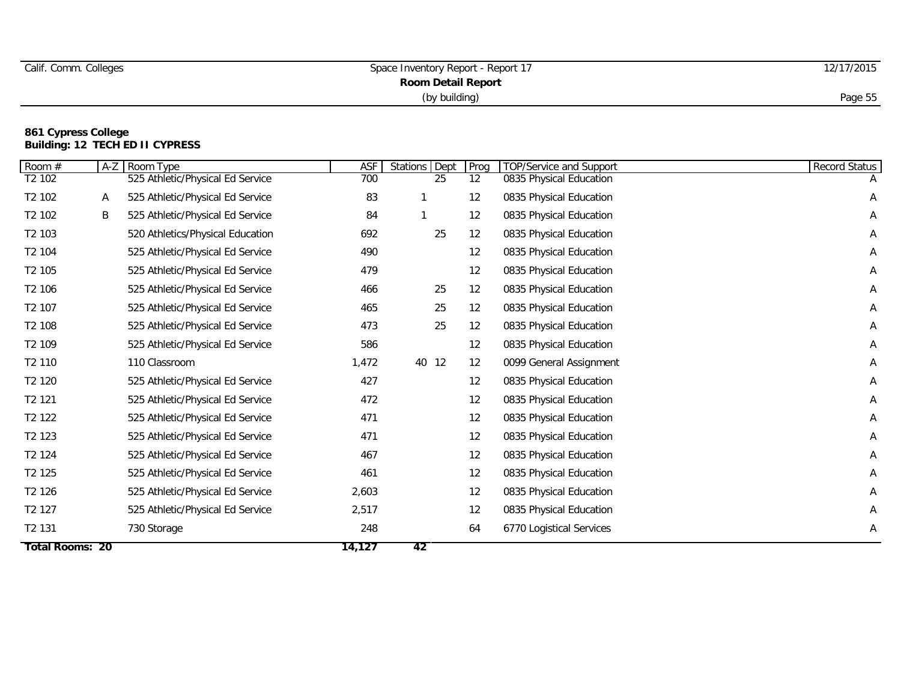| Calif. Comm. Colleges     | Space Inventory Report - Report 17 | 12/17/2015 |  |  |  |  |
|---------------------------|------------------------------------|------------|--|--|--|--|
| <b>Room Detail Report</b> |                                    |            |  |  |  |  |
|                           | (by building)                      | Page 55    |  |  |  |  |

## **861 Cypress College Building: 12 TECH ED II CYPRESS**

| <b>Total Rooms: 20</b>         |   |                                  | 14,127 | 42               |                   |                                |               |
|--------------------------------|---|----------------------------------|--------|------------------|-------------------|--------------------------------|---------------|
| T <sub>2</sub> 131             |   | 730 Storage                      | 248    |                  | 64                | 6770 Logistical Services       | A             |
| T <sub>2</sub> 127             |   | 525 Athletic/Physical Ed Service | 2,517  |                  | 12                | 0835 Physical Education        | Α             |
| T <sub>2</sub> 126             |   | 525 Athletic/Physical Ed Service | 2,603  |                  | $12 \overline{ }$ | 0835 Physical Education        | Α             |
| T2 125                         |   | 525 Athletic/Physical Ed Service | 461    |                  | 12                | 0835 Physical Education        | Α             |
| T <sub>2</sub> 124             |   | 525 Athletic/Physical Ed Service | 467    |                  | 12                | 0835 Physical Education        | Α             |
| T2 123                         |   | 525 Athletic/Physical Ed Service | 471    |                  | 12                | 0835 Physical Education        | Α             |
| T <sub>2</sub> 122             |   | 525 Athletic/Physical Ed Service | 471    |                  | $12 \overline{ }$ | 0835 Physical Education        | Α             |
| T2 121                         |   | 525 Athletic/Physical Ed Service | 472    |                  | 12                | 0835 Physical Education        | Α             |
| T <sub>2</sub> 120             |   | 525 Athletic/Physical Ed Service | 427    |                  | $12 \overline{ }$ | 0835 Physical Education        | Α             |
| T <sub>2</sub> 110             |   | 110 Classroom                    | 1,472  | 40 12            | 12                | 0099 General Assignment        | Α             |
| T <sub>2</sub> 109             |   | 525 Athletic/Physical Ed Service | 586    |                  | $12 \overline{ }$ | 0835 Physical Education        | Α             |
| T <sub>2</sub> 108             |   | 525 Athletic/Physical Ed Service | 473    | 25               | 12                | 0835 Physical Education        | A             |
| T <sub>2</sub> 107             |   | 525 Athletic/Physical Ed Service | 465    | 25               | 12                | 0835 Physical Education        | Α             |
| T <sub>2</sub> 106             |   | 525 Athletic/Physical Ed Service | 466    | 25               | 12                | 0835 Physical Education        | Α             |
| T2 105                         |   | 525 Athletic/Physical Ed Service | 479    |                  | 12                | 0835 Physical Education        | Α             |
| T <sub>2</sub> 104             |   | 525 Athletic/Physical Ed Service | 490    |                  | 12                | 0835 Physical Education        | Α             |
| T <sub>2</sub> 103             |   | 520 Athletics/Physical Education | 692    | 25               | 12                | 0835 Physical Education        | Α             |
| T2 102                         | Β | 525 Athletic/Physical Ed Service | 84     |                  | 12                | 0835 Physical Education        | Α             |
| T <sub>2</sub> 10 <sub>2</sub> | A | 525 Athletic/Physical Ed Service | 83     |                  | $12 \overline{ }$ | 0835 Physical Education        | Α             |
| T <sub>2</sub> 10 <sub>2</sub> |   | 525 Athletic/Physical Ed Service | 700    | 25               | 12                | 0835 Physical Education        |               |
| Room #                         |   | A-Z Room Type                    | ASF    | Stations<br>Dept | Prog              | <b>TOP/Service and Support</b> | Record Status |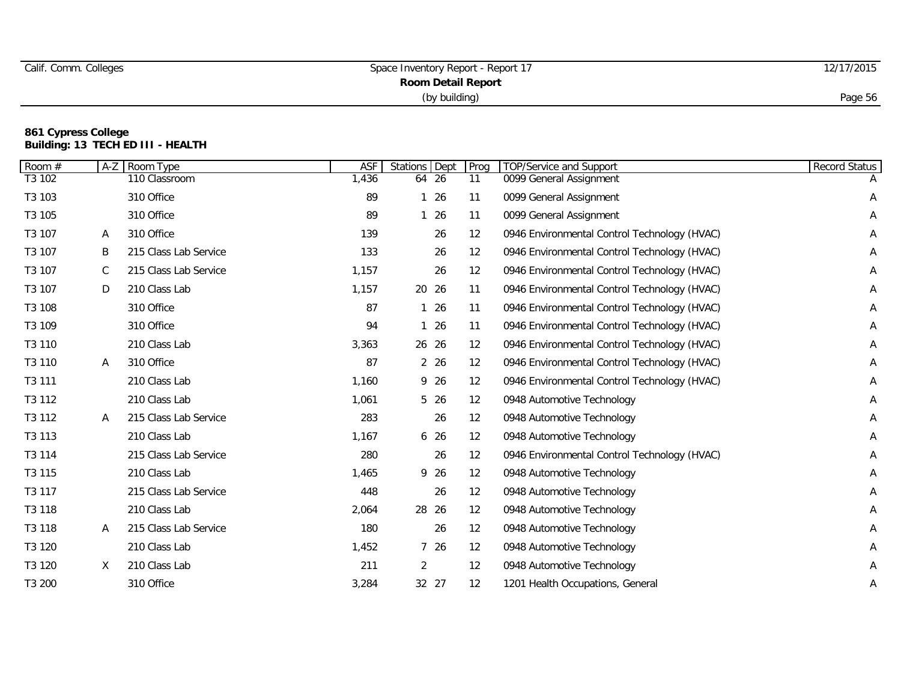| Room #             | $A-Z$ | Room Type             | <b>ASF</b> | Stations Dept |       | Prog              | TOP/Service and Support                      | <b>Record Status</b> |
|--------------------|-------|-----------------------|------------|---------------|-------|-------------------|----------------------------------------------|----------------------|
| T3 102             |       | 110 Classroom         | 1,436      |               | 64 26 | 11                | 0099 General Assignment                      |                      |
| T <sub>3</sub> 103 |       | 310 Office            | 89         |               | 126   | 11                | 0099 General Assignment                      | Α                    |
| T3 105             |       | 310 Office            | 89         |               | 126   | 11                | 0099 General Assignment                      | A                    |
| T3 107             | Α     | 310 Office            | 139        |               | 26    | 12                | 0946 Environmental Control Technology (HVAC) | Α                    |
| T3 107             | B     | 215 Class Lab Service | 133        |               | 26    | 12                | 0946 Environmental Control Technology (HVAC) | Α                    |
| T3 107             | C     | 215 Class Lab Service | 1,157      |               | 26    | 12                | 0946 Environmental Control Technology (HVAC) | Α                    |
| T3 107             | D     | 210 Class Lab         | 1,157      |               | 20 26 | 11                | 0946 Environmental Control Technology (HVAC) | A                    |
| T3 108             |       | 310 Office            | 87         |               | 126   | 11                | 0946 Environmental Control Technology (HVAC) | Α                    |
| T3 109             |       | 310 Office            | 94         |               | 126   | 11                | 0946 Environmental Control Technology (HVAC) | A                    |
| T3 110             |       | 210 Class Lab         | 3,363      |               | 26 26 | $12 \overline{ }$ | 0946 Environmental Control Technology (HVAC) | Α                    |
| T3 110             | A     | 310 Office            | 87         |               | 2 26  | 12                | 0946 Environmental Control Technology (HVAC) | Α                    |
| T <sub>3</sub> 111 |       | 210 Class Lab         | 1,160      |               | 9 26  | 12                | 0946 Environmental Control Technology (HVAC) | A                    |
| T3 112             |       | 210 Class Lab         | 1,061      |               | 5 26  | 12                | 0948 Automotive Technology                   | A                    |
| T3 112             | A     | 215 Class Lab Service | 283        |               | 26    | $12 \overline{ }$ | 0948 Automotive Technology                   | A                    |
| T3 113             |       | 210 Class Lab         | 1,167      |               | 6 26  | 12                | 0948 Automotive Technology                   | Α                    |
| T3 114             |       | 215 Class Lab Service | 280        |               | 26    | 12                | 0946 Environmental Control Technology (HVAC) | Α                    |
| T <sub>3</sub> 115 |       | 210 Class Lab         | 1,465      |               | 9 26  | 12                | 0948 Automotive Technology                   | Α                    |
| T3 117             |       | 215 Class Lab Service | 448        |               | 26    | 12                | 0948 Automotive Technology                   | A                    |
| T3 118             |       | 210 Class Lab         | 2,064      |               | 28 26 | 12                | 0948 Automotive Technology                   | A                    |
| T3 118             | A     | 215 Class Lab Service | 180        |               | 26    | 12                | 0948 Automotive Technology                   | Α                    |
| T3 120             |       | 210 Class Lab         | 1,452      |               | 7 26  | 12                | 0948 Automotive Technology                   | Α                    |
| T3 120             | X     | 210 Class Lab         | 211        | 2             |       | 12                | 0948 Automotive Technology                   | Α                    |
| T3 200             |       | 310 Office            | 3,284      |               | 32 27 | 12                | 1201 Health Occupations, General             | Α                    |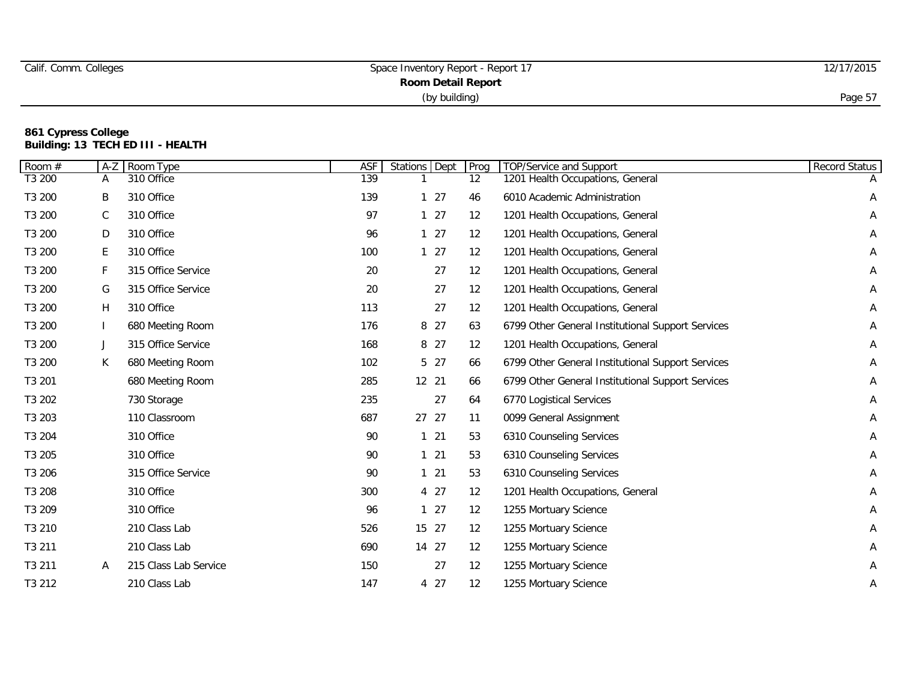| Room # | $A-Z$ | Room Type             | <b>ASF</b> | Stations Dept |              | Prog              | TOP/Service and Support                           | Record Status |
|--------|-------|-----------------------|------------|---------------|--------------|-------------------|---------------------------------------------------|---------------|
| T3 200 | A     | 310 Office            | 139        |               |              | 12                | 1201 Health Occupations, General                  |               |
| T3 200 | Β     | 310 Office            | 139        |               | $1 \t27$     | 46                | 6010 Academic Administration                      | Α             |
| T3 200 | C     | 310 Office            | 97         |               | 127          | $12 \overline{ }$ | 1201 Health Occupations, General                  | Α             |
| T3 200 | D     | 310 Office            | 96         |               | 127          | 12                | 1201 Health Occupations, General                  | Α             |
| T3 200 | E     | 310 Office            | 100        |               | 27           | 12                | 1201 Health Occupations, General                  | Α             |
| T3 200 | F     | 315 Office Service    | 20         |               | 27           | 12                | 1201 Health Occupations, General                  | Α             |
| T3 200 | G     | 315 Office Service    | 20         |               | 27           | 12                | 1201 Health Occupations, General                  | Α             |
| T3 200 | H     | 310 Office            | 113        |               | 27           | 12                | 1201 Health Occupations, General                  | Α             |
| T3 200 |       | 680 Meeting Room      | 176        |               | 8 27         | 63                | 6799 Other General Institutional Support Services | Α             |
| T3 200 | J     | 315 Office Service    | 168        |               | 8 27         | 12                | 1201 Health Occupations, General                  | Α             |
| T3 200 | K     | 680 Meeting Room      | 102        |               | 5 27         | 66                | 6799 Other General Institutional Support Services | Α             |
| T3 201 |       | 680 Meeting Room      | 285        | 12 21         |              | 66                | 6799 Other General Institutional Support Services | A             |
| T3 202 |       | 730 Storage           | 235        |               | 27           | 64                | 6770 Logistical Services                          | Α             |
| T3 203 |       | 110 Classroom         | 687        | 27 27         |              | 11                | 0099 General Assignment                           | Α             |
| T3 204 |       | 310 Office            | 90         |               | $1 \quad 21$ | 53                | 6310 Counseling Services                          | Α             |
| T3 205 |       | 310 Office            | 90         |               | $1 \quad 21$ | 53                | 6310 Counseling Services                          | Α             |
| T3 206 |       | 315 Office Service    | 90         | $1 \quad 21$  |              | 53                | 6310 Counseling Services                          | Α             |
| T3 208 |       | 310 Office            | 300        |               | 4 27         | $12 \overline{ }$ | 1201 Health Occupations, General                  | A             |
| T3 209 |       | 310 Office            | 96         |               | 127          | 12                | 1255 Mortuary Science                             | Α             |
| T3 210 |       | 210 Class Lab         | 526        | 15 27         |              | $12 \overline{ }$ | 1255 Mortuary Science                             | Α             |
| T3 211 |       | 210 Class Lab         | 690        | 14 27         |              | 12                | 1255 Mortuary Science                             | Α             |
| T3 211 | Α     | 215 Class Lab Service | 150        |               | 27           | 12                | 1255 Mortuary Science                             | Α             |
| T3 212 |       | 210 Class Lab         | 147        |               | 4 27         | 12                | 1255 Mortuary Science                             | Α             |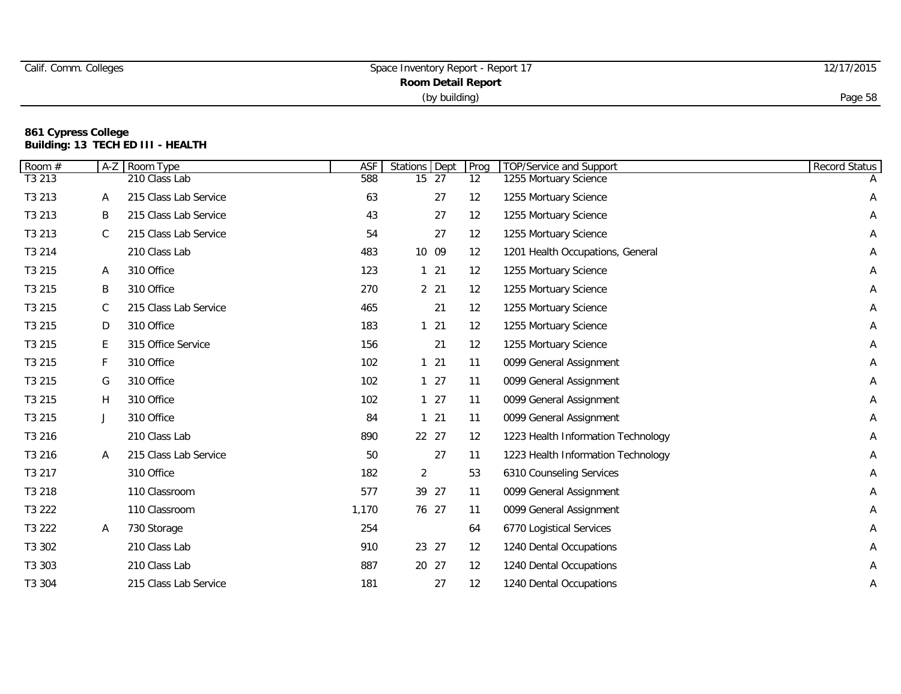|  | Calif. Comm. Colleges |
|--|-----------------------|
|  |                       |

| Room # | $A-Z$ | Room Type             | ASF   | Stations Dept  |                 | Prog | TOP/Service and Support            | Record Status |
|--------|-------|-----------------------|-------|----------------|-----------------|------|------------------------------------|---------------|
| T3 213 |       | 210 Class Lab         | 588   | 15             | $\overline{27}$ | 12   | 1255 Mortuary Science              |               |
| T3 213 | Α     | 215 Class Lab Service | 63    |                | 27              | 12   | 1255 Mortuary Science              | Α             |
| T3 213 | Β     | 215 Class Lab Service | 43    |                | 27              | 12   | 1255 Mortuary Science              | Α             |
| T3 213 | C     | 215 Class Lab Service | 54    |                | 27              | 12   | 1255 Mortuary Science              | Α             |
| T3 214 |       | 210 Class Lab         | 483   |                | 10 09           | 12   | 1201 Health Occupations, General   | Α             |
| T3 215 | A     | 310 Office            | 123   |                | $1 \quad 21$    | 12   | 1255 Mortuary Science              | Α             |
| T3 215 | B     | 310 Office            | 270   |                | 2 <sub>21</sub> | 12   | 1255 Mortuary Science              | Α             |
| T3 215 | C     | 215 Class Lab Service | 465   |                | 21              | 12   | 1255 Mortuary Science              | Α             |
| T3 215 | D     | 310 Office            | 183   |                | 21              | 12   | 1255 Mortuary Science              | Α             |
| T3 215 | E.    | 315 Office Service    | 156   |                | 21              | 12   | 1255 Mortuary Science              | Α             |
| T3 215 | F     | 310 Office            | 102   |                | $1 \quad 21$    | 11   | 0099 General Assignment            | A             |
| T3 215 | G     | 310 Office            | 102   |                | 127             | 11   | 0099 General Assignment            | Α             |
| T3 215 | H     | 310 Office            | 102   |                | 127             | 11   | 0099 General Assignment            | Α             |
| T3 215 | J     | 310 Office            | 84    |                | $1 \quad 21$    | 11   | 0099 General Assignment            | Α             |
| T3 216 |       | 210 Class Lab         | 890   |                | 22 27           | 12   | 1223 Health Information Technology | Α             |
| T3 216 | A     | 215 Class Lab Service | 50    |                | 27              | 11   | 1223 Health Information Technology | Α             |
| T3 217 |       | 310 Office            | 182   | $\overline{2}$ |                 | 53   | 6310 Counseling Services           | Α             |
| T3 218 |       | 110 Classroom         | 577   |                | 39 27           | 11   | 0099 General Assignment            | Α             |
| T3 222 |       | 110 Classroom         | 1,170 |                | 76 27           | 11   | 0099 General Assignment            | Α             |
| T3 222 | A     | 730 Storage           | 254   |                |                 | 64   | 6770 Logistical Services           | Α             |
| T3 302 |       | 210 Class Lab         | 910   |                | 23 27           | 12   | 1240 Dental Occupations            | Α             |
| T3 303 |       | 210 Class Lab         | 887   |                | 20 27           | 12   | 1240 Dental Occupations            | Α             |
| T3 304 |       | 215 Class Lab Service | 181   |                | 27              | 12   | 1240 Dental Occupations            | Α             |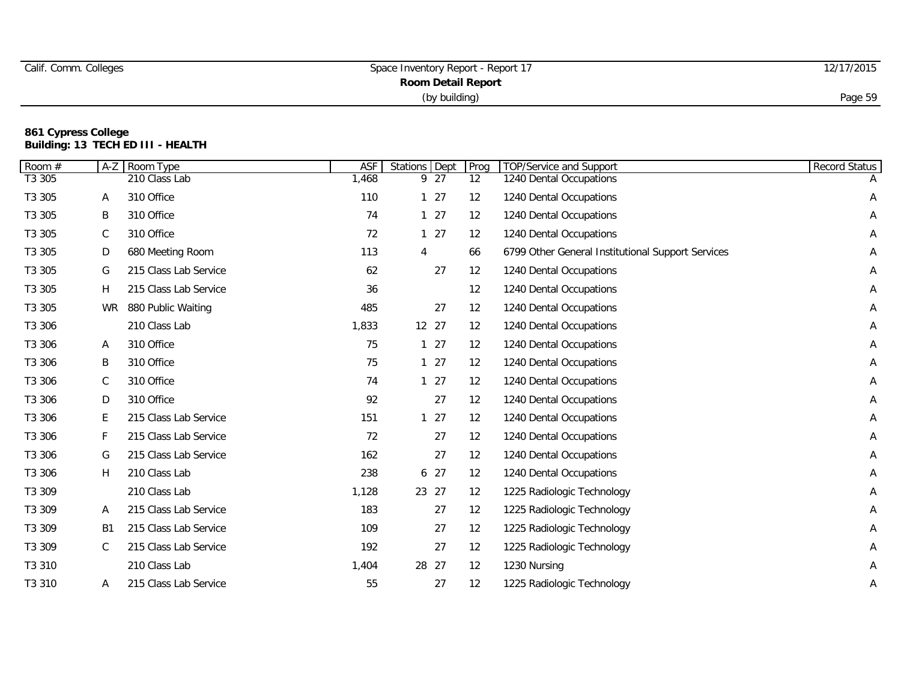| Calif. Comm. Colleges |  |
|-----------------------|--|
|                       |  |

| Room#  |           | A-Z Room Type         | <b>ASF</b> | Stations Dept |       | Prog              | TOP/Service and Support                           | Record Status |
|--------|-----------|-----------------------|------------|---------------|-------|-------------------|---------------------------------------------------|---------------|
| T3 305 |           | 210 Class Lab         | 1,468      |               | 9 27  | $12 \overline{ }$ | 1240 Dental Occupations                           |               |
| T3 305 | Α         | 310 Office            | 110        |               | 127   | 12                | 1240 Dental Occupations                           | Α             |
| T3 305 | Β         | 310 Office            | 74         |               | $127$ | 12                | 1240 Dental Occupations                           | A             |
| T3 305 | C         | 310 Office            | 72         |               | 127   | 12                | 1240 Dental Occupations                           | Α             |
| T3 305 | D         | 680 Meeting Room      | 113        | 4             |       | 66                | 6799 Other General Institutional Support Services | Α             |
| T3 305 | G         | 215 Class Lab Service | 62         |               | 27    | 12                | 1240 Dental Occupations                           | Α             |
| T3 305 | H.        | 215 Class Lab Service | 36         |               |       | 12                | 1240 Dental Occupations                           | A             |
| T3 305 | <b>WR</b> | 880 Public Waiting    | 485        |               | 27    | 12                | 1240 Dental Occupations                           | A             |
| T3 306 |           | 210 Class Lab         | 1,833      | 12 27         |       | 12                | 1240 Dental Occupations                           | A             |
| T3 306 | Α         | 310 Office            | 75         |               | 127   | 12                | 1240 Dental Occupations                           | Α             |
| T3 306 | Β         | 310 Office            | 75         |               | 127   | 12                | 1240 Dental Occupations                           | Α             |
| T3 306 | C         | 310 Office            | 74         |               | $127$ | 12                | 1240 Dental Occupations                           | A             |
| T3 306 | D         | 310 Office            | 92         |               | 27    | 12                | 1240 Dental Occupations                           | A             |
| T3 306 | E         | 215 Class Lab Service | 151        | 1             | 27    | 12                | 1240 Dental Occupations                           | A             |
| T3 306 | F         | 215 Class Lab Service | 72         |               | 27    | 12                | 1240 Dental Occupations                           | Α             |
| T3 306 | G         | 215 Class Lab Service | 162        |               | 27    | 12                | 1240 Dental Occupations                           | Α             |
| T3 306 | H         | 210 Class Lab         | 238        |               | 6 27  | 12                | 1240 Dental Occupations                           | Α             |
| T3 309 |           | 210 Class Lab         | 1,128      |               | 23 27 | $12 \overline{ }$ | 1225 Radiologic Technology                        | A             |
| T3 309 | A         | 215 Class Lab Service | 183        |               | 27    | 12                | 1225 Radiologic Technology                        | A             |
| T3 309 | B1        | 215 Class Lab Service | 109        |               | 27    | 12                | 1225 Radiologic Technology                        | A             |
| T3 309 | C         | 215 Class Lab Service | 192        |               | 27    | 12                | 1225 Radiologic Technology                        | Α             |
| T3 310 |           | 210 Class Lab         | 1,404      |               | 28 27 | 12                | 1230 Nursing                                      | Α             |
| T3 310 | Α         | 215 Class Lab Service | 55         |               | 27    | 12                | 1225 Radiologic Technology                        | Α             |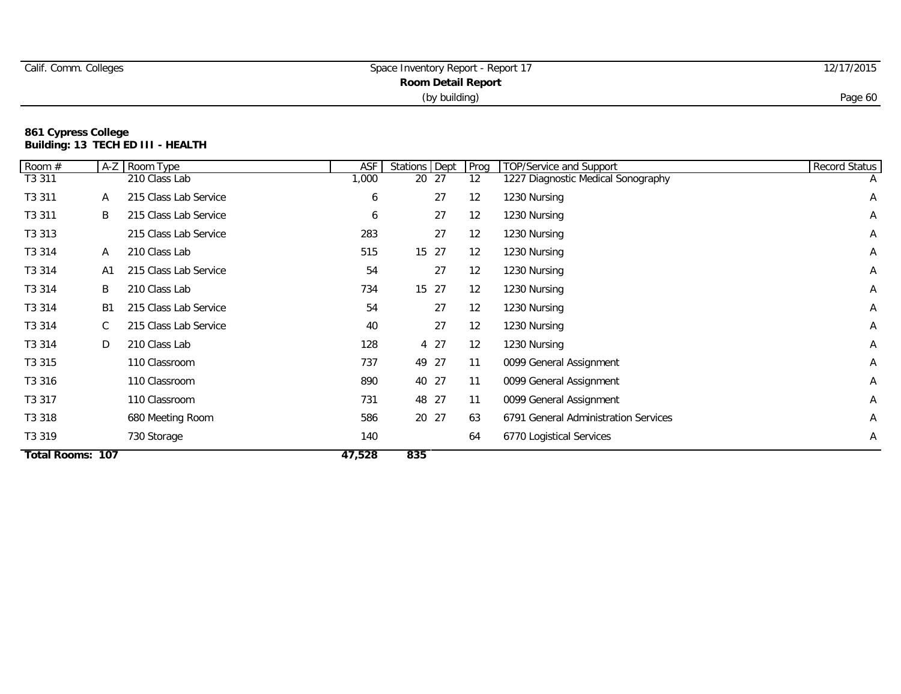| Calif. Comm. Colleges | Space Inventory Report - Report 17 | 12/17/2015 |
|-----------------------|------------------------------------|------------|
|                       |                                    |            |
|                       | (by building)                      | Page 60    |

| Room #                  | $A-Z$        | Room Type             | ASF    | Stations Dept |      | Prog | <b>TOP/Service and Support</b>       | <b>Record Status</b> |
|-------------------------|--------------|-----------------------|--------|---------------|------|------|--------------------------------------|----------------------|
| T3 311                  |              | 210 Class Lab         | 1,000  | 20 27         |      | 12   | 1227 Diagnostic Medical Sonography   | A                    |
| T <sub>3</sub> 311      | A            | 215 Class Lab Service | 6      |               | 27   | 12   | 1230 Nursing                         | $\mathsf{A}$         |
| T3 311                  | B            | 215 Class Lab Service | 6      |               | 27   | 12   | 1230 Nursing                         | A                    |
| T3 313                  |              | 215 Class Lab Service | 283    |               | 27   | 12   | 1230 Nursing                         | A                    |
| T3 314                  | A            | 210 Class Lab         | 515    | 15 27         |      | 12   | 1230 Nursing                         | A                    |
| T3 314                  | A1           | 215 Class Lab Service | 54     |               | 27   | 12   | 1230 Nursing                         | A                    |
| T3 314                  | B            | 210 Class Lab         | 734    | 15 27         |      | 12   | 1230 Nursing                         | A                    |
| T3 314                  | <b>B1</b>    | 215 Class Lab Service | 54     |               | 27   | 12   | 1230 Nursing                         | A                    |
| T3 314                  | $\mathsf{C}$ | 215 Class Lab Service | 40     |               | 27   | 12   | 1230 Nursing                         | $\mathsf{A}$         |
| T3 314                  | D            | 210 Class Lab         | 128    |               | 4 27 | 12   | 1230 Nursing                         | A                    |
| T3 315                  |              | 110 Classroom         | 737    | 49 27         |      | 11   | 0099 General Assignment              | A                    |
| T3 316                  |              | 110 Classroom         | 890    | 40 27         |      | 11   | 0099 General Assignment              | A                    |
| T3 317                  |              | 110 Classroom         | 731    | 48 27         |      | 11   | 0099 General Assignment              | A                    |
| T3 318                  |              | 680 Meeting Room      | 586    | 20 27         |      | 63   | 6791 General Administration Services | A                    |
| T3 319                  |              | 730 Storage           | 140    |               |      | 64   | 6770 Logistical Services             | A                    |
| <b>Total Rooms: 107</b> |              |                       | 47,528 | 835           |      |      |                                      |                      |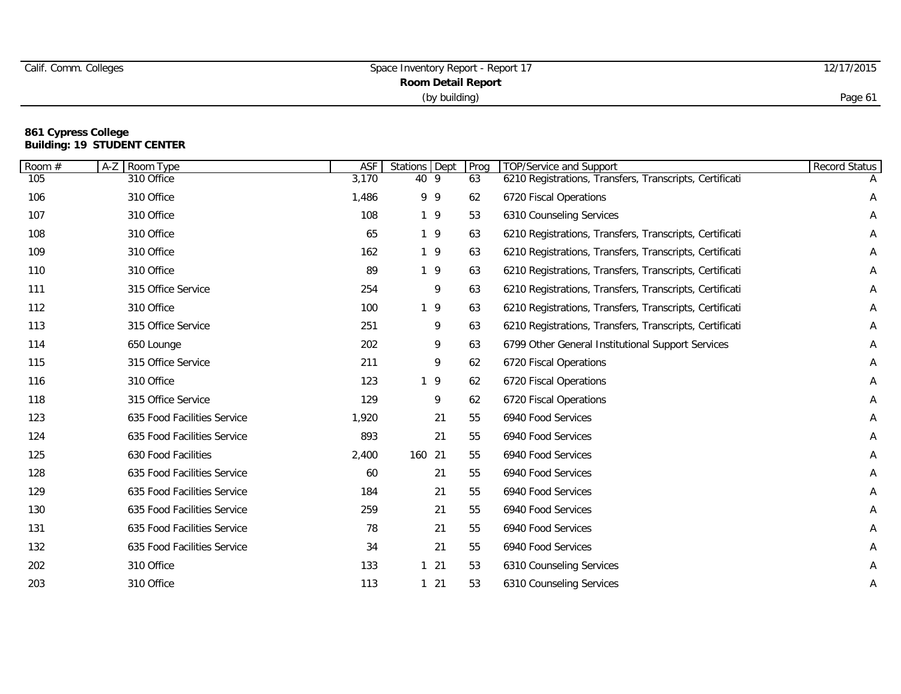|  | Calif. Comm. Colleges |
|--|-----------------------|
|  |                       |

# **861 Cypress College Building: 19 STUDENT CENTER**

| Room # | Room Type<br>$A-Z$          | <b>ASF</b> | Stations Dept | Prog | TOP/Service and Support                                 | <b>Record Status</b> |
|--------|-----------------------------|------------|---------------|------|---------------------------------------------------------|----------------------|
| 105    | 310 Office                  | 3,170      | 40 9          | 63   | 6210 Registrations, Transfers, Transcripts, Certificati |                      |
| 106    | 310 Office                  | 1,486      | 9 9           | 62   | 6720 Fiscal Operations                                  | Α                    |
| 107    | 310 Office                  | 108        | 19            | 53   | 6310 Counseling Services                                | Α                    |
| 108    | 310 Office                  | 65         | 19            | 63   | 6210 Registrations, Transfers, Transcripts, Certificati | Α                    |
| 109    | 310 Office                  | 162        | 19            | 63   | 6210 Registrations, Transfers, Transcripts, Certificati | A                    |
| 110    | 310 Office                  | 89         | 19            | 63   | 6210 Registrations, Transfers, Transcripts, Certificati | A                    |
| 111    | 315 Office Service          | 254        | 9             | 63   | 6210 Registrations, Transfers, Transcripts, Certificati | Α                    |
| 112    | 310 Office                  | 100        | 19            | 63   | 6210 Registrations, Transfers, Transcripts, Certificati | Α                    |
| 113    | 315 Office Service          | 251        | 9             | 63   | 6210 Registrations, Transfers, Transcripts, Certificati | Α                    |
| 114    | 650 Lounge                  | 202        | 9             | 63   | 6799 Other General Institutional Support Services       | A                    |
| 115    | 315 Office Service          | 211        | 9             | 62   | 6720 Fiscal Operations                                  | Α                    |
| 116    | 310 Office                  | 123        | 19            | 62   | 6720 Fiscal Operations                                  | Α                    |
| 118    | 315 Office Service          | 129        | 9             | 62   | 6720 Fiscal Operations                                  | Α                    |
| 123    | 635 Food Facilities Service | 1,920      | 21            | 55   | 6940 Food Services                                      | Α                    |
| 124    | 635 Food Facilities Service | 893        | 21            | 55   | 6940 Food Services                                      | Α                    |
| 125    | 630 Food Facilities         | 2,400      | 160 21        | 55   | 6940 Food Services                                      | Α                    |
| 128    | 635 Food Facilities Service | 60         | 21            | 55   | 6940 Food Services                                      | Α                    |
| 129    | 635 Food Facilities Service | 184        | 21            | 55   | 6940 Food Services                                      | Α                    |
| 130    | 635 Food Facilities Service | 259        | 21            | 55   | 6940 Food Services                                      | Α                    |
| 131    | 635 Food Facilities Service | 78         | 21            | 55   | 6940 Food Services                                      | Α                    |
| 132    | 635 Food Facilities Service | 34         | 21            | 55   | 6940 Food Services                                      | Α                    |
| 202    | 310 Office                  | 133        | 121           | 53   | 6310 Counseling Services                                | Α                    |
| 203    | 310 Office                  | 113        | $1 21$        | 53   | 6310 Counseling Services                                | Α                    |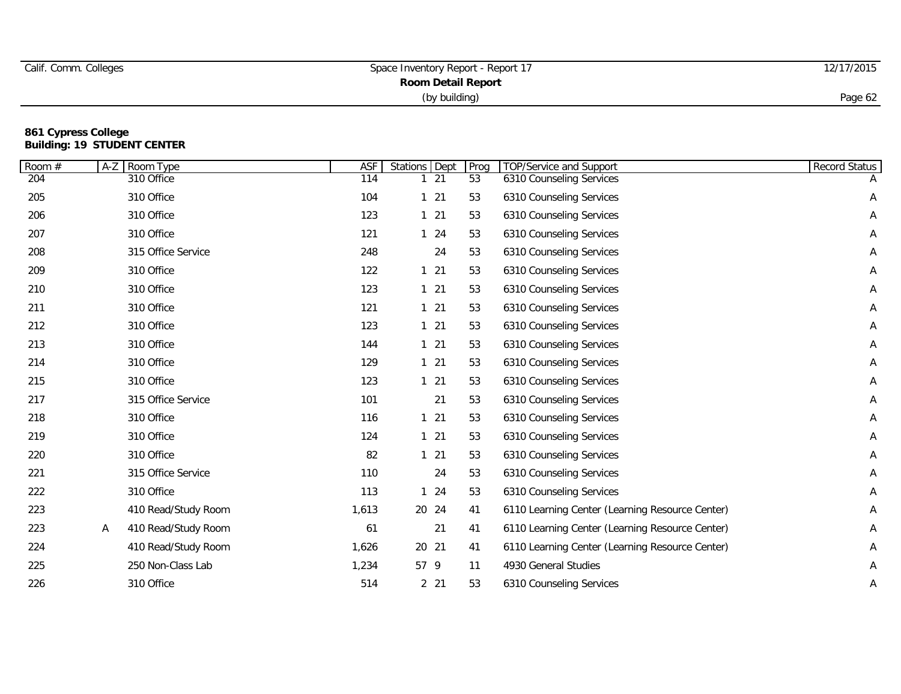| Calif. Comm. Colleges | Space Inventory Report - Report 17 | 12/17/2015 |
|-----------------------|------------------------------------|------------|
|                       |                                    |            |
|                       | (by building)                      | Page 62    |

#### **861 Cypress College Building: 19 STUDENT CENTER**

| Room # | $A-Z$ | Room Type           | <b>ASF</b> | Stations Dept |                 | Prog | TOP/Service and Support                         | Record Status |
|--------|-------|---------------------|------------|---------------|-----------------|------|-------------------------------------------------|---------------|
| 204    |       | 310 Office          | 114        |               | 21              | 53   | 6310 Counseling Services                        | A             |
| 205    |       | 310 Office          | 104        |               | $1 \quad 21$    | 53   | 6310 Counseling Services                        | Α             |
| 206    |       | 310 Office          | 123        |               | $1 21$          | 53   | 6310 Counseling Services                        | Α             |
| 207    |       | 310 Office          | 121        |               | 24              | 53   | 6310 Counseling Services                        | Α             |
| 208    |       | 315 Office Service  | 248        |               | 24              | 53   | 6310 Counseling Services                        | Α             |
| 209    |       | 310 Office          | 122        |               | $1 \quad 21$    | 53   | 6310 Counseling Services                        | Α             |
| 210    |       | 310 Office          | 123        |               | $1 \quad 21$    | 53   | 6310 Counseling Services                        | A             |
| 211    |       | 310 Office          | 121        |               | $1 \quad 21$    | 53   | 6310 Counseling Services                        | Α             |
| 212    |       | 310 Office          | 123        |               | $1 \quad 21$    | 53   | 6310 Counseling Services                        | A             |
| 213    |       | 310 Office          | 144        |               | $1 \quad 21$    | 53   | 6310 Counseling Services                        | Α             |
| 214    |       | 310 Office          | 129        |               | $1 \t21$        | 53   | 6310 Counseling Services                        | Α             |
| 215    |       | 310 Office          | 123        |               | $1 \quad 21$    | 53   | 6310 Counseling Services                        | Α             |
| 217    |       | 315 Office Service  | 101        |               | 21              | 53   | 6310 Counseling Services                        | Α             |
| 218    |       | 310 Office          | 116        |               | $1 \quad 21$    | 53   | 6310 Counseling Services                        | Α             |
| 219    |       | 310 Office          | 124        |               | $1 \quad 21$    | 53   | 6310 Counseling Services                        | A             |
| 220    |       | 310 Office          | 82         |               | $1 \t21$        | 53   | 6310 Counseling Services                        | Α             |
| 221    |       | 315 Office Service  | 110        |               | 24              | 53   | 6310 Counseling Services                        | Α             |
| 222    |       | 310 Office          | 113        |               | 24              | 53   | 6310 Counseling Services                        | A             |
| 223    |       | 410 Read/Study Room | 1,613      |               | 20 24           | 41   | 6110 Learning Center (Learning Resource Center) | A             |
| 223    | A     | 410 Read/Study Room | 61         |               | 21              | 41   | 6110 Learning Center (Learning Resource Center) | A             |
| 224    |       | 410 Read/Study Room | 1,626      |               | 20 21           | 41   | 6110 Learning Center (Learning Resource Center) | Α             |
| 225    |       | 250 Non-Class Lab   | 1,234      | 57 9          |                 | 11   | 4930 General Studies                            | Α             |
| 226    |       | 310 Office          | 514        |               | 2 <sub>21</sub> | 53   | 6310 Counseling Services                        | Α             |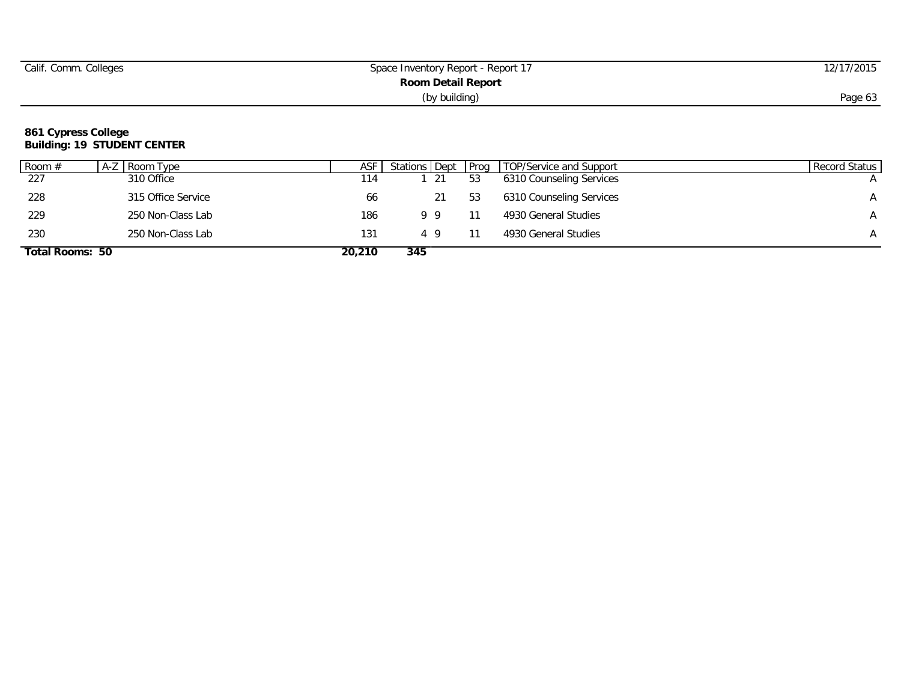| Calif. Comm. Colleges | Space Inventory Report - Report 17 | 12/17/2015 |
|-----------------------|------------------------------------|------------|
|                       |                                    |            |
|                       | (by building)                      | Page 63    |

#### **861 Cypress College Building: 19 STUDENT CENTER**

| 228             | 315 Office Service | 66     | 21  | 53 | 6310 Counseling Services | $\mathsf{A}$ |
|-----------------|--------------------|--------|-----|----|--------------------------|--------------|
| 229             | 250 Non-Class Lab  | 186    | 99  |    | 4930 General Studies     | $\mathsf{A}$ |
| 230             | 250 Non-Class Lab  | 131    |     |    | 4930 General Studies     | A            |
| Total Rooms: 50 |                    | 20,210 | 345 |    |                          |              |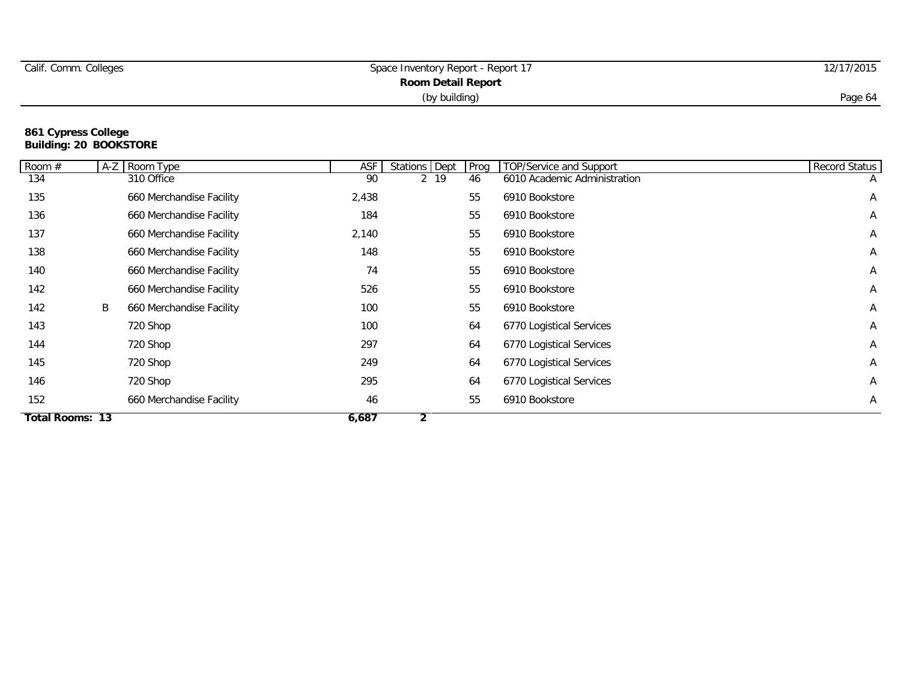| Calif. Comm. Colleges | Space Inventory Report - Report 17 | 12/17/2015 |
|-----------------------|------------------------------------|------------|
|                       |                                    |            |
|                       | (by building)                      | Page 64    |

## **861 Cypress College Building: 20 BOOKSTORE**

| Room #                 | $A-Z$ | Room Type                | ASF   | Stations Dept | Prog | <b>TOP/Service and Support</b> | <b>Record Status</b> |
|------------------------|-------|--------------------------|-------|---------------|------|--------------------------------|----------------------|
| 134                    |       | 310 Office               | 90    | 2 19          | 46   | 6010 Academic Administration   | $\mathsf{A}$         |
| 135                    |       | 660 Merchandise Facility | 2,438 |               | 55   | 6910 Bookstore                 | Α                    |
| 136                    |       | 660 Merchandise Facility | 184   |               | 55   | 6910 Bookstore                 | Α                    |
| 137                    |       | 660 Merchandise Facility | 2,140 |               | 55   | 6910 Bookstore                 | A                    |
| 138                    |       | 660 Merchandise Facility | 148   |               | 55   | 6910 Bookstore                 | Α                    |
| 140                    |       | 660 Merchandise Facility | 74    |               | 55   | 6910 Bookstore                 | Α                    |
| 142                    |       | 660 Merchandise Facility | 526   |               | 55   | 6910 Bookstore                 | Α                    |
| 142                    | B     | 660 Merchandise Facility | 100   |               | 55   | 6910 Bookstore                 | A                    |
| 143                    |       | 720 Shop                 | 100   |               | 64   | 6770 Logistical Services       | A                    |
| 144                    |       | 720 Shop                 | 297   |               | 64   | 6770 Logistical Services       | Α                    |
| 145                    |       | 720 Shop                 | 249   |               | 64   | 6770 Logistical Services       | Α                    |
| 146                    |       | 720 Shop                 | 295   |               | 64   | 6770 Logistical Services       | Α                    |
| 152                    |       | 660 Merchandise Facility | 46    |               | 55   | 6910 Bookstore                 | A                    |
| <b>Total Rooms: 13</b> |       |                          | 6,687 | 2             |      |                                |                      |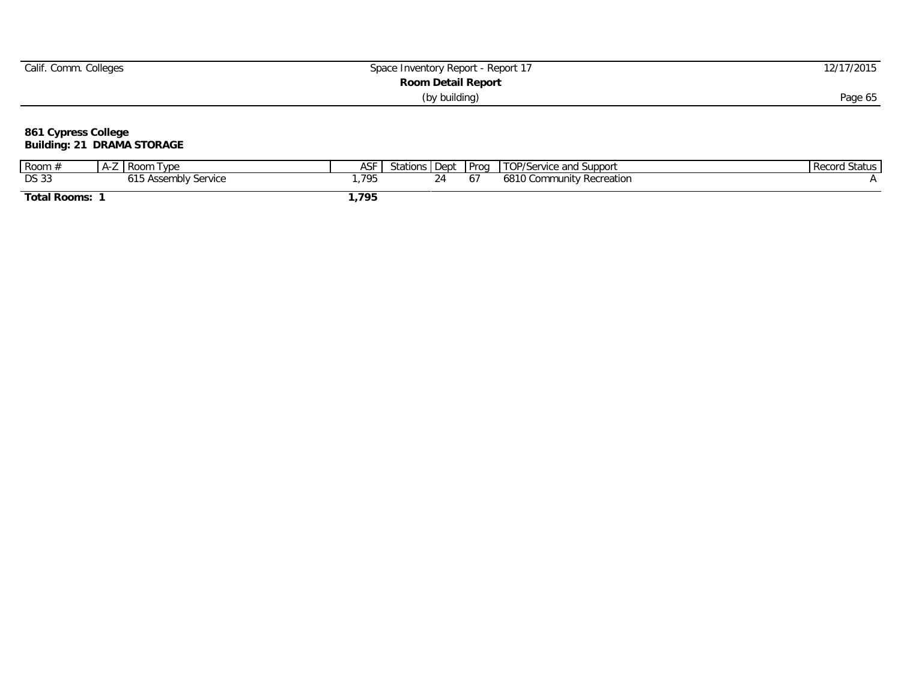| Calif. Comm. Colleges | Space Inventory Report - Report 17 | 12/17/2015 |
|-----------------------|------------------------------------|------------|
|                       |                                    |            |
|                       | (by building)                      | Page 65    |

#### **861 Cypress College Building: 21 DRAMA STORAGE**

| Room         | д. | I vpe<br><b>Room</b>     | ASF | Stations   Dept |          | Prog | TOP/Service and Support      | Record<br>. Status |
|--------------|----|--------------------------|-----|-----------------|----------|------|------------------------------|--------------------|
| <b>DS 33</b> |    | Assembly Service<br>Ass. | 795 |                 | <u>_</u> |      | 6810<br>Community Recreation |                    |
| Total Rooms: |    |                          | 795 |                 |          |      |                              |                    |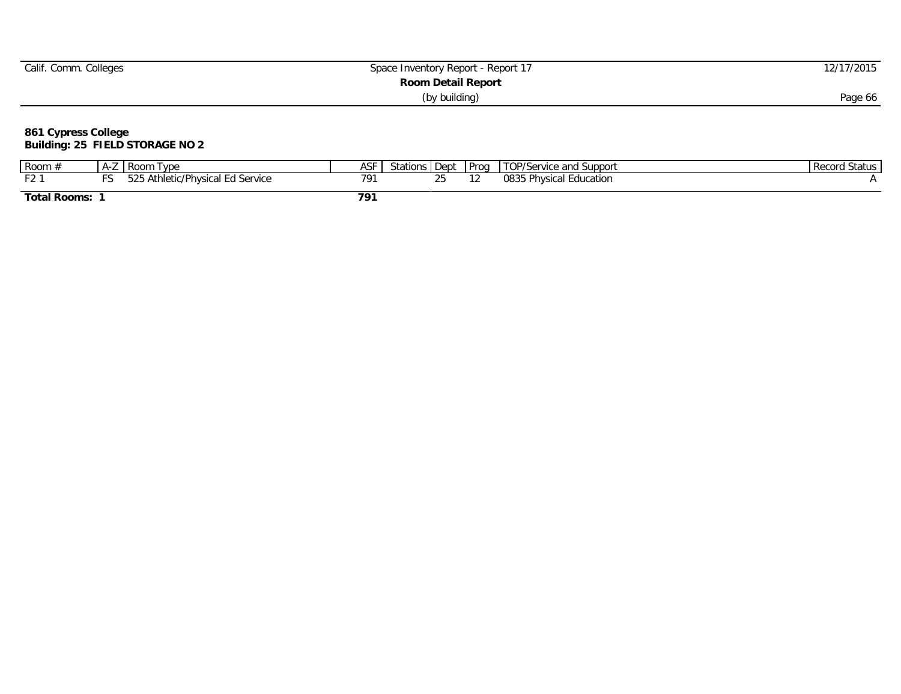| Calif. Comm. Colleges | Space Inventory Report - Report 17 | 12/17/2015 |
|-----------------------|------------------------------------|------------|
|                       |                                    |            |
|                       | (by building)                      | Page 66    |

## **861 Cypress College Building: 25 FIELD STORAGE NO 2**

| Room                | $\overline{ }$ | l vpe<br>I Room                                                                      | ASF | Stations | Dept | Prog | TOP/Service,<br>e and Support          | . Status<br>$D_{0}$<br><b>INGCOL</b> |
|---------------------|----------------|--------------------------------------------------------------------------------------|-----|----------|------|------|----------------------------------------|--------------------------------------|
| $\sim$              |                | detic/Physical<br>ו ה<br><sup>-</sup> Athletic <sub>/</sub> .<br>I Ed Service<br>,,, | 79  |          | --   |      | 083 <sup>L</sup><br>Physical Education |                                      |
| <b>Total Rooms:</b> |                |                                                                                      | 791 |          |      |      |                                        |                                      |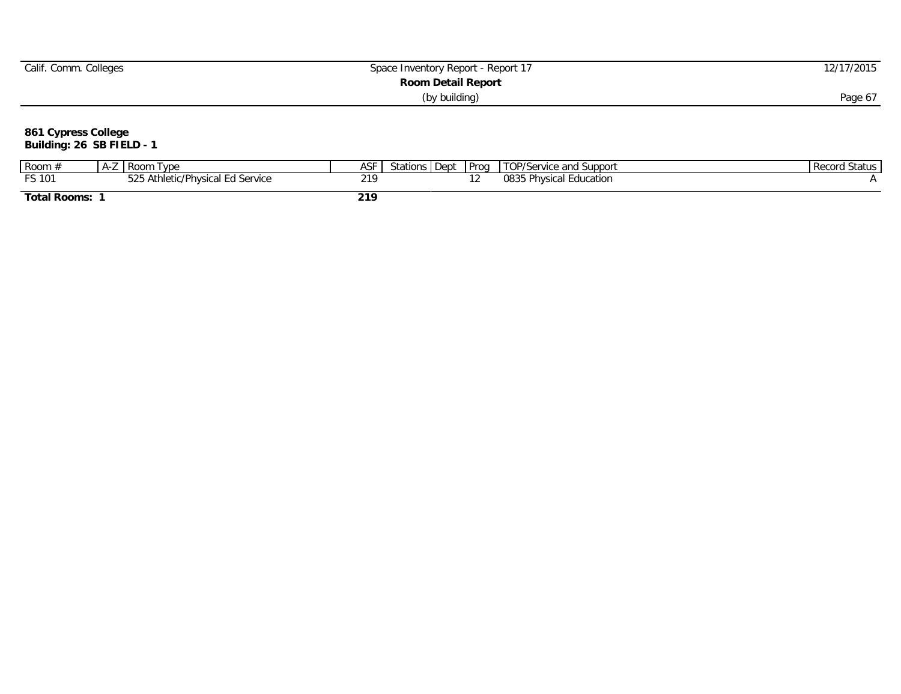| Calif. Comm. Colleges | Space Inventory Report - Report 17 | 12/17/2015 |
|-----------------------|------------------------------------|------------|
|                       |                                    |            |
|                       | (by building)                      | Page 6,    |

**861 Cypress College**

**Building: 26 SB FIELD - 1**

| Room $#$            | A-L | I Room<br>l vpe                            | ASF | Stations | l Dept | ' Prog | TOP/Service and Support                  | Status<br>Reco |
|---------------------|-----|--------------------------------------------|-----|----------|--------|--------|------------------------------------------|----------------|
| FS 101              |     | $F \cap F$<br>Athletic/Physical Ed Service | 210 |          |        |        | <b>Physical Education</b><br>U831<br>ハンシ |                |
| <b>Total Rooms:</b> |     |                                            | 219 |          |        |        |                                          |                |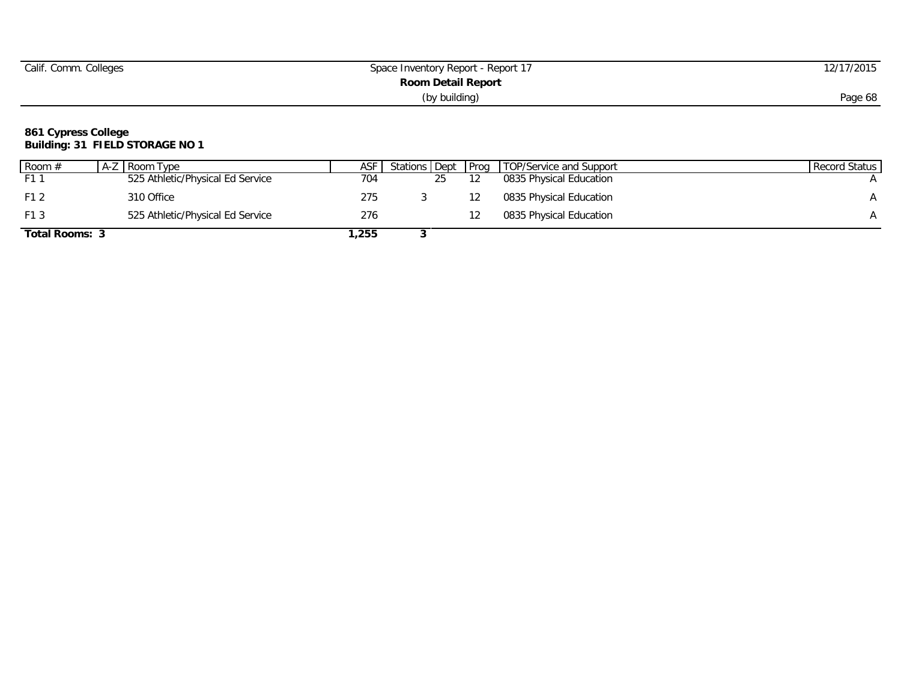| Calif. Comm. Colleges | Space Inventory Report - Report 17 | 12/17/2015 |
|-----------------------|------------------------------------|------------|
|                       | Room Detail Report                 |            |
|                       | (by building)                      | Page 68    |

## **861 Cypress College Building: 31 FIELD STORAGE NO 1**

| Room #         | A-Z   Room Type                  | ASF  | Stations Dept | <b>Prog</b> | TOP/Service and Support | Record Status |
|----------------|----------------------------------|------|---------------|-------------|-------------------------|---------------|
| F1 1           | 525 Athletic/Physical Ed Service | 704  | 25            |             | 0835 Physical Education |               |
| F1 2           | 310 Office                       | 275  |               |             | 0835 Physical Education |               |
| F13            | 525 Athletic/Physical Ed Service | 276  |               |             | 0835 Physical Education |               |
| Total Rooms: 3 |                                  | ,255 |               |             |                         |               |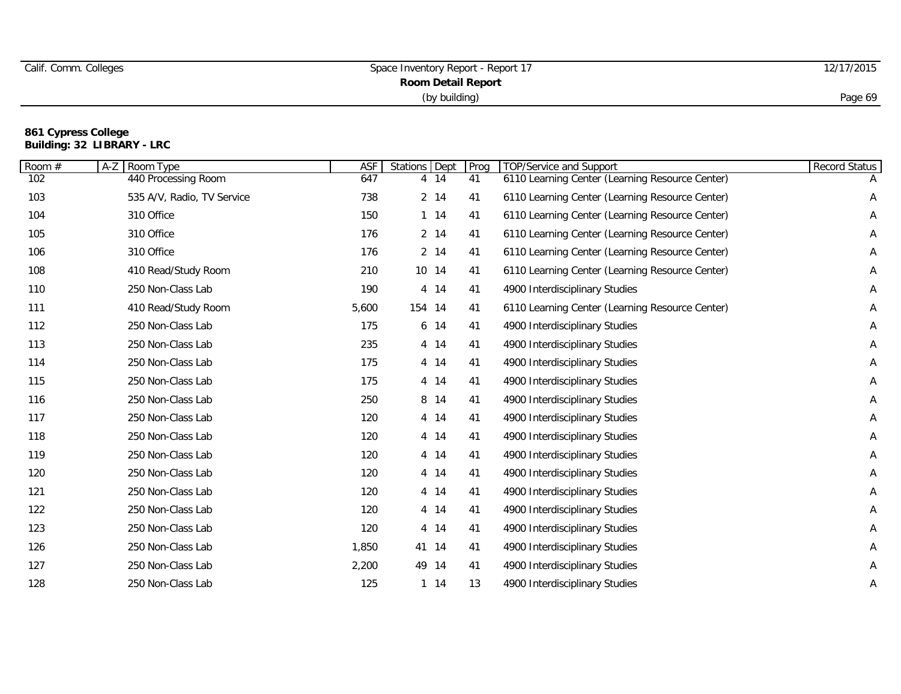|  | Calif. Comm. Colleges |
|--|-----------------------|
|  |                       |

## **861 Cypress College Building: 32 LIBRARY - LRC**

| Room # | Room Type<br>$A-Z$         | <b>ASF</b> | Stations Dept |          | Prog | TOP/Service and Support                         | Record Status |
|--------|----------------------------|------------|---------------|----------|------|-------------------------------------------------|---------------|
| 102    | 440 Processing Room        | 647        |               | 4 14     | 41   | 6110 Learning Center (Learning Resource Center) |               |
| 103    | 535 A/V, Radio, TV Service | 738        |               | 2 14     | 41   | 6110 Learning Center (Learning Resource Center) | Α             |
| 104    | 310 Office                 | 150        |               | $1 \t14$ | 41   | 6110 Learning Center (Learning Resource Center) | A             |
| 105    | 310 Office                 | 176        |               | 2 14     | 41   | 6110 Learning Center (Learning Resource Center) | Α             |
| 106    | 310 Office                 | 176        |               | 2 14     | 41   | 6110 Learning Center (Learning Resource Center) | A             |
| 108    | 410 Read/Study Room        | 210        |               | 10 14    | 41   | 6110 Learning Center (Learning Resource Center) | Α             |
| 110    | 250 Non-Class Lab          | 190        |               | 4 14     | 41   | 4900 Interdisciplinary Studies                  | A             |
| 111    | 410 Read/Study Room        | 5,600      | 154 14        |          | 41   | 6110 Learning Center (Learning Resource Center) | Α             |
| 112    | 250 Non-Class Lab          | 175        |               | 6 14     | 41   | 4900 Interdisciplinary Studies                  | A             |
| 113    | 250 Non-Class Lab          | 235        |               | 4 14     | 41   | 4900 Interdisciplinary Studies                  | Α             |
| 114    | 250 Non-Class Lab          | 175        |               | 4 14     | 41   | 4900 Interdisciplinary Studies                  | A             |
| 115    | 250 Non-Class Lab          | 175        |               | 4 14     | 41   | 4900 Interdisciplinary Studies                  | A             |
| 116    | 250 Non-Class Lab          | 250        |               | 8 14     | 41   | 4900 Interdisciplinary Studies                  | A             |
| 117    | 250 Non-Class Lab          | 120        |               | 4 14     | 41   | 4900 Interdisciplinary Studies                  | A             |
| 118    | 250 Non-Class Lab          | 120        |               | 4 14     | 41   | 4900 Interdisciplinary Studies                  | Α             |
| 119    | 250 Non-Class Lab          | 120        |               | 4 14     | 41   | 4900 Interdisciplinary Studies                  | Α             |
| 120    | 250 Non-Class Lab          | 120        |               | 4 14     | 41   | 4900 Interdisciplinary Studies                  | A             |
| 121    | 250 Non-Class Lab          | 120        |               | 4 14     | 41   | 4900 Interdisciplinary Studies                  | A             |
| 122    | 250 Non-Class Lab          | 120        |               | 4 14     | 41   | 4900 Interdisciplinary Studies                  | A             |
| 123    | 250 Non-Class Lab          | 120        |               | 4 14     | 41   | 4900 Interdisciplinary Studies                  | Α             |
| 126    | 250 Non-Class Lab          | 1,850      |               | 41 14    | 41   | 4900 Interdisciplinary Studies                  | Α             |
| 127    | 250 Non-Class Lab          | 2,200      |               | 49 14    | 41   | 4900 Interdisciplinary Studies                  | Α             |
| 128    | 250 Non-Class Lab          | 125        |               | 1 14     | 13   | 4900 Interdisciplinary Studies                  | Α             |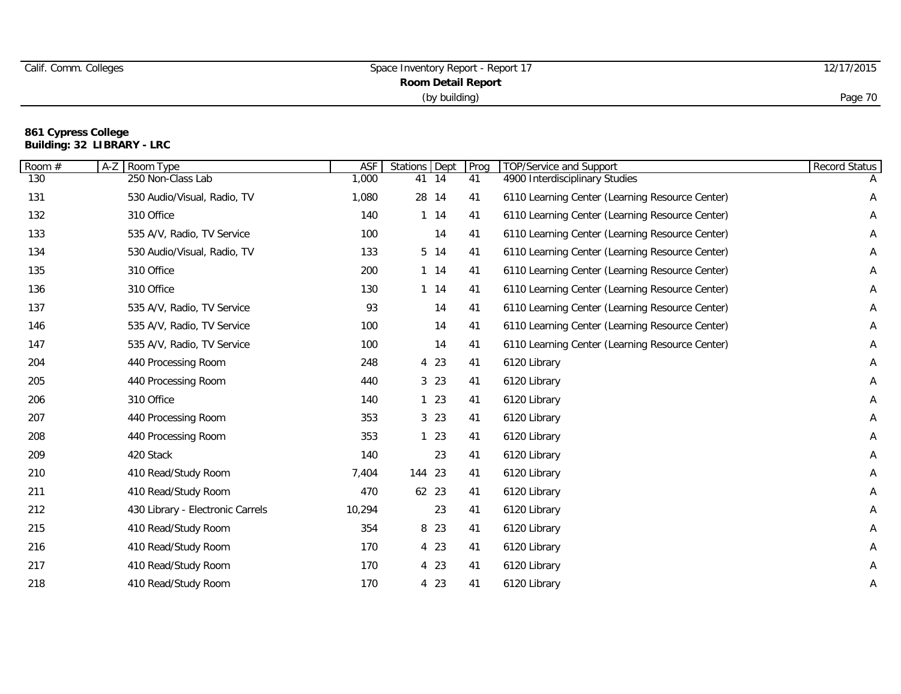# Calif. Comm. Colleges Space Inventory Report - Report 17 12/17/2015 **Room Detail Report** (by building) Page 70

### **861 Cypress College Building: 32 LIBRARY - LRC**

| Room # | Room Type<br>$A-Z$               | <b>ASF</b> | <b>Stations</b> Dept |          | Prog | TOP/Service and Support                         | Record Status |
|--------|----------------------------------|------------|----------------------|----------|------|-------------------------------------------------|---------------|
| 130    | 250 Non-Class Lab                | 1,000      |                      | 41 14    | 41   | 4900 Interdisciplinary Studies                  |               |
| 131    | 530 Audio/Visual, Radio, TV      | 1,080      |                      | 28 14    | 41   | 6110 Learning Center (Learning Resource Center) | Α             |
| 132    | 310 Office                       | 140        |                      | $1 \t14$ | 41   | 6110 Learning Center (Learning Resource Center) | A             |
| 133    | 535 A/V, Radio, TV Service       | 100        |                      | 14       | 41   | 6110 Learning Center (Learning Resource Center) | Α             |
| 134    | 530 Audio/Visual, Radio, TV      | 133        |                      | 5 14     | 41   | 6110 Learning Center (Learning Resource Center) | Α             |
| 135    | 310 Office                       | 200        |                      | $1 \t14$ | 41   | 6110 Learning Center (Learning Resource Center) | Α             |
| 136    | 310 Office                       | 130        |                      | $1 \t14$ | 41   | 6110 Learning Center (Learning Resource Center) | Α             |
| 137    | 535 A/V, Radio, TV Service       | 93         |                      | 14       | 41   | 6110 Learning Center (Learning Resource Center) | Α             |
| 146    | 535 A/V, Radio, TV Service       | 100        |                      | 14       | 41   | 6110 Learning Center (Learning Resource Center) | A             |
| 147    | 535 A/V, Radio, TV Service       | 100        |                      | 14       | 41   | 6110 Learning Center (Learning Resource Center) | Α             |
| 204    | 440 Processing Room              | 248        |                      | 4 23     | 41   | 6120 Library                                    | Α             |
| 205    | 440 Processing Room              | 440        |                      | 3 23     | 41   | 6120 Library                                    | A             |
| 206    | 310 Office                       | 140        |                      | 123      | 41   | 6120 Library                                    | A             |
| 207    | 440 Processing Room              | 353        |                      | 3 2 3    | 41   | 6120 Library                                    | A             |
| 208    | 440 Processing Room              | 353        |                      | 123      | 41   | 6120 Library                                    | A             |
| 209    | 420 Stack                        | 140        |                      | 23       | 41   | 6120 Library                                    | Α             |
| 210    | 410 Read/Study Room              | 7,404      | 144 23               |          | 41   | 6120 Library                                    | Α             |
| 211    | 410 Read/Study Room              | 470        |                      | 62 23    | 41   | 6120 Library                                    | A             |
| 212    | 430 Library - Electronic Carrels | 10,294     |                      | 23       | 41   | 6120 Library                                    | A             |
| 215    | 410 Read/Study Room              | 354        |                      | 8 23     | 41   | 6120 Library                                    | A             |
| 216    | 410 Read/Study Room              | 170        |                      | 4 23     | 41   | 6120 Library                                    | Α             |
| 217    | 410 Read/Study Room              | 170        |                      | 4 23     | 41   | 6120 Library                                    | Α             |
| 218    | 410 Read/Study Room              | 170        |                      | 4 23     | 41   | 6120 Library                                    | Α             |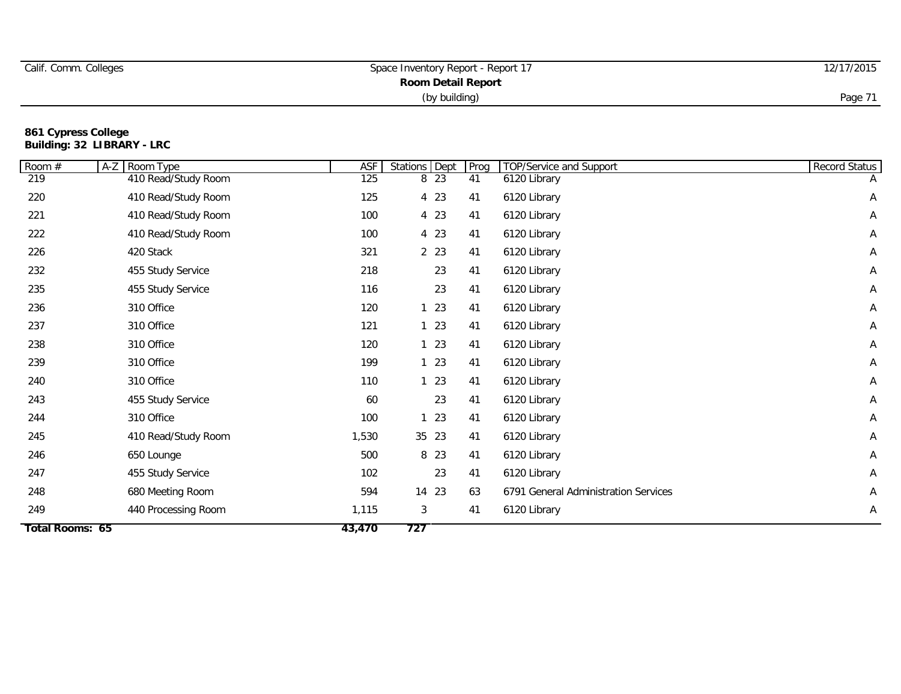| Calif. Comm. Colleges | Space Inventory Report - Report 17 | 12/17/2015 |
|-----------------------|------------------------------------|------------|
|                       | Room Detail Report                 |            |
|                       | (by building)                      | Page 7     |

## **861 Cypress College Building: 32 LIBRARY - LRC**

| Room #                 | Room Type<br>$A-Z$  | <b>ASF</b> | <b>Stations</b> Dept | Prog | <b>TOP/Service and Support</b>       | <b>Record Status</b> |
|------------------------|---------------------|------------|----------------------|------|--------------------------------------|----------------------|
| 219                    | 410 Read/Study Room | 125        | 8 <sup>23</sup>      | 41   | 6120 Library                         | A                    |
| 220                    | 410 Read/Study Room | 125        | 4 23                 | 41   | 6120 Library                         | A                    |
| 221                    | 410 Read/Study Room | 100        | 4 23                 | 41   | 6120 Library                         | A                    |
| 222                    | 410 Read/Study Room | 100        | 4 23                 | 41   | 6120 Library                         | Α                    |
| 226                    | 420 Stack           | 321        | 2 2 3                | 41   | 6120 Library                         | Α                    |
| 232                    | 455 Study Service   | 218        | 23                   | 41   | 6120 Library                         | A                    |
| 235                    | 455 Study Service   | 116        | 23                   | 41   | 6120 Library                         | Α                    |
| 236                    | 310 Office          | 120        | 123                  | 41   | 6120 Library                         | A                    |
| 237                    | 310 Office          | 121        | 123                  | 41   | 6120 Library                         | A                    |
| 238                    | 310 Office          | 120        | 123                  | 41   | 6120 Library                         | A                    |
| 239                    | 310 Office          | 199        | 123                  | 41   | 6120 Library                         | A                    |
| 240                    | 310 Office          | 110        | 123                  | 41   | 6120 Library                         | A                    |
| 243                    | 455 Study Service   | 60         | 23                   | 41   | 6120 Library                         | Α                    |
| 244                    | 310 Office          | 100        | 123                  | 41   | 6120 Library                         | A                    |
| 245                    | 410 Read/Study Room | 1,530      | 35 23                | 41   | 6120 Library                         | A                    |
| 246                    | 650 Lounge          | 500        | 8 23                 | 41   | 6120 Library                         | Α                    |
| 247                    | 455 Study Service   | 102        | 23                   | 41   | 6120 Library                         | Α                    |
| 248                    | 680 Meeting Room    | 594        | 14 23                | 63   | 6791 General Administration Services | A                    |
| 249                    | 440 Processing Room | 1,115      | $\mathfrak{Z}$       | 41   | 6120 Library                         | A                    |
| <b>Total Rooms: 65</b> |                     | 43,470     | 727                  |      |                                      |                      |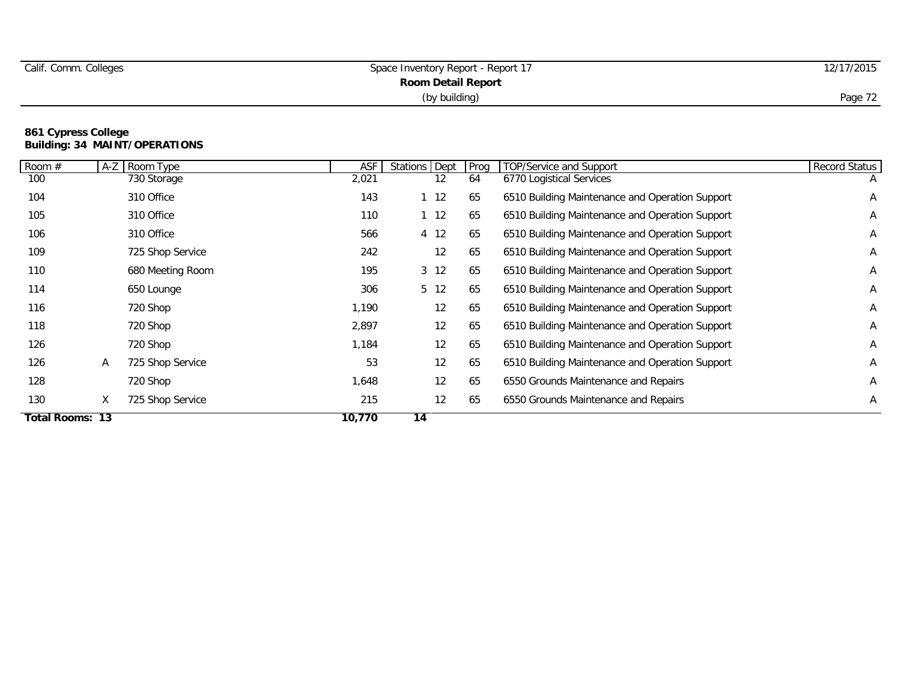|  | Calif. Comm. Colleges |
|--|-----------------------|
|  |                       |

## **861 Cypress College Building: 34 MAINT/OPERATIONS**

| Room $#$               |   | A-Z Room Type    | <b>ASF</b> | Stations Dept | Prog | TOP/Service and Support                         | <b>Record Status</b> |
|------------------------|---|------------------|------------|---------------|------|-------------------------------------------------|----------------------|
| 100                    |   | 730 Storage      | 2,021      | 12            | 64   | 6770 Logistical Services                        | $\mathsf{A}$         |
| 104                    |   | 310 Office       | 143        | $1\quad12$    | 65   | 6510 Building Maintenance and Operation Support | Α                    |
| 105                    |   | 310 Office       | 110        | 112           | 65   | 6510 Building Maintenance and Operation Support | Α                    |
| 106                    |   | 310 Office       | 566        | 4 12          | 65   | 6510 Building Maintenance and Operation Support | Α                    |
| 109                    |   | 725 Shop Service | 242        | 12            | 65   | 6510 Building Maintenance and Operation Support | Α                    |
| 110                    |   | 680 Meeting Room | 195        | 3 12          | 65   | 6510 Building Maintenance and Operation Support | Α                    |
| 114                    |   | 650 Lounge       | 306        | 5 12          | 65   | 6510 Building Maintenance and Operation Support | Α                    |
| 116                    |   | 720 Shop         | 1.190      | 12            | 65   | 6510 Building Maintenance and Operation Support | Α                    |
| 118                    |   | 720 Shop         | 2,897      | 12            | 65   | 6510 Building Maintenance and Operation Support | A                    |
| 126                    |   | 720 Shop         | 1,184      | 12            | 65   | 6510 Building Maintenance and Operation Support | A                    |
| 126                    | A | 725 Shop Service | 53         | 12            | 65   | 6510 Building Maintenance and Operation Support | Α                    |
| 128                    |   | 720 Shop         | 1,648      | 12            | 65   | 6550 Grounds Maintenance and Repairs            | Α                    |
| 130                    | X | 725 Shop Service | 215        | 12            | 65   | 6550 Grounds Maintenance and Repairs            | Α                    |
| <b>Total Rooms: 13</b> |   |                  | 10,770     | 14            |      |                                                 |                      |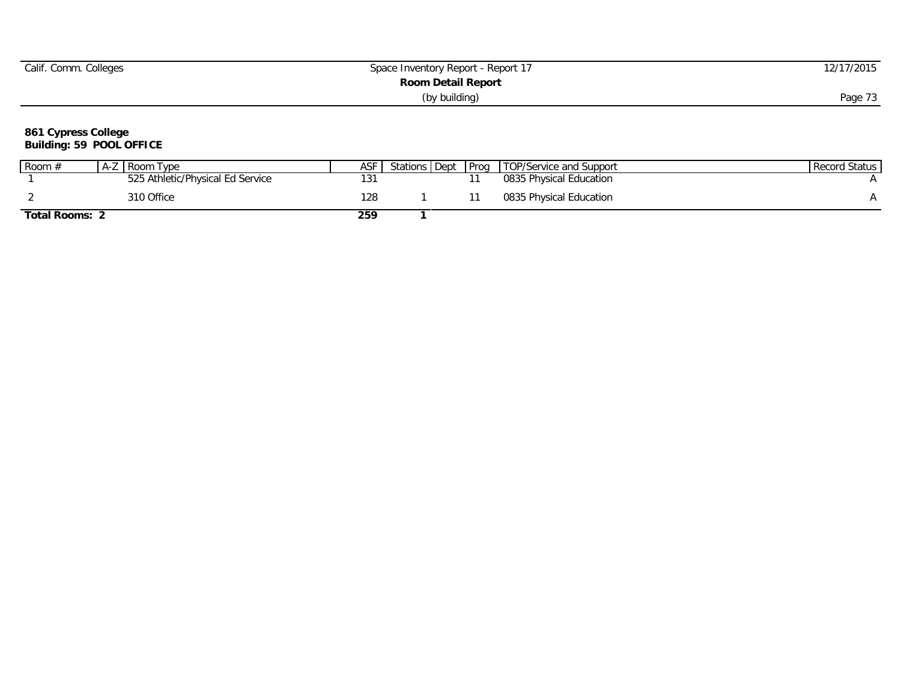| Calif. Comm. Colleges | Space Inventory Report - Report 17 | 12/17/2015 |
|-----------------------|------------------------------------|------------|
|                       | Room Detail Report                 |            |
|                       | (by building)                      | Page 7.    |

### **861 Cypress College Building: 59 POOL OFFICE**

| Room $#$              | A-Z Room Type                    | ASF |  | Stations Dept Prog TOP/Service and Support | Record Status |
|-----------------------|----------------------------------|-----|--|--------------------------------------------|---------------|
|                       | 525 Athletic/Physical Ed Service |     |  | 0835 Physical Education                    |               |
|                       | 310 Office                       | 128 |  | 0835 Physical Education                    |               |
| <b>Total Rooms: 2</b> |                                  | 259 |  |                                            |               |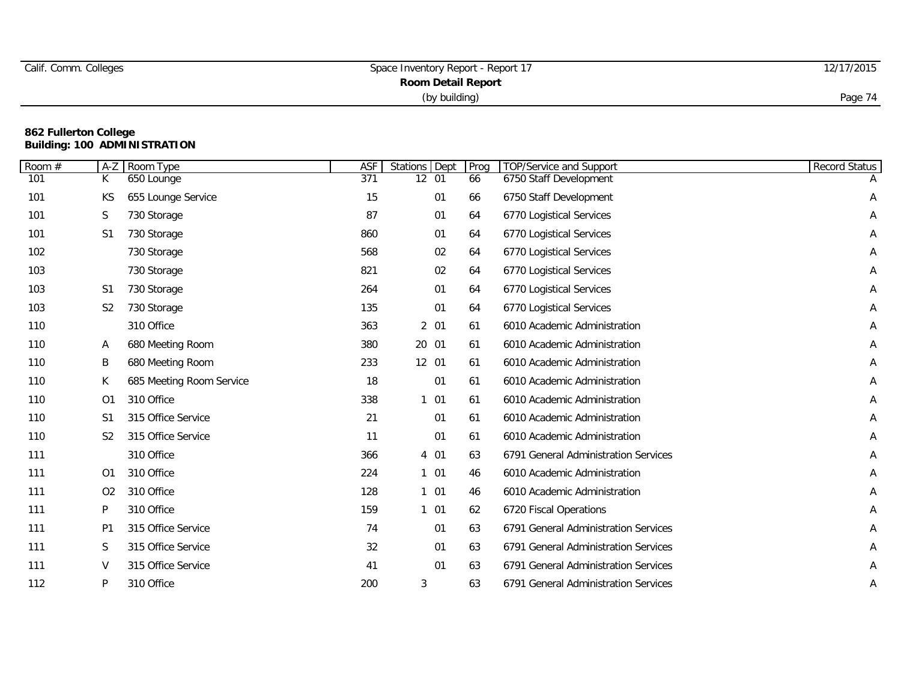| Calif. Comm. Colleges | Space Inventory Report -<br><sup>++</sup> - Report 1, | 12/17/2015 |
|-----------------------|-------------------------------------------------------|------------|
|                       |                                                       |            |
|                       | (by building)                                         | Page 74    |

## **862 Fullerton College Building: 100 ADMINISTRATION**

| Room# | $A-Z$          | Room Type                | ASF | <b>Stations</b> Dept |      | Prog | <b>TOP/Service and Support</b>       | Record Status |
|-------|----------------|--------------------------|-----|----------------------|------|------|--------------------------------------|---------------|
| 101   | K              | 650 Lounge               | 371 | $12$ 01              |      | 66   | 6750 Staff Development               |               |
| 101   | KS             | 655 Lounge Service       | 15  |                      | 01   | 66   | 6750 Staff Development               | Α             |
| 101   | S              | 730 Storage              | 87  |                      | 01   | 64   | 6770 Logistical Services             | Α             |
| 101   | S <sub>1</sub> | 730 Storage              | 860 |                      | 01   | 64   | 6770 Logistical Services             | Α             |
| 102   |                | 730 Storage              | 568 |                      | 02   | 64   | 6770 Logistical Services             | Α             |
| 103   |                | 730 Storage              | 821 |                      | 02   | 64   | 6770 Logistical Services             | Α             |
| 103   | S1             | 730 Storage              | 264 |                      | 01   | 64   | 6770 Logistical Services             | A             |
| 103   | S <sub>2</sub> | 730 Storage              | 135 |                      | 01   | 64   | 6770 Logistical Services             | Α             |
| 110   |                | 310 Office               | 363 |                      | 2 01 | 61   | 6010 Academic Administration         | Α             |
| 110   | A              | 680 Meeting Room         | 380 | 20 01                |      | 61   | 6010 Academic Administration         | Α             |
| 110   | B              | 680 Meeting Room         | 233 | 12 01                |      | 61   | 6010 Academic Administration         | Α             |
| 110   | K              | 685 Meeting Room Service | 18  |                      | 01   | 61   | 6010 Academic Administration         | A             |
| 110   | O <sub>1</sub> | 310 Office               | 338 |                      | 101  | 61   | 6010 Academic Administration         | A             |
| 110   | S <sub>1</sub> | 315 Office Service       | 21  |                      | 01   | 61   | 6010 Academic Administration         | Α             |
| 110   | S <sub>2</sub> | 315 Office Service       | 11  |                      | 01   | 61   | 6010 Academic Administration         | Α             |
| 111   |                | 310 Office               | 366 |                      | 4 01 | 63   | 6791 General Administration Services | Α             |
| 111   | 01             | 310 Office               | 224 |                      | 101  | 46   | 6010 Academic Administration         | Α             |
| 111   | O <sub>2</sub> | 310 Office               | 128 |                      | 101  | 46   | 6010 Academic Administration         | A             |
| 111   | P              | 310 Office               | 159 |                      | 101  | 62   | 6720 Fiscal Operations               | A             |
| 111   | P <sub>1</sub> | 315 Office Service       | 74  |                      | 01   | 63   | 6791 General Administration Services | Α             |
| 111   | S              | 315 Office Service       | 32  |                      | 01   | 63   | 6791 General Administration Services | Α             |
| 111   | $\vee$         | 315 Office Service       | 41  |                      | 01   | 63   | 6791 General Administration Services | Α             |
| 112   | P              | 310 Office               | 200 | 3                    |      | 63   | 6791 General Administration Services | Α             |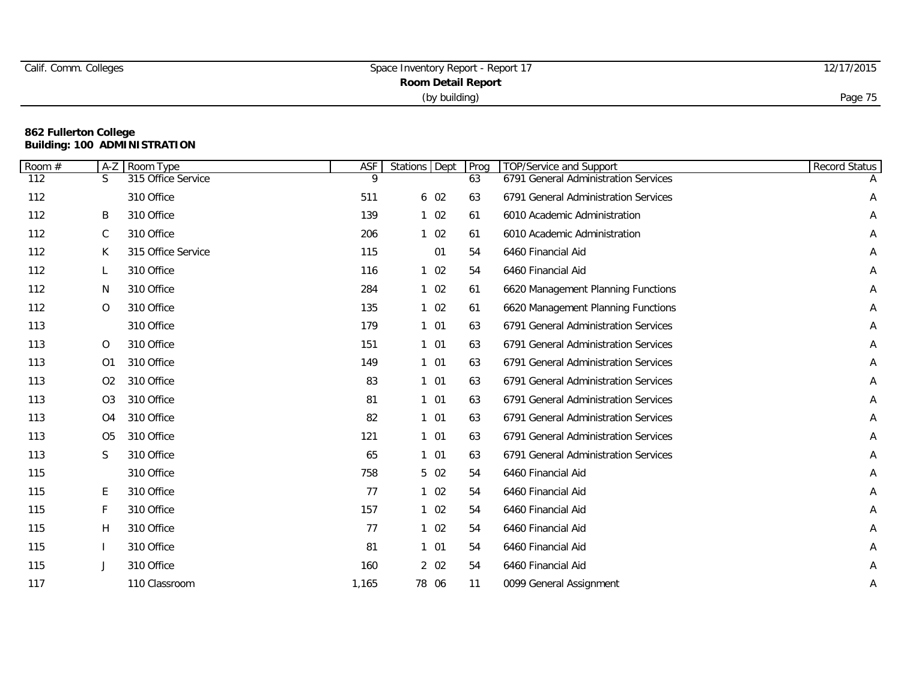|  | Calif. Comm. Colleges |
|--|-----------------------|
|  |                       |

# **862 Fullerton College Building: 100 ADMINISTRATION**

| Room # | $A-Z$          | Room Type          | ASF   | Stations Dept |       | Prog | TOP/Service and Support              | <b>Record Status</b> |
|--------|----------------|--------------------|-------|---------------|-------|------|--------------------------------------|----------------------|
| 112    | S.             | 315 Office Service | 9     |               |       | 63   | 6791 General Administration Services |                      |
| 112    |                | 310 Office         | 511   |               | 6 02  | 63   | 6791 General Administration Services | Α                    |
| 112    | B              | 310 Office         | 139   |               | 102   | 61   | 6010 Academic Administration         | Α                    |
| 112    | C              | 310 Office         | 206   |               | 102   | 61   | 6010 Academic Administration         | Α                    |
| 112    | K              | 315 Office Service | 115   |               | 01    | 54   | 6460 Financial Aid                   | Α                    |
| 112    | L              | 310 Office         | 116   |               | 102   | 54   | 6460 Financial Aid                   | A                    |
| 112    | N              | 310 Office         | 284   |               | 102   | 61   | 6620 Management Planning Functions   | Α                    |
| 112    | $\circ$        | 310 Office         | 135   |               | 102   | 61   | 6620 Management Planning Functions   | Α                    |
| 113    |                | 310 Office         | 179   |               | 101   | 63   | 6791 General Administration Services | Α                    |
| 113    | 0              | 310 Office         | 151   |               | 101   | 63   | 6791 General Administration Services | Α                    |
| 113    | 01             | 310 Office         | 149   |               | 101   | 63   | 6791 General Administration Services | Α                    |
| 113    | O <sub>2</sub> | 310 Office         | 83    |               | 101   | 63   | 6791 General Administration Services | A                    |
| 113    | O <sub>3</sub> | 310 Office         | 81    |               | 101   | 63   | 6791 General Administration Services | Α                    |
| 113    | O <sub>4</sub> | 310 Office         | 82    |               | 101   | 63   | 6791 General Administration Services | Α                    |
| 113    | O <sub>5</sub> | 310 Office         | 121   |               | 101   | 63   | 6791 General Administration Services | Α                    |
| 113    | S              | 310 Office         | 65    |               | 101   | 63   | 6791 General Administration Services | Α                    |
| 115    |                | 310 Office         | 758   |               | 5 02  | 54   | 6460 Financial Aid                   | A                    |
| 115    | E.             | 310 Office         | 77    |               | 102   | 54   | 6460 Financial Aid                   | Α                    |
| 115    | F              | 310 Office         | 157   |               | 102   | 54   | 6460 Financial Aid                   | A                    |
| 115    | H              | 310 Office         | 77    |               | 102   | 54   | 6460 Financial Aid                   | Α                    |
| 115    |                | 310 Office         | 81    |               | 101   | 54   | 6460 Financial Aid                   | Α                    |
| 115    | J              | 310 Office         | 160   |               | 2 02  | 54   | 6460 Financial Aid                   | Α                    |
| 117    |                | 110 Classroom      | 1,165 |               | 78 06 | 11   | 0099 General Assignment              | Α                    |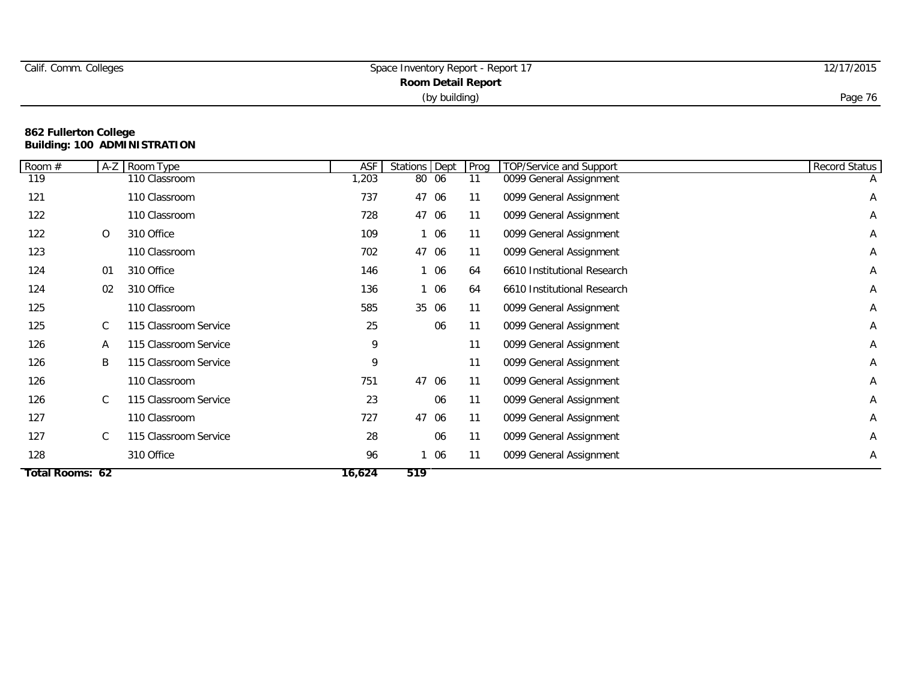| Calif. Comm. Colleges | Space Inventory Report - Report 17 | 12/17/2015 |
|-----------------------|------------------------------------|------------|
|                       | <b>Room Detail Report</b>          |            |
|                       | (by building)                      | Page 76    |

### **862 Fullerton College Building: 100 ADMINISTRATION**

| Room $#$        | $A-Z$        | Room Type             | <b>ASF</b> | Stations Dept | Prog | TOP/Service and Support     | <b>Record Status</b> |
|-----------------|--------------|-----------------------|------------|---------------|------|-----------------------------|----------------------|
| 119             |              | 110 Classroom         | ,203       | 80 06         | 11   | 0099 General Assignment     | $\mathsf{A}$         |
| 121             |              | 110 Classroom         | 737        | 47 06         | 11   | 0099 General Assignment     | А                    |
| 122             |              | 110 Classroom         | 728        | 47 06         | 11   | 0099 General Assignment     | Α                    |
| 122             | $\circ$      | 310 Office            | 109        | 1 06          | 11   | 0099 General Assignment     | A                    |
| 123             |              | 110 Classroom         | 702        | 47 06         | 11   | 0099 General Assignment     | Α                    |
| 124             | 01           | 310 Office            | 146        | 1 06          | 64   | 6610 Institutional Research | A                    |
| 124             | 02           | 310 Office            | 136        | 1 06          | 64   | 6610 Institutional Research | Α                    |
| 125             |              | 110 Classroom         | 585        | 35 06         | 11   | 0099 General Assignment     | Α                    |
| 125             | C            | 115 Classroom Service | 25         | 06            | 11   | 0099 General Assignment     | Α                    |
| 126             | A            | 115 Classroom Service | 9          |               | 11   | 0099 General Assignment     | A                    |
| 126             | B            | 115 Classroom Service | 9          |               | 11   | 0099 General Assignment     | Α                    |
| 126             |              | 110 Classroom         | 751        | 47<br>06      | 11   | 0099 General Assignment     | Α                    |
| 126             | $\mathsf{C}$ | 115 Classroom Service | 23         | 06            | 11   | 0099 General Assignment     | Α                    |
| 127             |              | 110 Classroom         | 727        | 47<br>06      | 11   | 0099 General Assignment     | Α                    |
| 127             | $\mathsf{C}$ | 115 Classroom Service | 28         | 06            | 11   | 0099 General Assignment     | Α                    |
| 128             |              | 310 Office            | 96         | 1 06          | 11   | 0099 General Assignment     | Α                    |
| Total Rooms: 62 |              |                       | 16,624     | 519           |      |                             |                      |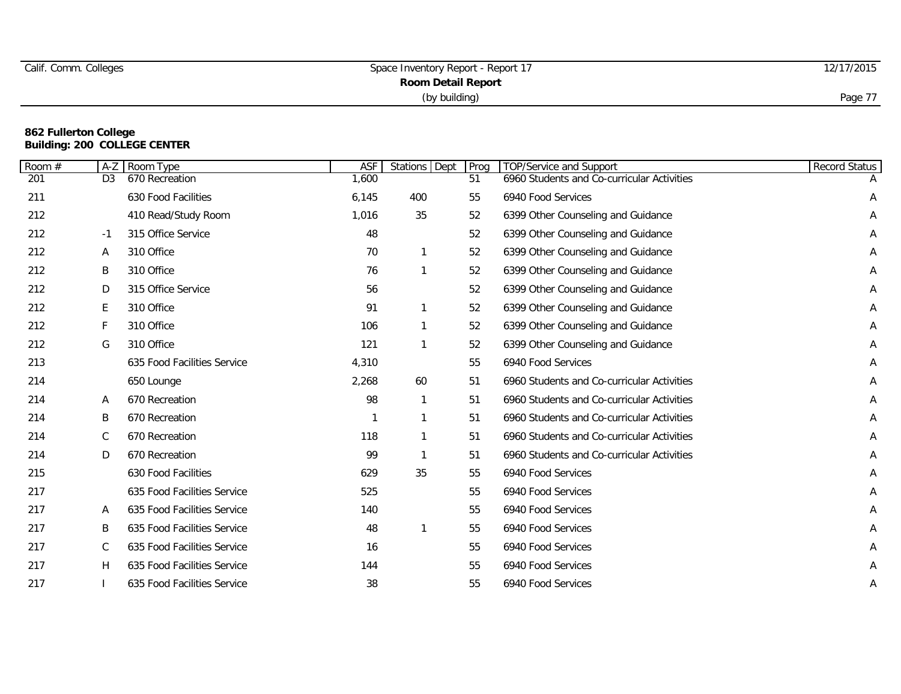|  | Calif. Comm. Colleges |
|--|-----------------------|
|  |                       |

# **862 Fullerton College Building: 200 COLLEGE CENTER**

| Room # | $A-Z$          | Room Type                   | <b>ASF</b> | Stations Dept | Prog | <b>TOP/Service and Support</b>             | <b>Record Status</b> |
|--------|----------------|-----------------------------|------------|---------------|------|--------------------------------------------|----------------------|
| 201    | D <sub>3</sub> | 670 Recreation              | 1,600      |               | 51   | 6960 Students and Co-curricular Activities |                      |
| 211    |                | 630 Food Facilities         | 6,145      | 400           | 55   | 6940 Food Services                         | Α                    |
| 212    |                | 410 Read/Study Room         | 1,016      | 35            | 52   | 6399 Other Counseling and Guidance         | Α                    |
| 212    | $-1$           | 315 Office Service          | 48         |               | 52   | 6399 Other Counseling and Guidance         | Α                    |
| 212    | A              | 310 Office                  | 70         |               | 52   | 6399 Other Counseling and Guidance         | A                    |
| 212    | B              | 310 Office                  | 76         |               | 52   | 6399 Other Counseling and Guidance         | Α                    |
| 212    | D              | 315 Office Service          | 56         |               | 52   | 6399 Other Counseling and Guidance         | Α                    |
| 212    | E              | 310 Office                  | 91         |               | 52   | 6399 Other Counseling and Guidance         | Α                    |
| 212    | F.             | 310 Office                  | 106        |               | 52   | 6399 Other Counseling and Guidance         | Α                    |
| 212    | G              | 310 Office                  | 121        |               | 52   | 6399 Other Counseling and Guidance         | Α                    |
| 213    |                | 635 Food Facilities Service | 4,310      |               | 55   | 6940 Food Services                         | Α                    |
| 214    |                | 650 Lounge                  | 2,268      | 60            | 51   | 6960 Students and Co-curricular Activities | Α                    |
| 214    | Α              | 670 Recreation              | 98         |               | 51   | 6960 Students and Co-curricular Activities | Α                    |
| 214    | B              | 670 Recreation              |            |               | 51   | 6960 Students and Co-curricular Activities | Α                    |
| 214    | C              | 670 Recreation              | 118        |               | 51   | 6960 Students and Co-curricular Activities | Α                    |
| 214    | D              | 670 Recreation              | 99         |               | 51   | 6960 Students and Co-curricular Activities | Α                    |
| 215    |                | 630 Food Facilities         | 629        | 35            | 55   | 6940 Food Services                         | Α                    |
| 217    |                | 635 Food Facilities Service | 525        |               | 55   | 6940 Food Services                         | Α                    |
| 217    | A              | 635 Food Facilities Service | 140        |               | 55   | 6940 Food Services                         | Α                    |
| 217    | B              | 635 Food Facilities Service | 48         |               | 55   | 6940 Food Services                         | Α                    |
| 217    | C              | 635 Food Facilities Service | 16         |               | 55   | 6940 Food Services                         | Α                    |
| 217    | H              | 635 Food Facilities Service | 144        |               | 55   | 6940 Food Services                         | Α                    |
| 217    |                | 635 Food Facilities Service | 38         |               | 55   | 6940 Food Services                         | Α                    |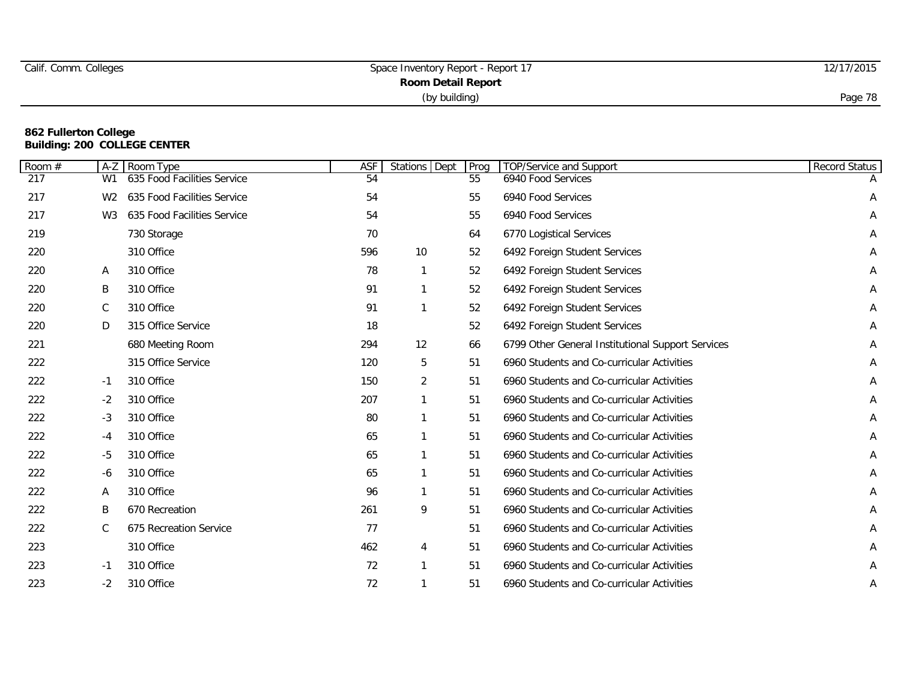|  | Calif. Comm. Colleges |
|--|-----------------------|
|  |                       |

## **862 Fullerton College Building: 200 COLLEGE CENTER**

| Room # | $A-Z$          | Room Type                   | <b>ASF</b> | <b>Stations</b><br>Dept | Prog | <b>TOP/Service and Support</b>                    | <b>Record Status</b> |
|--------|----------------|-----------------------------|------------|-------------------------|------|---------------------------------------------------|----------------------|
| 217    | W <sub>1</sub> | 635 Food Facilities Service | 54         |                         | 55   | 6940 Food Services                                |                      |
| 217    | W <sub>2</sub> | 635 Food Facilities Service | 54         |                         | 55   | 6940 Food Services                                | Α                    |
| 217    | W <sub>3</sub> | 635 Food Facilities Service | 54         |                         | 55   | 6940 Food Services                                | Α                    |
| 219    |                | 730 Storage                 | 70         |                         | 64   | 6770 Logistical Services                          | A                    |
| 220    |                | 310 Office                  | 596        | 10                      | 52   | 6492 Foreign Student Services                     | Α                    |
| 220    | Α              | 310 Office                  | 78         |                         | 52   | 6492 Foreign Student Services                     | Α                    |
| 220    | B              | 310 Office                  | 91         |                         | 52   | 6492 Foreign Student Services                     | Α                    |
| 220    | C              | 310 Office                  | 91         |                         | 52   | 6492 Foreign Student Services                     | A                    |
| 220    | D              | 315 Office Service          | 18         |                         | 52   | 6492 Foreign Student Services                     | Α                    |
| 221    |                | 680 Meeting Room            | 294        | 12                      | 66   | 6799 Other General Institutional Support Services | A                    |
| 222    |                | 315 Office Service          | 120        | 5                       | 51   | 6960 Students and Co-curricular Activities        | A                    |
| 222    | $-1$           | 310 Office                  | 150        | 2                       | 51   | 6960 Students and Co-curricular Activities        | А                    |
| 222    | $-2$           | 310 Office                  | 207        |                         | 51   | 6960 Students and Co-curricular Activities        | Α                    |
| 222    | -3             | 310 Office                  | 80         |                         | 51   | 6960 Students and Co-curricular Activities        | Α                    |
| 222    | -4             | 310 Office                  | 65         |                         | 51   | 6960 Students and Co-curricular Activities        | Α                    |
| 222    | -5             | 310 Office                  | 65         |                         | 51   | 6960 Students and Co-curricular Activities        | Α                    |
| 222    | -6             | 310 Office                  | 65         |                         | 51   | 6960 Students and Co-curricular Activities        | Α                    |
| 222    | Α              | 310 Office                  | 96         |                         | 51   | 6960 Students and Co-curricular Activities        | Α                    |
| 222    | B              | 670 Recreation              | 261        | 9                       | 51   | 6960 Students and Co-curricular Activities        | Α                    |
| 222    | C              | 675 Recreation Service      | 77         |                         | 51   | 6960 Students and Co-curricular Activities        | Α                    |
| 223    |                | 310 Office                  | 462        | 4                       | 51   | 6960 Students and Co-curricular Activities        | Α                    |
| 223    | -1             | 310 Office                  | 72         |                         | 51   | 6960 Students and Co-curricular Activities        | A                    |
| 223    | $-2$           | 310 Office                  | 72         |                         | 51   | 6960 Students and Co-curricular Activities        | A                    |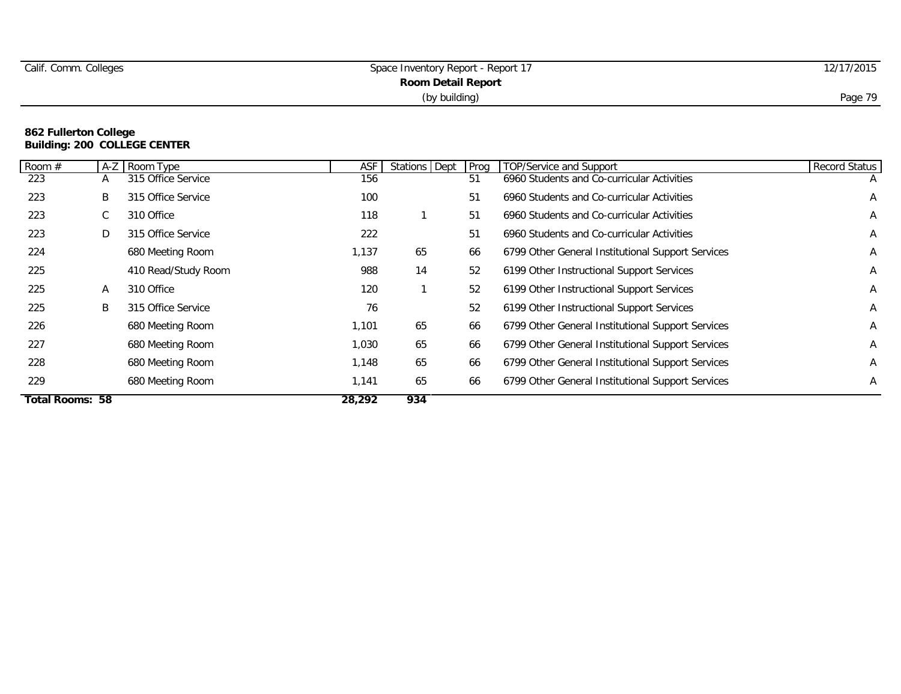|  | Calif. Comm. Colleges |
|--|-----------------------|
|  |                       |

# **862 Fullerton College Building: 200 COLLEGE CENTER**

| Room #                 |   | A-Z Room Type       | <b>ASF</b> | <b>Stations</b> Dept | Prog | TOP/Service and Support                           | <b>Record Status</b> |
|------------------------|---|---------------------|------------|----------------------|------|---------------------------------------------------|----------------------|
| 223                    | A | 315 Office Service  | 156        |                      | 51   | 6960 Students and Co-curricular Activities        | $\overline{A}$       |
| 223                    | B | 315 Office Service  | 100        |                      | 51   | 6960 Students and Co-curricular Activities        | A                    |
| 223                    | U | 310 Office          | 118        |                      | 51   | 6960 Students and Co-curricular Activities        | A                    |
| 223                    | D | 315 Office Service  | 222        |                      | 51   | 6960 Students and Co-curricular Activities        | Α                    |
| 224                    |   | 680 Meeting Room    | 1,137      | 65                   | 66   | 6799 Other General Institutional Support Services | Α                    |
| 225                    |   | 410 Read/Study Room | 988        | 14                   | 52   | 6199 Other Instructional Support Services         | A                    |
| 225                    | A | 310 Office          | 120        |                      | 52   | 6199 Other Instructional Support Services         | Α                    |
| 225                    | B | 315 Office Service  | 76         |                      | 52   | 6199 Other Instructional Support Services         | Α                    |
| 226                    |   | 680 Meeting Room    | 1,101      | 65                   | 66   | 6799 Other General Institutional Support Services | A                    |
| 227                    |   | 680 Meeting Room    | 1,030      | 65                   | 66   | 6799 Other General Institutional Support Services | Α                    |
| 228                    |   | 680 Meeting Room    | 1,148      | 65                   | 66   | 6799 Other General Institutional Support Services | A                    |
| 229                    |   | 680 Meeting Room    | 1,141      | 65                   | 66   | 6799 Other General Institutional Support Services | A                    |
| <b>Total Rooms: 58</b> |   |                     | 28,292     | 934                  |      |                                                   |                      |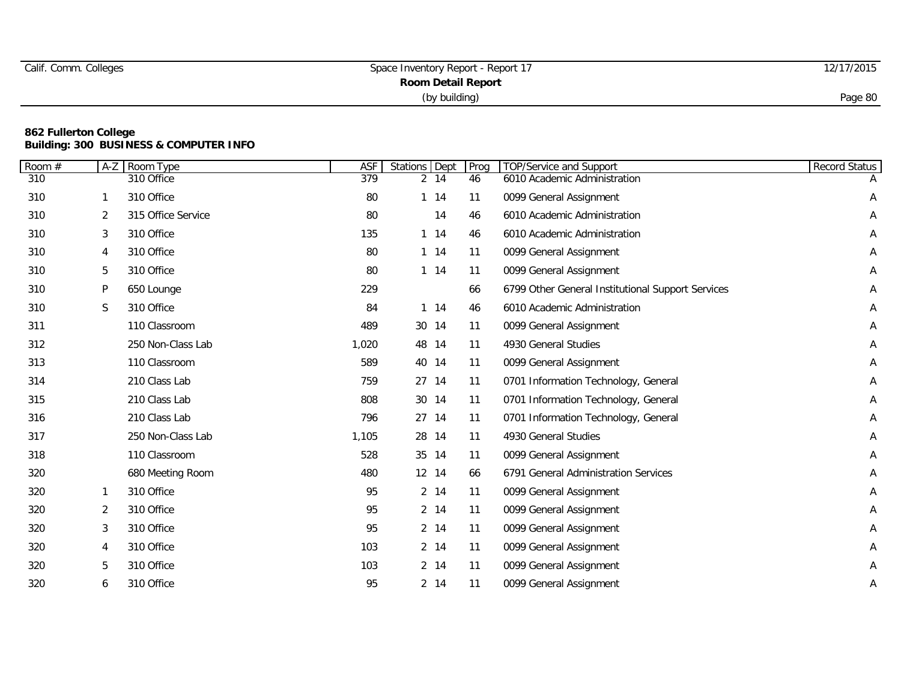|  | Calif. Comm. Colleges |
|--|-----------------------|
|  |                       |

## **862 Fullerton College Building: 300 BUSINESS & COMPUTER INFO**

| Room # | $A-Z$ | Room Type          | ASF   | Stations Dept |          | Prog | TOP/Service and Support                           | Record Status |
|--------|-------|--------------------|-------|---------------|----------|------|---------------------------------------------------|---------------|
| 310    |       | 310 Office         | 379   |               | 2 14     | 46   | 6010 Academic Administration                      |               |
| 310    |       | 310 Office         | 80    |               | $1 \t14$ | 11   | 0099 General Assignment                           | Α             |
| 310    | 2     | 315 Office Service | 80    |               | 14       | 46   | 6010 Academic Administration                      | Α             |
| 310    | 3     | 310 Office         | 135   |               | $1 \t14$ | 46   | 6010 Academic Administration                      | Α             |
| 310    | 4     | 310 Office         | 80    |               | $1 \t14$ | 11   | 0099 General Assignment                           | Α             |
| 310    | 5     | 310 Office         | 80    |               | 1 14     | 11   | 0099 General Assignment                           | Α             |
| 310    | P     | 650 Lounge         | 229   |               |          | 66   | 6799 Other General Institutional Support Services | Α             |
| 310    | S     | 310 Office         | 84    |               | $1 \t14$ | 46   | 6010 Academic Administration                      | Α             |
| 311    |       | 110 Classroom      | 489   | 30 14         |          | 11   | 0099 General Assignment                           | Α             |
| 312    |       | 250 Non-Class Lab  | 1,020 | 48 14         |          | 11   | 4930 General Studies                              | Α             |
| 313    |       | 110 Classroom      | 589   | 40 14         |          | 11   | 0099 General Assignment                           | Α             |
| 314    |       | 210 Class Lab      | 759   | 27 14         |          | 11   | 0701 Information Technology, General              | Α             |
| 315    |       | 210 Class Lab      | 808   | 30 14         |          | 11   | 0701 Information Technology, General              | Α             |
| 316    |       | 210 Class Lab      | 796   | 27 14         |          | 11   | 0701 Information Technology, General              | Α             |
| 317    |       | 250 Non-Class Lab  | 1,105 |               | 28 14    | 11   | 4930 General Studies                              | Α             |
| 318    |       | 110 Classroom      | 528   |               | 35 14    | 11   | 0099 General Assignment                           | Α             |
| 320    |       | 680 Meeting Room   | 480   |               | 12 14    | 66   | 6791 General Administration Services              | Α             |
| 320    |       | 310 Office         | 95    |               | 2 14     | 11   | 0099 General Assignment                           | A             |
| 320    | 2     | 310 Office         | 95    |               | 2 14     | 11   | 0099 General Assignment                           | Α             |
| 320    | 3     | 310 Office         | 95    |               | 2 14     | 11   | 0099 General Assignment                           | Α             |
| 320    | 4     | 310 Office         | 103   |               | 2 14     | 11   | 0099 General Assignment                           | Α             |
| 320    | 5     | 310 Office         | 103   |               | 2 14     | 11   | 0099 General Assignment                           | Α             |
| 320    | 6     | 310 Office         | 95    |               | 2 14     | 11   | 0099 General Assignment                           | Α             |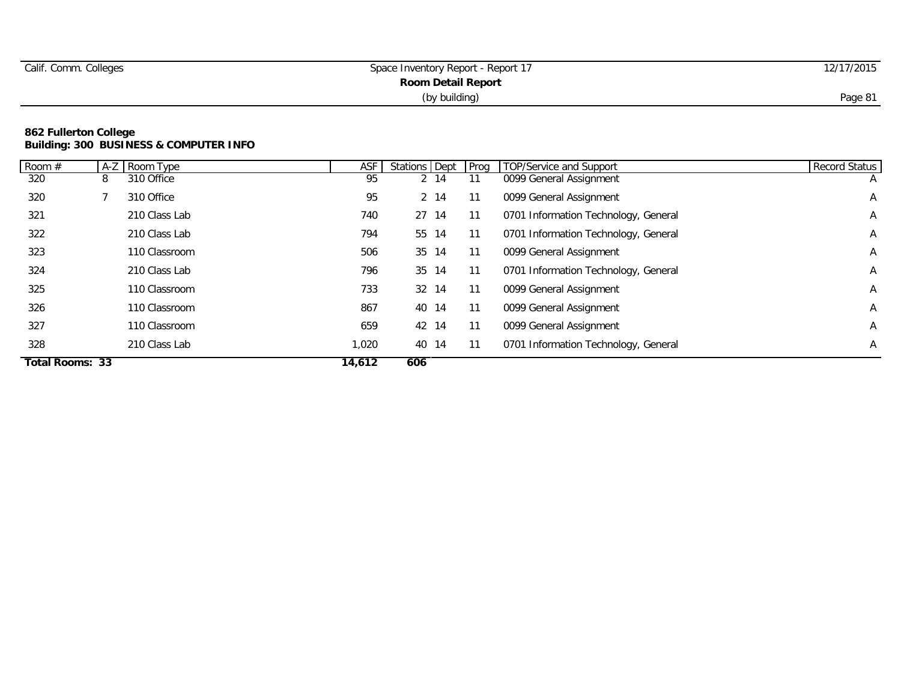| Calif. Comm. Colleges | Space Inventory Report - Report 17 | 12/17/2015          |
|-----------------------|------------------------------------|---------------------|
|                       | <b>Room Detail Report</b>          |                     |
|                       | (by building)                      | Page 8 <sup>1</sup> |

#### **862 Fullerton College Building: 300 BUSINESS & COMPUTER INFO**

| Room $#$               |   | A-Z Room Type | <b>ASF</b> | Stations Dept |       | Prog | <b>TOP/Service and Support</b>       | <b>Record Status</b> |
|------------------------|---|---------------|------------|---------------|-------|------|--------------------------------------|----------------------|
| 320                    | 8 | 310 Office    | 95         |               | 2 14  |      | 0099 General Assignment              | $\overline{A}$       |
| 320                    |   | 310 Office    | 95         |               | 2 14  |      | 0099 General Assignment              | $\mathsf{A}$         |
| 321                    |   | 210 Class Lab | 740        |               | 27 14 |      | 0701 Information Technology, General | A                    |
| 322                    |   | 210 Class Lab | 794        |               | 55 14 |      | 0701 Information Technology, General | Α                    |
| 323                    |   | 110 Classroom | 506        |               | 35 14 | 11   | 0099 General Assignment              | A                    |
| 324                    |   | 210 Class Lab | 796        |               | 35 14 |      | 0701 Information Technology, General | A                    |
| 325                    |   | 110 Classroom | 733        |               | 32 14 | 11   | 0099 General Assignment              | Α                    |
| 326                    |   | 110 Classroom | 867        | 40 14         |       |      | 0099 General Assignment              | A                    |
| 327                    |   | 110 Classroom | 659        | 42 14         |       | 11   | 0099 General Assignment              | A                    |
| 328                    |   | 210 Class Lab | 1,020      | 40 14         |       |      | 0701 Information Technology, General | A                    |
| <b>Total Rooms: 33</b> |   |               | 14,612     | 606           |       |      |                                      |                      |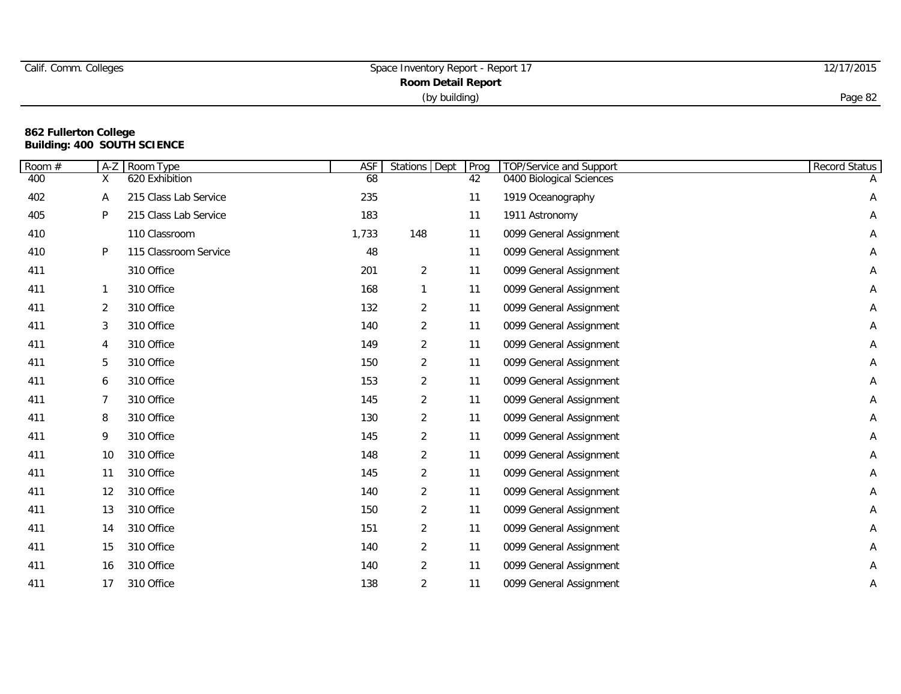| Calif. Comm. Colleges | Space Inventory Report - Report 17 | 12/17/2015 |
|-----------------------|------------------------------------|------------|
|                       | Room Detail Report                 |            |
|                       | (by building)                      | Page 82    |

| Room # | $A-Z$          | Room Type             | <b>ASF</b> | Stations Dept  | Prog | <b>TOP/Service and Support</b> | Record Status |
|--------|----------------|-----------------------|------------|----------------|------|--------------------------------|---------------|
| 400    | X              | 620 Exhibition        | 68         |                | 42   | 0400 Biological Sciences       |               |
| 402    | Α              | 215 Class Lab Service | 235        |                | 11   | 1919 Oceanography              | Α             |
| 405    | P              | 215 Class Lab Service | 183        |                | 11   | 1911 Astronomy                 | Α             |
| 410    |                | 110 Classroom         | 1,733      | 148            | 11   | 0099 General Assignment        | Α             |
| 410    | P              | 115 Classroom Service | 48         |                | 11   | 0099 General Assignment        | Α             |
| 411    |                | 310 Office            | 201        | $\overline{2}$ | 11   | 0099 General Assignment        | A             |
| 411    | $\mathbf{1}$   | 310 Office            | 168        | $\mathbf{1}$   | 11   | 0099 General Assignment        | Α             |
| 411    | $\overline{2}$ | 310 Office            | 132        | $\overline{2}$ | 11   | 0099 General Assignment        | A             |
| 411    | 3              | 310 Office            | 140        | $\overline{2}$ | 11   | 0099 General Assignment        | Α             |
| 411    | 4              | 310 Office            | 149        | $\overline{2}$ | 11   | 0099 General Assignment        | Α             |
| 411    | 5              | 310 Office            | 150        | 2              | 11   | 0099 General Assignment        | A             |
| 411    | 6              | 310 Office            | 153        | $\overline{2}$ | 11   | 0099 General Assignment        | A             |
| 411    | $\overline{7}$ | 310 Office            | 145        | $\overline{2}$ | 11   | 0099 General Assignment        | Α             |
| 411    | 8              | 310 Office            | 130        | $\overline{2}$ | 11   | 0099 General Assignment        | A             |
| 411    | 9              | 310 Office            | 145        | $\overline{2}$ | 11   | 0099 General Assignment        | Α             |
| 411    | 10             | 310 Office            | 148        | $\overline{2}$ | 11   | 0099 General Assignment        | Α             |
| 411    | 11             | 310 Office            | 145        | $\overline{2}$ | 11   | 0099 General Assignment        | Α             |
| 411    | 12             | 310 Office            | 140        | 2              | 11   | 0099 General Assignment        | A             |
| 411    | 13             | 310 Office            | 150        | $\overline{2}$ | 11   | 0099 General Assignment        | Α             |
| 411    | 14             | 310 Office            | 151        | $\overline{2}$ | 11   | 0099 General Assignment        | Α             |
| 411    | 15             | 310 Office            | 140        | $\overline{2}$ | 11   | 0099 General Assignment        | Α             |
| 411    | 16             | 310 Office            | 140        | $\overline{2}$ | 11   | 0099 General Assignment        | Α             |
| 411    | 17             | 310 Office            | 138        | 2              | 11   | 0099 General Assignment        | Α             |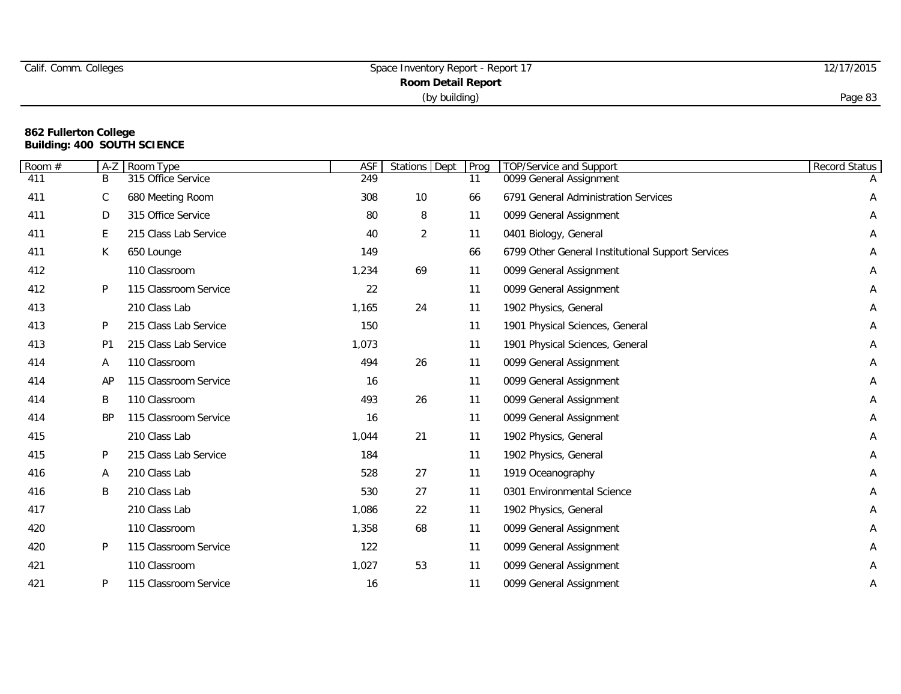|  | Calif. Comm. Colleges |
|--|-----------------------|
|  |                       |

| Room # | $A-Z$          | Room Type             | <b>ASF</b> | Stations Dept | Prog | TOP/Service and Support                           | Record Status |
|--------|----------------|-----------------------|------------|---------------|------|---------------------------------------------------|---------------|
| 411    | Β              | 315 Office Service    | 249        |               | 11   | 0099 General Assignment                           |               |
| 411    | $\mathsf{C}$   | 680 Meeting Room      | 308        | 10            | 66   | 6791 General Administration Services              | Α             |
| 411    | D              | 315 Office Service    | 80         | 8             | 11   | 0099 General Assignment                           | A             |
| 411    | E,             | 215 Class Lab Service | 40         | 2             | 11   | 0401 Biology, General                             | Α             |
| 411    | K              | 650 Lounge            | 149        |               | 66   | 6799 Other General Institutional Support Services | Α             |
| 412    |                | 110 Classroom         | 1,234      | 69            | 11   | 0099 General Assignment                           | Α             |
| 412    | P              | 115 Classroom Service | 22         |               | 11   | 0099 General Assignment                           | Α             |
| 413    |                | 210 Class Lab         | 1,165      | 24            | 11   | 1902 Physics, General                             | Α             |
| 413    | P              | 215 Class Lab Service | 150        |               | 11   | 1901 Physical Sciences, General                   | Α             |
| 413    | P <sub>1</sub> | 215 Class Lab Service | 1,073      |               | 11   | 1901 Physical Sciences, General                   | Α             |
| 414    | A              | 110 Classroom         | 494        | 26            | 11   | 0099 General Assignment                           | A             |
| 414    | AP             | 115 Classroom Service | 16         |               | 11   | 0099 General Assignment                           | Α             |
| 414    | B              | 110 Classroom         | 493        | 26            | 11   | 0099 General Assignment                           | Α             |
| 414    | <b>BP</b>      | 115 Classroom Service | 16         |               | 11   | 0099 General Assignment                           | Α             |
| 415    |                | 210 Class Lab         | 1,044      | 21            | 11   | 1902 Physics, General                             | Α             |
| 415    | P              | 215 Class Lab Service | 184        |               | 11   | 1902 Physics, General                             | Α             |
| 416    | A              | 210 Class Lab         | 528        | 27            | 11   | 1919 Oceanography                                 | A             |
| 416    | Β              | 210 Class Lab         | 530        | 27            | 11   | 0301 Environmental Science                        | A             |
| 417    |                | 210 Class Lab         | 1,086      | 22            | 11   | 1902 Physics, General                             | A             |
| 420    |                | 110 Classroom         | 1,358      | 68            | 11   | 0099 General Assignment                           | Α             |
| 420    | P              | 115 Classroom Service | 122        |               | 11   | 0099 General Assignment                           | Α             |
| 421    |                | 110 Classroom         | 1,027      | 53            | 11   | 0099 General Assignment                           | Α             |
| 421    | P              | 115 Classroom Service | 16         |               | 11   | 0099 General Assignment                           | Α             |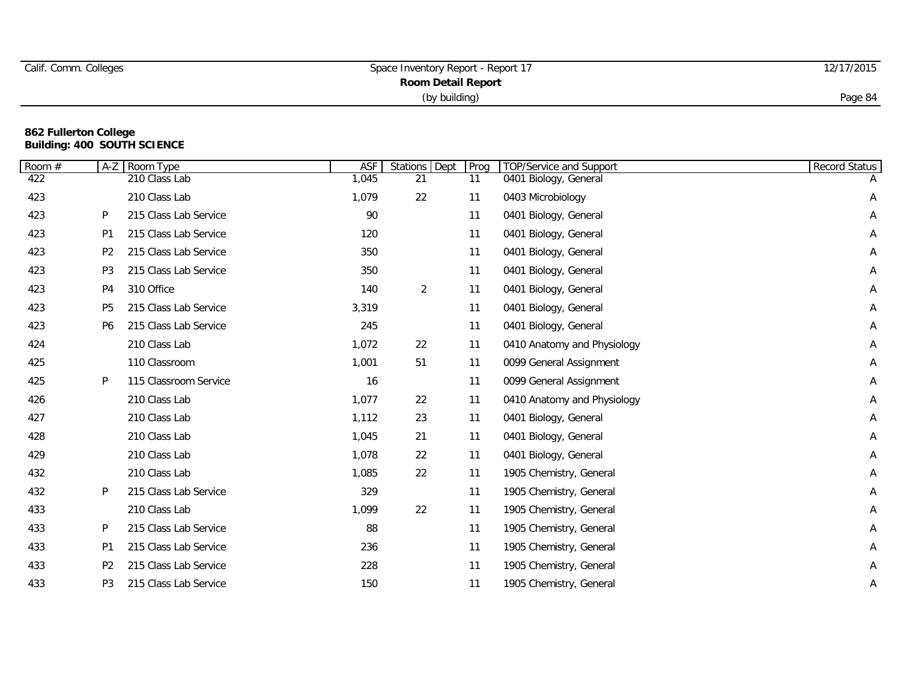| Calif. Comm. Colleges | Space Inventory Report - Report 17 | 12/17/2015 |
|-----------------------|------------------------------------|------------|
|                       | <b>Room Detail Report</b>          |            |
|                       | (by building)                      | Page 84    |

| Room # | $A-Z$          | Room Type             | ASF   | Stations Dept | Prog | TOP/Service and Support     | Record Status |
|--------|----------------|-----------------------|-------|---------------|------|-----------------------------|---------------|
| 422    |                | 210 Class Lab         | 1,045 | 21            | 11   | 0401 Biology, General       |               |
| 423    |                | 210 Class Lab         | 1,079 | 22            | 11   | 0403 Microbiology           | Α             |
| 423    | P              | 215 Class Lab Service | 90    |               | 11   | 0401 Biology, General       | A             |
| 423    | P <sub>1</sub> | 215 Class Lab Service | 120   |               | 11   | 0401 Biology, General       | Α             |
| 423    | P <sub>2</sub> | 215 Class Lab Service | 350   |               | 11   | 0401 Biology, General       | Α             |
| 423    | P <sub>3</sub> | 215 Class Lab Service | 350   |               | 11   | 0401 Biology, General       | A             |
| 423    | P4             | 310 Office            | 140   | 2             | 11   | 0401 Biology, General       | Α             |
| 423    | <b>P5</b>      | 215 Class Lab Service | 3,319 |               | 11   | 0401 Biology, General       | Α             |
| 423    | P6             | 215 Class Lab Service | 245   |               | 11   | 0401 Biology, General       | Α             |
| 424    |                | 210 Class Lab         | 1,072 | 22            | 11   | 0410 Anatomy and Physiology | Α             |
| 425    |                | 110 Classroom         | 1,001 | 51            | 11   | 0099 General Assignment     | Α             |
| 425    | P              | 115 Classroom Service | 16    |               | 11   | 0099 General Assignment     | Α             |
| 426    |                | 210 Class Lab         | 1,077 | 22            | 11   | 0410 Anatomy and Physiology | Α             |
| 427    |                | 210 Class Lab         | 1,112 | 23            | 11   | 0401 Biology, General       | Α             |
| 428    |                | 210 Class Lab         | 1,045 | 21            | 11   | 0401 Biology, General       | Α             |
| 429    |                | 210 Class Lab         | 1,078 | 22            | 11   | 0401 Biology, General       | Α             |
| 432    |                | 210 Class Lab         | 1,085 | 22            | 11   | 1905 Chemistry, General     | Α             |
| 432    | P              | 215 Class Lab Service | 329   |               | 11   | 1905 Chemistry, General     | A             |
| 433    |                | 210 Class Lab         | 1,099 | 22            | 11   | 1905 Chemistry, General     | A             |
| 433    | P              | 215 Class Lab Service | 88    |               | 11   | 1905 Chemistry, General     | A             |
| 433    | P <sub>1</sub> | 215 Class Lab Service | 236   |               | 11   | 1905 Chemistry, General     | Α             |
| 433    | P <sub>2</sub> | 215 Class Lab Service | 228   |               | 11   | 1905 Chemistry, General     | Α             |
| 433    | P <sub>3</sub> | 215 Class Lab Service | 150   |               | 11   | 1905 Chemistry, General     | Α             |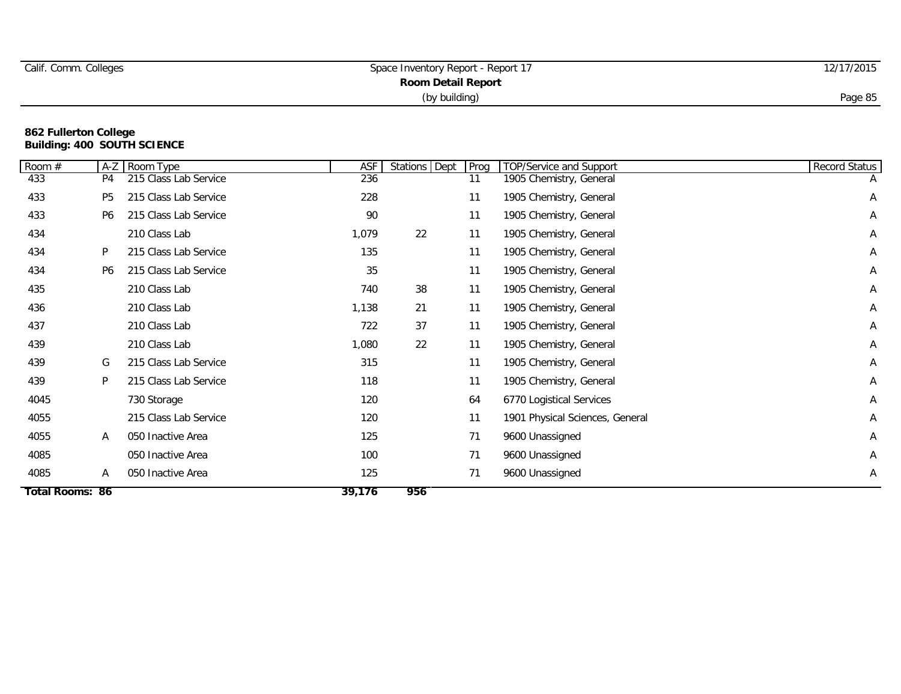| Calif. Comm. Colleges | Space Inventory Report - Report 17 | 12/17/2015 |
|-----------------------|------------------------------------|------------|
|                       | Room Detail Report                 |            |
|                       | (by building)                      | Page 85    |

| Room #          | $A-Z$          | Room Type             | <b>ASF</b> | Stations Dept | Prog | <b>TOP/Service and Support</b>  | Record Status |
|-----------------|----------------|-----------------------|------------|---------------|------|---------------------------------|---------------|
| 433             | P <sub>4</sub> | 215 Class Lab Service | 236        |               | 11   | 1905 Chemistry, General         | A             |
| 433             | P <sub>5</sub> | 215 Class Lab Service | 228        |               | 11   | 1905 Chemistry, General         | Α             |
| 433             | P6             | 215 Class Lab Service | 90         |               | 11   | 1905 Chemistry, General         | Α             |
| 434             |                | 210 Class Lab         | 1,079      | 22            | 11   | 1905 Chemistry, General         | Α             |
| 434             | P              | 215 Class Lab Service | 135        |               | 11   | 1905 Chemistry, General         | A             |
| 434             | P6             | 215 Class Lab Service | 35         |               | 11   | 1905 Chemistry, General         | Α             |
| 435             |                | 210 Class Lab         | 740        | 38            | 11   | 1905 Chemistry, General         | A             |
| 436             |                | 210 Class Lab         | 1,138      | 21            | 11   | 1905 Chemistry, General         | Α             |
| 437             |                | 210 Class Lab         | 722        | 37            | 11   | 1905 Chemistry, General         | Α             |
| 439             |                | 210 Class Lab         | 1,080      | 22            | 11   | 1905 Chemistry, General         | Α             |
| 439             | G              | 215 Class Lab Service | 315        |               | 11   | 1905 Chemistry, General         | Α             |
| 439             | P              | 215 Class Lab Service | 118        |               | 11   | 1905 Chemistry, General         | Α             |
| 4045            |                | 730 Storage           | 120        |               | 64   | 6770 Logistical Services        | Α             |
| 4055            |                | 215 Class Lab Service | 120        |               | 11   | 1901 Physical Sciences, General | Α             |
| 4055            | A              | 050 Inactive Area     | 125        |               | 71   | 9600 Unassigned                 | Α             |
| 4085            |                | 050 Inactive Area     | 100        |               | 71   | 9600 Unassigned                 | Α             |
| 4085            | A              | 050 Inactive Area     | 125        |               | 71   | 9600 Unassigned                 | A             |
| Total Rooms: 86 |                |                       | 39,176     | 956           |      |                                 |               |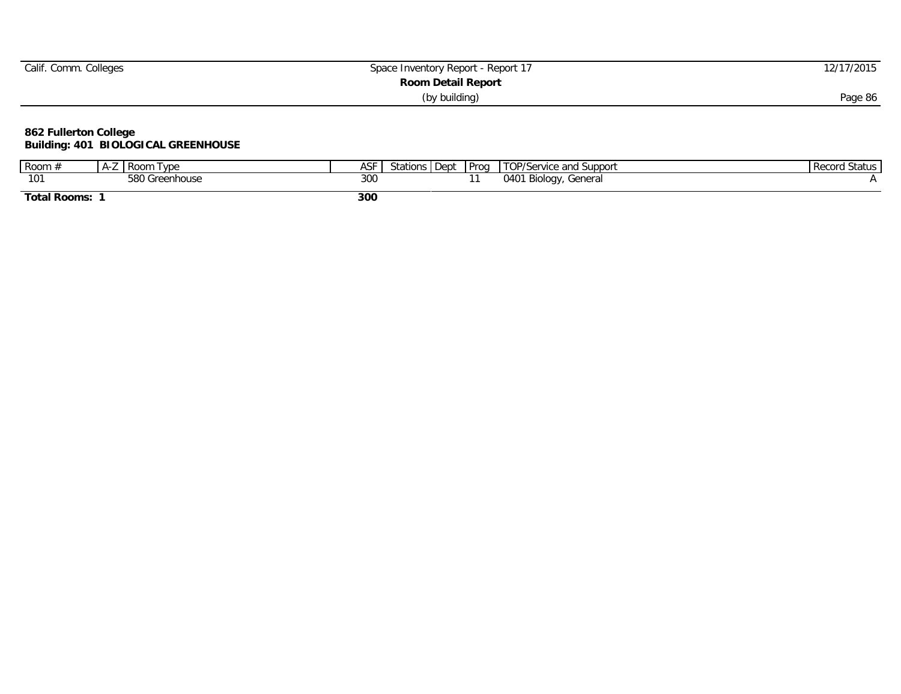| Space Inventory Report - Report 17 | 12/17/2015 |
|------------------------------------|------------|
| Room Detail Report                 |            |
| (by building)                      | Page 86    |
|                                    |            |

#### **862 Fullerton College Building: 401 BIOLOGICAL GREENHOUSE**

| Room #              | $AA - L$ | I vpe<br><b>Room</b>     | $\Delta$ SF | stations   Dept | Prog | TOP/Service and Support                    | Record Status |
|---------------------|----------|--------------------------|-------------|-----------------|------|--------------------------------------------|---------------|
| 10 <sub>1</sub>     |          | <b>EON</b><br>ireenhouse | 300         |                 |      | 0401<br><b>Biology</b> , G<br>General<br>ັ |               |
| <b>Total Rooms:</b> |          |                          | 300         |                 |      |                                            |               |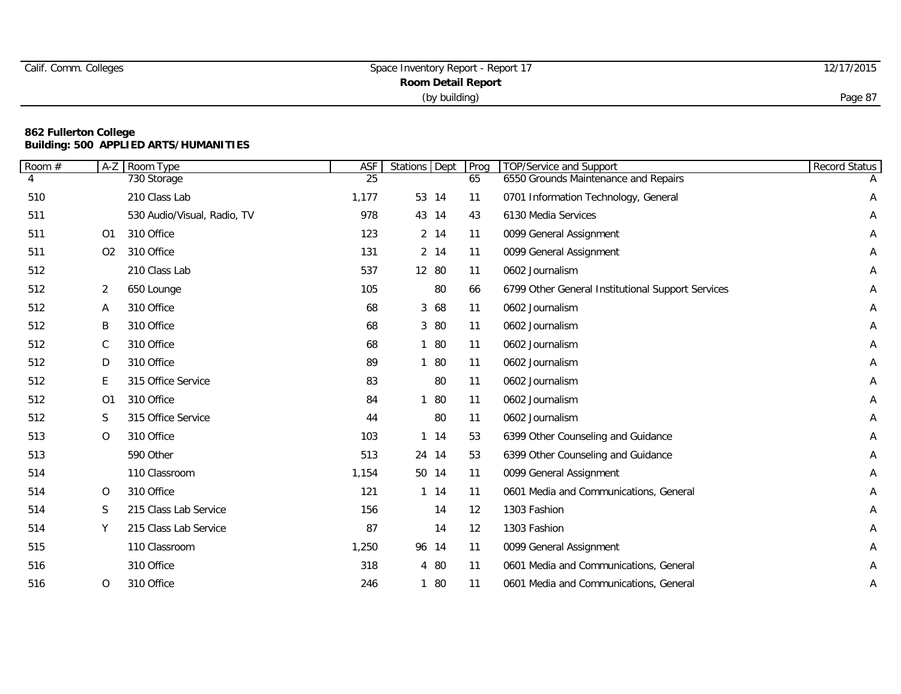|  | Calif. Comm. Colleges |
|--|-----------------------|
|  |                       |

| Room #         | $A-Z$          | Room Type                   | <b>ASF</b> | Stations Dept |          | Prog | <b>TOP/Service and Support</b>                    | Record Status |
|----------------|----------------|-----------------------------|------------|---------------|----------|------|---------------------------------------------------|---------------|
| $\overline{4}$ |                | 730 Storage                 | 25         |               |          | 65   | 6550 Grounds Maintenance and Repairs              |               |
| 510            |                | 210 Class Lab               | 1,177      |               | 53 14    | 11   | 0701 Information Technology, General              | Α             |
| 511            |                | 530 Audio/Visual, Radio, TV | 978        |               | 43 14    | 43   | 6130 Media Services                               | Α             |
| 511            | O1             | 310 Office                  | 123        |               | 2 14     | 11   | 0099 General Assignment                           | Α             |
| 511            | O <sub>2</sub> | 310 Office                  | 131        |               | 2 14     | 11   | 0099 General Assignment                           | Α             |
| 512            |                | 210 Class Lab               | 537        |               | 12 80    | 11   | 0602 Journalism                                   | Α             |
| 512            | 2              | 650 Lounge                  | 105        |               | 80       | 66   | 6799 Other General Institutional Support Services | Α             |
| 512            | Α              | 310 Office                  | 68         |               | 3 68     | 11   | 0602 Journalism                                   | Α             |
| 512            | B              | 310 Office                  | 68         |               | 3 80     | 11   | 0602 Journalism                                   | Α             |
| 512            | C              | 310 Office                  | 68         |               | 1 80     | 11   | 0602 Journalism                                   | Α             |
| 512            | D              | 310 Office                  | 89         |               | 1 80     | 11   | 0602 Journalism                                   | Α             |
| 512            | E              | 315 Office Service          | 83         |               | 80       | 11   | 0602 Journalism                                   | Α             |
| 512            | O <sub>1</sub> | 310 Office                  | 84         |               | 1 80     | 11   | 0602 Journalism                                   | Α             |
| 512            | S              | 315 Office Service          | 44         |               | 80       | 11   | 0602 Journalism                                   | Α             |
| 513            | $\circ$        | 310 Office                  | 103        |               | $1 \t14$ | 53   | 6399 Other Counseling and Guidance                | Α             |
| 513            |                | 590 Other                   | 513        |               | 24 14    | 53   | 6399 Other Counseling and Guidance                | Α             |
| 514            |                | 110 Classroom               | 1,154      |               | 50 14    | 11   | 0099 General Assignment                           | Α             |
| 514            | 0              | 310 Office                  | 121        |               | $1 \t14$ | 11   | 0601 Media and Communications, General            | A             |
| 514            | $\mathsf S$    | 215 Class Lab Service       | 156        |               | 14       | 12   | 1303 Fashion                                      | Α             |
| 514            | Υ              | 215 Class Lab Service       | 87         |               | 14       | 12   | 1303 Fashion                                      | Α             |
| 515            |                | 110 Classroom               | 1,250      |               | 96 14    | 11   | 0099 General Assignment                           | А             |
| 516            |                | 310 Office                  | 318        |               | 4 80     | 11   | 0601 Media and Communications, General            | Α             |
| 516            | O              | 310 Office                  | 246        |               | 1 80     | 11   | 0601 Media and Communications, General            | Α             |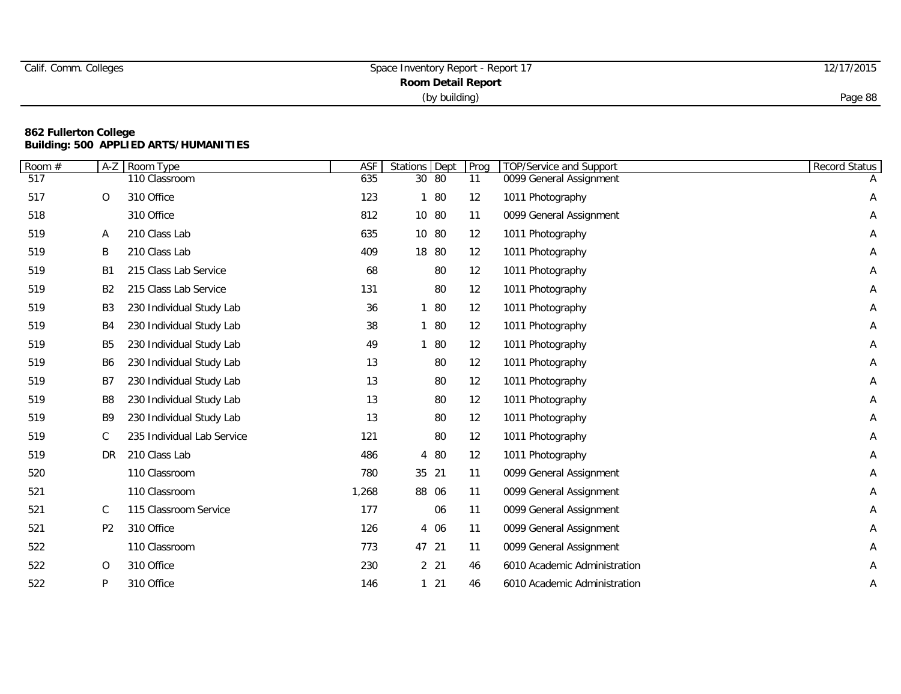|  | Calif. Comm. Colleges |
|--|-----------------------|
|  |                       |

# Space Inventory Report - Report 17 12/17/2015 **Room Detail Report** (by building) Page 88

| Room # | $A-Z$          | Room Type                  | <b>ASF</b> | Stations Dept     |        | Prog | TOP/Service and Support      | Record Status |
|--------|----------------|----------------------------|------------|-------------------|--------|------|------------------------------|---------------|
| 517    |                | 110 Classroom              | 635        | $30\overline{80}$ |        | 11   | 0099 General Assignment      |               |
| 517    | 0              | 310 Office                 | 123        |                   | 1 80   | 12   | 1011 Photography             | Α             |
| 518    |                | 310 Office                 | 812        |                   | 10 80  | 11   | 0099 General Assignment      | Α             |
| 519    | A              | 210 Class Lab              | 635        |                   | 10 80  | 12   | 1011 Photography             | Α             |
| 519    | Β              | 210 Class Lab              | 409        |                   | 18 80  | 12   | 1011 Photography             | Α             |
| 519    | B <sub>1</sub> | 215 Class Lab Service      | 68         |                   | 80     | 12   | 1011 Photography             | А             |
| 519    | B <sub>2</sub> | 215 Class Lab Service      | 131        |                   | 80     | 12   | 1011 Photography             | Α             |
| 519    | B <sub>3</sub> | 230 Individual Study Lab   | 36         |                   | 1 80   | 12   | 1011 Photography             | А             |
| 519    | B4             | 230 Individual Study Lab   | 38         |                   | 1 80   | 12   | 1011 Photography             | А             |
| 519    | B <sub>5</sub> | 230 Individual Study Lab   | 49         |                   | 80     | 12   | 1011 Photography             | Α             |
| 519    | B <sub>6</sub> | 230 Individual Study Lab   | 13         |                   | 80     | 12   | 1011 Photography             | Α             |
| 519    | B7             | 230 Individual Study Lab   | 13         |                   | 80     | 12   | 1011 Photography             | Α             |
| 519    | B <sub>8</sub> | 230 Individual Study Lab   | 13         |                   | 80     | 12   | 1011 Photography             | Α             |
| 519    | B <sub>9</sub> | 230 Individual Study Lab   | 13         |                   | 80     | 12   | 1011 Photography             | Α             |
| 519    | C              | 235 Individual Lab Service | 121        |                   | 80     | 12   | 1011 Photography             | Α             |
| 519    | DR             | 210 Class Lab              | 486        |                   | 4 80   | 12   | 1011 Photography             | Α             |
| 520    |                | 110 Classroom              | 780        | 35 21             |        | 11   | 0099 General Assignment      | А             |
| 521    |                | 110 Classroom              | 1,268      |                   | 88 06  | 11   | 0099 General Assignment      | А             |
| 521    | C              | 115 Classroom Service      | 177        |                   | 06     | 11   | 0099 General Assignment      | Α             |
| 521    | P <sub>2</sub> | 310 Office                 | 126        |                   | 4 06   | 11   | 0099 General Assignment      | Α             |
| 522    |                | 110 Classroom              | 773        | 47 21             |        | 11   | 0099 General Assignment      | Α             |
| 522    | 0              | 310 Office                 | 230        |                   | 2 21   | 46   | 6010 Academic Administration | A             |
| 522    | P              | 310 Office                 | 146        |                   | $1 21$ | 46   | 6010 Academic Administration | A             |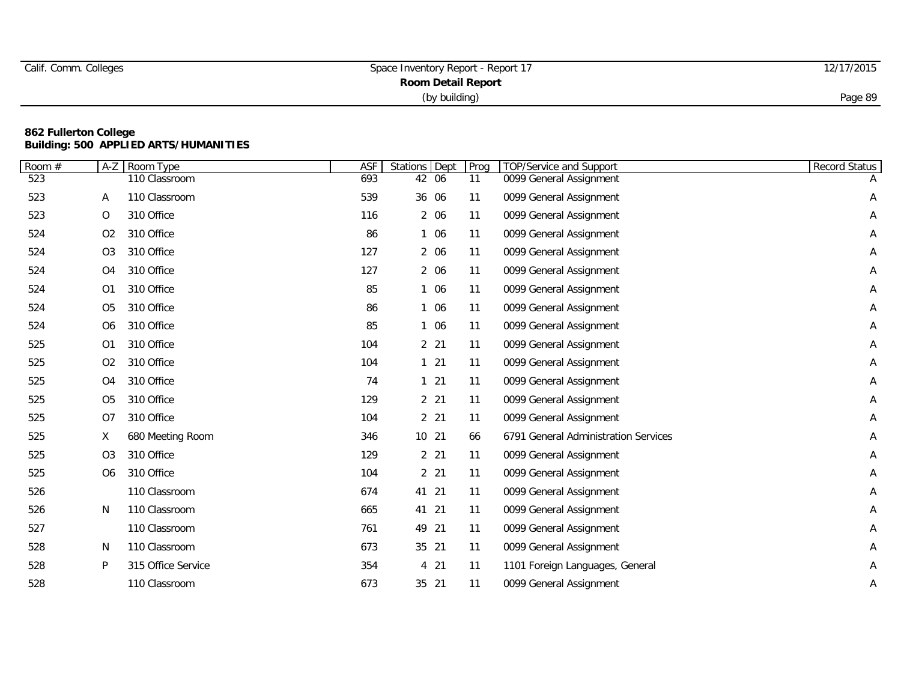| Calif. Comm. Colleges | Space Inventory Report - Report 17 | 12/17/2015 |
|-----------------------|------------------------------------|------------|
|                       |                                    |            |
|                       | (by building)                      | Page 89    |

| $\overline{Room}$ # | $A-Z$          | Room Type          | ASF | Stations Dept |                 | Prog | TOP/Service and Support              | Record Status |
|---------------------|----------------|--------------------|-----|---------------|-----------------|------|--------------------------------------|---------------|
| 523                 |                | 110 Classroom      | 693 |               | 42 06           | 11   | 0099 General Assignment              | A             |
| 523                 | A              | 110 Classroom      | 539 |               | 36 06           | 11   | 0099 General Assignment              | Α             |
| 523                 | 0              | 310 Office         | 116 |               | 2 06            | 11   | 0099 General Assignment              | Α             |
| 524                 | O <sub>2</sub> | 310 Office         | 86  |               | 1 06            | 11   | 0099 General Assignment              | Α             |
| 524                 | O <sub>3</sub> | 310 Office         | 127 |               | 2 06            | 11   | 0099 General Assignment              | Α             |
| 524                 | O <sub>4</sub> | 310 Office         | 127 |               | 2 06            | 11   | 0099 General Assignment              | Α             |
| 524                 | O <sub>1</sub> | 310 Office         | 85  |               | 1 06            | 11   | 0099 General Assignment              | Α             |
| 524                 | O <sub>5</sub> | 310 Office         | 86  |               | 1 06            | 11   | 0099 General Assignment              | Α             |
| 524                 | O <sub>6</sub> | 310 Office         | 85  |               | 1 06            | 11   | 0099 General Assignment              | А             |
| 525                 | O <sub>1</sub> | 310 Office         | 104 |               | 2 2 1           | 11   | 0099 General Assignment              | Α             |
| 525                 | O <sub>2</sub> | 310 Office         | 104 |               | $1 \t21$        | 11   | 0099 General Assignment              | Α             |
| 525                 | O <sub>4</sub> | 310 Office         | 74  |               | $1 \quad 21$    | 11   | 0099 General Assignment              | Α             |
| 525                 | O <sub>5</sub> | 310 Office         | 129 |               | 2 21            | 11   | 0099 General Assignment              | Α             |
| 525                 | O <sub>7</sub> | 310 Office         | 104 |               | $2 \t21$        | 11   | 0099 General Assignment              | Α             |
| 525                 | X              | 680 Meeting Room   | 346 |               | 10 21           | 66   | 6791 General Administration Services | Α             |
| 525                 | O <sub>3</sub> | 310 Office         | 129 |               | 2 2 1           | 11   | 0099 General Assignment              | Α             |
| 525                 | O <sub>6</sub> | 310 Office         | 104 |               | 2 <sub>21</sub> | 11   | 0099 General Assignment              | Α             |
| 526                 |                | 110 Classroom      | 674 | 41 21         |                 | 11   | 0099 General Assignment              | A             |
| 526                 | N              | 110 Classroom      | 665 | 41 21         |                 | 11   | 0099 General Assignment              | A             |
| 527                 |                | 110 Classroom      | 761 | 49 21         |                 | 11   | 0099 General Assignment              | Α             |
| 528                 | N              | 110 Classroom      | 673 |               | 35 21           | 11   | 0099 General Assignment              | Α             |
| 528                 | P              | 315 Office Service | 354 |               | 4 21            | 11   | 1101 Foreign Languages, General      | Α             |
| 528                 |                | 110 Classroom      | 673 |               | 35 21           | 11   | 0099 General Assignment              | Α             |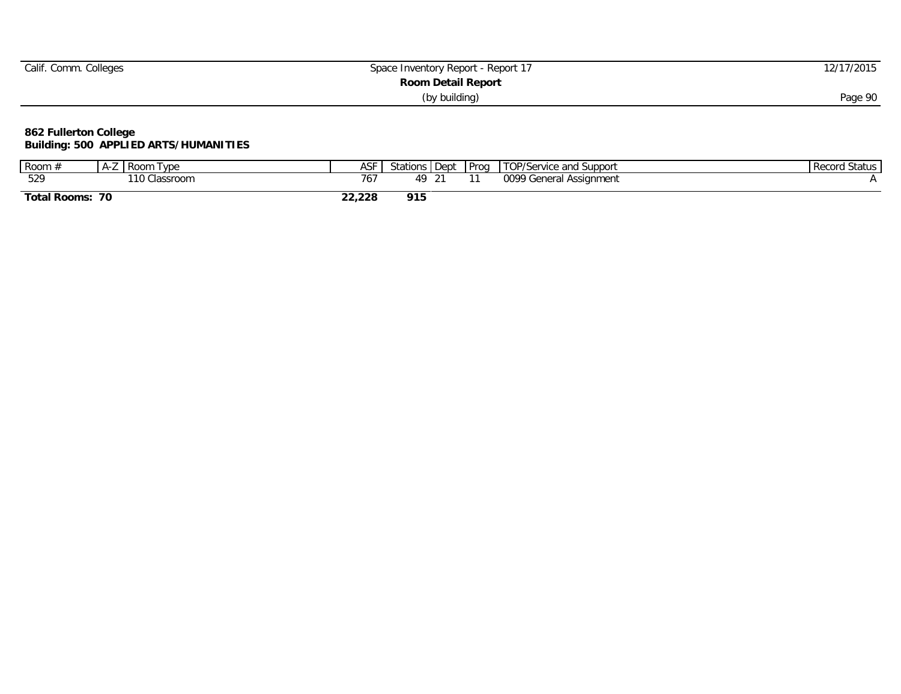| Calif. Comm. Colleges | Space Inventory Report - Report 17 | 12/17/2015 |
|-----------------------|------------------------------------|------------|
|                       | <b>Room Detail Report</b>          |            |
|                       | (by building)                      | Page 90    |

| Room                | A-L                | $I$ $Vnc$<br><b>Room</b><br>1 Y N G | AS'    | <b>Stations</b> | . Dept | Prog | TOP/Service and Support         | Record Status |
|---------------------|--------------------|-------------------------------------|--------|-----------------|--------|------|---------------------------------|---------------|
| 529                 |                    | 10<br>Classroom                     | 76,    | ΔC              |        |      | 0099<br>seneral<br>. Assignment |               |
| <b>Total Rooms:</b> | $\mathbf{z}$<br>70 |                                     | 22,228 | 915             |        |      |                                 |               |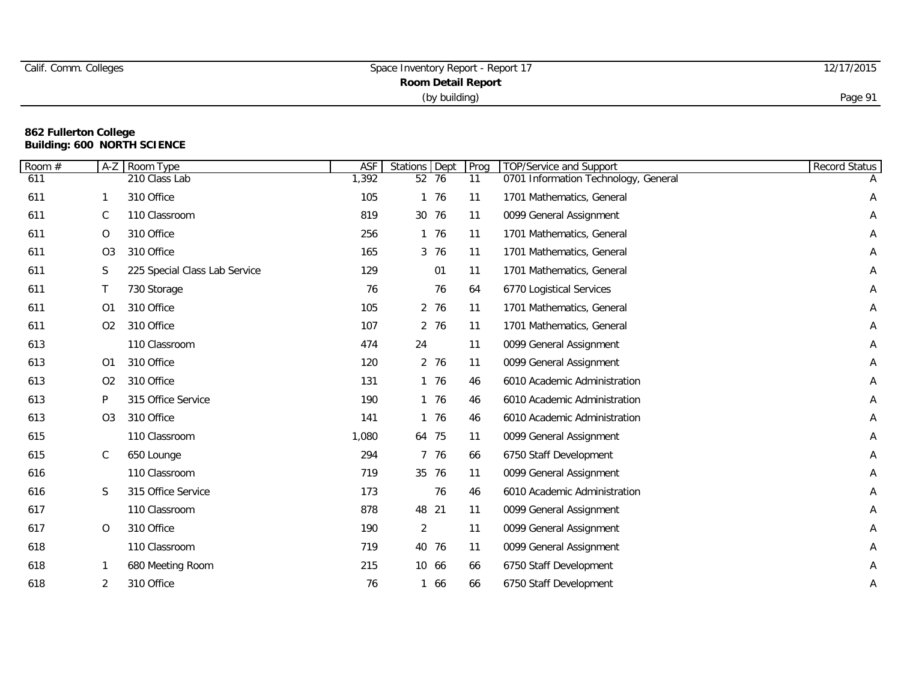| Calif. Comm. Colleges     | Space Inventory Report - Report 17 | 12/17/2015 |  |  |  |
|---------------------------|------------------------------------|------------|--|--|--|
| <b>Room Detail Report</b> |                                    |            |  |  |  |
|                           | (by building)                      | Page 91    |  |  |  |

| Room# | $A-Z$          | Room Type                     | <b>ASF</b> | Stations Dept  |       | Prog | TOP/Service and Support              | Record Status |
|-------|----------------|-------------------------------|------------|----------------|-------|------|--------------------------------------|---------------|
| 611   |                | 210 Class Lab                 | 1,392      |                | 52 76 | 11   | 0701 Information Technology, General |               |
| 611   | $\mathbf 1$    | 310 Office                    | 105        |                | 1 76  | 11   | 1701 Mathematics, General            | Α             |
| 611   | $\mathbb C$    | 110 Classroom                 | 819        |                | 30 76 | 11   | 0099 General Assignment              | Α             |
| 611   | $\circ$        | 310 Office                    | 256        |                | 1 76  | 11   | 1701 Mathematics, General            | Α             |
| 611   | O <sub>3</sub> | 310 Office                    | 165        |                | 3 76  | 11   | 1701 Mathematics, General            | Α             |
| 611   | S              | 225 Special Class Lab Service | 129        |                | 01    | 11   | 1701 Mathematics, General            | Α             |
| 611   | $\top$         | 730 Storage                   | 76         |                | 76    | 64   | 6770 Logistical Services             | A             |
| 611   | 01             | 310 Office                    | 105        |                | 2 76  | 11   | 1701 Mathematics, General            | Α             |
| 611   | O <sub>2</sub> | 310 Office                    | 107        |                | 2 76  | 11   | 1701 Mathematics, General            | Α             |
| 613   |                | 110 Classroom                 | 474        | 24             |       | 11   | 0099 General Assignment              | Α             |
| 613   | O <sub>1</sub> | 310 Office                    | 120        |                | 2 76  | 11   | 0099 General Assignment              | Α             |
| 613   | O <sub>2</sub> | 310 Office                    | 131        |                | 1 76  | 46   | 6010 Academic Administration         | Α             |
| 613   | P              | 315 Office Service            | 190        |                | 1 76  | 46   | 6010 Academic Administration         | A             |
| 613   | O <sub>3</sub> | 310 Office                    | 141        |                | 1 76  | 46   | 6010 Academic Administration         | Α             |
| 615   |                | 110 Classroom                 | 1,080      |                | 64 75 | 11   | 0099 General Assignment              | Α             |
| 615   | C              | 650 Lounge                    | 294        |                | 7 76  | 66   | 6750 Staff Development               | Α             |
| 616   |                | 110 Classroom                 | 719        |                | 35 76 | 11   | 0099 General Assignment              | Α             |
| 616   | S              | 315 Office Service            | 173        |                | 76    | 46   | 6010 Academic Administration         | A             |
| 617   |                | 110 Classroom                 | 878        |                | 48 21 | 11   | 0099 General Assignment              | A             |
| 617   | $\mathsf O$    | 310 Office                    | 190        | $\overline{2}$ |       | 11   | 0099 General Assignment              | A             |
| 618   |                | 110 Classroom                 | 719        |                | 40 76 | 11   | 0099 General Assignment              | Α             |
| 618   |                | 680 Meeting Room              | 215        |                | 10 66 | 66   | 6750 Staff Development               | Α             |
| 618   | 2              | 310 Office                    | 76         |                | 1 66  | 66   | 6750 Staff Development               | Α             |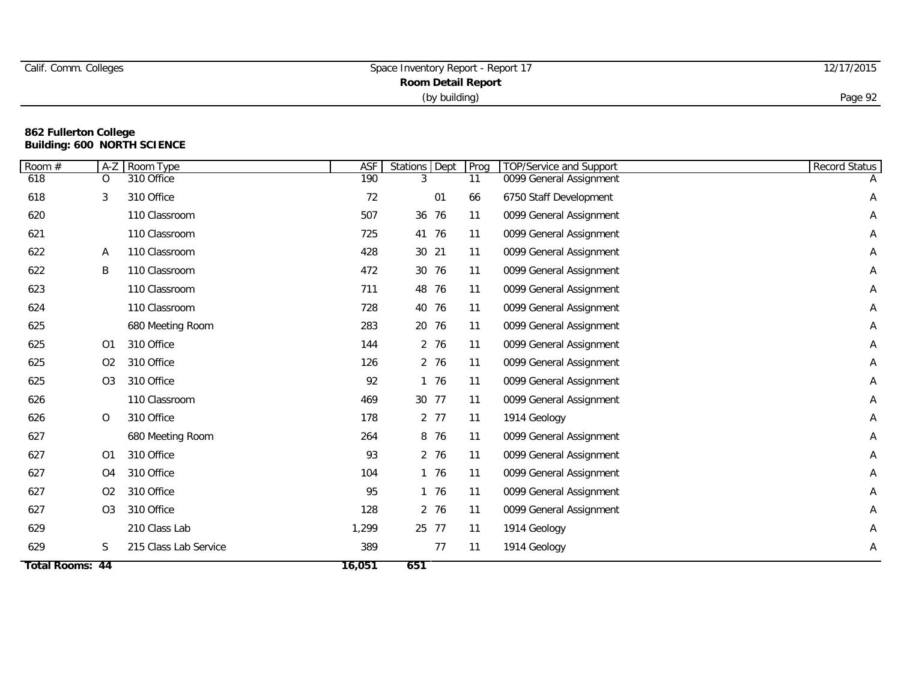| Calif. Comm. Colleges | Space Inventory Report - Report 17 | 12/17/2015 |  |  |  |  |
|-----------------------|------------------------------------|------------|--|--|--|--|
| Room Detail Report    |                                    |            |  |  |  |  |
|                       | (by building)                      | Page 92    |  |  |  |  |

| Room #          | $A-Z$          | Room Type             | <b>ASF</b> | Stations Dept |    | Prog | <b>TOP/Service and Support</b> | Record Status |
|-----------------|----------------|-----------------------|------------|---------------|----|------|--------------------------------|---------------|
| 618             | $\Omega$       | 310 Office            | 190        |               |    | 11   | 0099 General Assignment        |               |
| 618             | 3              | 310 Office            | 72         |               | 01 | 66   | 6750 Staff Development         | Α             |
| 620             |                | 110 Classroom         | 507        | 36 76         |    | 11   | 0099 General Assignment        | Α             |
| 621             |                | 110 Classroom         | 725        | 41<br>76      |    | 11   | 0099 General Assignment        | Α             |
| 622             | A              | 110 Classroom         | 428        | 30 21         |    | 11   | 0099 General Assignment        | Α             |
| 622             | B              | 110 Classroom         | 472        | 30 76         |    | 11   | 0099 General Assignment        | Α             |
| 623             |                | 110 Classroom         | 711        | 48 76         |    | 11   | 0099 General Assignment        | Α             |
| 624             |                | 110 Classroom         | 728        | 40 76         |    | 11   | 0099 General Assignment        | Α             |
| 625             |                | 680 Meeting Room      | 283        | 20 76         |    | 11   | 0099 General Assignment        | A             |
| 625             | O <sub>1</sub> | 310 Office            | 144        | 2 76          |    | 11   | 0099 General Assignment        | Α             |
| 625             | O <sub>2</sub> | 310 Office            | 126        | 2 76          |    | 11   | 0099 General Assignment        | Α             |
| 625             | O <sub>3</sub> | 310 Office            | 92         | 1 76          |    | 11   | 0099 General Assignment        | A             |
| 626             |                | 110 Classroom         | 469        | 30 77         |    | 11   | 0099 General Assignment        | Α             |
| 626             | $\circ$        | 310 Office            | 178        | 2 77          |    | 11   | 1914 Geology                   | Α             |
| 627             |                | 680 Meeting Room      | 264        | 8 76          |    | 11   | 0099 General Assignment        | Α             |
| 627             | O <sub>1</sub> | 310 Office            | 93         | 2 76          |    | 11   | 0099 General Assignment        | А             |
| 627             | O <sub>4</sub> | 310 Office            | 104        | 1 76          |    | 11   | 0099 General Assignment        | Α             |
| 627             | O <sub>2</sub> | 310 Office            | 95         | 1 76          |    | 11   | 0099 General Assignment        | A             |
| 627             | O <sub>3</sub> | 310 Office            | 128        | 2 76          |    | 11   | 0099 General Assignment        | Α             |
| 629             |                | 210 Class Lab         | 1,299      | 25 77         |    | 11   | 1914 Geology                   | Α             |
| 629             | S              | 215 Class Lab Service | 389        |               | 77 | 11   | 1914 Geology                   | A             |
| Total Rooms: 44 |                |                       | 16,051     | 651           |    |      |                                |               |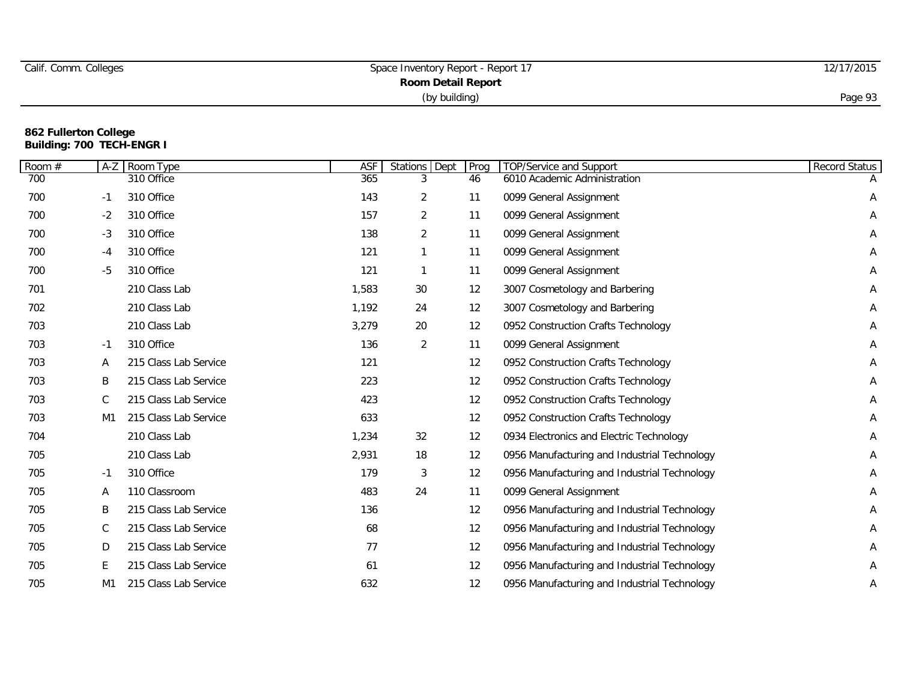| Calif. Comm. Colleges | Space Inventory Report - Report 17 | 12/17/2015 |  |  |  |
|-----------------------|------------------------------------|------------|--|--|--|
| Room Detail Report    |                                    |            |  |  |  |
|                       | (by building)                      | Page 93    |  |  |  |

| Room # | $A-Z$          | Room Type             | ASF   | Stations Dept  | Prog              | TOP/Service and Support                      | Record Status |
|--------|----------------|-----------------------|-------|----------------|-------------------|----------------------------------------------|---------------|
| 700    |                | 310 Office            | 365   | 3              | 46                | 6010 Academic Administration                 |               |
| 700    | -1             | 310 Office            | 143   | 2              | 11                | 0099 General Assignment                      | Α             |
| 700    | $-2$           | 310 Office            | 157   | $\overline{2}$ | 11                | 0099 General Assignment                      | А             |
| 700    | -3             | 310 Office            | 138   | $\overline{2}$ | 11                | 0099 General Assignment                      | Α             |
| 700    | -4             | 310 Office            | 121   | $\mathbf{1}$   | 11                | 0099 General Assignment                      | Α             |
| 700    | -5             | 310 Office            | 121   |                | 11                | 0099 General Assignment                      | Α             |
| 701    |                | 210 Class Lab         | 1,583 | 30             | 12                | 3007 Cosmetology and Barbering               | Α             |
| 702    |                | 210 Class Lab         | 1,192 | 24             | 12                | 3007 Cosmetology and Barbering               | А             |
| 703    |                | 210 Class Lab         | 3,279 | 20             | 12                | 0952 Construction Crafts Technology          | Α             |
| 703    | -1             | 310 Office            | 136   | 2              | 11                | 0099 General Assignment                      | Α             |
| 703    | A              | 215 Class Lab Service | 121   |                | 12                | 0952 Construction Crafts Technology          | Α             |
| 703    | Β              | 215 Class Lab Service | 223   |                | 12                | 0952 Construction Crafts Technology          | Α             |
| 703    | C              | 215 Class Lab Service | 423   |                | 12                | 0952 Construction Crafts Technology          | Α             |
| 703    | M <sub>1</sub> | 215 Class Lab Service | 633   |                | 12                | 0952 Construction Crafts Technology          | А             |
| 704    |                | 210 Class Lab         | 1,234 | 32             | $12 \overline{ }$ | 0934 Electronics and Electric Technology     | Α             |
| 705    |                | 210 Class Lab         | 2,931 | 18             | 12                | 0956 Manufacturing and Industrial Technology | Α             |
| 705    | -1             | 310 Office            | 179   | 3              | 12                | 0956 Manufacturing and Industrial Technology | A             |
| 705    | A              | 110 Classroom         | 483   | 24             | 11                | 0099 General Assignment                      | Α             |
| 705    | Β              | 215 Class Lab Service | 136   |                | 12                | 0956 Manufacturing and Industrial Technology | Α             |
| 705    | C              | 215 Class Lab Service | 68    |                | 12                | 0956 Manufacturing and Industrial Technology | A             |
| 705    | D              | 215 Class Lab Service | 77    |                | 12                | 0956 Manufacturing and Industrial Technology | Α             |
| 705    | E.             | 215 Class Lab Service | 61    |                | 12                | 0956 Manufacturing and Industrial Technology | Α             |
| 705    | M <sub>1</sub> | 215 Class Lab Service | 632   |                | 12                | 0956 Manufacturing and Industrial Technology | A             |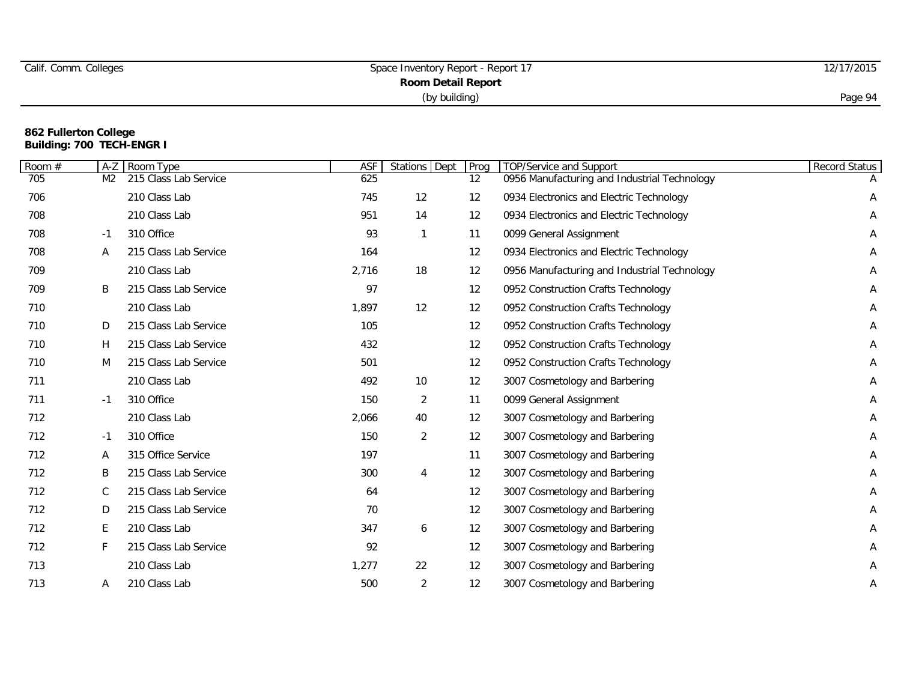|  | Calif. Comm. Colleges |
|--|-----------------------|
|  |                       |

| $\overline{Room}$ # | $A-Z$ | Room Type             | <b>ASF</b> | Stations Dept  | Prog            | TOP/Service and Support                      | Record Status |
|---------------------|-------|-----------------------|------------|----------------|-----------------|----------------------------------------------|---------------|
| 705                 | M2    | 215 Class Lab Service | 625        |                | 12 <sup>2</sup> | 0956 Manufacturing and Industrial Technology |               |
| 706                 |       | 210 Class Lab         | 745        | 12             | 12              | 0934 Electronics and Electric Technology     | Α             |
| 708                 |       | 210 Class Lab         | 951        | 14             | 12              | 0934 Electronics and Electric Technology     | Α             |
| 708                 | -1    | 310 Office            | 93         | $\mathbf{1}$   | 11              | 0099 General Assignment                      | Α             |
| 708                 | A     | 215 Class Lab Service | 164        |                | 12              | 0934 Electronics and Electric Technology     | Α             |
| 709                 |       | 210 Class Lab         | 2,716      | 18             | 12              | 0956 Manufacturing and Industrial Technology | Α             |
| 709                 | B     | 215 Class Lab Service | 97         |                | 12              | 0952 Construction Crafts Technology          | A             |
| 710                 |       | 210 Class Lab         | 1,897      | 12             | 12              | 0952 Construction Crafts Technology          | Α             |
| 710                 | D     | 215 Class Lab Service | 105        |                | 12              | 0952 Construction Crafts Technology          | Α             |
| 710                 | H     | 215 Class Lab Service | 432        |                | 12              | 0952 Construction Crafts Technology          | Α             |
| 710                 | M     | 215 Class Lab Service | 501        |                | 12              | 0952 Construction Crafts Technology          | Α             |
| 711                 |       | 210 Class Lab         | 492        | 10             | 12              | 3007 Cosmetology and Barbering               | A             |
| 711                 | $-1$  | 310 Office            | 150        | 2              | 11              | 0099 General Assignment                      | A             |
| 712                 |       | 210 Class Lab         | 2,066      | 40             | 12              | 3007 Cosmetology and Barbering               | Α             |
| 712                 | -1    | 310 Office            | 150        | $\overline{2}$ | 12              | 3007 Cosmetology and Barbering               | Α             |
| 712                 | A     | 315 Office Service    | 197        |                | 11              | 3007 Cosmetology and Barbering               | Α             |
| 712                 | B     | 215 Class Lab Service | 300        | 4              | 12              | 3007 Cosmetology and Barbering               | Α             |
| 712                 | C     | 215 Class Lab Service | 64         |                | 12              | 3007 Cosmetology and Barbering               | A             |
| 712                 | D     | 215 Class Lab Service | 70         |                | 12              | 3007 Cosmetology and Barbering               | Α             |
| 712                 | E     | 210 Class Lab         | 347        | 6              | 12              | 3007 Cosmetology and Barbering               | Α             |
| 712                 |       | 215 Class Lab Service | 92         |                | 12              | 3007 Cosmetology and Barbering               | Α             |
| 713                 |       | 210 Class Lab         | 1,277      | 22             | 12              | 3007 Cosmetology and Barbering               | Α             |
| 713                 | Α     | 210 Class Lab         | 500        | 2              | 12              | 3007 Cosmetology and Barbering               | Α             |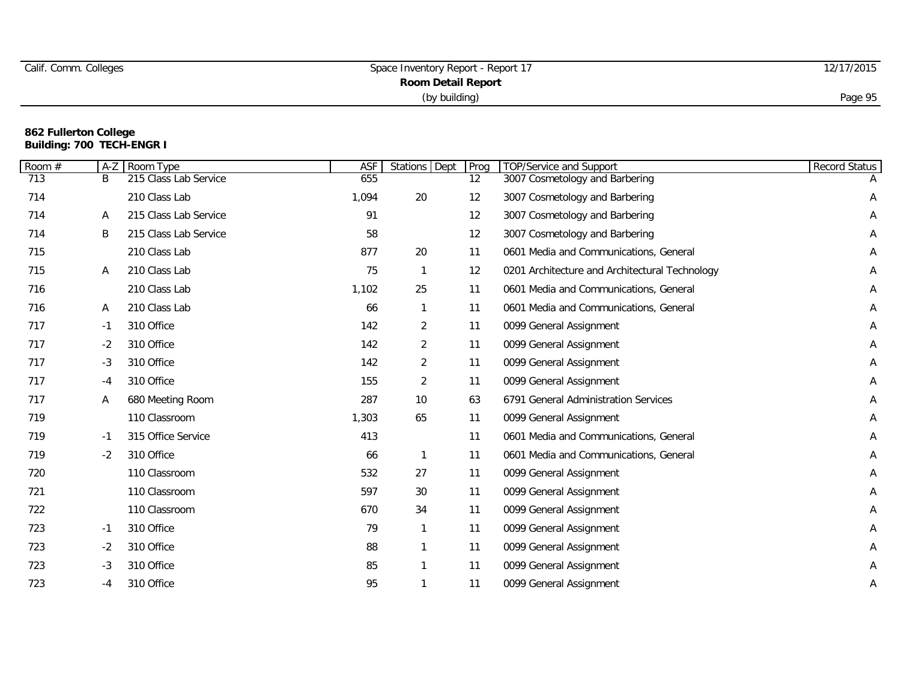|  |  | alif. Comm. Colleges |  |
|--|--|----------------------|--|
|--|--|----------------------|--|

# Calif. Comm. Colleges Space Inventory Report - Report 17 12/17/2015 **Room Detail Report** (by building) Page 95

| Room # | $A-Z$ | Room Type             | ASF   | Stations Dept  | Prog              | <b>TOP/Service and Support</b>                 | Record Status |
|--------|-------|-----------------------|-------|----------------|-------------------|------------------------------------------------|---------------|
| 713    | B     | 215 Class Lab Service | 655   |                | 12                | 3007 Cosmetology and Barbering                 |               |
| 714    |       | 210 Class Lab         | 1,094 | 20             | 12                | 3007 Cosmetology and Barbering                 | Α             |
| 714    | Α     | 215 Class Lab Service | 91    |                | 12                | 3007 Cosmetology and Barbering                 | Α             |
| 714    | Β     | 215 Class Lab Service | 58    |                | 12                | 3007 Cosmetology and Barbering                 | Α             |
| 715    |       | 210 Class Lab         | 877   | 20             | 11                | 0601 Media and Communications, General         | Α             |
| 715    | Α     | 210 Class Lab         | 75    | -1             | $12 \overline{ }$ | 0201 Architecture and Architectural Technology | Α             |
| 716    |       | 210 Class Lab         | 1,102 | 25             | 11                | 0601 Media and Communications, General         | Α             |
| 716    | A     | 210 Class Lab         | 66    |                | 11                | 0601 Media and Communications, General         | Α             |
| 717    | $-1$  | 310 Office            | 142   | $\overline{2}$ | 11                | 0099 General Assignment                        | Α             |
| 717    | $-2$  | 310 Office            | 142   | $\overline{2}$ | 11                | 0099 General Assignment                        | Α             |
| 717    | -3    | 310 Office            | 142   | 2              | 11                | 0099 General Assignment                        | Α             |
| 717    | $-4$  | 310 Office            | 155   | $\overline{2}$ | 11                | 0099 General Assignment                        | Α             |
| 717    | A     | 680 Meeting Room      | 287   | 10             | 63                | 6791 General Administration Services           | Α             |
| 719    |       | 110 Classroom         | 1,303 | 65             | 11                | 0099 General Assignment                        | Α             |
| 719    | -1    | 315 Office Service    | 413   |                | 11                | 0601 Media and Communications, General         | Α             |
| 719    | $-2$  | 310 Office            | 66    | -1             | 11                | 0601 Media and Communications, General         | Α             |
| 720    |       | 110 Classroom         | 532   | 27             | 11                | 0099 General Assignment                        | Α             |
| 721    |       | 110 Classroom         | 597   | 30             | 11                | 0099 General Assignment                        | Α             |
| 722    |       | 110 Classroom         | 670   | 34             | 11                | 0099 General Assignment                        | Α             |
| 723    | $-1$  | 310 Office            | 79    | -1             | 11                | 0099 General Assignment                        | Α             |
| 723    | $-2$  | 310 Office            | 88    |                | 11                | 0099 General Assignment                        | Α             |
| 723    | -3    | 310 Office            | 85    |                | 11                | 0099 General Assignment                        | Α             |
| 723    | -4    | 310 Office            | 95    |                | 11                | 0099 General Assignment                        | Α             |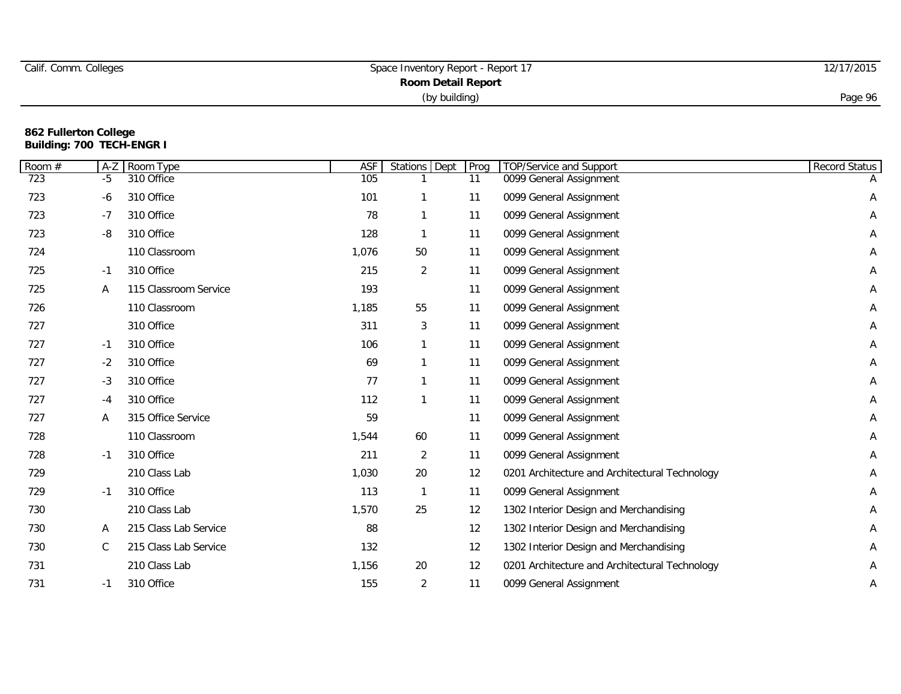| Calif. Comm. Colleges     | Space Inventory Report - Report 17 | 12/17/2015 |  |  |  |  |
|---------------------------|------------------------------------|------------|--|--|--|--|
| <b>Room Detail Report</b> |                                    |            |  |  |  |  |
|                           | (by building)                      | Page 96    |  |  |  |  |

| Room # | $A-Z$ | Room Type             | ASF   | Stations Dept  | Prog | TOP/Service and Support                        | Record Status |
|--------|-------|-----------------------|-------|----------------|------|------------------------------------------------|---------------|
| 723    | $-5$  | 310 Office            | 105   |                | 11   | 0099 General Assignment                        |               |
| 723    | -6    | 310 Office            | 101   |                | 11   | 0099 General Assignment                        | Α             |
| 723    | $-7$  | 310 Office            | 78    |                | 11   | 0099 General Assignment                        | Α             |
| 723    | -8    | 310 Office            | 128   |                | 11   | 0099 General Assignment                        | Α             |
| 724    |       | 110 Classroom         | 1,076 | 50             | 11   | 0099 General Assignment                        | Α             |
| 725    | $-1$  | 310 Office            | 215   | 2              | 11   | 0099 General Assignment                        | A             |
| 725    | Α     | 115 Classroom Service | 193   |                | 11   | 0099 General Assignment                        | Α             |
| 726    |       | 110 Classroom         | 1,185 | 55             | 11   | 0099 General Assignment                        | Α             |
| 727    |       | 310 Office            | 311   | 3              | 11   | 0099 General Assignment                        | Α             |
| 727    | -1    | 310 Office            | 106   |                | 11   | 0099 General Assignment                        | Α             |
| 727    | $-2$  | 310 Office            | 69    |                | 11   | 0099 General Assignment                        | Α             |
| 727    | -3    | 310 Office            | 77    |                | 11   | 0099 General Assignment                        | Α             |
| 727    | -4    | 310 Office            | 112   |                | 11   | 0099 General Assignment                        | A             |
| 727    | Α     | 315 Office Service    | 59    |                | 11   | 0099 General Assignment                        | Α             |
| 728    |       | 110 Classroom         | 1,544 | 60             | 11   | 0099 General Assignment                        | Α             |
| 728    | $-1$  | 310 Office            | 211   | 2              | 11   | 0099 General Assignment                        | Α             |
| 729    |       | 210 Class Lab         | 1,030 | 20             | 12   | 0201 Architecture and Architectural Technology | Α             |
| 729    | $-1$  | 310 Office            | 113   | 1              | 11   | 0099 General Assignment                        | Α             |
| 730    |       | 210 Class Lab         | 1,570 | 25             | 12   | 1302 Interior Design and Merchandising         | Α             |
| 730    | Α     | 215 Class Lab Service | 88    |                | 12   | 1302 Interior Design and Merchandising         | Α             |
| 730    | C     | 215 Class Lab Service | 132   |                | 12   | 1302 Interior Design and Merchandising         | Α             |
| 731    |       | 210 Class Lab         | 1,156 | 20             | 12   | 0201 Architecture and Architectural Technology | Α             |
| 731    | $-1$  | 310 Office            | 155   | $\overline{2}$ | 11   | 0099 General Assignment                        | Α             |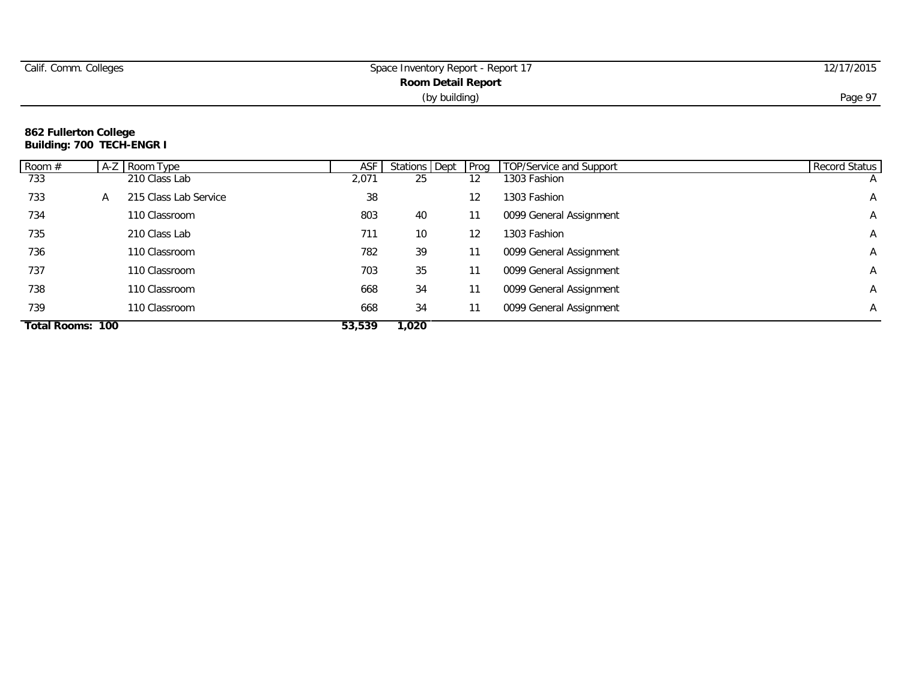| Calif. Comm. Colleges | Space Inventory Report - Report 17 | 12/17/2015 |
|-----------------------|------------------------------------|------------|
|                       | Room Detail Report                 |            |
|                       | (by building)                      | Page 97    |

| Room #           |   | A-Z Room Type         | ASF    | Stations Dept | <b>Prog</b> | TOP/Service and Support | Record Status  |
|------------------|---|-----------------------|--------|---------------|-------------|-------------------------|----------------|
| 733              |   | 210 Class Lab         | 2,071  | 25            | 12          | 1303 Fashion            | $\overline{A}$ |
| 733              | A | 215 Class Lab Service | 38     |               | 12          | 1303 Fashion            | A              |
| 734              |   | 110 Classroom         | 803    | 40            | 11          | 0099 General Assignment | A              |
| 735              |   | 210 Class Lab         | 711    | 10            | 12          | 1303 Fashion            | A              |
| 736              |   | 110 Classroom         | 782    | 39            | 11          | 0099 General Assignment | A              |
| 737              |   | 110 Classroom         | 703    | 35            | 11          | 0099 General Assignment | A              |
| 738              |   | 110 Classroom         | 668    | 34            | 11          | 0099 General Assignment | A              |
| 739              |   | 110 Classroom         | 668    | 34            | 11          | 0099 General Assignment | A              |
| Total Rooms: 100 |   |                       | 53,539 | 1.020         |             |                         |                |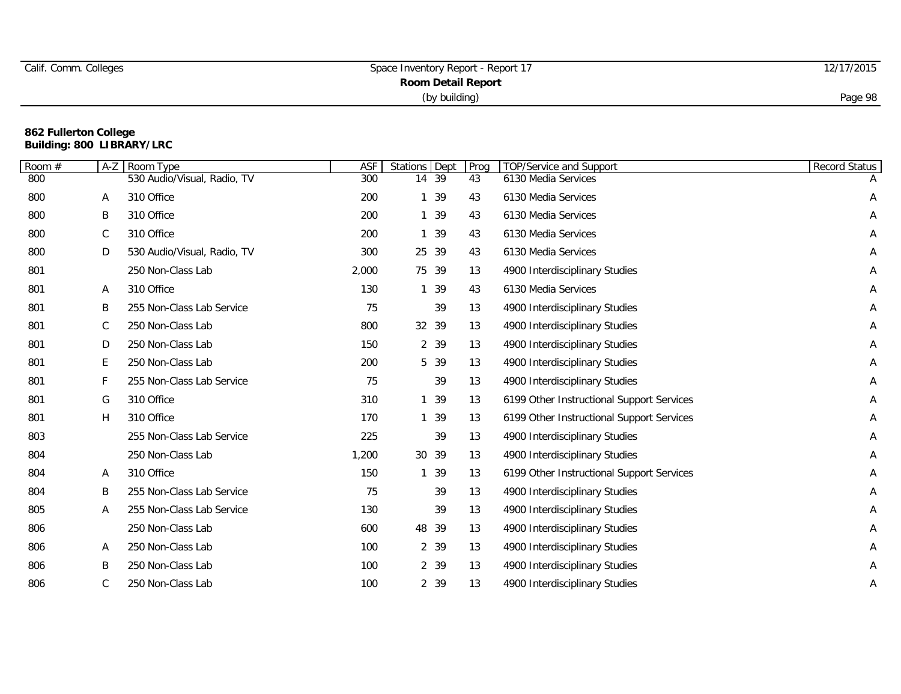|  | Calif. Comm. Colleges |
|--|-----------------------|
|  |                       |

| Room # | A-Z         | Room Type                   | ASF   | Stations Dept | Prog | TOP/Service and Support                   | Record Status |
|--------|-------------|-----------------------------|-------|---------------|------|-------------------------------------------|---------------|
| 800    |             | 530 Audio/Visual, Radio, TV | 300   | 14 39         | 43   | 6130 Media Services                       |               |
| 800    | A           | 310 Office                  | 200   | 1 39          | 43   | 6130 Media Services                       | Α             |
| 800    | B           | 310 Office                  | 200   | 1 39          | 43   | 6130 Media Services                       | Α             |
| 800    | $\mathsf C$ | 310 Office                  | 200   | 39            | 43   | 6130 Media Services                       | Α             |
| 800    | D           | 530 Audio/Visual, Radio, TV | 300   | 25 39         | 43   | 6130 Media Services                       | Α             |
| 801    |             | 250 Non-Class Lab           | 2,000 | 75 39         | 13   | 4900 Interdisciplinary Studies            | Α             |
| 801    | Α           | 310 Office                  | 130   | 39            | 43   | 6130 Media Services                       | Α             |
| 801    | B           | 255 Non-Class Lab Service   | 75    | 39            | 13   | 4900 Interdisciplinary Studies            | Α             |
| 801    | С           | 250 Non-Class Lab           | 800   | 32 39         | 13   | 4900 Interdisciplinary Studies            | Α             |
| 801    | D           | 250 Non-Class Lab           | 150   | 2 39          | 13   | 4900 Interdisciplinary Studies            | Α             |
| 801    | E           | 250 Non-Class Lab           | 200   | 5 39          | 13   | 4900 Interdisciplinary Studies            | Α             |
| 801    | F           | 255 Non-Class Lab Service   | 75    | 39            | 13   | 4900 Interdisciplinary Studies            | Α             |
| 801    | G           | 310 Office                  | 310   | 39            | 13   | 6199 Other Instructional Support Services | Α             |
| 801    | H           | 310 Office                  | 170   | 39            | 13   | 6199 Other Instructional Support Services | Α             |
| 803    |             | 255 Non-Class Lab Service   | 225   | 39            | 13   | 4900 Interdisciplinary Studies            | Α             |
| 804    |             | 250 Non-Class Lab           | 1,200 | 30 39         | 13   | 4900 Interdisciplinary Studies            | Α             |
| 804    | A           | 310 Office                  | 150   | 39            | 13   | 6199 Other Instructional Support Services | Α             |
| 804    | B           | 255 Non-Class Lab Service   | 75    | 39            | 13   | 4900 Interdisciplinary Studies            | Α             |
| 805    | Α           | 255 Non-Class Lab Service   | 130   | 39            | 13   | 4900 Interdisciplinary Studies            | Α             |
| 806    |             | 250 Non-Class Lab           | 600   | 48 39         | 13   | 4900 Interdisciplinary Studies            | Α             |
| 806    | A           | 250 Non-Class Lab           | 100   | 2 39          | 13   | 4900 Interdisciplinary Studies            | Α             |
| 806    | B           | 250 Non-Class Lab           | 100   | 2 39          | 13   | 4900 Interdisciplinary Studies            | Α             |
| 806    | C           | 250 Non-Class Lab           | 100   | 2 39          | 13   | 4900 Interdisciplinary Studies            | Α             |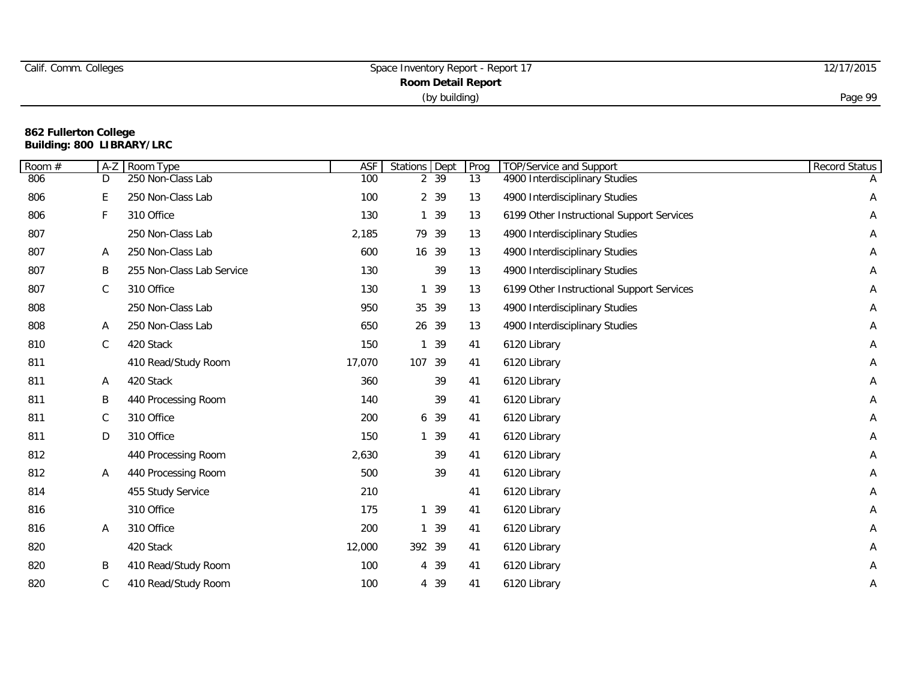|  | Calif. Comm. Colleges |
|--|-----------------------|
|  |                       |

| Room # | $A-Z$        | Room Type                 | ASF    | Stations Dept    |    | Prog | TOP/Service and Support                   | Record Status |
|--------|--------------|---------------------------|--------|------------------|----|------|-------------------------------------------|---------------|
| 806    | D            | 250 Non-Class Lab         | 100    | $2\overline{39}$ |    | 13   | 4900 Interdisciplinary Studies            |               |
| 806    | E.           | 250 Non-Class Lab         | 100    | 2 39             |    | 13   | 4900 Interdisciplinary Studies            | Α             |
| 806    | F            | 310 Office                | 130    | 1 39             |    | 13   | 6199 Other Instructional Support Services | Α             |
| 807    |              | 250 Non-Class Lab         | 2,185  | 79 39            |    | 13   | 4900 Interdisciplinary Studies            | Α             |
| 807    | A            | 250 Non-Class Lab         | 600    | 16 39            |    | 13   | 4900 Interdisciplinary Studies            | Α             |
| 807    | B            | 255 Non-Class Lab Service | 130    |                  | 39 | 13   | 4900 Interdisciplinary Studies            | Α             |
| 807    | C            | 310 Office                | 130    |                  | 39 | 13   | 6199 Other Instructional Support Services | Α             |
| 808    |              | 250 Non-Class Lab         | 950    | 35 39            |    | 13   | 4900 Interdisciplinary Studies            | A             |
| 808    | Α            | 250 Non-Class Lab         | 650    | 26 39            |    | 13   | 4900 Interdisciplinary Studies            | Α             |
| 810    | $\mathsf C$  | 420 Stack                 | 150    |                  | 39 | 41   | 6120 Library                              | Α             |
| 811    |              | 410 Read/Study Room       | 17,070 | 107 39           |    | 41   | 6120 Library                              | Α             |
| 811    | A            | 420 Stack                 | 360    |                  | 39 | 41   | 6120 Library                              | A             |
| 811    | Β            | 440 Processing Room       | 140    |                  | 39 | 41   | 6120 Library                              | A             |
| 811    | $\mathsf{C}$ | 310 Office                | 200    | 6 39             |    | 41   | 6120 Library                              | A             |
| 811    | D            | 310 Office                | 150    | 39               |    | 41   | 6120 Library                              | Α             |
| 812    |              | 440 Processing Room       | 2,630  |                  | 39 | 41   | 6120 Library                              | Α             |
| 812    | Α            | 440 Processing Room       | 500    |                  | 39 | 41   | 6120 Library                              | A             |
| 814    |              | 455 Study Service         | 210    |                  |    | 41   | 6120 Library                              | A             |
| 816    |              | 310 Office                | 175    | 1 39             |    | 41   | 6120 Library                              | Α             |
| 816    | A            | 310 Office                | 200    |                  | 39 | 41   | 6120 Library                              | А             |
| 820    |              | 420 Stack                 | 12,000 | 392 39           |    | 41   | 6120 Library                              | Α             |
| 820    | Β            | 410 Read/Study Room       | 100    | 4 39             |    | 41   | 6120 Library                              | Α             |
| 820    | С            | 410 Read/Study Room       | 100    | 4 39             |    | 41   | 6120 Library                              | Α             |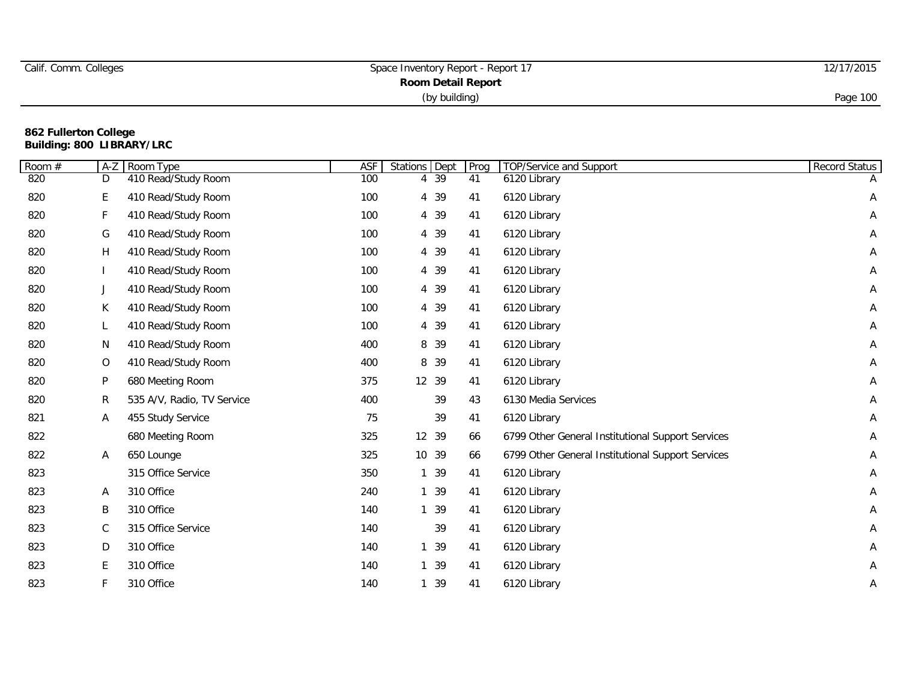| Calif. Comm. Colleges | Space Inventory Report - Report 17 | 12/17/2015 |
|-----------------------|------------------------------------|------------|
|                       |                                    |            |
|                       | (by building)                      | Page 100   |

| Room# | $A-Z$        | Room Type                  | <b>ASF</b> | Stations Dept | Prog | <b>TOP/Service and Support</b>                    | Record Status |
|-------|--------------|----------------------------|------------|---------------|------|---------------------------------------------------|---------------|
| 820   | D            | 410 Read/Study Room        | 100        | 4 39          | 41   | 6120 Library                                      | A             |
| 820   | E            | 410 Read/Study Room        | 100        | 4 39          | 41   | 6120 Library                                      | Α             |
| 820   | F            | 410 Read/Study Room        | 100        | 4 39          | 41   | 6120 Library                                      | Α             |
| 820   | G            | 410 Read/Study Room        | 100        | 4 39          | 41   | 6120 Library                                      | Α             |
| 820   | H            | 410 Read/Study Room        | 100        | 4 39          | 41   | 6120 Library                                      | Α             |
| 820   |              | 410 Read/Study Room        | 100        | 4 39          | 41   | 6120 Library                                      | A             |
| 820   | J            | 410 Read/Study Room        | 100        | 4 39          | 41   | 6120 Library                                      | A             |
| 820   | К            | 410 Read/Study Room        | 100        | 4 39          | 41   | 6120 Library                                      | A             |
| 820   | L            | 410 Read/Study Room        | 100        | 4 39          | 41   | 6120 Library                                      | Α             |
| 820   | N            | 410 Read/Study Room        | 400        | 8 3 9         | 41   | 6120 Library                                      | Α             |
| 820   | 0            | 410 Read/Study Room        | 400        | 8 39          | 41   | 6120 Library                                      | Α             |
| 820   | P            | 680 Meeting Room           | 375        | 12 39         | 41   | 6120 Library                                      | A             |
| 820   | $\mathsf{R}$ | 535 A/V, Radio, TV Service | 400        | 39            | 43   | 6130 Media Services                               | A             |
| 821   | Α            | 455 Study Service          | 75         | 39            | 41   | 6120 Library                                      | Α             |
| 822   |              | 680 Meeting Room           | 325        | 12 39         | 66   | 6799 Other General Institutional Support Services | Α             |
| 822   | A            | 650 Lounge                 | 325        | 10 39         | 66   | 6799 Other General Institutional Support Services | Α             |
| 823   |              | 315 Office Service         | 350        | 1 39          | 41   | 6120 Library                                      | Α             |
| 823   | A            | 310 Office                 | 240        | 1 39          | 41   | 6120 Library                                      | A             |
| 823   | B            | 310 Office                 | 140        | 39            | 41   | 6120 Library                                      | Α             |
| 823   | C            | 315 Office Service         | 140        | 39            | 41   | 6120 Library                                      | A             |
| 823   | D            | 310 Office                 | 140        | 39            | 41   | 6120 Library                                      | Α             |
| 823   | Ε            | 310 Office                 | 140        | 1 39          | 41   | 6120 Library                                      | Α             |
| 823   | F            | 310 Office                 | 140        | 39            | 41   | 6120 Library                                      | Α             |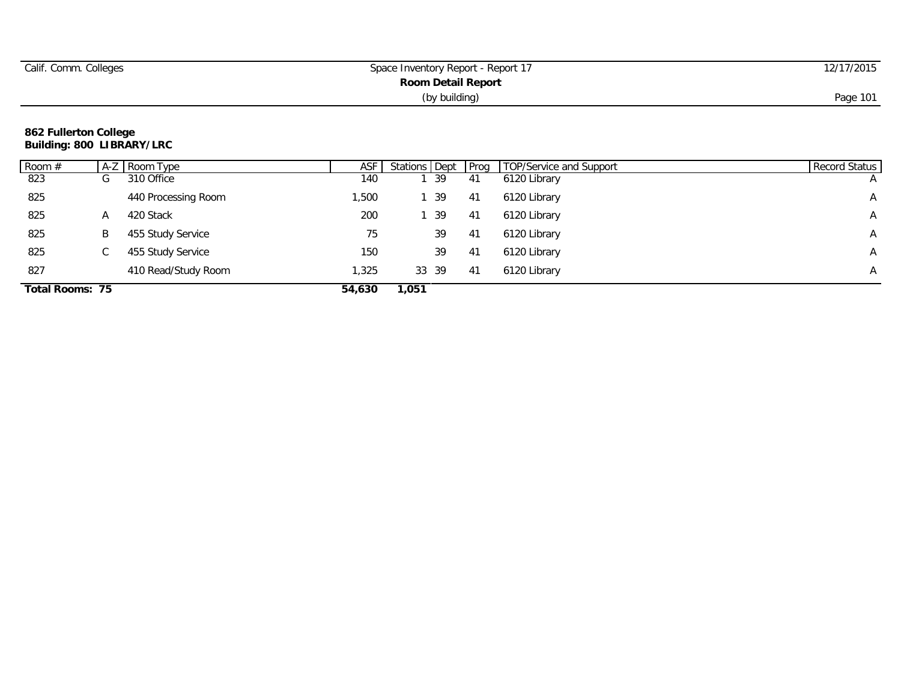| Calif. Comm. Colleges | Space Inventory Report - Report 17 | 12/17/2015 |
|-----------------------|------------------------------------|------------|
|                       | Room Detail Report                 |            |
|                       | (by building)                      | Page 101   |

| Room #                 | $A-Z$ | Room Type           | ASF    | Stations Dept Prog |    | TOP/Service and Support | Record Status  |
|------------------------|-------|---------------------|--------|--------------------|----|-------------------------|----------------|
| 823                    | G     | 310 Office          | 140    | - 39               | 41 | 6120 Library            | $\overline{A}$ |
| 825                    |       | 440 Processing Room | ,500   | - 39               | 41 | 6120 Library            | A              |
| 825                    | A     | 420 Stack           | 200    | - 39               | 41 | 6120 Library            | A              |
| 825                    | B     | 455 Study Service   | 75     | 39                 | 41 | 6120 Library            | A              |
| 825                    | C.    | 455 Study Service   | 150    | 39                 | 41 | 6120 Library            | A              |
| 827                    |       | 410 Read/Study Room | 1,325  | 33 39              | 41 | 6120 Library            | A              |
| <b>Total Rooms: 75</b> |       |                     | 54,630 | 1.051              |    |                         |                |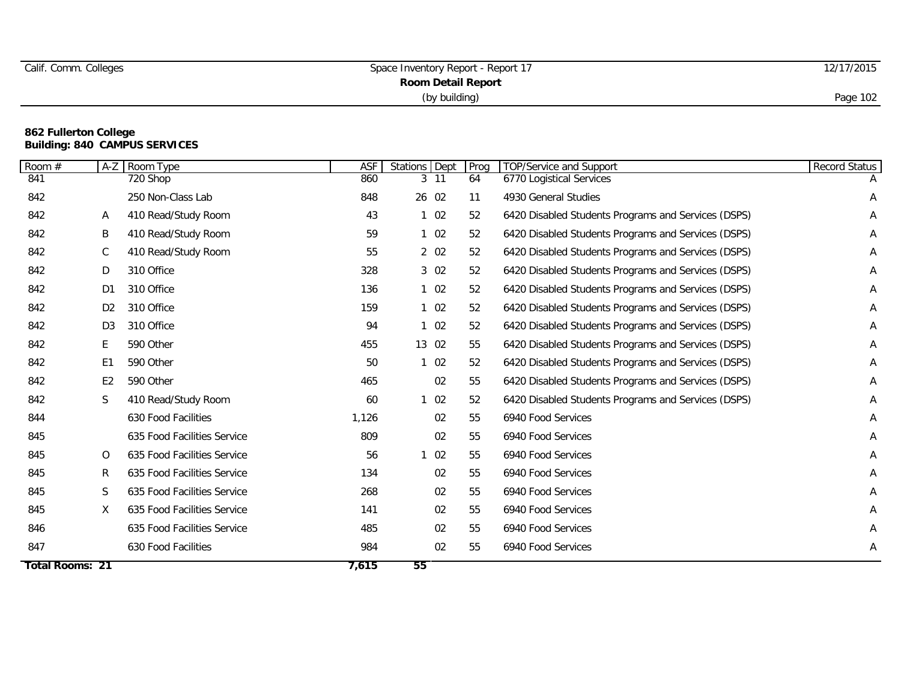|  | Calif. Comm. Colleges |
|--|-----------------------|
|  |                       |

# **862 Fullerton College Building: 840 CAMPUS SERVICES**

| Room #                 | $A-Z$          | Room Type                   | ASF   | <b>Stations</b> Dept |            | Prog | TOP/Service and Support                             | Record Status |
|------------------------|----------------|-----------------------------|-------|----------------------|------------|------|-----------------------------------------------------|---------------|
| 841                    |                | 720 Shop                    | 860   | $3 \quad 11$         |            | 64   | 6770 Logistical Services                            |               |
| 842                    |                | 250 Non-Class Lab           | 848   | 26 02                |            | 11   | 4930 General Studies                                | Α             |
| 842                    | Α              | 410 Read/Study Room         | 43    | 102                  |            | 52   | 6420 Disabled Students Programs and Services (DSPS) | Α             |
| 842                    | B              | 410 Read/Study Room         | 59    | 102                  |            | 52   | 6420 Disabled Students Programs and Services (DSPS) | A             |
| 842                    | C              | 410 Read/Study Room         | 55    |                      | 2 02       | 52   | 6420 Disabled Students Programs and Services (DSPS) | Α             |
| 842                    | D              | 310 Office                  | 328   | 3 02                 |            | 52   | 6420 Disabled Students Programs and Services (DSPS) | Α             |
| 842                    | D <sub>1</sub> | 310 Office                  | 136   | 102                  |            | 52   | 6420 Disabled Students Programs and Services (DSPS) | A             |
| 842                    | D <sub>2</sub> | 310 Office                  | 159   | $1\quad02$           |            | 52   | 6420 Disabled Students Programs and Services (DSPS) | Α             |
| 842                    | D <sub>3</sub> | 310 Office                  | 94    | 102                  |            | 52   | 6420 Disabled Students Programs and Services (DSPS) | Α             |
| 842                    | E              | 590 Other                   | 455   | 13 02                |            | 55   | 6420 Disabled Students Programs and Services (DSPS) | A             |
| 842                    | E <sub>1</sub> | 590 Other                   | 50    |                      | $1\quad02$ | 52   | 6420 Disabled Students Programs and Services (DSPS) | Α             |
| 842                    | E <sub>2</sub> | 590 Other                   | 465   |                      | 02         | 55   | 6420 Disabled Students Programs and Services (DSPS) | Α             |
| 842                    | S              | 410 Read/Study Room         | 60    |                      | $1\quad02$ | 52   | 6420 Disabled Students Programs and Services (DSPS) | Α             |
| 844                    |                | 630 Food Facilities         | 1,126 |                      | 02         | 55   | 6940 Food Services                                  | Α             |
| 845                    |                | 635 Food Facilities Service | 809   |                      | 02         | 55   | 6940 Food Services                                  | Α             |
| 845                    | $\circ$        | 635 Food Facilities Service | 56    |                      | 102        | 55   | 6940 Food Services                                  | Α             |
| 845                    | R              | 635 Food Facilities Service | 134   |                      | 02         | 55   | 6940 Food Services                                  | Α             |
| 845                    | S              | 635 Food Facilities Service | 268   |                      | 02         | 55   | 6940 Food Services                                  | Α             |
| 845                    | X              | 635 Food Facilities Service | 141   |                      | 02         | 55   | 6940 Food Services                                  | Α             |
| 846                    |                | 635 Food Facilities Service | 485   |                      | 02         | 55   | 6940 Food Services                                  | A             |
| 847                    |                | 630 Food Facilities         | 984   |                      | 02         | 55   | 6940 Food Services                                  | Α             |
| <b>Total Rooms: 21</b> |                |                             | 7,615 | 55                   |            |      |                                                     |               |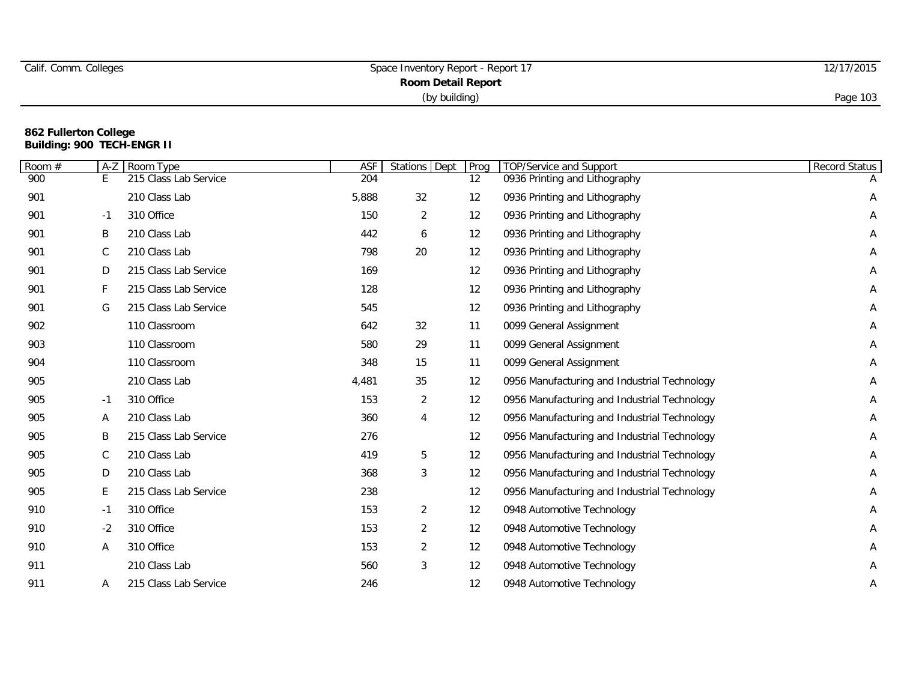| Calif. Comm. Colleges | Space Inventory Report - Report 17 | 12/17/2015 |
|-----------------------|------------------------------------|------------|
|                       |                                    |            |
|                       | (by building)                      | Page 103   |

| Room # | $A-Z$ | Room Type             | ASF   | Stations Dept  | Prog              | TOP/Service and Support                      | Record Status |
|--------|-------|-----------------------|-------|----------------|-------------------|----------------------------------------------|---------------|
| 900    | E.    | 215 Class Lab Service | 204   |                | 12                | 0936 Printing and Lithography                |               |
| 901    |       | 210 Class Lab         | 5,888 | 32             | 12                | 0936 Printing and Lithography                | Α             |
| 901    | $-1$  | 310 Office            | 150   | $\overline{2}$ | 12                | 0936 Printing and Lithography                | Α             |
| 901    | Β     | 210 Class Lab         | 442   | 6              | $12 \overline{ }$ | 0936 Printing and Lithography                | Α             |
| 901    | С     | 210 Class Lab         | 798   | 20             | 12                | 0936 Printing and Lithography                | Α             |
| 901    | D     | 215 Class Lab Service | 169   |                | 12                | 0936 Printing and Lithography                | Α             |
| 901    | F.    | 215 Class Lab Service | 128   |                | 12                | 0936 Printing and Lithography                | A             |
| 901    | G     | 215 Class Lab Service | 545   |                | 12                | 0936 Printing and Lithography                | Α             |
| 902    |       | 110 Classroom         | 642   | 32             | 11                | 0099 General Assignment                      | Α             |
| 903    |       | 110 Classroom         | 580   | 29             | 11                | 0099 General Assignment                      | Α             |
| 904    |       | 110 Classroom         | 348   | 15             | 11                | 0099 General Assignment                      | Α             |
| 905    |       | 210 Class Lab         | 4,481 | 35             | 12                | 0956 Manufacturing and Industrial Technology | Α             |
| 905    | $-1$  | 310 Office            | 153   | $\overline{2}$ | 12                | 0956 Manufacturing and Industrial Technology | A             |
| 905    | Α     | 210 Class Lab         | 360   | 4              | 12                | 0956 Manufacturing and Industrial Technology | Α             |
| 905    | Β     | 215 Class Lab Service | 276   |                | 12                | 0956 Manufacturing and Industrial Technology | Α             |
| 905    | C     | 210 Class Lab         | 419   | 5              | 12                | 0956 Manufacturing and Industrial Technology | Α             |
| 905    | D     | 210 Class Lab         | 368   | 3              | 12                | 0956 Manufacturing and Industrial Technology | A             |
| 905    | E     | 215 Class Lab Service | 238   |                | 12                | 0956 Manufacturing and Industrial Technology | Α             |
| 910    | $-1$  | 310 Office            | 153   | $\overline{2}$ | $12 \overline{ }$ | 0948 Automotive Technology                   | A             |
| 910    | $-2$  | 310 Office            | 153   | $\overline{2}$ | 12                | 0948 Automotive Technology                   | Α             |
| 910    | Α     | 310 Office            | 153   | $\overline{2}$ | 12                | 0948 Automotive Technology                   | Α             |
| 911    |       | 210 Class Lab         | 560   | 3              | $12 \overline{ }$ | 0948 Automotive Technology                   | Α             |
| 911    | A     | 215 Class Lab Service | 246   |                | 12                | 0948 Automotive Technology                   | Α             |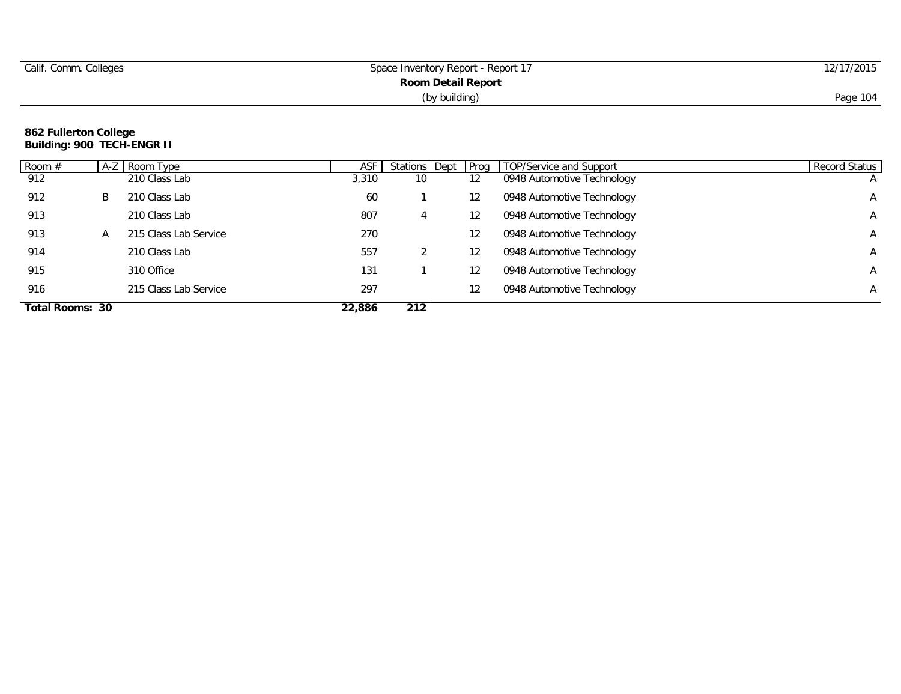| Calif. Comm. Colleges     | Space Inventory Report - Report 17 | 12/17/2015 |  |  |  |  |
|---------------------------|------------------------------------|------------|--|--|--|--|
| <b>Room Detail Report</b> |                                    |            |  |  |  |  |
|                           | (by building)                      | Page 104   |  |  |  |  |

| Room $#$        |   | A-Z Room Type         | ASF    | Stations Dept | <b>Prog</b> | TOP/Service and Support    | Record Status  |
|-----------------|---|-----------------------|--------|---------------|-------------|----------------------------|----------------|
| 912             |   | 210 Class Lab         | 3,310  | 10            | 12          | 0948 Automotive Technology | $\overline{A}$ |
| 912             | B | 210 Class Lab         | 60     |               | 12          | 0948 Automotive Technology | A              |
| 913             |   | 210 Class Lab         | 807    | 4             | 12          | 0948 Automotive Technology | A              |
| 913             | A | 215 Class Lab Service | 270    |               | 12          | 0948 Automotive Technology | A              |
| 914             |   | 210 Class Lab         | 557    |               | 12          | 0948 Automotive Technology | A              |
| 915             |   | 310 Office            | 131    |               |             | 0948 Automotive Technology | A              |
| 916             |   | 215 Class Lab Service | 297    |               | 12          | 0948 Automotive Technology | A              |
| Total Rooms: 30 |   |                       | 22,886 | 212           |             |                            |                |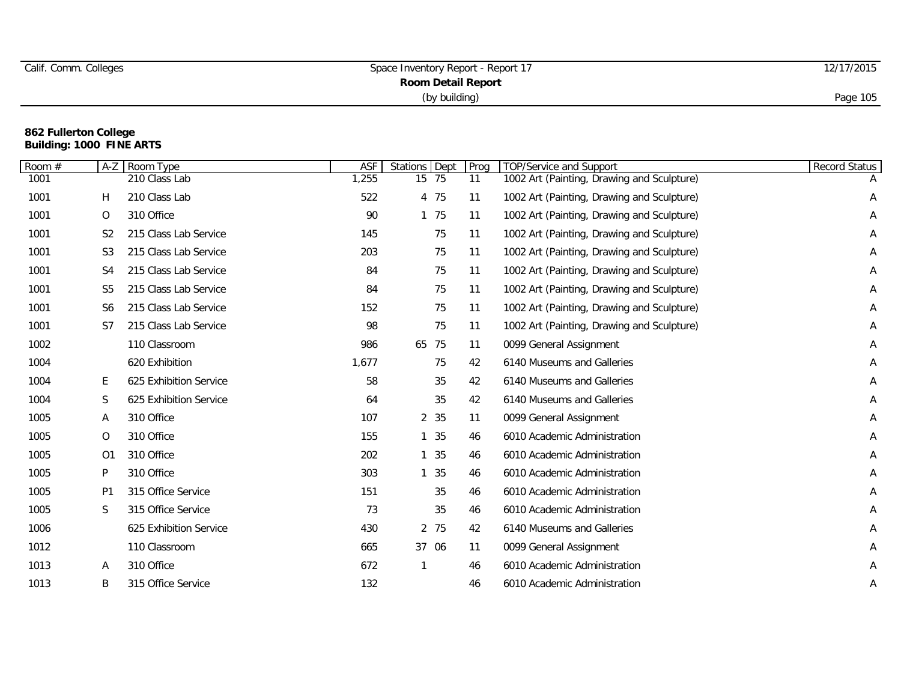| Calif. Comm. Colleges     | Space Inventory Report - Report 17 | 12/17/2015 |  |  |  |  |
|---------------------------|------------------------------------|------------|--|--|--|--|
| <b>Room Detail Report</b> |                                    |            |  |  |  |  |
|                           | (by building)                      | Page 105   |  |  |  |  |

#### **862 Fullerton College Building: 1000 FINE ARTS**

| Room $#$ | $A-Z$          | Room Type              | ASF   | <b>Stations</b> Dept |       | Prog | TOP/Service and Support                    | Record Status |
|----------|----------------|------------------------|-------|----------------------|-------|------|--------------------------------------------|---------------|
| 1001     |                | 210 Class Lab          | 1,255 | 15                   | 75    | 11   | 1002 Art (Painting, Drawing and Sculpture) |               |
| 1001     | H              | 210 Class Lab          | 522   |                      | 4 75  | 11   | 1002 Art (Painting, Drawing and Sculpture) | Α             |
| 1001     | $\circ$        | 310 Office             | 90    |                      | 1 75  | 11   | 1002 Art (Painting, Drawing and Sculpture) | Α             |
| 1001     | S <sub>2</sub> | 215 Class Lab Service  | 145   |                      | 75    | 11   | 1002 Art (Painting, Drawing and Sculpture) | Α             |
| 1001     | S <sub>3</sub> | 215 Class Lab Service  | 203   |                      | 75    | 11   | 1002 Art (Painting, Drawing and Sculpture) | A             |
| 1001     | S <sub>4</sub> | 215 Class Lab Service  | 84    |                      | 75    | 11   | 1002 Art (Painting, Drawing and Sculpture) | A             |
| 1001     | S <sub>5</sub> | 215 Class Lab Service  | 84    |                      | 75    | 11   | 1002 Art (Painting, Drawing and Sculpture) | Α             |
| 1001     | S <sub>6</sub> | 215 Class Lab Service  | 152   |                      | 75    | 11   | 1002 Art (Painting, Drawing and Sculpture) | Α             |
| 1001     | S7             | 215 Class Lab Service  | 98    |                      | 75    | 11   | 1002 Art (Painting, Drawing and Sculpture) | Α             |
| 1002     |                | 110 Classroom          | 986   | 65                   | 75    | 11   | 0099 General Assignment                    | Α             |
| 1004     |                | 620 Exhibition         | 1,677 |                      | 75    | 42   | 6140 Museums and Galleries                 | Α             |
| 1004     | E.             | 625 Exhibition Service | 58    |                      | 35    | 42   | 6140 Museums and Galleries                 | A             |
| 1004     | S              | 625 Exhibition Service | 64    |                      | 35    | 42   | 6140 Museums and Galleries                 | А             |
| 1005     | Α              | 310 Office             | 107   |                      | 2 35  | 11   | 0099 General Assignment                    | А             |
| 1005     | 0              | 310 Office             | 155   |                      | 1 35  | 46   | 6010 Academic Administration               | Α             |
| 1005     | O1             | 310 Office             | 202   |                      | 1 35  | 46   | 6010 Academic Administration               | Α             |
| 1005     | P              | 310 Office             | 303   |                      | 1 35  | 46   | 6010 Academic Administration               | Α             |
| 1005     | P <sub>1</sub> | 315 Office Service     | 151   |                      | 35    | 46   | 6010 Academic Administration               | А             |
| 1005     | S              | 315 Office Service     | 73    |                      | 35    | 46   | 6010 Academic Administration               | Α             |
| 1006     |                | 625 Exhibition Service | 430   |                      | 2 75  | 42   | 6140 Museums and Galleries                 | Α             |
| 1012     |                | 110 Classroom          | 665   |                      | 37 06 | 11   | 0099 General Assignment                    | Α             |
| 1013     | A              | 310 Office             | 672   | 1                    |       | 46   | 6010 Academic Administration               | Α             |
| 1013     | B              | 315 Office Service     | 132   |                      |       | 46   | 6010 Academic Administration               | Α             |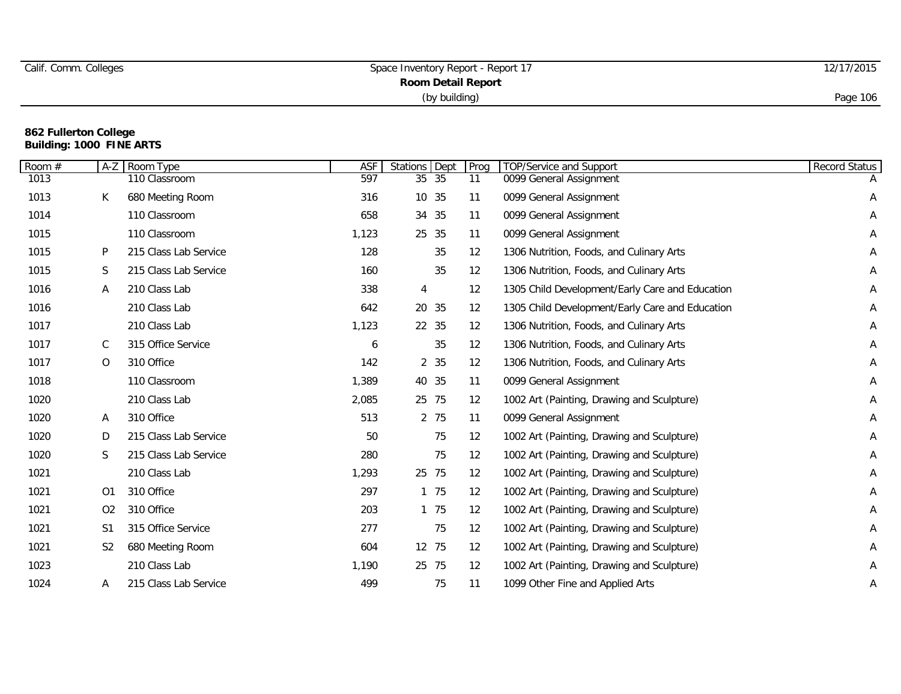| Calif. Comm. Colleges | Space Inventory Report - Report 17 | 12/17/2015 |
|-----------------------|------------------------------------|------------|
|                       |                                    |            |
|                       | (by building)                      | Page 106   |

#### **862 Fullerton College Building: 1000 FINE ARTS**

| Room # | $A-Z$          | Room Type             | ASF   | Stations Dept |       | Prog              | TOP/Service and Support                         | Record Status |
|--------|----------------|-----------------------|-------|---------------|-------|-------------------|-------------------------------------------------|---------------|
| 1013   |                | 110 Classroom         | 597   |               | 35 35 | 11                | 0099 General Assignment                         |               |
| 1013   | K              | 680 Meeting Room      | 316   |               | 10 35 | 11                | 0099 General Assignment                         | Α             |
| 1014   |                | 110 Classroom         | 658   |               | 34 35 | 11                | 0099 General Assignment                         | Α             |
| 1015   |                | 110 Classroom         | 1,123 | 25            | 35    | 11                | 0099 General Assignment                         | Α             |
| 1015   | P              | 215 Class Lab Service | 128   |               | 35    | 12                | 1306 Nutrition, Foods, and Culinary Arts        | Α             |
| 1015   | S              | 215 Class Lab Service | 160   |               | 35    | 12                | 1306 Nutrition, Foods, and Culinary Arts        | Α             |
| 1016   | Α              | 210 Class Lab         | 338   | 4             |       | 12                | 1305 Child Development/Early Care and Education | Α             |
| 1016   |                | 210 Class Lab         | 642   |               | 20 35 | 12                | 1305 Child Development/Early Care and Education | Α             |
| 1017   |                | 210 Class Lab         | 1,123 |               | 22 35 | 12                | 1306 Nutrition, Foods, and Culinary Arts        | Α             |
| 1017   | С              | 315 Office Service    | 6     |               | 35    | 12                | 1306 Nutrition, Foods, and Culinary Arts        | Α             |
| 1017   | $\circ$        | 310 Office            | 142   |               | 2 35  | 12                | 1306 Nutrition, Foods, and Culinary Arts        | Α             |
| 1018   |                | 110 Classroom         | 1,389 |               | 40 35 | 11                | 0099 General Assignment                         | Α             |
| 1020   |                | 210 Class Lab         | 2,085 |               | 25 75 | 12                | 1002 Art (Painting, Drawing and Sculpture)      | Α             |
| 1020   | Α              | 310 Office            | 513   |               | 2 75  | 11                | 0099 General Assignment                         | Α             |
| 1020   | D              | 215 Class Lab Service | 50    |               | 75    | 12                | 1002 Art (Painting, Drawing and Sculpture)      | Α             |
| 1020   | S              | 215 Class Lab Service | 280   |               | 75    | 12                | 1002 Art (Painting, Drawing and Sculpture)      | Α             |
| 1021   |                | 210 Class Lab         | 1,293 |               | 25 75 | 12                | 1002 Art (Painting, Drawing and Sculpture)      | Α             |
| 1021   | 01             | 310 Office            | 297   |               | 1 75  | $12 \overline{ }$ | 1002 Art (Painting, Drawing and Sculpture)      | A             |
| 1021   | O <sub>2</sub> | 310 Office            | 203   |               | 1 75  | 12                | 1002 Art (Painting, Drawing and Sculpture)      | Α             |
| 1021   | S1             | 315 Office Service    | 277   |               | 75    | 12                | 1002 Art (Painting, Drawing and Sculpture)      | Α             |
| 1021   | S <sub>2</sub> | 680 Meeting Room      | 604   |               | 12 75 | 12                | 1002 Art (Painting, Drawing and Sculpture)      | Α             |
| 1023   |                | 210 Class Lab         | 1,190 |               | 25 75 | 12                | 1002 Art (Painting, Drawing and Sculpture)      | Α             |
| 1024   | A              | 215 Class Lab Service | 499   |               | 75    | 11                | 1099 Other Fine and Applied Arts                | A             |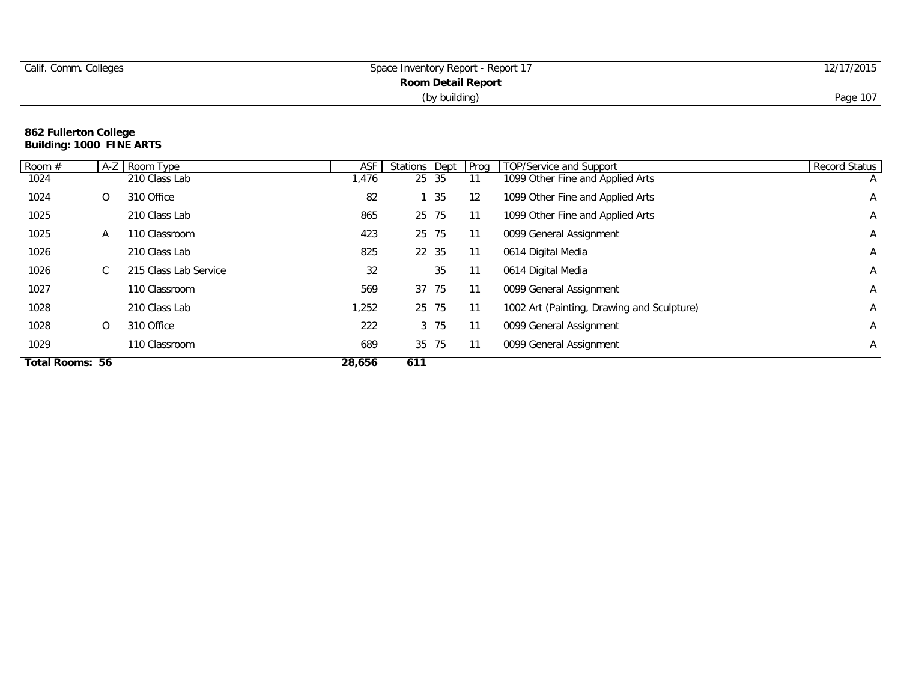| Calif. Comm. Colleges | Space Inventory Report - Report 17 | 12/17/2015 |  |  |  |  |
|-----------------------|------------------------------------|------------|--|--|--|--|
| Room Detail Report    |                                    |            |  |  |  |  |
|                       | (by building)                      | Page 107   |  |  |  |  |

#### **862 Fullerton College Building: 1000 FINE ARTS**

| Room #                 | $A-Z$   | Room Type             | ASF    | Stations Dept |      | Prog | <b>TOP/Service and Support</b>             | <b>Record Status</b> |
|------------------------|---------|-----------------------|--------|---------------|------|------|--------------------------------------------|----------------------|
| 1024                   |         | 210 Class Lab         | 1,476  | 25 35         |      |      | 1099 Other Fine and Applied Arts           | $\overline{A}$       |
| 1024                   | $\circ$ | 310 Office            | 82     |               | 1 35 | 12   | 1099 Other Fine and Applied Arts           | $\overline{A}$       |
| 1025                   |         | 210 Class Lab         | 865    | 25 75         |      | 11   | 1099 Other Fine and Applied Arts           | A                    |
| 1025                   | A       | 110 Classroom         | 423    | 25 75         |      | 11   | 0099 General Assignment                    | A                    |
| 1026                   |         | 210 Class Lab         | 825    | 22 35         |      | 11   | 0614 Digital Media                         | $\mathsf{A}$         |
| 1026                   | C       | 215 Class Lab Service | 32     |               | 35   |      | 0614 Digital Media                         | A                    |
| 1027                   |         | 110 Classroom         | 569    | 37 75         |      | 11   | 0099 General Assignment                    | A                    |
| 1028                   |         | 210 Class Lab         | 1,252  | 25 75         |      | 11   | 1002 Art (Painting, Drawing and Sculpture) | A                    |
| 1028                   | 0       | 310 Office            | 222    |               | 3 75 |      | 0099 General Assignment                    | A                    |
| 1029                   |         | 110 Classroom         | 689    | 35            | 75   | 11   | 0099 General Assignment                    | A                    |
| <b>Total Rooms: 56</b> |         |                       | 28,656 | 611           |      |      |                                            |                      |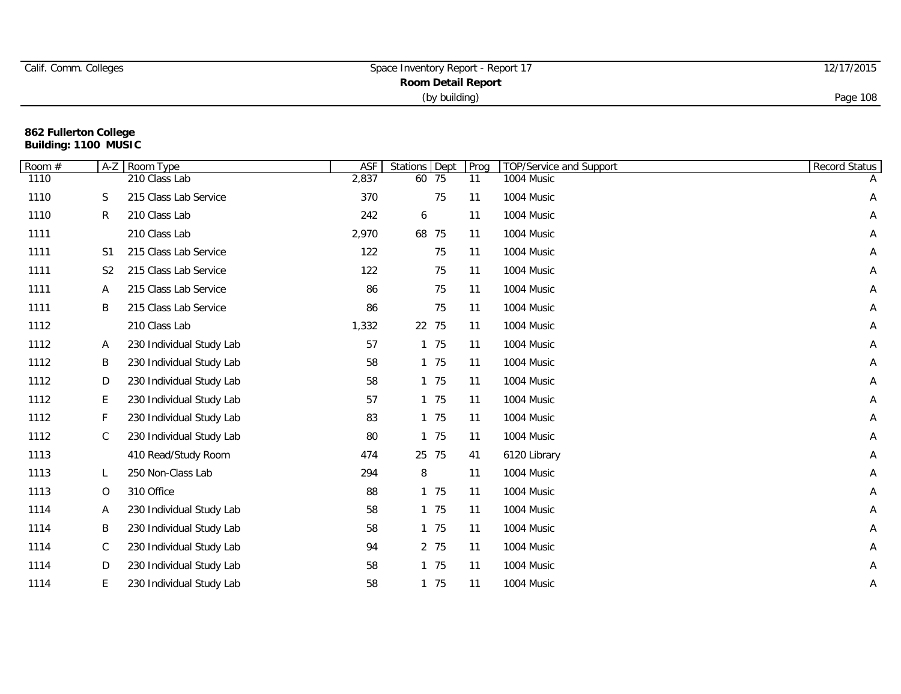| Calif. Comm. Colleges | Space Inventory Report - Report 17 | 12/17/2015 |
|-----------------------|------------------------------------|------------|
|                       |                                    |            |
|                       | (by building)                      | Page 108   |

## **862 Fullerton College Building: 1100 MUSIC**

| Room $#$ | $A-Z$          | Room Type                | <b>ASF</b> | <b>Stations</b> Dept | Prog | <b>TOP/Service and Support</b> | Record Status |
|----------|----------------|--------------------------|------------|----------------------|------|--------------------------------|---------------|
| 1110     |                | 210 Class Lab            | 2,837      | 60 75                | 11   | 1004 Music                     |               |
| 1110     | S              | 215 Class Lab Service    | 370        | 75                   | 11   | 1004 Music                     | A             |
| 1110     | R              | 210 Class Lab            | 242        | 6                    | 11   | 1004 Music                     | A             |
| 1111     |                | 210 Class Lab            | 2,970      | 68 75                | 11   | 1004 Music                     | A             |
| 1111     | S1             | 215 Class Lab Service    | 122        | 75                   | 11   | 1004 Music                     | A             |
| 1111     | S <sub>2</sub> | 215 Class Lab Service    | 122        | 75                   | 11   | 1004 Music                     | A             |
| 1111     | A              | 215 Class Lab Service    | 86         | 75                   | 11   | 1004 Music                     | A             |
| 1111     | B              | 215 Class Lab Service    | 86         | 75                   | 11   | 1004 Music                     | A             |
| 1112     |                | 210 Class Lab            | 1,332      | 22 75                | 11   | 1004 Music                     | A             |
| 1112     | A              | 230 Individual Study Lab | 57         | 1 75                 | 11   | 1004 Music                     | A             |
| 1112     | Β              | 230 Individual Study Lab | 58         | 1 75                 | 11   | 1004 Music                     | A             |
| 1112     | D              | 230 Individual Study Lab | 58         | 1 75                 | 11   | 1004 Music                     | A             |
| 1112     | E              | 230 Individual Study Lab | 57         | 1 75                 | 11   | 1004 Music                     | A             |
| 1112     | F              | 230 Individual Study Lab | 83         | 1 75                 | 11   | 1004 Music                     | A             |
| 1112     | $\mathsf C$    | 230 Individual Study Lab | 80         | 1 75                 | 11   | 1004 Music                     | A             |
| 1113     |                | 410 Read/Study Room      | 474        | 25 75                | 41   | 6120 Library                   | A             |
| 1113     | L              | 250 Non-Class Lab        | 294        | 8                    | 11   | 1004 Music                     | A             |
| 1113     | 0              | 310 Office               | 88         | 1 75                 | 11   | 1004 Music                     | A             |
| 1114     | A              | 230 Individual Study Lab | 58         | 1 75                 | 11   | 1004 Music                     | A             |
| 1114     | B              | 230 Individual Study Lab | 58         | 1 75                 | 11   | 1004 Music                     | A             |
| 1114     | C              | 230 Individual Study Lab | 94         | 2 75                 | 11   | 1004 Music                     | A             |
| 1114     | D              | 230 Individual Study Lab | 58         | 1 75                 | 11   | 1004 Music                     | A             |
| 1114     | E              | 230 Individual Study Lab | 58         | 1 75                 | 11   | 1004 Music                     | A             |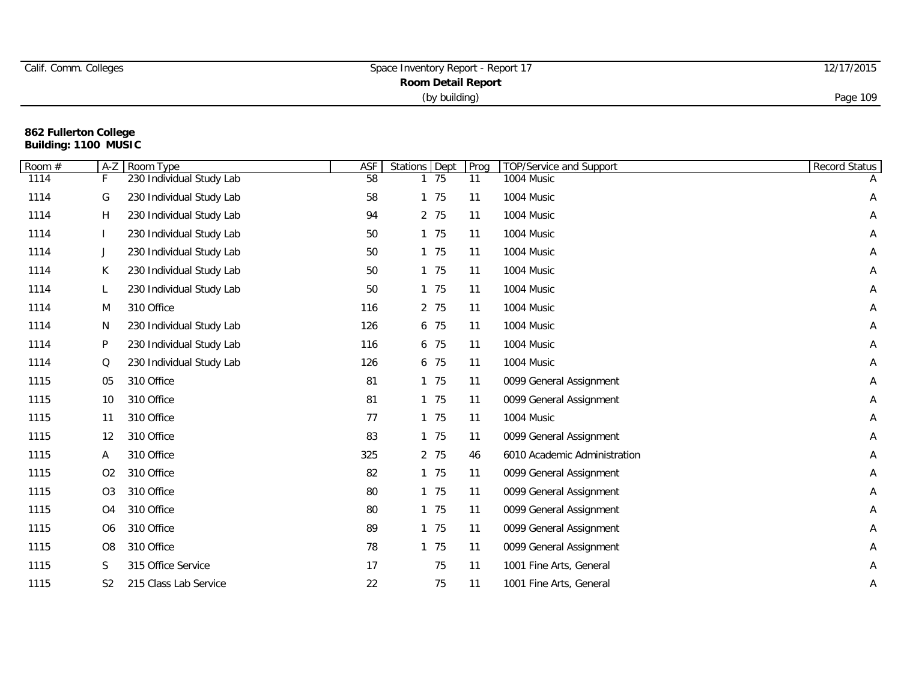| Calif. Comm. Colleges | Space Inventory Report - Report 17 | 12/17/2015 |
|-----------------------|------------------------------------|------------|
|                       | <b>Room Detail Report</b>          |            |
|                       | (by building)                      | Page 109   |

### **862 Fullerton College Building: 1100 MUSIC**

| Room $#$ | $A-Z$          | Room Type                | <b>ASF</b> | Stations Dept |      | Prog | <b>TOP/Service and Support</b> | Record Status |
|----------|----------------|--------------------------|------------|---------------|------|------|--------------------------------|---------------|
| 1114     |                | 230 Individual Study Lab | 58         |               | 75   | 11   | 1004 Music                     |               |
| 1114     | G              | 230 Individual Study Lab | 58         |               | 1 75 | 11   | 1004 Music                     | Α             |
| 1114     | H              | 230 Individual Study Lab | 94         |               | 2 75 | 11   | 1004 Music                     | Α             |
| 1114     |                | 230 Individual Study Lab | 50         |               | 1 75 | 11   | 1004 Music                     | Α             |
| 1114     | J              | 230 Individual Study Lab | 50         |               | 1 75 | 11   | 1004 Music                     | Α             |
| 1114     | K              | 230 Individual Study Lab | 50         |               | 1 75 | 11   | 1004 Music                     | Α             |
| 1114     |                | 230 Individual Study Lab | 50         |               | 1 75 | 11   | 1004 Music                     | Α             |
| 1114     | M              | 310 Office               | 116        |               | 2 75 | 11   | 1004 Music                     | Α             |
| 1114     | N              | 230 Individual Study Lab | 126        |               | 6 75 | 11   | 1004 Music                     | Α             |
| 1114     | P              | 230 Individual Study Lab | 116        |               | 6 75 | 11   | 1004 Music                     | Α             |
| 1114     | Q              | 230 Individual Study Lab | 126        |               | 6 75 | 11   | 1004 Music                     | Α             |
| 1115     | 05             | 310 Office               | 81         |               | 1 75 | 11   | 0099 General Assignment        | Α             |
| 1115     | 10             | 310 Office               | 81         |               | 1 75 | 11   | 0099 General Assignment        | Α             |
| 1115     | 11             | 310 Office               | 77         |               | 1 75 | 11   | 1004 Music                     | Α             |
| 1115     | 12             | 310 Office               | 83         |               | 1 75 | 11   | 0099 General Assignment        | Α             |
| 1115     | A              | 310 Office               | 325        |               | 2 75 | 46   | 6010 Academic Administration   | Α             |
| 1115     | O <sub>2</sub> | 310 Office               | 82         |               | 1 75 | 11   | 0099 General Assignment        | Α             |
| 1115     | O <sub>3</sub> | 310 Office               | 80         |               | 1 75 | 11   | 0099 General Assignment        | Α             |
| 1115     | O <sub>4</sub> | 310 Office               | 80         |               | 1 75 | 11   | 0099 General Assignment        | Α             |
| 1115     | O <sub>6</sub> | 310 Office               | 89         |               | 1 75 | 11   | 0099 General Assignment        | Α             |
| 1115     | O <sub>8</sub> | 310 Office               | 78         |               | 1 75 | 11   | 0099 General Assignment        | Α             |
| 1115     | S              | 315 Office Service       | 17         |               | 75   | 11   | 1001 Fine Arts, General        | Α             |
| 1115     | S <sub>2</sub> | 215 Class Lab Service    | 22         |               | 75   | 11   | 1001 Fine Arts, General        | Α             |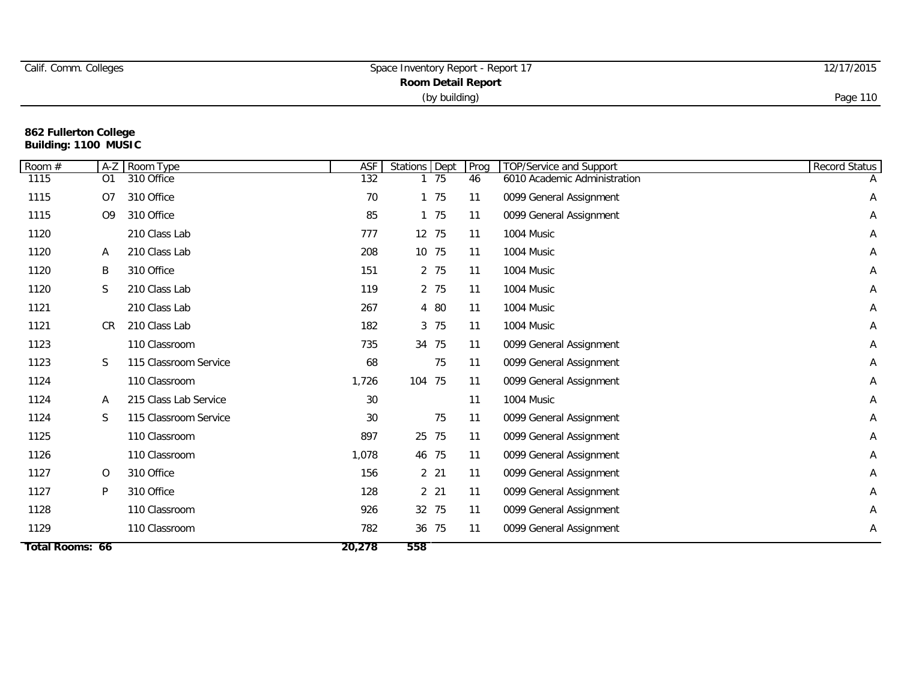| Calif. Comm. Colleges | Space Inventory Report - Report 17 | 12/17/2015 |
|-----------------------|------------------------------------|------------|
|                       | <b>Room Detail Report</b>          |            |
|                       | (by building)                      | Page 110   |

#### **862 Fullerton College Building: 1100 MUSIC**

| Room #          | $A-Z$          | Room Type             | <b>ASF</b> | <b>Stations</b> Dept | Prog | <b>TOP/Service and Support</b> | Record Status |
|-----------------|----------------|-----------------------|------------|----------------------|------|--------------------------------|---------------|
| 1115            | O <sub>1</sub> | 310 Office            | 132        | 75                   | 46   | 6010 Academic Administration   |               |
| 1115            | O <sub>7</sub> | 310 Office            | 70         | 1 75                 | 11   | 0099 General Assignment        | Α             |
| 1115            | O <sub>9</sub> | 310 Office            | 85         | 1 75                 | 11   | 0099 General Assignment        | Α             |
| 1120            |                | 210 Class Lab         | 777        | 12 75                | 11   | 1004 Music                     | Α             |
| 1120            | Α              | 210 Class Lab         | 208        | 10 75                | 11   | 1004 Music                     | Α             |
| 1120            | B              | 310 Office            | 151        | 2 75                 | 11   | 1004 Music                     | A             |
| 1120            | $\mathsf S$    | 210 Class Lab         | 119        | 2 75                 | 11   | 1004 Music                     | Α             |
| 1121            |                | 210 Class Lab         | 267        | 4 80                 | 11   | 1004 Music                     | Α             |
| 1121            | CR             | 210 Class Lab         | 182        | 3 75                 | 11   | 1004 Music                     | Α             |
| 1123            |                | 110 Classroom         | 735        | 34 75                | 11   | 0099 General Assignment        | Α             |
| 1123            | S              | 115 Classroom Service | 68         | 75                   | 11   | 0099 General Assignment        | Α             |
| 1124            |                | 110 Classroom         | 1,726      | 104 75               | 11   | 0099 General Assignment        | Α             |
| 1124            | Α              | 215 Class Lab Service | 30         |                      | 11   | 1004 Music                     | Α             |
| 1124            | S              | 115 Classroom Service | 30         | 75                   | 11   | 0099 General Assignment        | Α             |
| 1125            |                | 110 Classroom         | 897        | 25 75                | 11   | 0099 General Assignment        | Α             |
| 1126            |                | 110 Classroom         | 1,078      | 46 75                | 11   | 0099 General Assignment        | A             |
| 1127            | $\circ$        | 310 Office            | 156        | 2 21                 | 11   | 0099 General Assignment        | Α             |
| 1127            | P              | 310 Office            | 128        | 2 2 1                | 11   | 0099 General Assignment        | Α             |
| 1128            |                | 110 Classroom         | 926        | 32 75                | 11   | 0099 General Assignment        | Α             |
| 1129            |                | 110 Classroom         | 782        | 36 75                | 11   | 0099 General Assignment        | Α             |
| Total Rooms: 66 |                |                       | 20,278     | 558                  |      |                                |               |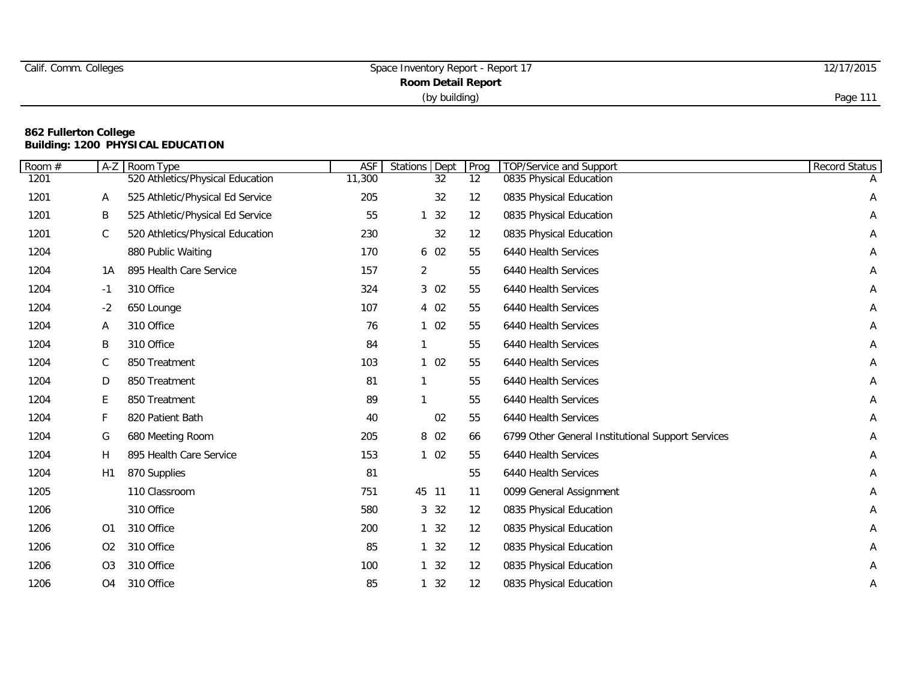| Calif. Comm. Colleges | Space Inventory Report - Report 17 | 12/17/2015 |
|-----------------------|------------------------------------|------------|
|                       |                                    |            |
|                       | (by building)                      | Page 11    |

| Room# | $A-Z$          | Room Type                        | <b>ASF</b> | Stations<br>Dept | Prog | TOP/Service and Support                           | Record Status |
|-------|----------------|----------------------------------|------------|------------------|------|---------------------------------------------------|---------------|
| 1201  |                | 520 Athletics/Physical Education | 11,300     | $\overline{32}$  | 12   | 0835 Physical Education                           |               |
| 1201  | Α              | 525 Athletic/Physical Ed Service | 205        | 32               | 12   | 0835 Physical Education                           | Α             |
| 1201  | B              | 525 Athletic/Physical Ed Service | 55         | 32               | 12   | 0835 Physical Education                           | Α             |
| 1201  | C              | 520 Athletics/Physical Education | 230        | 32               | 12   | 0835 Physical Education                           | Α             |
| 1204  |                | 880 Public Waiting               | 170        | 6 02             | 55   | 6440 Health Services                              | Α             |
| 1204  | 1A             | 895 Health Care Service          | 157        | $\overline{2}$   | 55   | 6440 Health Services                              | Α             |
| 1204  | $-1$           | 310 Office                       | 324        | 3 0 2            | 55   | 6440 Health Services                              | Α             |
| 1204  | $-2$           | 650 Lounge                       | 107        | 4 0 2            | 55   | 6440 Health Services                              | Α             |
| 1204  | Α              | 310 Office                       | 76         | 102              | 55   | 6440 Health Services                              | Α             |
| 1204  | B              | 310 Office                       | 84         |                  | 55   | 6440 Health Services                              | Α             |
| 1204  | C              | 850 Treatment                    | 103        | 102              | 55   | 6440 Health Services                              | Α             |
| 1204  | D              | 850 Treatment                    | 81         | $\mathbf 1$      | 55   | 6440 Health Services                              | Α             |
| 1204  | E              | 850 Treatment                    | 89         |                  | 55   | 6440 Health Services                              | Α             |
| 1204  | F              | 820 Patient Bath                 | 40         | 02               | 55   | 6440 Health Services                              | Α             |
| 1204  | G              | 680 Meeting Room                 | 205        | 8 0 2            | 66   | 6799 Other General Institutional Support Services | Α             |
| 1204  | H              | 895 Health Care Service          | 153        | 102              | 55   | 6440 Health Services                              | Α             |
| 1204  | H1             | 870 Supplies                     | 81         |                  | 55   | 6440 Health Services                              | Α             |
| 1205  |                | 110 Classroom                    | 751        | 45 11            | 11   | 0099 General Assignment                           | Α             |
| 1206  |                | 310 Office                       | 580        | 3 3 2            | 12   | 0835 Physical Education                           | Α             |
| 1206  | O <sub>1</sub> | 310 Office                       | 200        | $1 \quad 32$     | 12   | 0835 Physical Education                           | Α             |
| 1206  | O <sub>2</sub> | 310 Office                       | 85         | $1 \quad 32$     | 12   | 0835 Physical Education                           | Α             |
| 1206  | O <sub>3</sub> | 310 Office                       | 100        | $1 \quad 32$     | 12   | 0835 Physical Education                           | Α             |
| 1206  | O <sub>4</sub> | 310 Office                       | 85         | $1 \quad 32$     | 12   | 0835 Physical Education                           | Α             |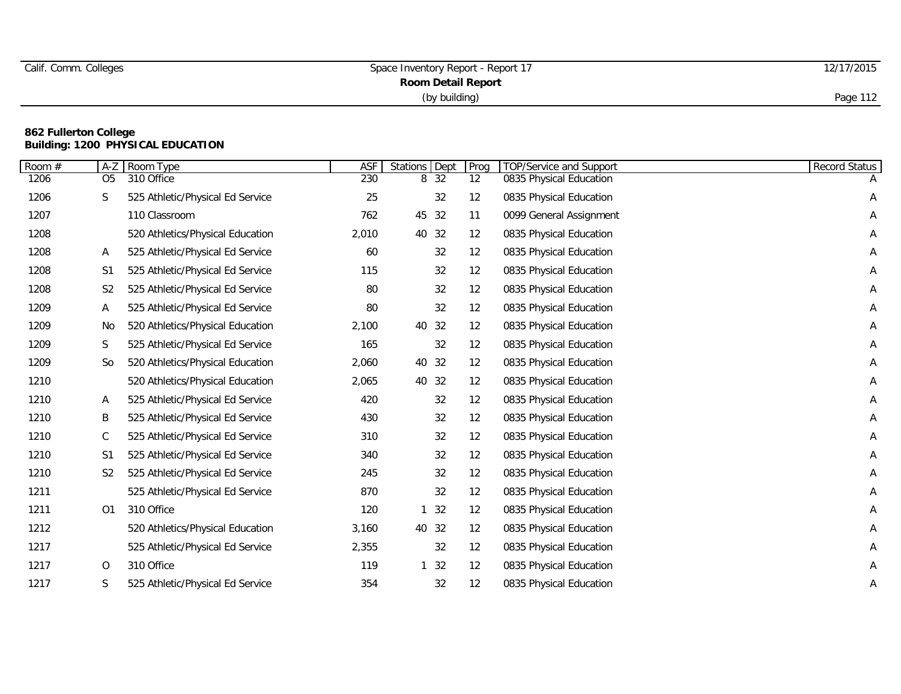|  | Calif. Comm. Colleges |
|--|-----------------------|
|  |                       |

# Space Inventory Report - Report 17 12/17/2015 **Room Detail Report** (by building) Page 112

| Room # | $A-Z$          | Room Type                        | <b>ASF</b> | Stations Dept | Prog | <b>TOP/Service and Support</b> | Record Status |
|--------|----------------|----------------------------------|------------|---------------|------|--------------------------------|---------------|
| 1206   | O <sub>5</sub> | 310 Office                       | 230        | 32<br>8       | 12   | 0835 Physical Education        |               |
| 1206   | S              | 525 Athletic/Physical Ed Service | 25         | 32            | 12   | 0835 Physical Education        | Α             |
| 1207   |                | 110 Classroom                    | 762        | 32<br>45      | 11   | 0099 General Assignment        | Α             |
| 1208   |                | 520 Athletics/Physical Education | 2,010      | 40 32         | 12   | 0835 Physical Education        | Α             |
| 1208   | A              | 525 Athletic/Physical Ed Service | 60         | 32            | 12   | 0835 Physical Education        | Α             |
| 1208   | S1             | 525 Athletic/Physical Ed Service | 115        | 32            | 12   | 0835 Physical Education        | A             |
| 1208   | S <sub>2</sub> | 525 Athletic/Physical Ed Service | 80         | 32            | 12   | 0835 Physical Education        | Α             |
| 1209   | Α              | 525 Athletic/Physical Ed Service | 80         | 32            | 12   | 0835 Physical Education        | Α             |
| 1209   | No             | 520 Athletics/Physical Education | 2,100      | 32<br>40      | 12   | 0835 Physical Education        | А             |
| 1209   | S              | 525 Athletic/Physical Ed Service | 165        | 32            | 12   | 0835 Physical Education        | Α             |
| 1209   | So             | 520 Athletics/Physical Education | 2,060      | 40 32         | 12   | 0835 Physical Education        | A             |
| 1210   |                | 520 Athletics/Physical Education | 2,065      | 40 32         | 12   | 0835 Physical Education        | Α             |
| 1210   | Α              | 525 Athletic/Physical Ed Service | 420        | 32            | 12   | 0835 Physical Education        | Α             |
| 1210   | B              | 525 Athletic/Physical Ed Service | 430        | 32            | 12   | 0835 Physical Education        | Α             |
| 1210   | С              | 525 Athletic/Physical Ed Service | 310        | 32            | 12   | 0835 Physical Education        | А             |
| 1210   | S <sub>1</sub> | 525 Athletic/Physical Ed Service | 340        | 32            | 12   | 0835 Physical Education        | Α             |
| 1210   | S <sub>2</sub> | 525 Athletic/Physical Ed Service | 245        | 32            | 12   | 0835 Physical Education        | Α             |
| 1211   |                | 525 Athletic/Physical Ed Service | 870        | 32            | 12   | 0835 Physical Education        | Α             |
| 1211   | O1             | 310 Office                       | 120        | 32            | 12   | 0835 Physical Education        | Α             |
| 1212   |                | 520 Athletics/Physical Education | 3,160      | 40 32         | 12   | 0835 Physical Education        | Α             |
| 1217   |                | 525 Athletic/Physical Ed Service | 2,355      | 32            | 12   | 0835 Physical Education        | Α             |
| 1217   | 0              | 310 Office                       | 119        | 32            | 12   | 0835 Physical Education        | Α             |
| 1217   | S              | 525 Athletic/Physical Ed Service | 354        | 32            | 12   | 0835 Physical Education        | Α             |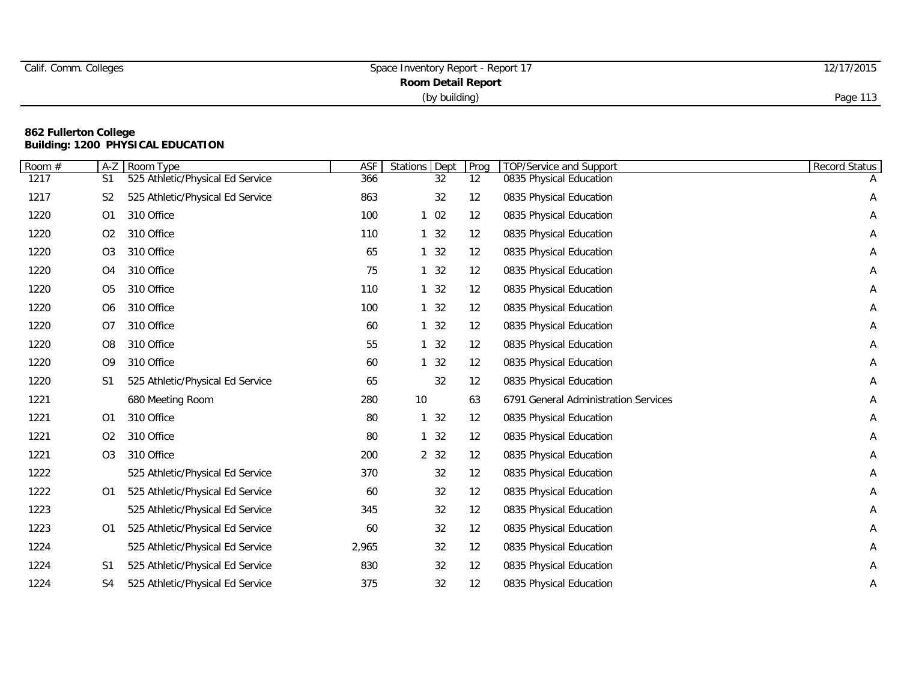| Calif. Comm. Colleges | Space Inventory Report - Report 17 | 12/17/2015 |
|-----------------------|------------------------------------|------------|
|                       |                                    |            |
|                       | (by building)                      | Page 113   |

| Room # | $A-Z$          | Room Type                        | ASF   | Stations<br>Dept | Prog              | <b>TOP/Service and Support</b>       | Record Status |
|--------|----------------|----------------------------------|-------|------------------|-------------------|--------------------------------------|---------------|
| 1217   | S <sub>1</sub> | 525 Athletic/Physical Ed Service | 366   | 32               | 12                | 0835 Physical Education              |               |
| 1217   | S <sub>2</sub> | 525 Athletic/Physical Ed Service | 863   | 32               | 12                | 0835 Physical Education              | Α             |
| 1220   | O <sub>1</sub> | 310 Office                       | 100   | 102              | 12                | 0835 Physical Education              | Α             |
| 1220   | O <sub>2</sub> | 310 Office                       | 110   | $1 \t32$         | $12 \overline{ }$ | 0835 Physical Education              | Α             |
| 1220   | O <sub>3</sub> | 310 Office                       | 65    | $1 \quad 32$     | 12                | 0835 Physical Education              | Α             |
| 1220   | O <sub>4</sub> | 310 Office                       | 75    | 132              | 12                | 0835 Physical Education              | Α             |
| 1220   | O <sub>5</sub> | 310 Office                       | 110   | $1 \quad 32$     | 12                | 0835 Physical Education              | Α             |
| 1220   | O <sub>6</sub> | 310 Office                       | 100   | $1 \quad 32$     | 12                | 0835 Physical Education              | Α             |
| 1220   | O <sub>7</sub> | 310 Office                       | 60    | $1 \quad 32$     | 12                | 0835 Physical Education              | Α             |
| 1220   | O <sub>8</sub> | 310 Office                       | 55    | $1 \quad 32$     | 12                | 0835 Physical Education              | Α             |
| 1220   | O <sub>9</sub> | 310 Office                       | 60    | 132              | 12                | 0835 Physical Education              | Α             |
| 1220   | S <sub>1</sub> | 525 Athletic/Physical Ed Service | 65    | 32               | 12                | 0835 Physical Education              | Α             |
| 1221   |                | 680 Meeting Room                 | 280   | 10               | 63                | 6791 General Administration Services | Α             |
| 1221   | O <sub>1</sub> | 310 Office                       | 80    | 132              | $12 \overline{ }$ | 0835 Physical Education              | Α             |
| 1221   | O <sub>2</sub> | 310 Office                       | 80    | $1 \quad 32$     | 12                | 0835 Physical Education              | Α             |
| 1221   | O <sub>3</sub> | 310 Office                       | 200   | 2 3 2            | 12                | 0835 Physical Education              | Α             |
| 1222   |                | 525 Athletic/Physical Ed Service | 370   | 32               | 12                | 0835 Physical Education              | Α             |
| 1222   | O <sub>1</sub> | 525 Athletic/Physical Ed Service | 60    | 32               | 12                | 0835 Physical Education              | Α             |
| 1223   |                | 525 Athletic/Physical Ed Service | 345   | 32               | 12                | 0835 Physical Education              | Α             |
| 1223   | O <sub>1</sub> | 525 Athletic/Physical Ed Service | 60    | 32               | 12                | 0835 Physical Education              | Α             |
| 1224   |                | 525 Athletic/Physical Ed Service | 2,965 | 32               | 12                | 0835 Physical Education              | Α             |
| 1224   | S1             | 525 Athletic/Physical Ed Service | 830   | 32               | 12                | 0835 Physical Education              | Α             |
| 1224   | S <sub>4</sub> | 525 Athletic/Physical Ed Service | 375   | 32               | 12                | 0835 Physical Education              | Α             |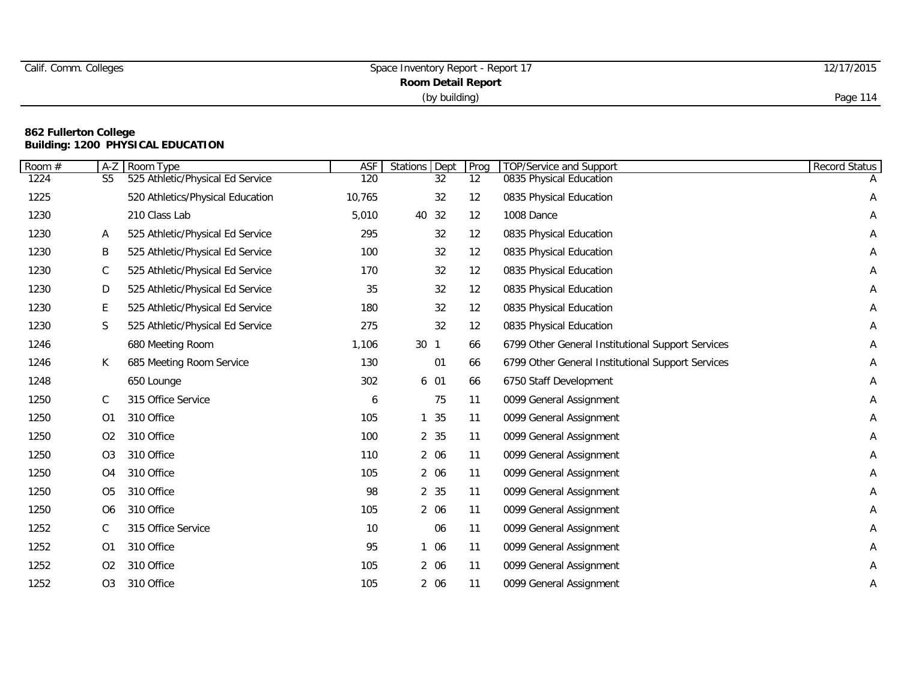|  | Calif. Comm. Colleges |
|--|-----------------------|
|  |                       |

# Space Inventory Report - Report 17 12/17/2015 **Room Detail Report** (by building) Page 114

| Room # | $A-Z$          | Room Type                        | ASF    | Stations Dept        | Prog | TOP/Service and Support                           | Record Status |
|--------|----------------|----------------------------------|--------|----------------------|------|---------------------------------------------------|---------------|
| 1224   | S <sub>5</sub> | 525 Athletic/Physical Ed Service | 120    | 32                   | 12   | 0835 Physical Education                           |               |
| 1225   |                | 520 Athletics/Physical Education | 10,765 | 32                   | 12   | 0835 Physical Education                           | Α             |
| 1230   |                | 210 Class Lab                    | 5,010  | 32<br>40             | 12   | 1008 Dance                                        | Α             |
| 1230   | A              | 525 Athletic/Physical Ed Service | 295    | 32                   | 12   | 0835 Physical Education                           | Α             |
| 1230   | B              | 525 Athletic/Physical Ed Service | 100    | 32                   | 12   | 0835 Physical Education                           | Α             |
| 1230   | C              | 525 Athletic/Physical Ed Service | 170    | 32                   | 12   | 0835 Physical Education                           | Α             |
| 1230   | D              | 525 Athletic/Physical Ed Service | 35     | 32                   | 12   | 0835 Physical Education                           | Α             |
| 1230   | E              | 525 Athletic/Physical Ed Service | 180    | 32                   | 12   | 0835 Physical Education                           | Α             |
| 1230   | $\mathsf S$    | 525 Athletic/Physical Ed Service | 275    | 32                   | 12   | 0835 Physical Education                           | Α             |
| 1246   |                | 680 Meeting Room                 | 1,106  | 30<br>$\overline{1}$ | 66   | 6799 Other General Institutional Support Services | Α             |
| 1246   | К              | 685 Meeting Room Service         | 130    | 01                   | 66   | 6799 Other General Institutional Support Services | Α             |
| 1248   |                | 650 Lounge                       | 302    | 6 01                 | 66   | 6750 Staff Development                            | Α             |
| 1250   | C              | 315 Office Service               | 6      | 75                   | 11   | 0099 General Assignment                           | Α             |
| 1250   | 01             | 310 Office                       | 105    | 35                   | 11   | 0099 General Assignment                           | Α             |
| 1250   | O <sub>2</sub> | 310 Office                       | 100    | 2 35                 | 11   | 0099 General Assignment                           | Α             |
| 1250   | O <sub>3</sub> | 310 Office                       | 110    | 2 06                 | 11   | 0099 General Assignment                           | Α             |
| 1250   | O <sub>4</sub> | 310 Office                       | 105    | 2 06                 | 11   | 0099 General Assignment                           | Α             |
| 1250   | O <sub>5</sub> | 310 Office                       | 98     | 2 35                 | 11   | 0099 General Assignment                           | Α             |
| 1250   | O <sub>6</sub> | 310 Office                       | 105    | 2 06                 | 11   | 0099 General Assignment                           | Α             |
| 1252   | $\mathsf C$    | 315 Office Service               | 10     | 06                   | 11   | 0099 General Assignment                           | Α             |
| 1252   | O <sub>1</sub> | 310 Office                       | 95     | 06                   | 11   | 0099 General Assignment                           | Α             |
| 1252   | O <sub>2</sub> | 310 Office                       | 105    | 2 06                 | 11   | 0099 General Assignment                           | A             |
| 1252   | O <sub>3</sub> | 310 Office                       | 105    | 2 06                 | 11   | 0099 General Assignment                           | A             |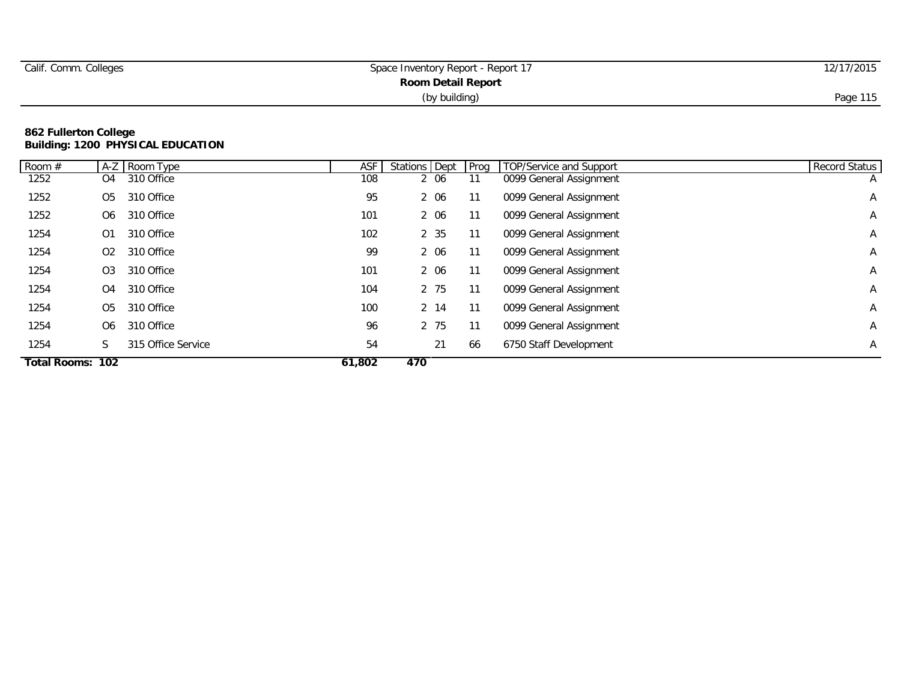| Calif. Comm. Colleges     | Space Inventory Report - Report 17 | 12/17/2015 |  |  |  |  |
|---------------------------|------------------------------------|------------|--|--|--|--|
| <b>Room Detail Report</b> |                                    |            |  |  |  |  |
|                           | (by building)                      | Page 115   |  |  |  |  |

| Room $#$                |                | A-Z Room Type      | <b>ASF</b> | Stations Dept | Prog | TOP/Service and Support | <b>Record Status</b> |
|-------------------------|----------------|--------------------|------------|---------------|------|-------------------------|----------------------|
| 1252                    | O4             | 310 Office         | 108        | 2 06          | 11   | 0099 General Assignment | $\overline{A}$       |
| 1252                    | O5             | 310 Office         | 95         | 2 06          | 11   | 0099 General Assignment | $\mathsf{A}$         |
| 1252                    | O6             | 310 Office         | 101        | 2 06          | 11   | 0099 General Assignment | A                    |
| 1254                    | O1             | 310 Office         | 102        | 2 35          | 11   | 0099 General Assignment | A                    |
| 1254                    | 02             | 310 Office         | 99         | 2 06          | 11   | 0099 General Assignment | A                    |
| 1254                    | O <sub>3</sub> | 310 Office         | 101        | 2 06          | 11   | 0099 General Assignment | A                    |
| 1254                    | O <sub>4</sub> | 310 Office         | 104        | 2 75          | 11   | 0099 General Assignment | A                    |
| 1254                    | O5             | 310 Office         | 100        | 2 14          | 11   | 0099 General Assignment | $\mathsf{A}$         |
| 1254                    | 06             | 310 Office         | 96         | 2 75          | 11   | 0099 General Assignment | A                    |
| 1254                    | S              | 315 Office Service | 54         | 21            | 66   | 6750 Staff Development  | A                    |
| <b>Total Rooms: 102</b> |                |                    | 61,802     | 470           |      |                         |                      |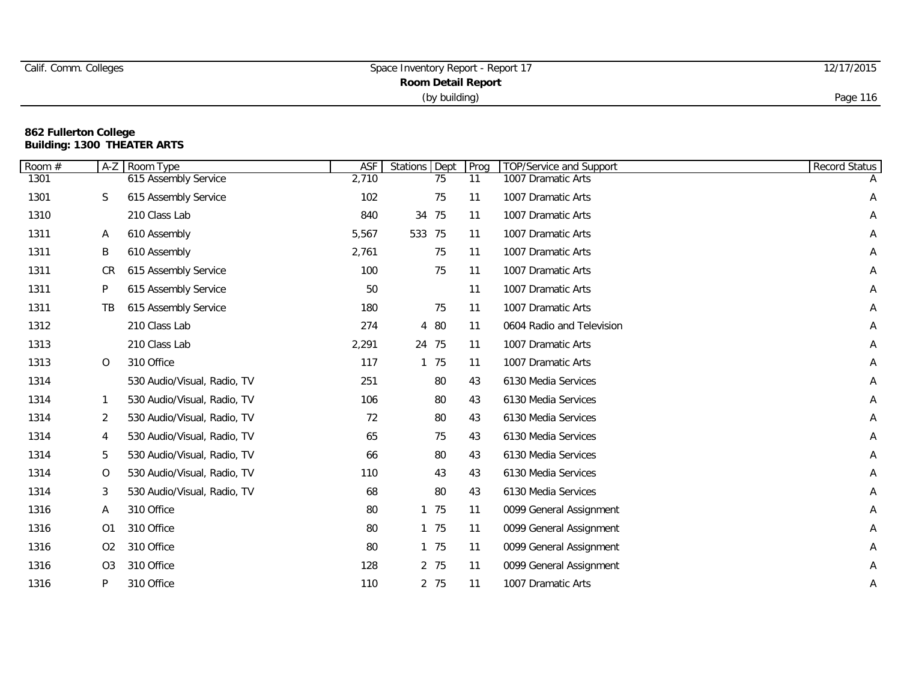| Calif. Comm. Colleges     | Space Inventory Report - Report 17 | 12/17/2015 |  |  |  |
|---------------------------|------------------------------------|------------|--|--|--|
| <b>Room Detail Report</b> |                                    |            |  |  |  |
|                           | (by building)                      | Page 116   |  |  |  |

#### **862 Fullerton College Building: 1300 THEATER ARTS**

| Room# | $A-Z$          | Room Type                   | <b>ASF</b> | Stations Dept | Prog | <b>TOP/Service and Support</b> | Record Status |
|-------|----------------|-----------------------------|------------|---------------|------|--------------------------------|---------------|
| 1301  |                | 615 Assembly Service        | 2,710      | 75            | 11   | 1007 Dramatic Arts             |               |
| 1301  | S              | 615 Assembly Service        | 102        | 75            | 11   | 1007 Dramatic Arts             | Α             |
| 1310  |                | 210 Class Lab               | 840        | 34 75         | 11   | 1007 Dramatic Arts             | А             |
| 1311  | A              | 610 Assembly                | 5,567      | 533 75        | 11   | 1007 Dramatic Arts             | А             |
| 1311  | Β              | 610 Assembly                | 2,761      | 75            | 11   | 1007 Dramatic Arts             | Α             |
| 1311  | CR             | 615 Assembly Service        | 100        | 75            | 11   | 1007 Dramatic Arts             | A             |
| 1311  | P              | 615 Assembly Service        | 50         |               | 11   | 1007 Dramatic Arts             | А             |
| 1311  | TB             | 615 Assembly Service        | 180        | 75            | 11   | 1007 Dramatic Arts             | Α             |
| 1312  |                | 210 Class Lab               | 274        | 4 80          | 11   | 0604 Radio and Television      | А             |
| 1313  |                | 210 Class Lab               | 2,291      | 24 75         | 11   | 1007 Dramatic Arts             | Α             |
| 1313  | $\circ$        | 310 Office                  | 117        | 1 75          | 11   | 1007 Dramatic Arts             | А             |
| 1314  |                | 530 Audio/Visual, Radio, TV | 251        | 80            | 43   | 6130 Media Services            | А             |
| 1314  | 1              | 530 Audio/Visual, Radio, TV | 106        | 80            | 43   | 6130 Media Services            | A             |
| 1314  | $\overline{2}$ | 530 Audio/Visual, Radio, TV | 72         | 80            | 43   | 6130 Media Services            | А             |
| 1314  | 4              | 530 Audio/Visual, Radio, TV | 65         | 75            | 43   | 6130 Media Services            | Α             |
| 1314  | 5              | 530 Audio/Visual, Radio, TV | 66         | 80            | 43   | 6130 Media Services            | Α             |
| 1314  | 0              | 530 Audio/Visual, Radio, TV | 110        | 43            | 43   | 6130 Media Services            | Α             |
| 1314  | 3              | 530 Audio/Visual, Radio, TV | 68         | 80            | 43   | 6130 Media Services            | А             |
| 1316  | Α              | 310 Office                  | 80         | 1 75          | 11   | 0099 General Assignment        | А             |
| 1316  | O <sub>1</sub> | 310 Office                  | 80         | 1 75          | 11   | 0099 General Assignment        | А             |
| 1316  | O <sub>2</sub> | 310 Office                  | 80         | 1 75          | 11   | 0099 General Assignment        | Α             |
| 1316  | O <sub>3</sub> | 310 Office                  | 128        | 2 75          | 11   | 0099 General Assignment        | Α             |
| 1316  | P              | 310 Office                  | 110        | 2 75          | 11   | 1007 Dramatic Arts             | Α             |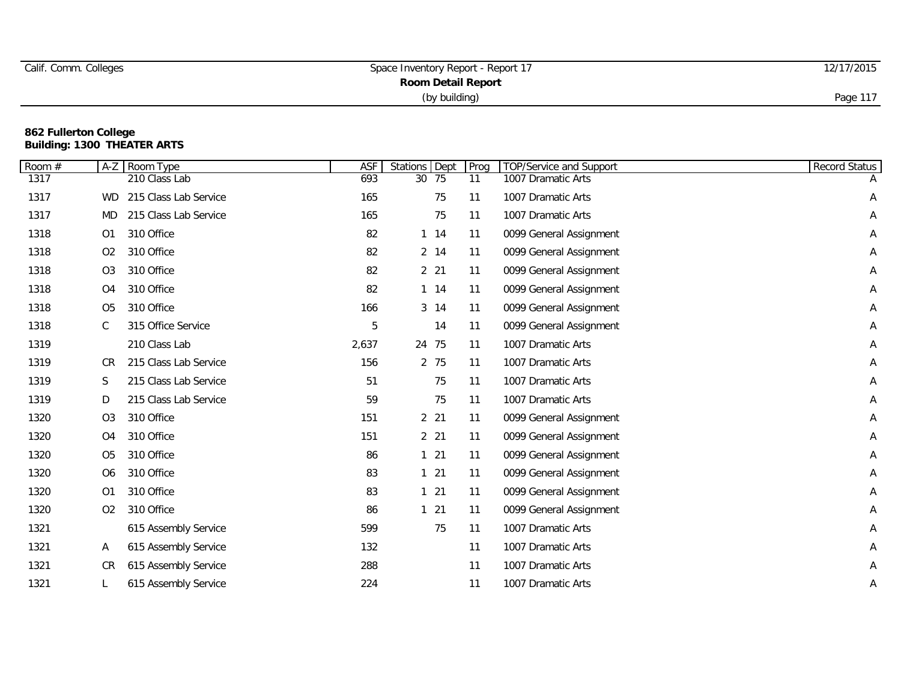| Calif. Comm. Colleges | Space Inventory Report - Report 17 | 12/17/2015 |  |  |  |
|-----------------------|------------------------------------|------------|--|--|--|
| Room Detail Report    |                                    |            |  |  |  |
|                       | (by building)                      | Page,      |  |  |  |

#### **862 Fullerton College Building: 1300 THEATER ARTS**

| Room# | $A-Z$          | Room Type             | ASF   | Stations Dept |                 | Prog | <b>TOP/Service and Support</b> | Record Status |
|-------|----------------|-----------------------|-------|---------------|-----------------|------|--------------------------------|---------------|
| 1317  |                | 210 Class Lab         | 693   | 30            | 75              | 11   | 1007 Dramatic Arts             |               |
| 1317  | <b>WD</b>      | 215 Class Lab Service | 165   |               | 75              | 11   | 1007 Dramatic Arts             | Α             |
| 1317  | MD             | 215 Class Lab Service | 165   |               | 75              | 11   | 1007 Dramatic Arts             | Α             |
| 1318  | O <sub>1</sub> | 310 Office            | 82    |               | $1 \t14$        | 11   | 0099 General Assignment        | Α             |
| 1318  | O <sub>2</sub> | 310 Office            | 82    |               | 2 14            | 11   | 0099 General Assignment        | Α             |
| 1318  | O <sub>3</sub> | 310 Office            | 82    |               | 2 21            | 11   | 0099 General Assignment        | А             |
| 1318  | O <sub>4</sub> | 310 Office            | 82    |               | $1 \t14$        | 11   | 0099 General Assignment        | Α             |
| 1318  | O <sub>5</sub> | 310 Office            | 166   |               | 3 14            | 11   | 0099 General Assignment        | Α             |
| 1318  | $\mathsf C$    | 315 Office Service    | 5     |               | 14              | 11   | 0099 General Assignment        | Α             |
| 1319  |                | 210 Class Lab         | 2,637 | 24 75         |                 | 11   | 1007 Dramatic Arts             | Α             |
| 1319  | CR             | 215 Class Lab Service | 156   |               | 2 75            | 11   | 1007 Dramatic Arts             | А             |
| 1319  | S              | 215 Class Lab Service | 51    |               | 75              | 11   | 1007 Dramatic Arts             | Α             |
| 1319  | D              | 215 Class Lab Service | 59    |               | 75              | 11   | 1007 Dramatic Arts             | Α             |
| 1320  | O <sub>3</sub> | 310 Office            | 151   |               | $2 \t21$        | 11   | 0099 General Assignment        | А             |
| 1320  | O <sub>4</sub> | 310 Office            | 151   |               | 2 <sub>21</sub> | 11   | 0099 General Assignment        | Α             |
| 1320  | O <sub>5</sub> | 310 Office            | 86    |               | $1 \quad 21$    | 11   | 0099 General Assignment        | Α             |
| 1320  | O <sub>6</sub> | 310 Office            | 83    |               | $1 \quad 21$    | 11   | 0099 General Assignment        | Α             |
| 1320  | O <sub>1</sub> | 310 Office            | 83    |               | $1 21$          | 11   | 0099 General Assignment        | Α             |
| 1320  | O <sub>2</sub> | 310 Office            | 86    |               | 21              | 11   | 0099 General Assignment        | А             |
| 1321  |                | 615 Assembly Service  | 599   |               | 75              | 11   | 1007 Dramatic Arts             | Α             |
| 1321  | A              | 615 Assembly Service  | 132   |               |                 | 11   | 1007 Dramatic Arts             | Α             |
| 1321  | CR             | 615 Assembly Service  | 288   |               |                 | 11   | 1007 Dramatic Arts             | Α             |
| 1321  |                | 615 Assembly Service  | 224   |               |                 | 11   | 1007 Dramatic Arts             | Α             |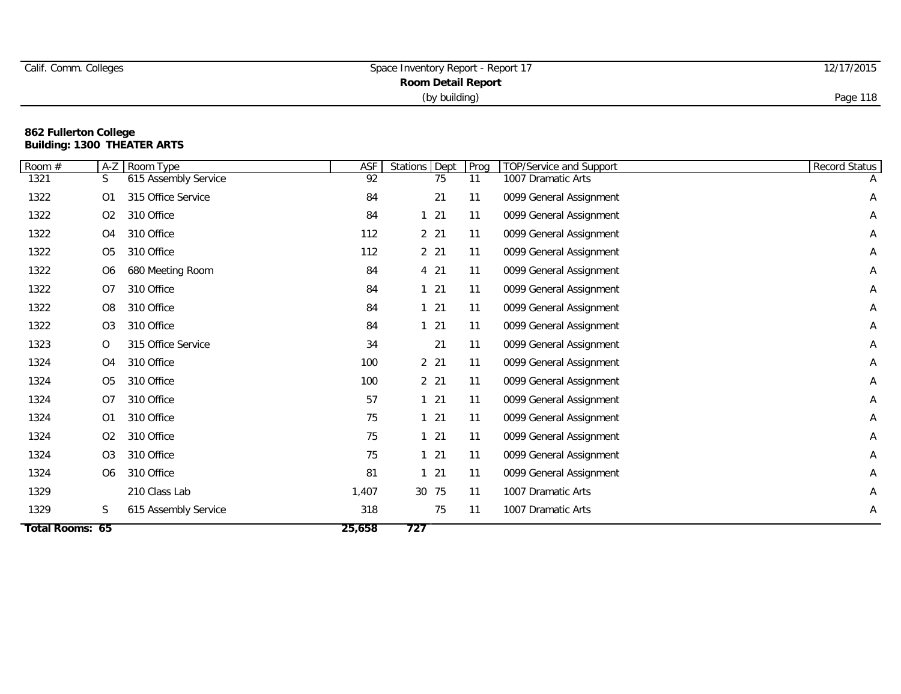| Calif. Comm. Colleges     | Space Inventory Report - Report 17 | 12/17/2015 |  |  |  |  |
|---------------------------|------------------------------------|------------|--|--|--|--|
| <b>Room Detail Report</b> |                                    |            |  |  |  |  |
|                           | (by building)                      | Page 118   |  |  |  |  |

### **862 Fullerton College Building: 1300 THEATER ARTS**

| Room $#$               | $A-Z$          | Room Type            | <b>ASF</b>      | <b>Stations</b><br>Dept | Prog | <b>TOP/Service and Support</b> | Record Status |
|------------------------|----------------|----------------------|-----------------|-------------------------|------|--------------------------------|---------------|
| 1321                   | S              | 615 Assembly Service | $\overline{92}$ | 75                      | 11   | 1007 Dramatic Arts             | A             |
| 1322                   | O <sub>1</sub> | 315 Office Service   | 84              | 21                      | 11   | 0099 General Assignment        | Α             |
| 1322                   | O <sub>2</sub> | 310 Office           | 84              | $1 \quad 21$            | 11   | 0099 General Assignment        | Α             |
| 1322                   | O <sub>4</sub> | 310 Office           | 112             | $2^{2}$                 | 11   | 0099 General Assignment        | Α             |
| 1322                   | O <sub>5</sub> | 310 Office           | 112             | $2^{2}$                 | 11   | 0099 General Assignment        | Α             |
| 1322                   | O <sub>6</sub> | 680 Meeting Room     | 84              | 4 21                    | 11   | 0099 General Assignment        | Α             |
| 1322                   | O7             | 310 Office           | 84              | $1 21$                  | 11   | 0099 General Assignment        | Α             |
| 1322                   | O <sub>8</sub> | 310 Office           | 84              | $1 21$                  | 11   | 0099 General Assignment        | Α             |
| 1322                   | O <sub>3</sub> | 310 Office           | 84              | $121$                   | 11   | 0099 General Assignment        | Α             |
| 1323                   | 0              | 315 Office Service   | 34              | 21                      | 11   | 0099 General Assignment        | Α             |
| 1324                   | O <sub>4</sub> | 310 Office           | 100             | $2^{2}$                 | 11   | 0099 General Assignment        | Α             |
| 1324                   | O <sub>5</sub> | 310 Office           | 100             | $2^{2}$                 | 11   | 0099 General Assignment        | Α             |
| 1324                   | O7             | 310 Office           | 57              | $1 21$                  | 11   | 0099 General Assignment        | Α             |
| 1324                   | O <sub>1</sub> | 310 Office           | 75              | $1 21$                  | 11   | 0099 General Assignment        | Α             |
| 1324                   | O <sub>2</sub> | 310 Office           | 75              | $1 21$                  | 11   | 0099 General Assignment        | Α             |
| 1324                   | O <sub>3</sub> | 310 Office           | 75              | $1 \quad 21$            | 11   | 0099 General Assignment        | Α             |
| 1324                   | O <sub>6</sub> | 310 Office           | 81              | $1 21$                  | 11   | 0099 General Assignment        | Α             |
| 1329                   |                | 210 Class Lab        | 1,407           | 30 75                   | 11   | 1007 Dramatic Arts             | Α             |
| 1329                   | S              | 615 Assembly Service | 318             | 75                      | 11   | 1007 Dramatic Arts             | Α             |
| <b>Total Rooms: 65</b> |                |                      | 25,658          | 727                     |      |                                |               |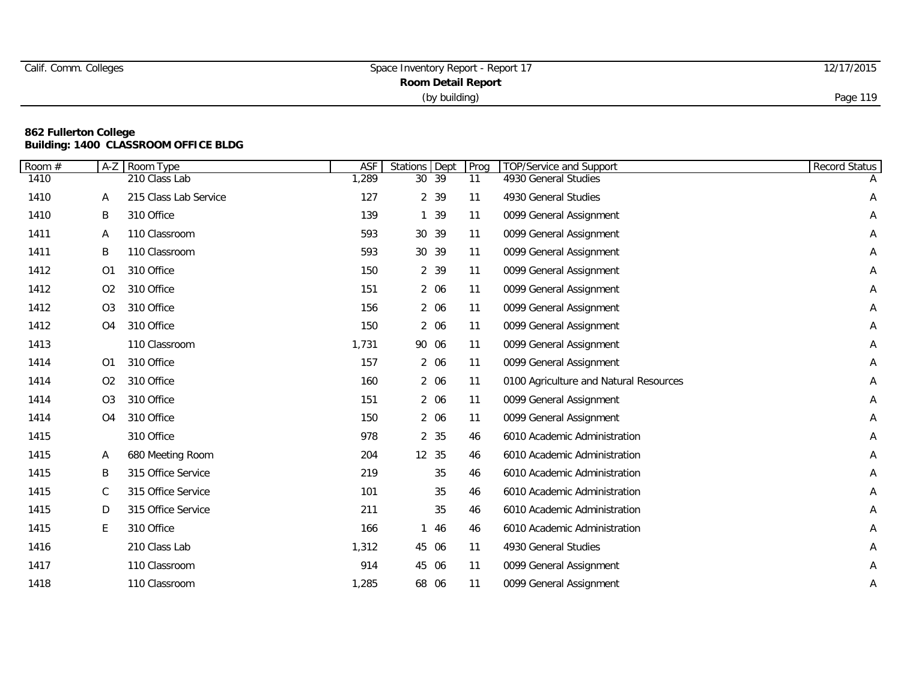| Calif. Comm. Colleges     | Space Inventory Report - Report 17 | 12/17/2015 |  |  |  |  |
|---------------------------|------------------------------------|------------|--|--|--|--|
| <b>Room Detail Report</b> |                                    |            |  |  |  |  |
|                           | (by building)                      | Page 119   |  |  |  |  |

### **862 Fullerton College Building: 1400 CLASSROOM OFFICE BLDG**

| Room $#$ | $A-Z$          | Room Type             | <b>ASF</b> | Stations | Dept  | Prog | TOP/Service and Support                | Record Status |
|----------|----------------|-----------------------|------------|----------|-------|------|----------------------------------------|---------------|
| 1410     |                | 210 Class Lab         | 1,289      |          | 30 39 | 11   | 4930 General Studies                   |               |
| 1410     | Α              | 215 Class Lab Service | 127        |          | 2 39  | 11   | 4930 General Studies                   | Α             |
| 1410     | B              | 310 Office            | 139        |          | 39    | 11   | 0099 General Assignment                | Α             |
| 1411     | Α              | 110 Classroom         | 593        |          | 30 39 | 11   | 0099 General Assignment                | Α             |
| 1411     | B              | 110 Classroom         | 593        |          | 30 39 | 11   | 0099 General Assignment                | Α             |
| 1412     | O <sub>1</sub> | 310 Office            | 150        |          | 2 39  | 11   | 0099 General Assignment                | A             |
| 1412     | O <sub>2</sub> | 310 Office            | 151        |          | 2 06  | 11   | 0099 General Assignment                | Α             |
| 1412     | O <sub>3</sub> | 310 Office            | 156        |          | 2 06  | 11   | 0099 General Assignment                | Α             |
| 1412     | O <sub>4</sub> | 310 Office            | 150        |          | 2 06  | 11   | 0099 General Assignment                | Α             |
| 1413     |                | 110 Classroom         | 1,731      |          | 90 06 | 11   | 0099 General Assignment                | Α             |
| 1414     | O1             | 310 Office            | 157        |          | 2 06  | 11   | 0099 General Assignment                | Α             |
| 1414     | O <sub>2</sub> | 310 Office            | 160        |          | 2 06  | 11   | 0100 Agriculture and Natural Resources | Α             |
| 1414     | O <sub>3</sub> | 310 Office            | 151        |          | 2 06  | 11   | 0099 General Assignment                | A             |
| 1414     | O <sub>4</sub> | 310 Office            | 150        |          | 2 06  | 11   | 0099 General Assignment                | Α             |
| 1415     |                | 310 Office            | 978        |          | 2 35  | 46   | 6010 Academic Administration           | Α             |
| 1415     | Α              | 680 Meeting Room      | 204        |          | 12 35 | 46   | 6010 Academic Administration           | Α             |
| 1415     | B              | 315 Office Service    | 219        |          | 35    | 46   | 6010 Academic Administration           | Α             |
| 1415     | $\mathsf C$    | 315 Office Service    | 101        |          | 35    | 46   | 6010 Academic Administration           | Α             |
| 1415     | D              | 315 Office Service    | 211        |          | 35    | 46   | 6010 Academic Administration           | A             |
| 1415     | E              | 310 Office            | 166        |          | 46    | 46   | 6010 Academic Administration           | Α             |
| 1416     |                | 210 Class Lab         | 1,312      |          | 45 06 | 11   | 4930 General Studies                   | Α             |
| 1417     |                | 110 Classroom         | 914        |          | 45 06 | 11   | 0099 General Assignment                | Α             |
| 1418     |                | 110 Classroom         | 1,285      |          | 68 06 | 11   | 0099 General Assignment                | Α             |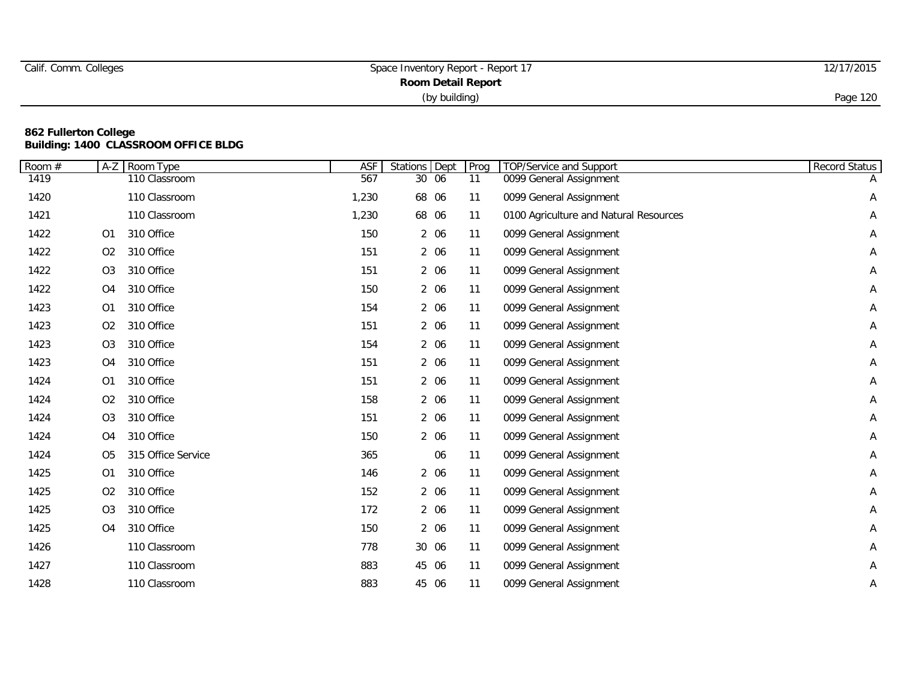|  | Calif. Comm. Colleges |
|--|-----------------------|
|  |                       |

# Space Inventory Report - Report 17 12/17/2015 **Room Detail Report** (by building) Page 120

## **862 Fullerton College Building: 1400 CLASSROOM OFFICE BLDG**

| Room # | $A-Z$          | Room Type          | <b>ASF</b> | <b>Stations</b> Dept |       | Prog | <b>TOP/Service and Support</b>         | Record Status |
|--------|----------------|--------------------|------------|----------------------|-------|------|----------------------------------------|---------------|
| 1419   |                | 110 Classroom      | 567        |                      | 30 06 | 11   | 0099 General Assignment                |               |
| 1420   |                | 110 Classroom      | 1,230      |                      | 68 06 | 11   | 0099 General Assignment                | Α             |
| 1421   |                | 110 Classroom      | 1,230      |                      | 68 06 | 11   | 0100 Agriculture and Natural Resources | Α             |
| 1422   | O <sub>1</sub> | 310 Office         | 150        |                      | 2 06  | 11   | 0099 General Assignment                | Α             |
| 1422   | O <sub>2</sub> | 310 Office         | 151        |                      | 2 06  | 11   | 0099 General Assignment                | Α             |
| 1422   | O <sub>3</sub> | 310 Office         | 151        |                      | 2 06  | 11   | 0099 General Assignment                | Α             |
| 1422   | O <sub>4</sub> | 310 Office         | 150        |                      | 2 06  | 11   | 0099 General Assignment                | Α             |
| 1423   | O <sub>1</sub> | 310 Office         | 154        |                      | 2 06  | 11   | 0099 General Assignment                | Α             |
| 1423   | O <sub>2</sub> | 310 Office         | 151        |                      | 2 06  | 11   | 0099 General Assignment                | А             |
| 1423   | O <sub>3</sub> | 310 Office         | 154        |                      | 2 06  | 11   | 0099 General Assignment                | Α             |
| 1423   | O <sub>4</sub> | 310 Office         | 151        |                      | 2 06  | 11   | 0099 General Assignment                | А             |
| 1424   | O <sub>1</sub> | 310 Office         | 151        |                      | 2 06  | 11   | 0099 General Assignment                | А             |
| 1424   | O <sub>2</sub> | 310 Office         | 158        |                      | 2 06  | 11   | 0099 General Assignment                | Α             |
| 1424   | O <sub>3</sub> | 310 Office         | 151        |                      | 2 06  | 11   | 0099 General Assignment                | Α             |
| 1424   | O <sub>4</sub> | 310 Office         | 150        |                      | 2 06  | 11   | 0099 General Assignment                | Α             |
| 1424   | O <sub>5</sub> | 315 Office Service | 365        |                      | 06    | 11   | 0099 General Assignment                | Α             |
| 1425   | O <sub>1</sub> | 310 Office         | 146        |                      | 2 06  | 11   | 0099 General Assignment                | Α             |
| 1425   | O <sub>2</sub> | 310 Office         | 152        |                      | 2 06  | 11   | 0099 General Assignment                | Α             |
| 1425   | O <sub>3</sub> | 310 Office         | 172        |                      | 2 06  | 11   | 0099 General Assignment                | А             |
| 1425   | O <sub>4</sub> | 310 Office         | 150        |                      | 2 06  | 11   | 0099 General Assignment                | Α             |
| 1426   |                | 110 Classroom      | 778        |                      | 30 06 | 11   | 0099 General Assignment                | Α             |
| 1427   |                | 110 Classroom      | 883        |                      | 45 06 | 11   | 0099 General Assignment                | А             |
| 1428   |                | 110 Classroom      | 883        |                      | 45 06 | 11   | 0099 General Assignment                | А             |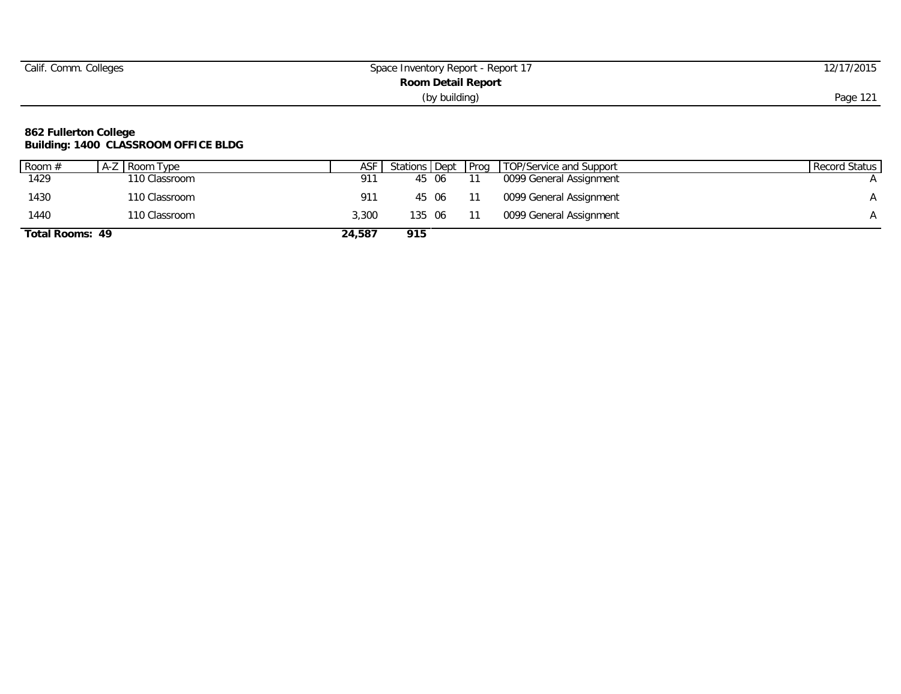| Calif. Comm. Colleges | Space Inventory Report - Report 17 | 12/17/2015 |
|-----------------------|------------------------------------|------------|
|                       |                                    |            |
|                       | (by building)                      | Page 121   |

#### **862 Fullerton College Building: 1400 CLASSROOM OFFICE BLDG**

| Room #          | A-Z Room Type | ASF    | Stations Dept Prog |  | TOP/Service and Support | Record Status |
|-----------------|---------------|--------|--------------------|--|-------------------------|---------------|
| 1429            | 110 Classroom | 911    | 45 06              |  | 0099 General Assignment |               |
| 1430            | 110 Classroom | 911    | 45 06              |  | 0099 General Assignment |               |
| 1440            | 110 Classroom | 3.300  | 135 06             |  | 0099 General Assignment |               |
| Total Rooms: 49 |               | 24,587 | 915                |  |                         |               |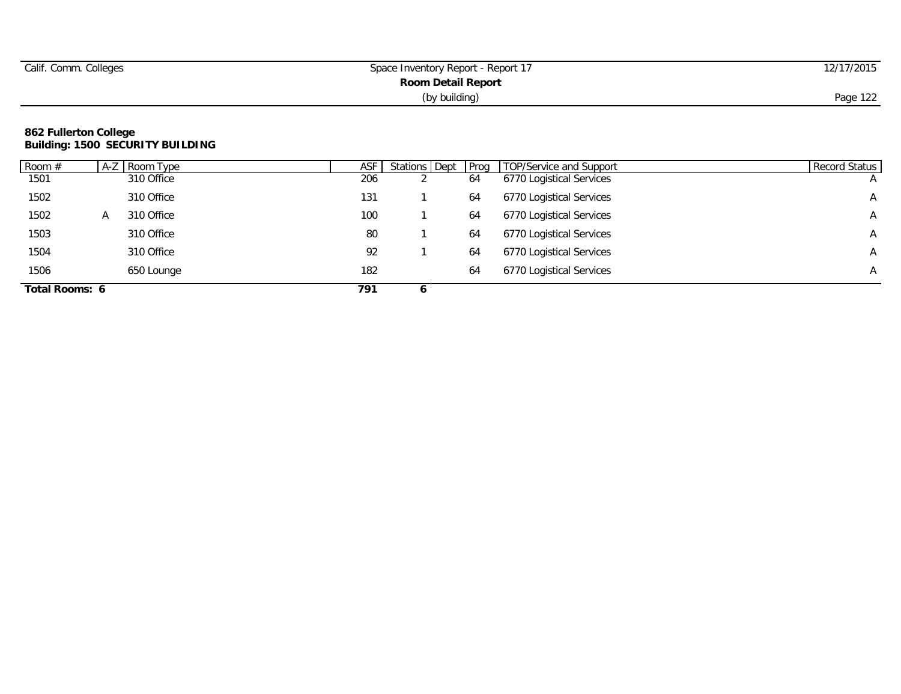| Calif. Comm. Colleges | Space Inventory Report - Report 17 | 12/17/2015 |
|-----------------------|------------------------------------|------------|
|                       |                                    |            |
|                       | (by building)                      | Page 122   |

#### **862 Fullerton College Building: 1500 SECURITY BUILDING**

| Room $#$       | $A-Z$ | Room Type  | <b>ASF</b> | Stations Dept Prog |    | TOP/Service and Support  | Record Status  |
|----------------|-------|------------|------------|--------------------|----|--------------------------|----------------|
| 1501           |       | 310 Office | 206        |                    | 64 | 6770 Logistical Services | $\overline{A}$ |
| 1502           |       | 310 Office | 131        |                    | 64 | 6770 Logistical Services | A              |
| 1502           | A     | 310 Office | 100        |                    | 64 | 6770 Logistical Services | A              |
| 1503           |       | 310 Office | 80         |                    | 64 | 6770 Logistical Services | A              |
| 1504           |       | 310 Office | 92         |                    | 64 | 6770 Logistical Services | A              |
| 1506           |       | 650 Lounge | 182        |                    | 64 | 6770 Logistical Services | $\mathsf{A}$   |
| Total Rooms: 6 |       |            | 791        | n                  |    |                          |                |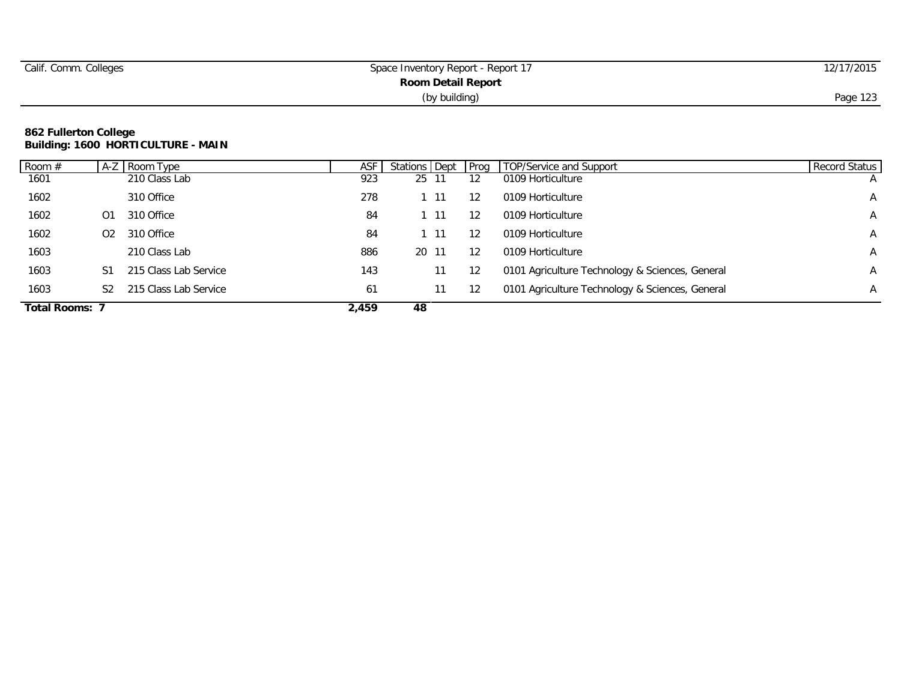| Calif. Comm. Colleges | Space Inventory Report - Report 17 | 12/17/2015 |
|-----------------------|------------------------------------|------------|
|                       | <b>Room Detail Report</b>          |            |
|                       | (by building)                      | Page 123   |

#### **862 Fullerton College Building: 1600 HORTICULTURE - MAIN**

| Room #                | $A-Z$          | Room Type             | ASF   | Stations Dept Prog |      |    | TOP/Service and Support                         | Record Status |
|-----------------------|----------------|-----------------------|-------|--------------------|------|----|-------------------------------------------------|---------------|
| 1601                  |                | 210 Class Lab         | 923   | 25                 |      | 12 | 0109 Horticulture                               |               |
| 1602                  |                | 310 Office            | 278   |                    | 1 11 | 12 | 0109 Horticulture                               | $\mathsf{A}$  |
| 1602                  | 01             | 310 Office            | 84    |                    | l 11 | 12 | 0109 Horticulture                               | $\mathsf{A}$  |
| 1602                  | O <sub>2</sub> | 310 Office            | 84    |                    | 111  | 12 | 0109 Horticulture                               | $\mathsf{A}$  |
| 1603                  |                | 210 Class Lab         | 886   | 20                 | -11  | 12 | 0109 Horticulture                               | $\mathsf{A}$  |
| 1603                  | S1             | 215 Class Lab Service | 143   |                    | 11   | 12 | 0101 Agriculture Technology & Sciences, General | A             |
| 1603                  | S <sub>2</sub> | 215 Class Lab Service | 61    |                    | 11   | 12 | 0101 Agriculture Technology & Sciences, General | A             |
| <b>Total Rooms: 7</b> |                |                       | 2.459 | 48                 |      |    |                                                 |               |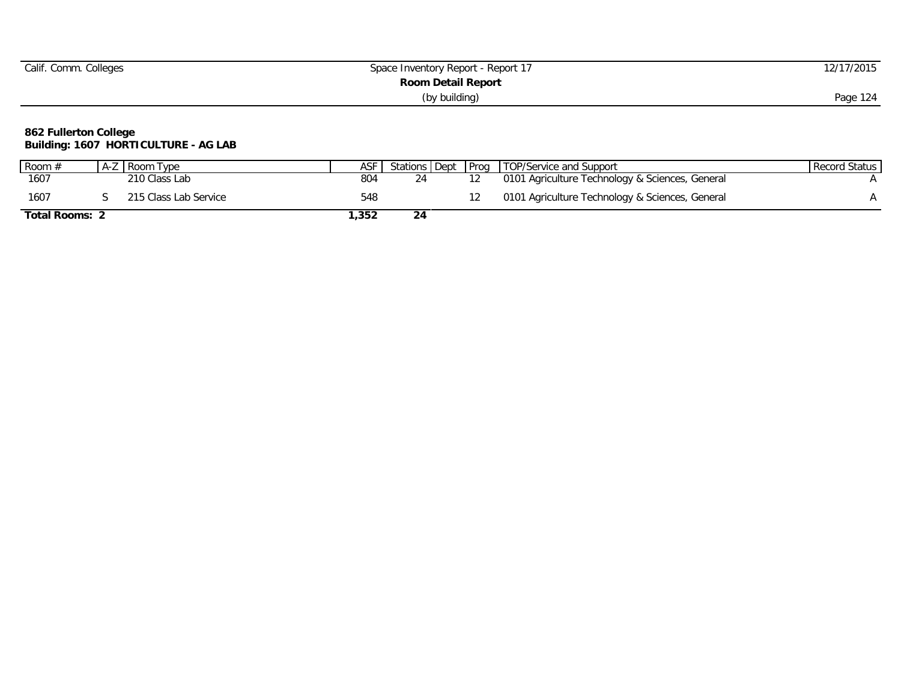| Space Inventory Report - Report 17 | 2/17/2015 |
|------------------------------------|-----------|
| <b>Room Detail Report</b>          |           |
| (by building)                      | Page 124  |
|                                    |           |

#### **862 Fullerton College Building: 1607 HORTICULTURE - AG LAB**

| Room $#$            | $A - L$ | : I Room Type         | ASF  | Stations Dept | <b>Prog</b> TOP/Service and Support             | Record Status |
|---------------------|---------|-----------------------|------|---------------|-------------------------------------------------|---------------|
| 1607                |         | 210 Class Lab         | 804  |               | 0101 Agriculture Technology & Sciences, General |               |
| 1607                |         | 215 Class Lab Service | 548  |               | 0101 Agriculture Technology & Sciences, General |               |
| <b>Total Rooms:</b> |         |                       | ,352 | 24            |                                                 |               |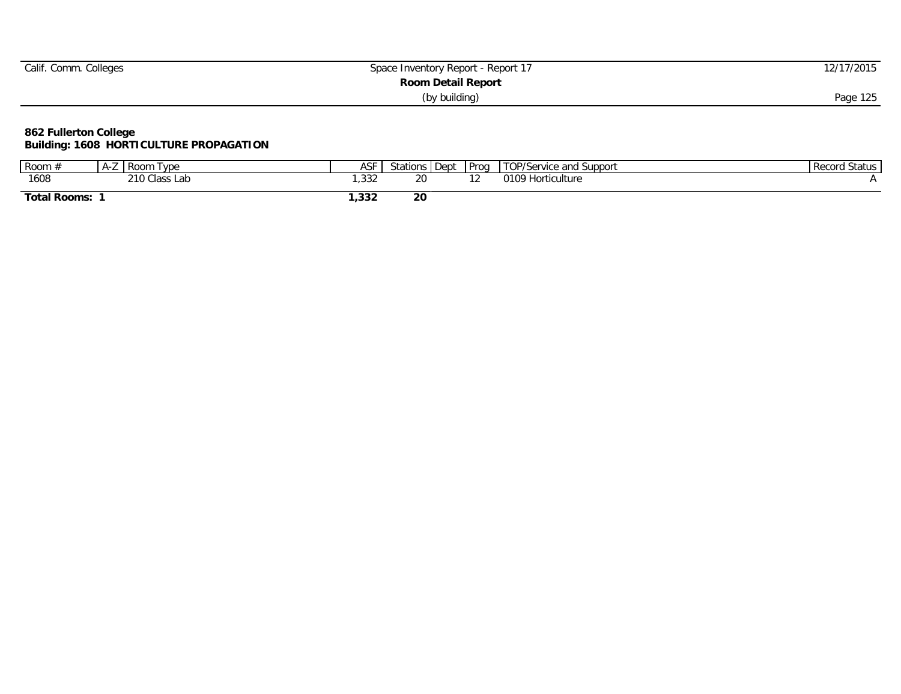| Calif. Comm. Colleges | Space Inventory Report - Report 17 | 12/17/2015 |
|-----------------------|------------------------------------|------------|
|                       | <b>Room Detail Report</b>          |            |
|                       | (by building)                      | Page 125   |

#### **862 Fullerton College Building: 1608 HORTICULTURE PROPAGATION**

| Room $#$            | A-Z | I Room<br>Type    | ASE<br>v | stations. | . ∎Dept | Prog | TOP/Service and Support | . Status<br>Record |
|---------------------|-----|-------------------|----------|-----------|---------|------|-------------------------|--------------------|
| 1608                |     | ≧Class Lab<br>210 | ,332     | ົ<br>∠∪   |         |      | 0109<br>Horticulture    |                    |
| <b>Total Rooms:</b> |     |                   | , 332    | 20        |         |      |                         |                    |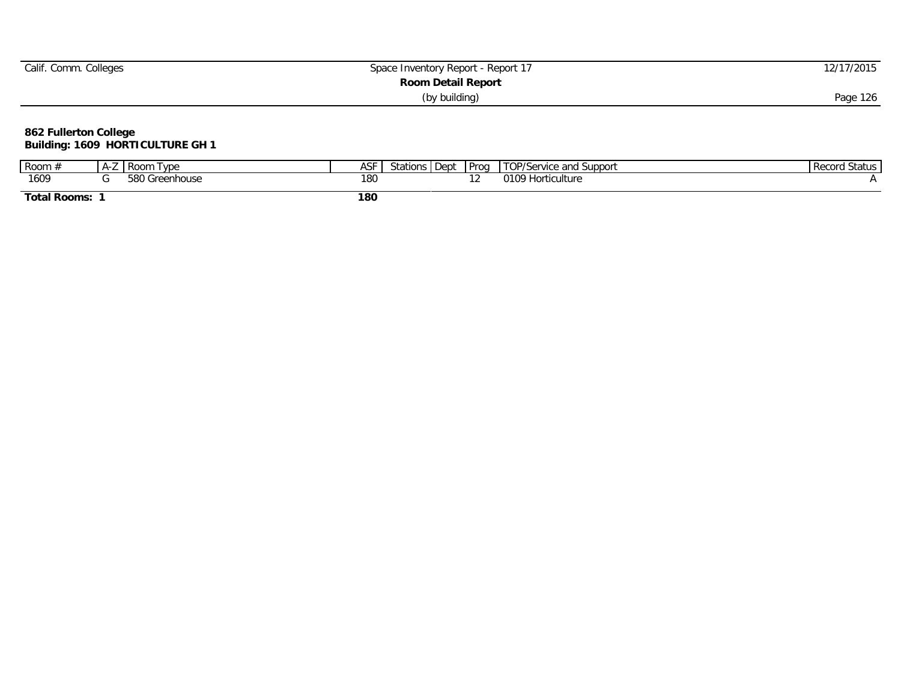| Space Inventory Report - Report 17 | 2/17/2015 |
|------------------------------------|-----------|
| <b>Room Detail Report</b>          |           |
| (by building)                      | Page 126  |
|                                    |           |

### **862 Fullerton College Building: 1609 HORTICULTURE GH 1**

| Room $\neq$         | A-Z | VDE<br>Room | 21<br>Ηэ | stations <b>P</b> | -Dept | Prog | ™OP/Service and J.<br>Suppor | l Status<br>Record |
|---------------------|-----|-------------|----------|-------------------|-------|------|------------------------------|--------------------|
| 1609                |     | ireenhouse  | 18C      |                   |       |      | 2109 Horticum<br>iculture    |                    |
| <b>Total Rooms:</b> |     |             | 180      |                   |       |      |                              |                    |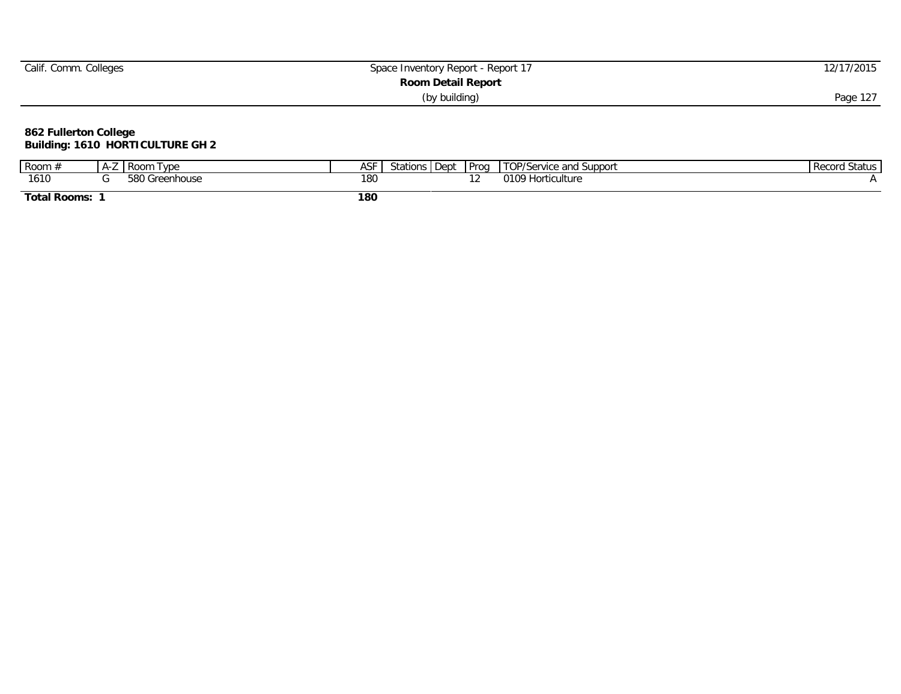| Calif. Comm. Colleges | Space Inventory Report - Report 17 | 12/17/2015 |
|-----------------------|------------------------------------|------------|
|                       |                                    |            |
|                       | (by building)                      | Page 127   |

### **862 Fullerton College Building: 1610 HORTICULTURE GH 2**

| Room $\neq$         | A-L | VDE<br>Room | l C<br>Ηэ | Stations | . Dept | Prog | TOP/Service a<br>and<br>Suppor | l Status<br>Record |
|---------------------|-----|-------------|-----------|----------|--------|------|--------------------------------|--------------------|
| 1610                |     | `reenhouse  | 18C       |          |        |      | 2109 Horticum<br>iculture      |                    |
| <b>Total Rooms:</b> |     |             | 180       |          |        |      |                                |                    |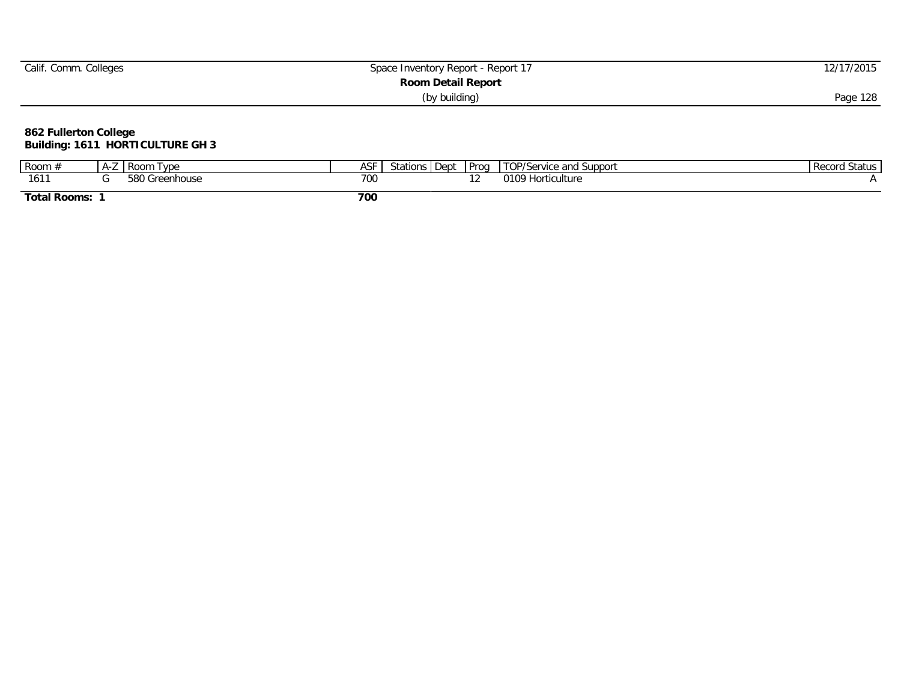| Calif. Comm. Colleges | Space Inventory Report - Report 17 | 12/17/2015 |
|-----------------------|------------------------------------|------------|
|                       |                                    |            |
|                       | (by building)                      | Page 128   |

### **862 Fullerton College Building: 1611 HORTICULTURE GH 3**

| Room $#$            | A-Z | VDE<br>Room       | VC.<br>HJ.           | Stations | Dept | Prog | TOP/Service and<br>Suppor              | Record<br>. Status |
|---------------------|-----|-------------------|----------------------|----------|------|------|----------------------------------------|--------------------|
| 161                 |     | ireenhouse<br>ואי | $\neg \wedge$<br>/UU |          |      |      | ∩1∩Q<br>Hort <sup>:</sup><br>ticulture |                    |
| <b>Total Rooms:</b> |     |                   | 700                  |          |      |      |                                        |                    |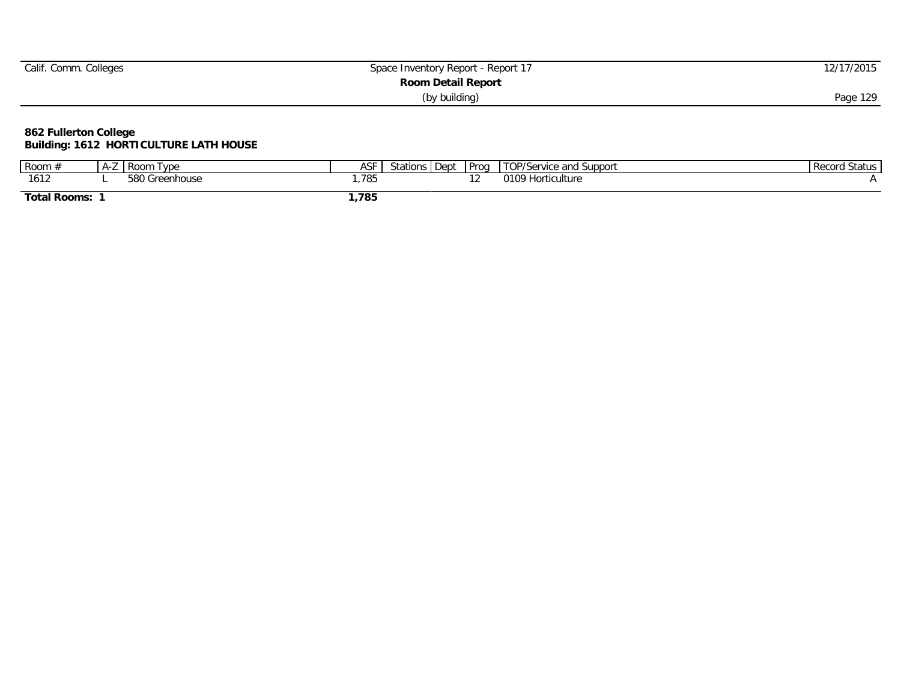| Calif. Comm. Colleges | Space Inventory Report - Report 17 | 12/17/2015 |
|-----------------------|------------------------------------|------------|
|                       | <b>Room Detail Report</b>          |            |
|                       | (by building)                      | Page 129   |

#### **862 Fullerton College Building: 1612 HORTICULTURE LATH HOUSE**

| Room #              | А- | l Room<br>I ype     | ΔSΓ<br>w | ,I Dept<br>Stations | Prog   | TOP/Service au<br>service and Support<br>v | . Status<br>, Record |
|---------------------|----|---------------------|----------|---------------------|--------|--------------------------------------------|----------------------|
| 1612                |    | 580 G<br>Greenhouse | 785      |                     | $\sim$ | 01001<br><b>Horticulture</b><br>UIV        |                      |
| <b>Total Rooms:</b> |    |                     | ,785     |                     |        |                                            |                      |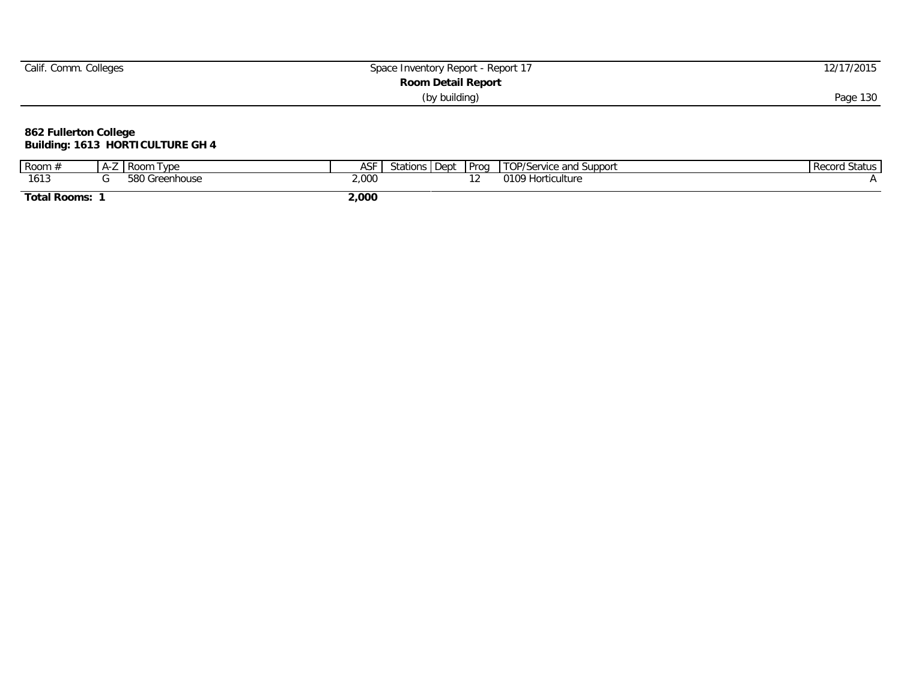| Calif. Comm. Colleges | Space Inventory Report - Report 17 | 2/17/2015 |
|-----------------------|------------------------------------|-----------|
|                       | <b>Room Detail Report</b>          |           |
|                       | (by building)                      | Page 130  |

### **862 Fullerton College Building: 1613 HORTICULTURE GH 4**

| Room $\neq$         | A-Z | VDF<br>' Room | 21<br>Ηэ | Stations | -Dept | Prog | TOP/Service a<br>and<br>Suppor | . Status<br>Record |
|---------------------|-----|---------------|----------|----------|-------|------|--------------------------------|--------------------|
| 1110<br>1013        |     | `reenhouse    | 2,000    |          |       |      | 2109 Horticums<br>iculture     |                    |
| <b>Total Rooms:</b> |     |               | 2,000    |          |       |      |                                |                    |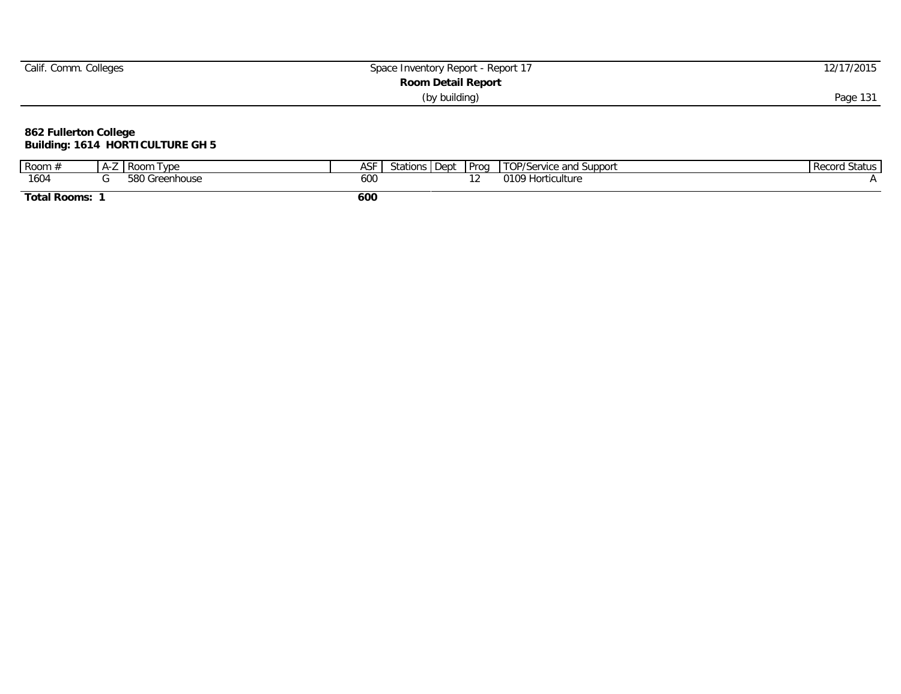| Calif. Comm. Colleges | Space Inventory Report - Report 17 | 12/17/2015 |
|-----------------------|------------------------------------|------------|
|                       |                                    |            |
|                       | (by building)                      | Page 13    |

### **862 Fullerton College Building: 1614 HORTICULTURE GH 5**

| Room $#$     | A-L | VDE<br>Room       | VC.<br>HJ. | Stations | Dept. | Prog | TOP/Service and<br>Support | Record<br>. Status |
|--------------|-----|-------------------|------------|----------|-------|------|----------------------------|--------------------|
| 1604         |     | ireenhouse<br>ואי | 600        |          |       |      | ∩1∩Q<br>Horti<br>ticulture |                    |
| Total Rooms: |     |                   | 600        |          |       |      |                            |                    |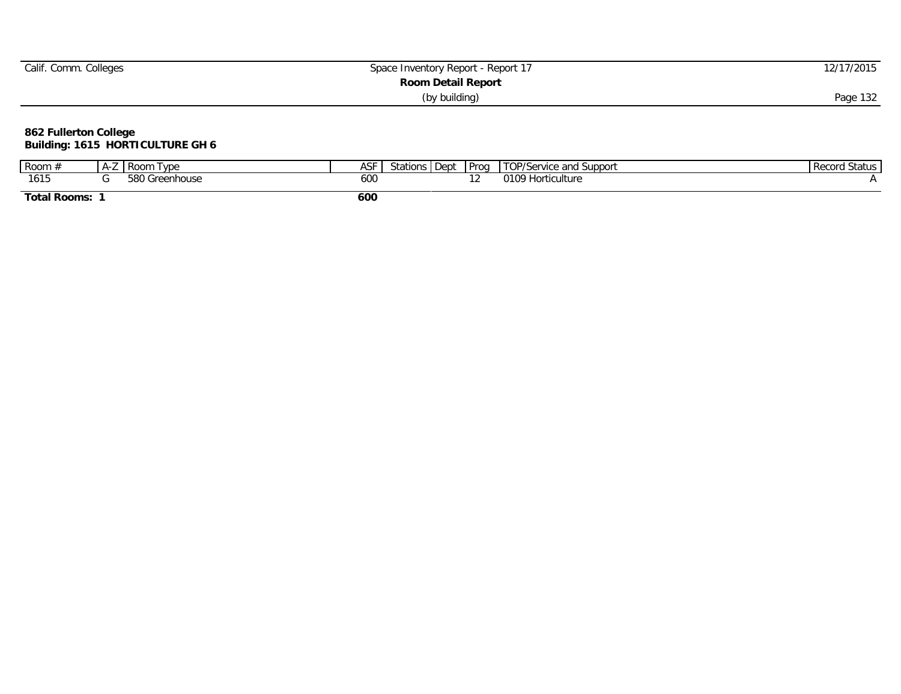| Calif. Comm. Colleges | Space Inventory Report - Report 17 | 12/17/2015 |
|-----------------------|------------------------------------|------------|
|                       | <b>Room Detail Report</b>          |            |
|                       | (by building)                      | Page 132   |

### **862 Fullerton College Building: 1615 HORTICULTURE GH 6**

| Room $#$     | H-L | vpe <sup>1</sup><br>I Room | નુ. | . Dept<br>Stations | Prog | TOP/Service and<br>l Suppor       | Record<br>. Status |
|--------------|-----|----------------------------|-----|--------------------|------|-----------------------------------|--------------------|
| 1615         |     | 580<br>ireenhouse          | 600 |                    |      | 7109 <sub>1</sub><br>Horticulture |                    |
| Total Rooms: |     |                            | 600 |                    |      |                                   |                    |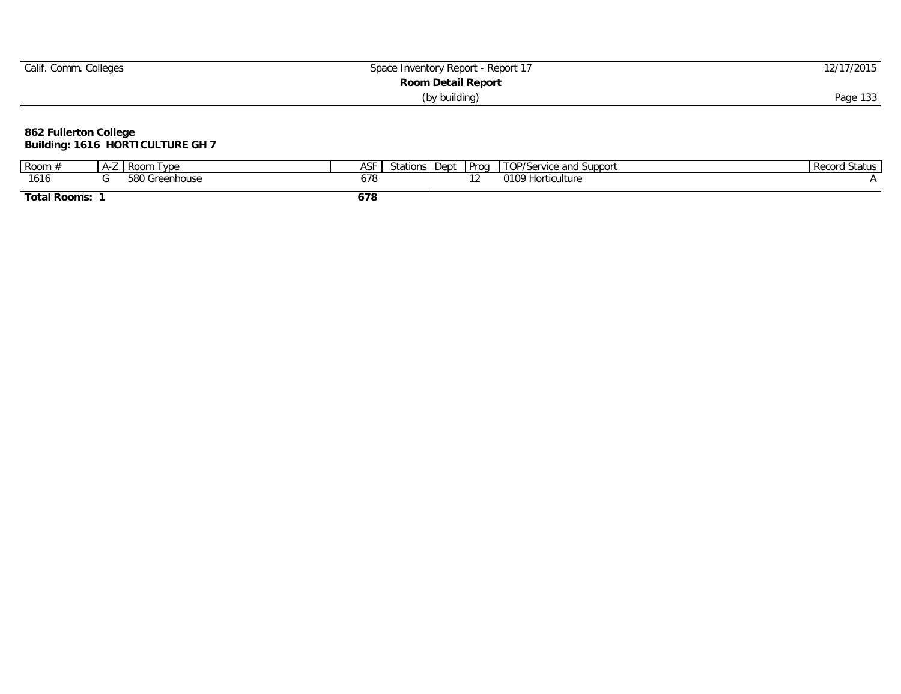| Calif. Comm. Colleges | Space Inventory Report - Report 17 | 12/17/2015 |
|-----------------------|------------------------------------|------------|
|                       | Room Detail Report                 |            |
|                       | (by building)                      | Page 133   |

### **862 Fullerton College Building: 1616 HORTICULTURE GH 7**

| Room $\neq$         | A-L | VDE<br>Room | 21<br>Ηэ | stations <b>P</b> | . Dept | Prog | ™OP/Service and J.<br>Suppor         | l Status<br>Record |
|---------------------|-----|-------------|----------|-------------------|--------|------|--------------------------------------|--------------------|
| 1616                |     | `reenhouse  | 678      |                   |        |      | <sup>2109</sup> Horticum<br>iculture |                    |
| <b>Total Rooms:</b> |     |             | 678      |                   |        |      |                                      |                    |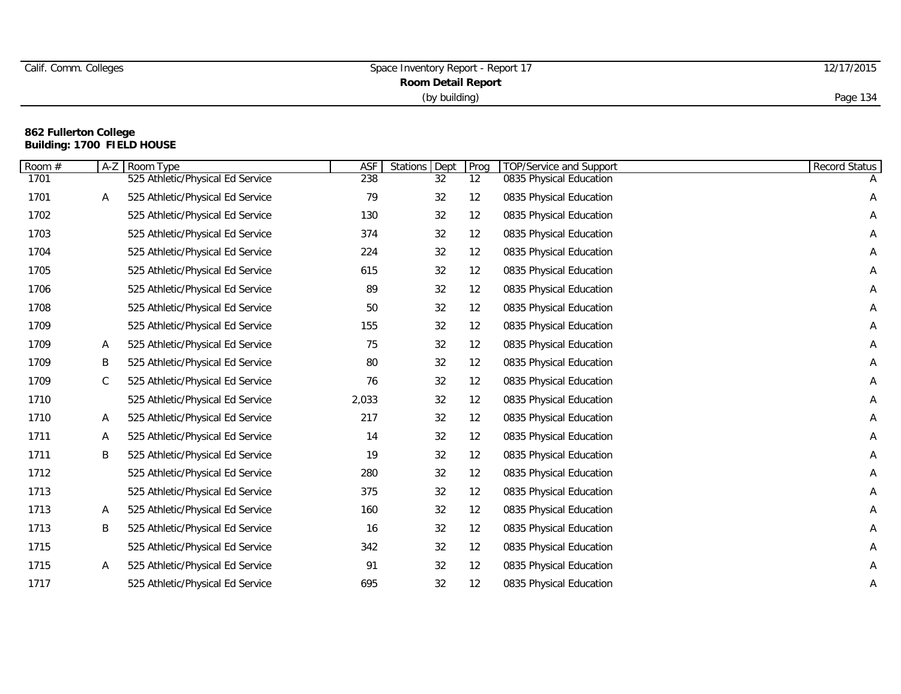| Calif. Comm. Colleges     | Space Inventory Report - Report 17 | 12/17/2015 |  |  |  |
|---------------------------|------------------------------------|------------|--|--|--|
| <b>Room Detail Report</b> |                                    |            |  |  |  |
|                           | (by building)                      | Page 134   |  |  |  |

#### **862 Fullerton College Building: 1700 FIELD HOUSE**

| Room # | $A-Z$       | Room Type                        | ASF   | Dept<br>Stations | Prog | <b>TOP/Service and Support</b> | Record Status |
|--------|-------------|----------------------------------|-------|------------------|------|--------------------------------|---------------|
| 1701   |             | 525 Athletic/Physical Ed Service | 238   | 32               | 12   | 0835 Physical Education        |               |
| 1701   | Α           | 525 Athletic/Physical Ed Service | 79    | 32               | 12   | 0835 Physical Education        | Α             |
| 1702   |             | 525 Athletic/Physical Ed Service | 130   | 32               | 12   | 0835 Physical Education        | A             |
| 1703   |             | 525 Athletic/Physical Ed Service | 374   | 32               | 12   | 0835 Physical Education        | Α             |
| 1704   |             | 525 Athletic/Physical Ed Service | 224   | 32               | 12   | 0835 Physical Education        | Α             |
| 1705   |             | 525 Athletic/Physical Ed Service | 615   | 32               | 12   | 0835 Physical Education        | A             |
| 1706   |             | 525 Athletic/Physical Ed Service | 89    | 32               | 12   | 0835 Physical Education        | Α             |
| 1708   |             | 525 Athletic/Physical Ed Service | 50    | 32               | 12   | 0835 Physical Education        | Α             |
| 1709   |             | 525 Athletic/Physical Ed Service | 155   | 32               | 12   | 0835 Physical Education        | A             |
| 1709   | A           | 525 Athletic/Physical Ed Service | 75    | 32               | 12   | 0835 Physical Education        | Α             |
| 1709   | B           | 525 Athletic/Physical Ed Service | 80    | 32               | 12   | 0835 Physical Education        | A             |
| 1709   | $\mathsf C$ | 525 Athletic/Physical Ed Service | 76    | 32               | 12   | 0835 Physical Education        | A             |
| 1710   |             | 525 Athletic/Physical Ed Service | 2,033 | 32               | 12   | 0835 Physical Education        | A             |
| 1710   | A           | 525 Athletic/Physical Ed Service | 217   | 32               | 12   | 0835 Physical Education        | A             |
| 1711   | Α           | 525 Athletic/Physical Ed Service | 14    | 32               | 12   | 0835 Physical Education        | A             |
| 1711   | B           | 525 Athletic/Physical Ed Service | 19    | 32               | 12   | 0835 Physical Education        | Α             |
| 1712   |             | 525 Athletic/Physical Ed Service | 280   | 32               | 12   | 0835 Physical Education        | Α             |
| 1713   |             | 525 Athletic/Physical Ed Service | 375   | 32               | 12   | 0835 Physical Education        | A             |
| 1713   | A           | 525 Athletic/Physical Ed Service | 160   | 32               | 12   | 0835 Physical Education        | A             |
| 1713   | B           | 525 Athletic/Physical Ed Service | 16    | 32               | 12   | 0835 Physical Education        | A             |
| 1715   |             | 525 Athletic/Physical Ed Service | 342   | 32               | 12   | 0835 Physical Education        | Α             |
| 1715   | A           | 525 Athletic/Physical Ed Service | 91    | 32               | 12   | 0835 Physical Education        | Α             |
| 1717   |             | 525 Athletic/Physical Ed Service | 695   | 32               | 12   | 0835 Physical Education        | Α             |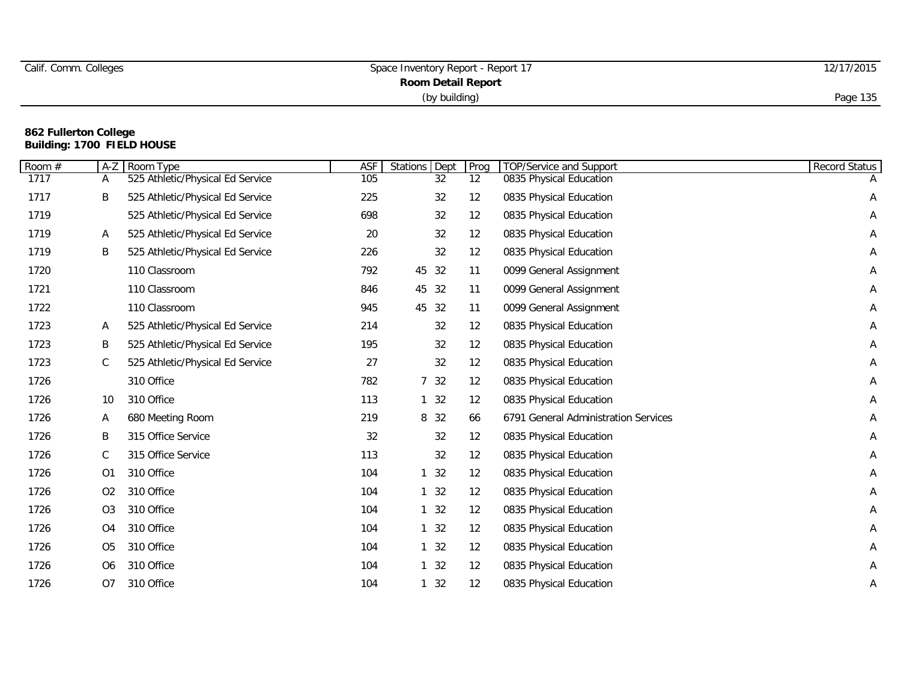| Calif. Comm. Colleges     | Space Inventory Report - Report 17 | 12/17/2015 |  |  |  |
|---------------------------|------------------------------------|------------|--|--|--|
| <b>Room Detail Report</b> |                                    |            |  |  |  |
|                           | (by building)                      | Page 135   |  |  |  |

#### **862 Fullerton College Building: 1700 FIELD HOUSE**

| Room # | $A-Z$          | Room Type                        | ASF | Stations<br>Dept | Prog              | TOP/Service and Support              | Record Status |
|--------|----------------|----------------------------------|-----|------------------|-------------------|--------------------------------------|---------------|
| 1717   | Α              | 525 Athletic/Physical Ed Service | 105 | 32               | $12 \overline{ }$ | 0835 Physical Education              |               |
| 1717   | B              | 525 Athletic/Physical Ed Service | 225 | 32               | 12                | 0835 Physical Education              | A             |
| 1719   |                | 525 Athletic/Physical Ed Service | 698 | 32               | 12                | 0835 Physical Education              | Α             |
| 1719   | A              | 525 Athletic/Physical Ed Service | 20  | 32               | $12 \overline{ }$ | 0835 Physical Education              | Α             |
| 1719   | B              | 525 Athletic/Physical Ed Service | 226 | 32               | 12                | 0835 Physical Education              | Α             |
| 1720   |                | 110 Classroom                    | 792 | 45 32            | 11                | 0099 General Assignment              | Α             |
| 1721   |                | 110 Classroom                    | 846 | 45 32            | 11                | 0099 General Assignment              | Α             |
| 1722   |                | 110 Classroom                    | 945 | 45 32            | 11                | 0099 General Assignment              | Α             |
| 1723   | Α              | 525 Athletic/Physical Ed Service | 214 | 32               | 12                | 0835 Physical Education              | Α             |
| 1723   | Β              | 525 Athletic/Physical Ed Service | 195 | 32               | 12                | 0835 Physical Education              | Α             |
| 1723   | C              | 525 Athletic/Physical Ed Service | 27  | 32               | 12                | 0835 Physical Education              | Α             |
| 1726   |                | 310 Office                       | 782 | 7 32             | 12                | 0835 Physical Education              | Α             |
| 1726   | 10             | 310 Office                       | 113 | 132              | $12 \overline{ }$ | 0835 Physical Education              | Α             |
| 1726   | Α              | 680 Meeting Room                 | 219 | 8 32             | 66                | 6791 General Administration Services | Α             |
| 1726   | B              | 315 Office Service               | 32  | 32               | 12                | 0835 Physical Education              | Α             |
| 1726   | С              | 315 Office Service               | 113 | 32               | 12                | 0835 Physical Education              | Α             |
| 1726   | O <sub>1</sub> | 310 Office                       | 104 | $1 \quad 32$     | 12                | 0835 Physical Education              | Α             |
| 1726   | O <sub>2</sub> | 310 Office                       | 104 | $1 \quad 32$     | 12                | 0835 Physical Education              | Α             |
| 1726   | O <sub>3</sub> | 310 Office                       | 104 | 132              | 12                | 0835 Physical Education              | Α             |
| 1726   | O <sub>4</sub> | 310 Office                       | 104 | $1 \quad 32$     | 12                | 0835 Physical Education              | Α             |
| 1726   | O <sub>5</sub> | 310 Office                       | 104 | 132              | 12                | 0835 Physical Education              | Α             |
| 1726   | O6             | 310 Office                       | 104 | 132              | $12 \overline{ }$ | 0835 Physical Education              | Α             |
| 1726   | O <sub>7</sub> | 310 Office                       | 104 | $1 \quad 32$     | 12                | 0835 Physical Education              | Α             |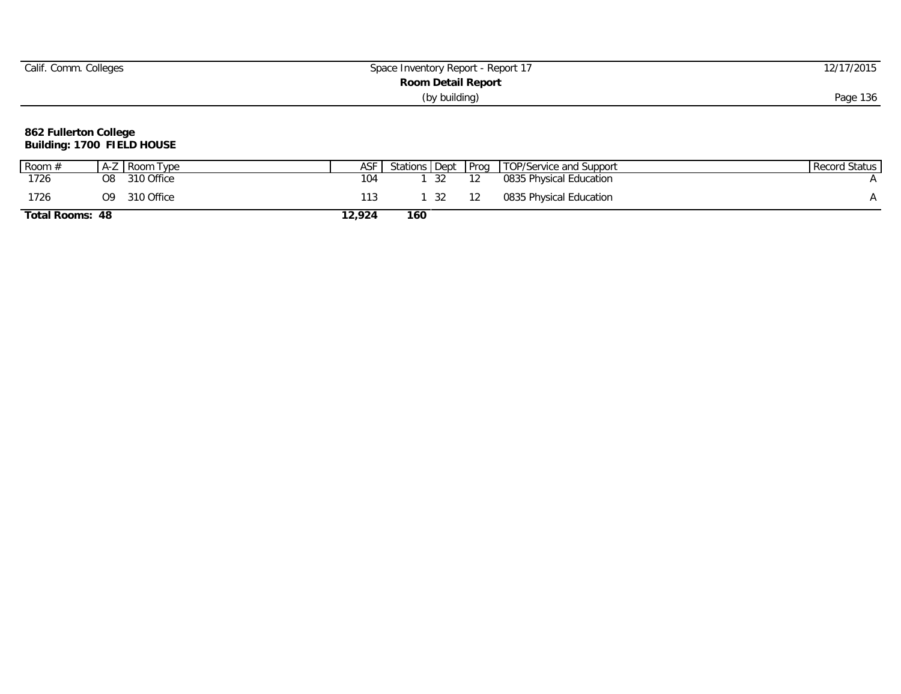| Calif. Comm. Colleges | Space Inventory Report - Report 17 | 12/17/2015 |
|-----------------------|------------------------------------|------------|
|                       | <b>Room Detail Report</b>          |            |
|                       | (by building)                      | Page 136   |
|                       |                                    |            |

#### **862 Fullerton College Building: 1700 FIELD HOUSE**

| Room $#$        | A-Z Room Type    | ASF    | Stations Dept | Prog | TOP/Service and Support | Record Status |
|-----------------|------------------|--------|---------------|------|-------------------------|---------------|
| 1726            | 310 Office<br>O8 | 104    |               |      | 0835 Physical Education |               |
| 1726            | 310 Office<br>Ο9 | 113    |               |      | 0835 Physical Education |               |
| Total Rooms: 48 |                  | 12,924 | 160           |      |                         |               |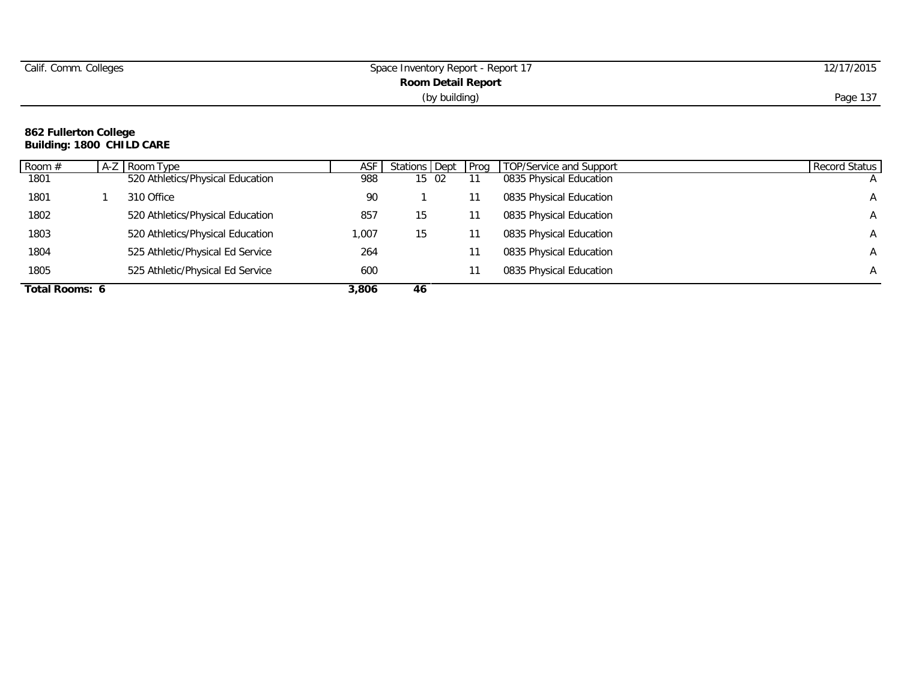| Calif. Comm. Colleges | Space Inventory Report - Report 17 | 12/17/2015 |
|-----------------------|------------------------------------|------------|
|                       |                                    |            |
|                       | (by building)                      | Page 137   |

#### **862 Fullerton College Building: 1800 CHILD CARE**

| Room #         | A-Z Room Type                    | ASF   | Stations Dept | Prog | TOP/Service and Support | Record Status |
|----------------|----------------------------------|-------|---------------|------|-------------------------|---------------|
| 1801           | 520 Athletics/Physical Education | 988   | 15 02         |      | 0835 Physical Education |               |
| 1801           | 310 Office                       | 90    |               |      | 0835 Physical Education | A             |
| 1802           | 520 Athletics/Physical Education | 857   | 15            |      | 0835 Physical Education | A             |
| 1803           | 520 Athletics/Physical Education | ,007  | 15            |      | 0835 Physical Education | A             |
| 1804           | 525 Athletic/Physical Ed Service | 264   |               |      | 0835 Physical Education | A             |
| 1805           | 525 Athletic/Physical Ed Service | 600   |               |      | 0835 Physical Education | $\mathsf{A}$  |
| Total Rooms: 6 |                                  | 3,806 | 46            |      |                         |               |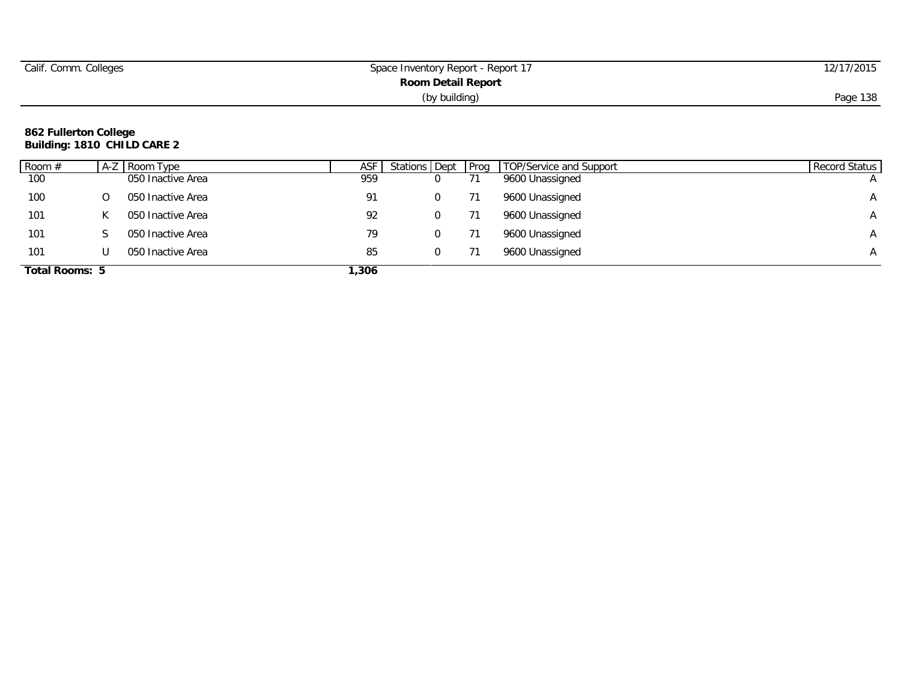| Calif. Comm. Colleges | Space Inventory Report - Report 17 | 2/17/2015 |
|-----------------------|------------------------------------|-----------|
|                       |                                    |           |
|                       | (by building)                      | Page 138  |

#### **862 Fullerton College Building: 1810 CHILD CARE 2**

| Room $#$              | A-Z | Room Type         | ASF  |    | Stations Dept Prog TOP/Service and Support | Record Status |
|-----------------------|-----|-------------------|------|----|--------------------------------------------|---------------|
| 100                   |     | 050 Inactive Area | 959  |    | 9600 Unassigned                            |               |
| 100                   |     | 050 Inactive Area | 91   |    | 9600 Unassigned                            | $\mathsf{A}$  |
| 101                   |     | 050 Inactive Area | 92   |    | 9600 Unassigned                            | A             |
| 101                   |     | 050 Inactive Area | 79   | 71 | 9600 Unassigned                            | $\mathsf{A}$  |
| 101                   |     | 050 Inactive Area | 85   |    | 9600 Unassigned                            | $\mathsf{A}$  |
| <b>Total Rooms: 5</b> |     |                   | ,306 |    |                                            |               |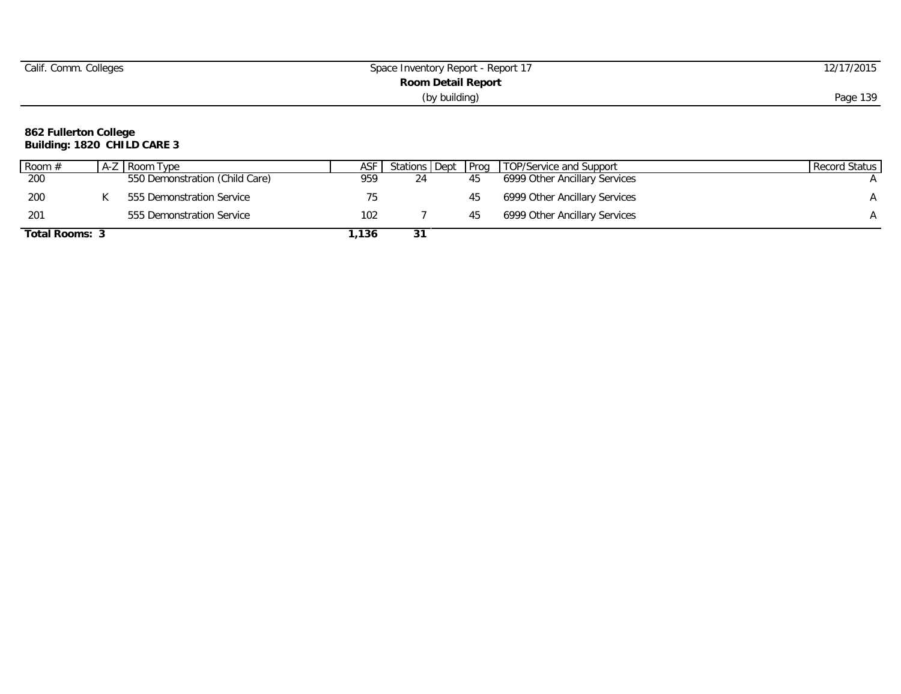| Space Inventory Report - Report 17 | 2/17/2015 |
|------------------------------------|-----------|
| Room Detail Report                 |           |
| (by building)                      | Page 139  |
|                                    |           |

### **862 Fullerton College Building: 1820 CHILD CARE 3**

| Room #         | A-Z Room Type                  | ASF  | Stations Dept Prog | TOP/Service and Support       | Record Status |
|----------------|--------------------------------|------|--------------------|-------------------------------|---------------|
| 200            | 550 Demonstration (Child Care) | 959  | 24                 | 6999 Other Ancillary Services |               |
| 200            | 555 Demonstration Service      | 75   |                    | 6999 Other Ancillary Services |               |
| -201           | 555 Demonstration Service      | 102  |                    | 6999 Other Ancillary Services |               |
| Total Rooms: 3 |                                | .136 | 31                 |                               |               |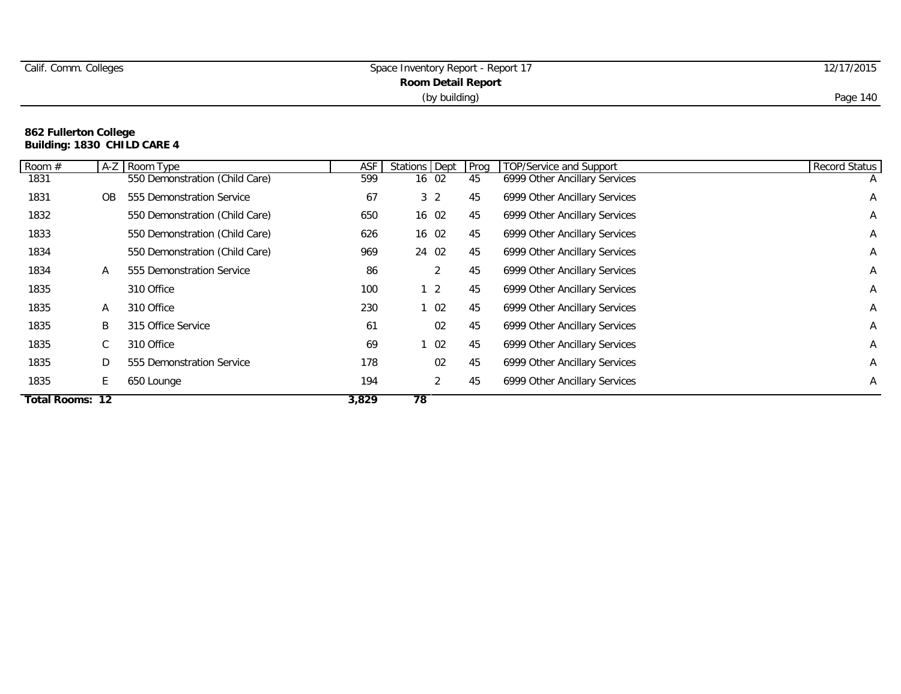| Calif. Comm. Colleges | Space Inventory Report - Report 17 | 12/17/2015 |
|-----------------------|------------------------------------|------------|
|                       |                                    |            |
|                       | (by building)                      | Page 140   |

#### **862 Fullerton College Building: 1830 CHILD CARE 4**

| Room #                 | $A-Z$        | Room Type                      | ASF   | Stations Dept  | Prog | TOP/Service and Support       | <b>Record Status</b> |
|------------------------|--------------|--------------------------------|-------|----------------|------|-------------------------------|----------------------|
| 1831                   |              | 550 Demonstration (Child Care) | 599   | 16 02          | 45   | 6999 Other Ancillary Services | $\overline{A}$       |
| 1831                   | ΟB           | 555 Demonstration Service      | 67    | 3 <sup>2</sup> | 45   | 6999 Other Ancillary Services | $\mathsf{A}$         |
| 1832                   |              | 550 Demonstration (Child Care) | 650   | 16 02          | 45   | 6999 Other Ancillary Services | A                    |
| 1833                   |              | 550 Demonstration (Child Care) | 626   | 16 02          | 45   | 6999 Other Ancillary Services | A                    |
| 1834                   |              | 550 Demonstration (Child Care) | 969   | 24 02          | 45   | 6999 Other Ancillary Services | Α                    |
| 1834                   | A            | 555 Demonstration Service      | 86    | 2              | 45   | 6999 Other Ancillary Services | Α                    |
| 1835                   |              | 310 Office                     | 100   | $1\quad2$      | 45   | 6999 Other Ancillary Services | Α                    |
| 1835                   | $\mathsf{A}$ | 310 Office                     | 230   | $1\quad02$     | 45   | 6999 Other Ancillary Services | A                    |
| 1835                   | B            | 315 Office Service             | 61    | 02             | 45   | 6999 Other Ancillary Services | Α                    |
| 1835                   | C.           | 310 Office                     | 69    | 02             | 45   | 6999 Other Ancillary Services | A                    |
| 1835                   | D            | 555 Demonstration Service      | 178   | 02             | 45   | 6999 Other Ancillary Services | A                    |
| 1835                   | E.           | 650 Lounge                     | 194   | 2              | 45   | 6999 Other Ancillary Services | A                    |
| <b>Total Rooms: 12</b> |              |                                | 3,829 | 78             |      |                               |                      |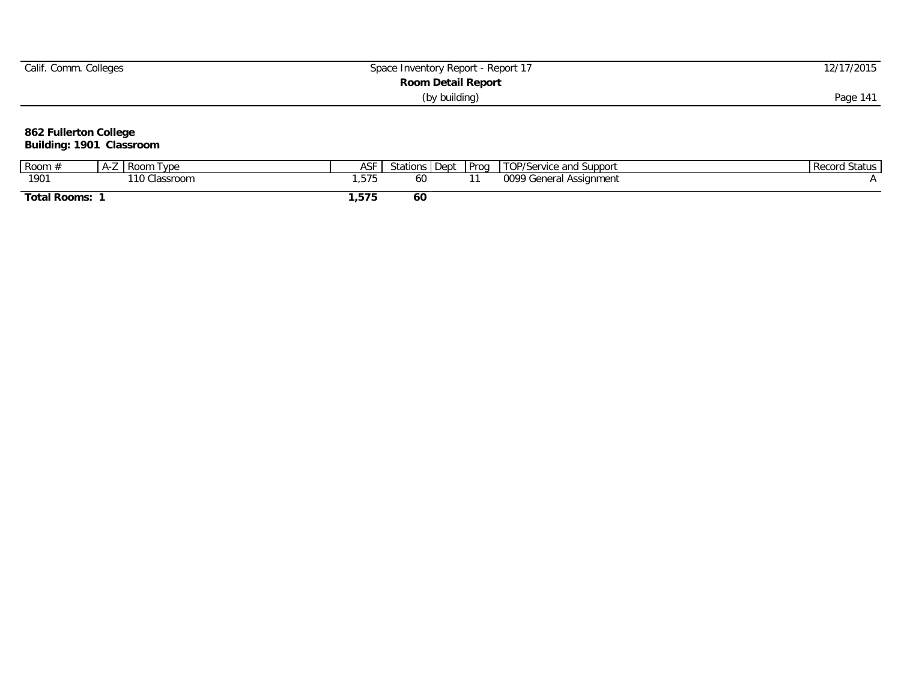| Calif. Comm. Colleges     | Space Inventory Report - Report 17 | 12/17/2015 |  |  |  |  |
|---------------------------|------------------------------------|------------|--|--|--|--|
| <b>Room Detail Report</b> |                                    |            |  |  |  |  |
|                           | (by building)                      | Page 14    |  |  |  |  |

#### **Building: 1901 Classroom**

| Room               | $\mathbf{H}$ | ⊺vpe<br>I Room           | ASF            | Stations | <b>I</b> Dept | Prog | TOP/Service and Support           | . Status<br>Record |
|--------------------|--------------|--------------------------|----------------|----------|---------------|------|-----------------------------------|--------------------|
| 1901               |              | $1^{\circ}$<br>:lassroom | $-1$<br>. ا ل. | οc       |               |      | 0099<br>General Assignment<br>. . |                    |
| Total,<br>' Rooms. |              |                          | 575<br>, J , J | 60       |               |      |                                   |                    |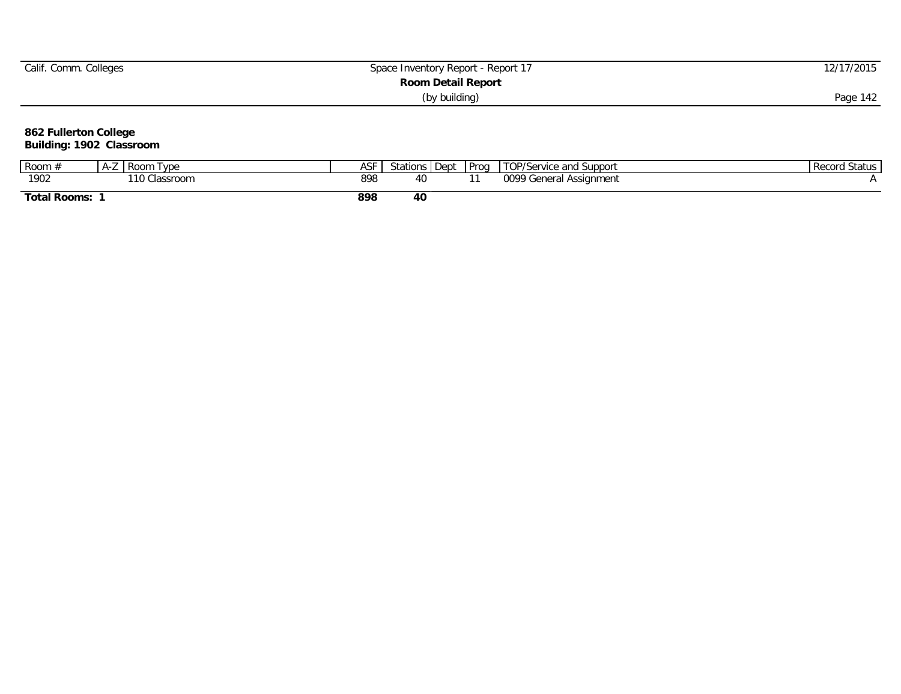| Space Inventory Report - Report 17 | 12/17/2015 |  |  |  |  |  |
|------------------------------------|------------|--|--|--|--|--|
| <b>Room Detail Report</b>          |            |  |  |  |  |  |
| (by building)                      | Page 142   |  |  |  |  |  |
|                                    |            |  |  |  |  |  |

**Building: 1902 Classroom**

| Room                | $A -$ | l Room<br>I vpe      | ASF | Stations | Dept | Prog | TOP/Service and Support | Record Status |
|---------------------|-------|----------------------|-----|----------|------|------|-------------------------|---------------|
| 1902                |       | 110C<br>10 Classroom | 898 |          |      |      | 0099 General Assignment |               |
| <b>Total Rooms:</b> |       |                      | 898 | 40       |      |      |                         |               |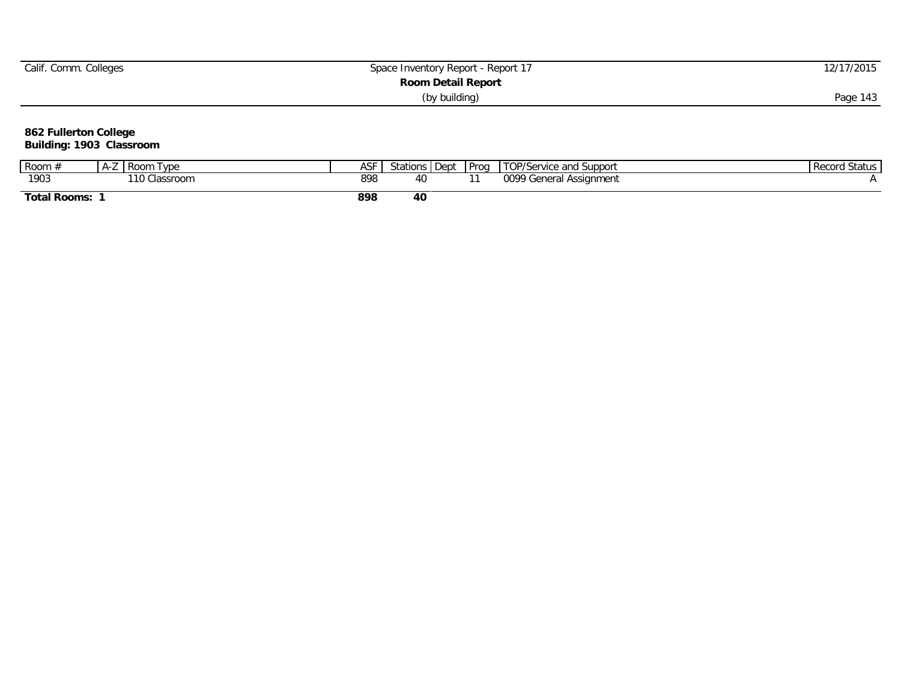| Calif. Comm. Colleges | Space Inventory Report - Report 17 | 2/17/2015 |
|-----------------------|------------------------------------|-----------|
|                       |                                    |           |
|                       | (by building)                      | Page 14   |

#### **Building: 1903 Classroom**

| Room                | $H -$ | Tvpe<br>I Room                 | $\sim$<br>ASF | stations | i Dept | Prog | TOP/Service and<br>l Suppor | Record<br>. Status |
|---------------------|-------|--------------------------------|---------------|----------|--------|------|-----------------------------|--------------------|
| 1903                |       | $\sim$ 110 $\sim$<br>Classroom | 898           |          |        |      | 0099<br>General Assignment  |                    |
| <b>Total Rooms:</b> |       |                                | 898           | 40       |        |      |                             |                    |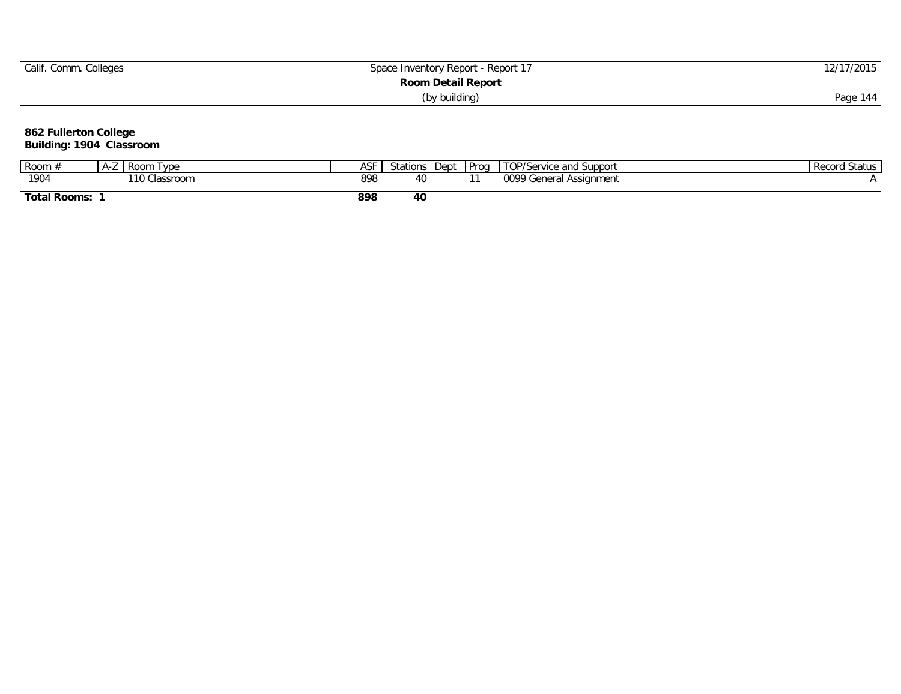| Space Inventory Report - Report 17 | 12/17/2015 |
|------------------------------------|------------|
| Room Detail Report                 |            |
| (by building)                      | Page 144   |
|                                    |            |

#### **Building: 1904 Classroom**

| Room ·            | $A - L$ | <b>Tvpe</b><br>I Room | $\sim$<br>า∪ | <b>Stations</b> | . Dept. | Prog | TOP/Service and Support    | . Status<br>Record |
|-------------------|---------|-----------------------|--------------|-----------------|---------|------|----------------------------|--------------------|
| 1904              |         | 110 Classroom         | 898          | 41              |         |      | 0099<br>General Assignment |                    |
| Total<br>' Rooms: |         |                       | 898          | 40              |         |      |                            |                    |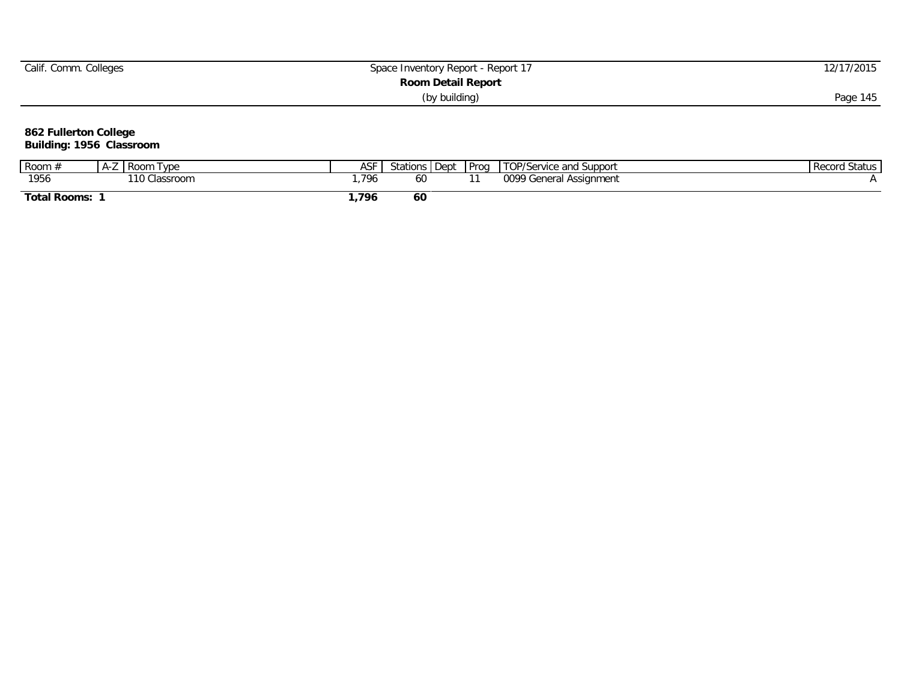| Calif. Comm. Colleges | Space Inventory Report - Report 17 | 2/17/2015 |  |  |  |  |
|-----------------------|------------------------------------|-----------|--|--|--|--|
| Room Detail Report    |                                    |           |  |  |  |  |
|                       | (by building)                      | Page 145  |  |  |  |  |

**Building: 1956 Classroom**

| Room         | $\mathbf{H}$ | l vpe<br><b>Room</b> | ASF  | Stations | Dept | Prog | TOP/Service and Support      | Status<br>Record |
|--------------|--------------|----------------------|------|----------|------|------|------------------------------|------------------|
| 1956         |              | 10<br>Classroom      | 796  | οU       |      |      | 0099 General<br>l Assignment |                  |
| Total Rooms: |              |                      | ,796 | 60       |      |      |                              |                  |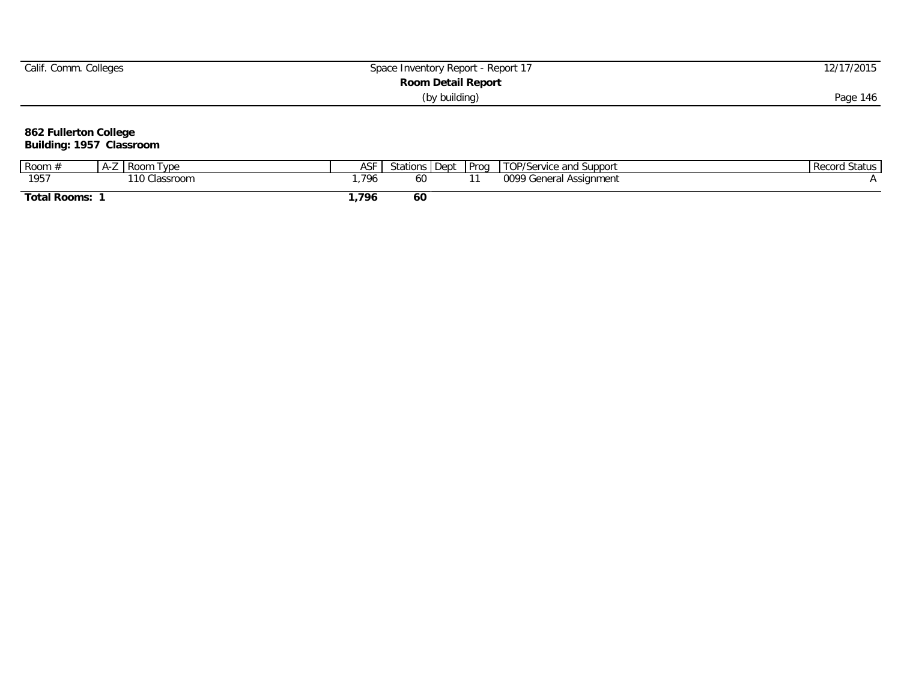| Calif. Comm. Colleges | Space Inventory Report - Report 17 | 2/17/2015 |  |  |  |  |
|-----------------------|------------------------------------|-----------|--|--|--|--|
| Room Detail Report    |                                    |           |  |  |  |  |
|                       | (by building)                      | Page 146  |  |  |  |  |

**Building: 1957 Classroom**

| Room                | $\mathbf{H}$ | l vpe<br><b>Room</b> | ASF | Stations | Dept | Prog | TOP/Service and Support | <b>Record Status</b> |
|---------------------|--------------|----------------------|-----|----------|------|------|-------------------------|----------------------|
| 1957                |              | $\sim$<br>Classroom  | 796 | οu       |      |      | 0099 General Assignment |                      |
| <b>Total Rooms:</b> |              |                      | 796 | -60      |      |      |                         |                      |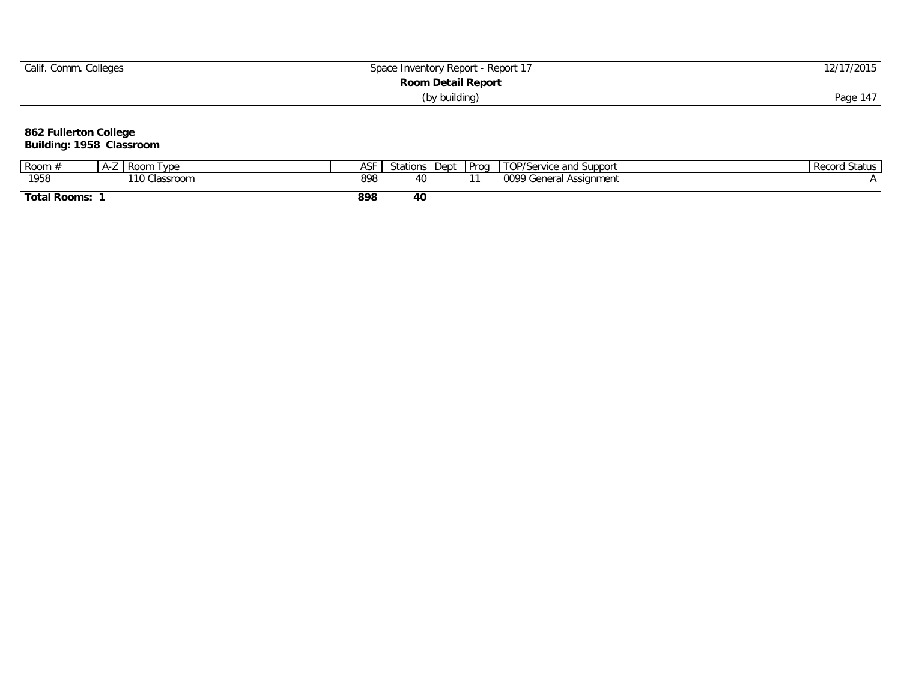| Calif. Comm. Colleges | Space Inventory Report - Report 17 | 2/17/2015 |  |  |  |  |
|-----------------------|------------------------------------|-----------|--|--|--|--|
| Room Detail Report    |                                    |           |  |  |  |  |
|                       | (by building)                      | Page 14.  |  |  |  |  |

#### **Building: 1958 Classroom**

| Room,             | H-L | ' ype<br>I ROOM | AJ. | Stations | Dept | Prog | TOP/Service and Support         | . Status<br>Record |
|-------------------|-----|-----------------|-----|----------|------|------|---------------------------------|--------------------|
| 1958              |     | 110 Classroom   | 898 | 40       |      |      | 0099<br>General<br>l Assignment |                    |
| া Rooms:<br>Total |     |                 | 898 | 40       |      |      |                                 |                    |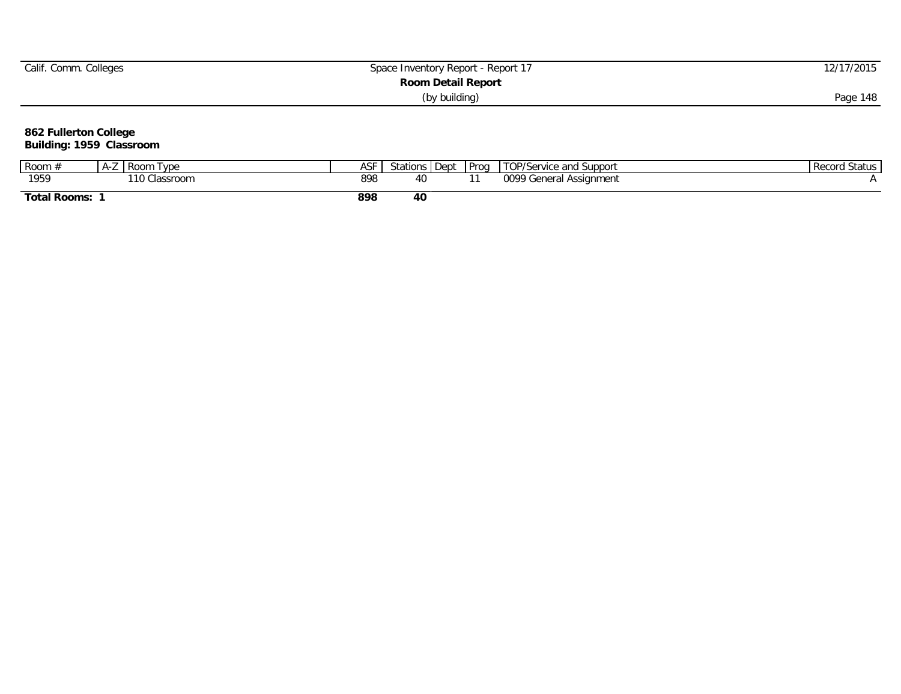| Space Inventory Report - Report 17 | 2/17/2015 |  |  |  |  |  |
|------------------------------------|-----------|--|--|--|--|--|
| Room Detail Report                 |           |  |  |  |  |  |
| (by building)                      | Page 148  |  |  |  |  |  |
|                                    |           |  |  |  |  |  |

#### **Building: 1959 Classroom**

| Room                   | $A - L$ | <b>Type</b><br>I Room | $\sim$<br>า∪ | <b>Stations</b> | . Dept | Prog | TOP/Service and Support    | Record<br>. Status |
|------------------------|---------|-----------------------|--------------|-----------------|--------|------|----------------------------|--------------------|
| 1959                   |         | 110 Classroom         | 898          | 41              |        |      | 0099<br>General Assignment |                    |
| Total<br><b>Rooms:</b> |         |                       | 898          | 40              |        |      |                            |                    |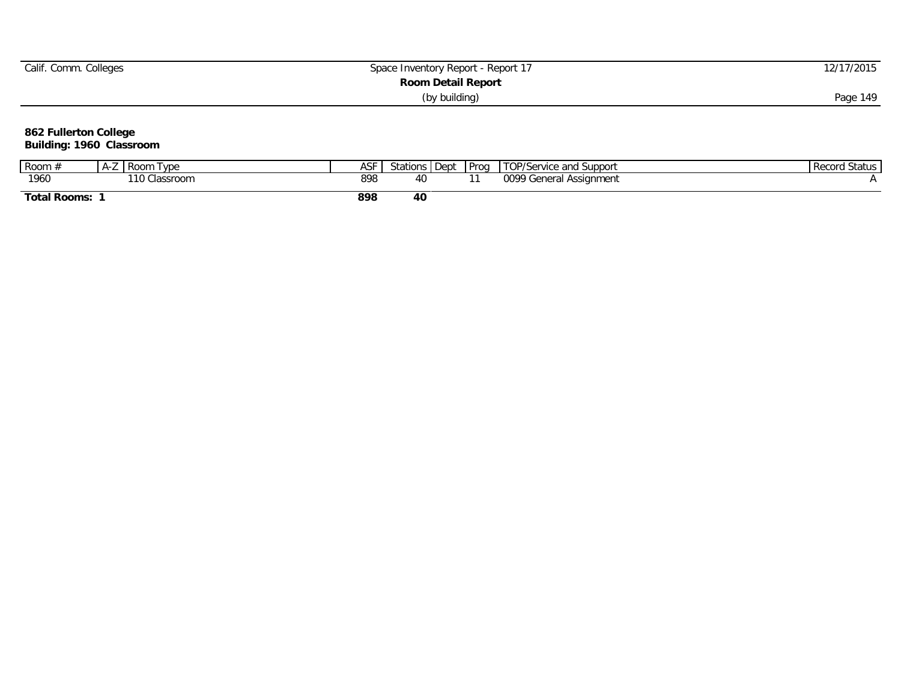| Space Inventory Report - Report 17 | 2/17/2015 |  |  |  |  |  |
|------------------------------------|-----------|--|--|--|--|--|
| Room Detail Report                 |           |  |  |  |  |  |
| (by building)                      | Page 149  |  |  |  |  |  |
|                                    |           |  |  |  |  |  |

**Building: 1960 Classroom**

| Room                | $A -$ | l Room<br>I vpe      | ASF | Stations | Dept | Prog | TOP/Service and Support | Record Status |
|---------------------|-------|----------------------|-----|----------|------|------|-------------------------|---------------|
| 1960                |       | 110C<br>10 Classroom | 898 |          |      |      | 0099 General Assignment |               |
| <b>Total Rooms:</b> |       |                      | 898 | 40       |      |      |                         |               |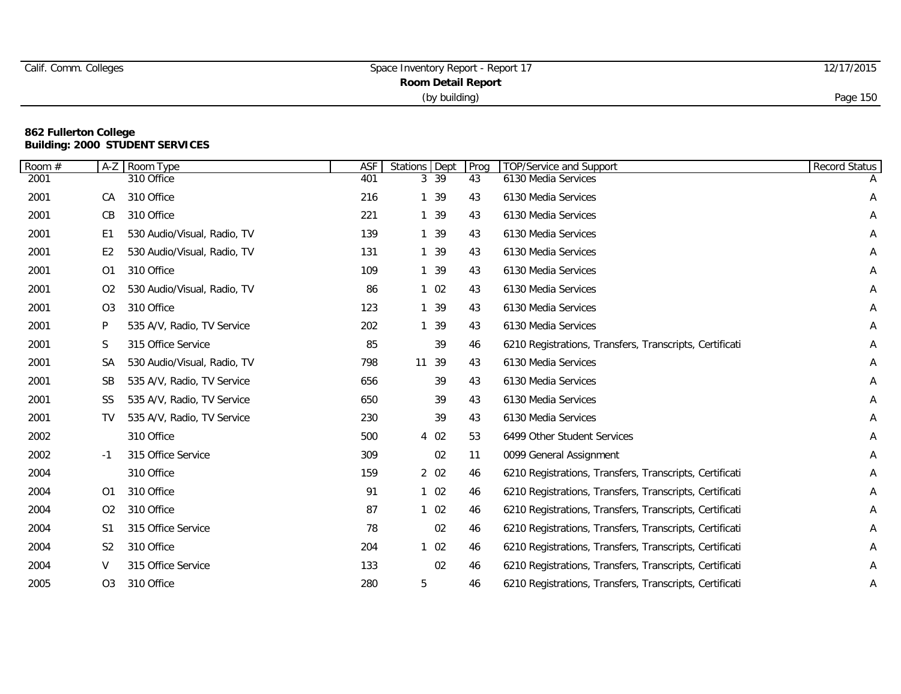|  | Calif. Comm. Colleges |
|--|-----------------------|
|  |                       |

| Room # | $A-Z$          | Room Type                   | ASF | Stations Dept |       | Prog | TOP/Service and Support                                 | <b>Record Status</b> |
|--------|----------------|-----------------------------|-----|---------------|-------|------|---------------------------------------------------------|----------------------|
| 2001   |                | 310 Office                  | 401 |               | 3 39  | 43   | 6130 Media Services                                     |                      |
| 2001   | СA             | 310 Office                  | 216 |               | 1 39  | 43   | 6130 Media Services                                     | Α                    |
| 2001   | СB             | 310 Office                  | 221 |               | 1 39  | 43   | 6130 Media Services                                     | Α                    |
| 2001   | E <sub>1</sub> | 530 Audio/Visual, Radio, TV | 139 |               | 1 39  | 43   | 6130 Media Services                                     | Α                    |
| 2001   | E <sub>2</sub> | 530 Audio/Visual, Radio, TV | 131 |               | 1 39  | 43   | 6130 Media Services                                     | A                    |
| 2001   | O <sub>1</sub> | 310 Office                  | 109 |               | 1 39  | 43   | 6130 Media Services                                     | Α                    |
| 2001   | O <sub>2</sub> | 530 Audio/Visual, Radio, TV | 86  |               | 102   | 43   | 6130 Media Services                                     | A                    |
| 2001   | O <sub>3</sub> | 310 Office                  | 123 |               | 1 39  | 43   | 6130 Media Services                                     | Α                    |
| 2001   | P              | 535 A/V, Radio, TV Service  | 202 |               | 1 39  | 43   | 6130 Media Services                                     | Α                    |
| 2001   | S.             | 315 Office Service          | 85  |               | 39    | 46   | 6210 Registrations, Transfers, Transcripts, Certificati | Α                    |
| 2001   | SA             | 530 Audio/Visual, Radio, TV | 798 |               | 11 39 | 43   | 6130 Media Services                                     | Α                    |
| 2001   | <b>SB</b>      | 535 A/V, Radio, TV Service  | 656 |               | 39    | 43   | 6130 Media Services                                     | A                    |
| 2001   | SS             | 535 A/V, Radio, TV Service  | 650 |               | 39    | 43   | 6130 Media Services                                     | Α                    |
| 2001   | <b>TV</b>      | 535 A/V, Radio, TV Service  | 230 |               | 39    | 43   | 6130 Media Services                                     | Α                    |
| 2002   |                | 310 Office                  | 500 |               | 4 0 2 | 53   | 6499 Other Student Services                             | Α                    |
| 2002   | $-1$           | 315 Office Service          | 309 |               | 02    | 11   | 0099 General Assignment                                 | Α                    |
| 2004   |                | 310 Office                  | 159 |               | 2 02  | 46   | 6210 Registrations, Transfers, Transcripts, Certificati | Α                    |
| 2004   | 01             | 310 Office                  | 91  |               | 102   | 46   | 6210 Registrations, Transfers, Transcripts, Certificati | A                    |
| 2004   | O <sub>2</sub> | 310 Office                  | 87  |               | 102   | 46   | 6210 Registrations, Transfers, Transcripts, Certificati | A                    |
| 2004   | S1             | 315 Office Service          | 78  |               | 02    | 46   | 6210 Registrations, Transfers, Transcripts, Certificati | Α                    |
| 2004   | S <sub>2</sub> | 310 Office                  | 204 |               | 102   | 46   | 6210 Registrations, Transfers, Transcripts, Certificati | Α                    |
| 2004   | V              | 315 Office Service          | 133 |               | 02    | 46   | 6210 Registrations, Transfers, Transcripts, Certificati | A                    |
| 2005   | O <sub>3</sub> | 310 Office                  | 280 | 5             |       | 46   | 6210 Registrations, Transfers, Transcripts, Certificati | A                    |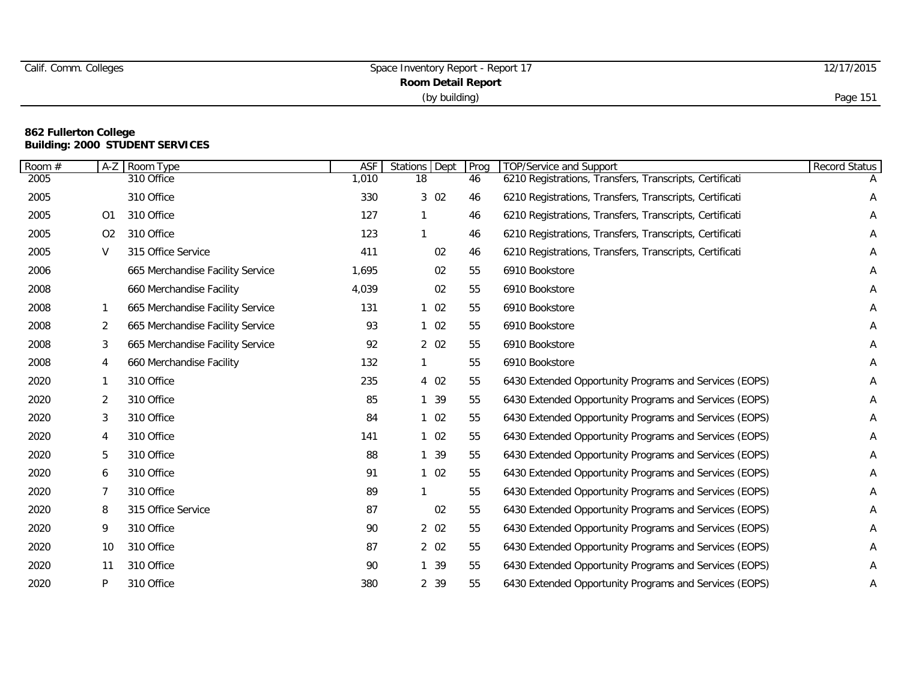# Calif. Comm. Colleges Space Inventory Report - Report 17 12/17/2015 **Room Detail Report** (by building) Page 151

| Room # | $A-Z$          | Room Type                        | ASF   | Stations Dept | Prog | TOP/Service and Support                                 | <b>Record Status</b> |
|--------|----------------|----------------------------------|-------|---------------|------|---------------------------------------------------------|----------------------|
| 2005   |                | 310 Office                       | 1,010 | 18            | 46   | 6210 Registrations, Transfers, Transcripts, Certificati |                      |
| 2005   |                | 310 Office                       | 330   | 3 02          | 46   | 6210 Registrations, Transfers, Transcripts, Certificati | Α                    |
| 2005   | O1             | 310 Office                       | 127   |               | 46   | 6210 Registrations, Transfers, Transcripts, Certificati |                      |
| 2005   | O <sub>2</sub> | 310 Office                       | 123   |               | 46   | 6210 Registrations, Transfers, Transcripts, Certificati |                      |
| 2005   | V              | 315 Office Service               | 411   | 02            | 46   | 6210 Registrations, Transfers, Transcripts, Certificati |                      |
| 2006   |                | 665 Merchandise Facility Service | 1,695 | 02            | 55   | 6910 Bookstore                                          | Α                    |
| 2008   |                | 660 Merchandise Facility         | 4,039 | 02            | 55   | 6910 Bookstore                                          | Α                    |
| 2008   |                | 665 Merchandise Facility Service | 131   | 102           | 55   | 6910 Bookstore                                          | Α                    |
| 2008   | 2              | 665 Merchandise Facility Service | 93    | 102           | 55   | 6910 Bookstore                                          | Α                    |
| 2008   | 3              | 665 Merchandise Facility Service | 92    | 2 02          | 55   | 6910 Bookstore                                          | Α                    |
| 2008   | 4              | 660 Merchandise Facility         | 132   |               | 55   | 6910 Bookstore                                          | Α                    |
| 2020   |                | 310 Office                       | 235   | 4 02          | 55   | 6430 Extended Opportunity Programs and Services (EOPS)  | Α                    |
| 2020   | 2              | 310 Office                       | 85    | 1 39          | 55   | 6430 Extended Opportunity Programs and Services (EOPS)  | Α                    |
| 2020   | 3              | 310 Office                       | 84    | 102           | 55   | 6430 Extended Opportunity Programs and Services (EOPS)  | Α                    |
| 2020   | 4              | 310 Office                       | 141   | 102           | 55   | 6430 Extended Opportunity Programs and Services (EOPS)  | Α                    |
| 2020   | 5              | 310 Office                       | 88    | 1 39          | 55   | 6430 Extended Opportunity Programs and Services (EOPS)  | Α                    |
| 2020   | 6              | 310 Office                       | 91    | 102           | 55   | 6430 Extended Opportunity Programs and Services (EOPS)  | Α                    |
| 2020   | 7              | 310 Office                       | 89    |               | 55   | 6430 Extended Opportunity Programs and Services (EOPS)  | Α                    |
| 2020   | 8              | 315 Office Service               | 87    | 02            | 55   | 6430 Extended Opportunity Programs and Services (EOPS)  | A                    |
| 2020   | 9              | 310 Office                       | 90    | 2 02          | 55   | 6430 Extended Opportunity Programs and Services (EOPS)  | Α                    |
| 2020   | 10             | 310 Office                       | 87    | 2 02          | 55   | 6430 Extended Opportunity Programs and Services (EOPS)  | Α                    |
| 2020   | 11             | 310 Office                       | 90    | 1 39          | 55   | 6430 Extended Opportunity Programs and Services (EOPS)  | Α                    |
| 2020   | P              | 310 Office                       | 380   | 2 39          | 55   | 6430 Extended Opportunity Programs and Services (EOPS)  | Α                    |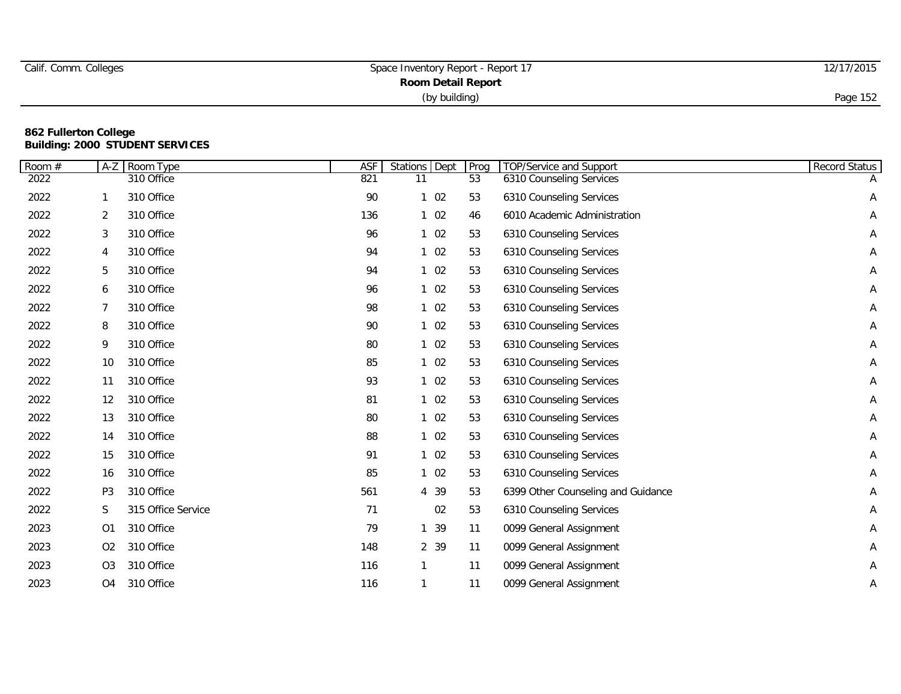| Calif. Comm. Colleges | Space Inventory Report - Report 17 | 12/17/2015 |
|-----------------------|------------------------------------|------------|
|                       | <b>Room Detail Report</b>          |            |
|                       | (by building)                      | Page 152   |

| Room # | $A-Z$          | Room Type          | <b>ASF</b> | Stations Dept | Prog | <b>TOP/Service</b> and Support     | Record Status |
|--------|----------------|--------------------|------------|---------------|------|------------------------------------|---------------|
| 2022   |                | 310 Office         | 821        | 11            | 53   | 6310 Counseling Services           | A             |
| 2022   | $\mathbf{1}$   | 310 Office         | 90         | 102           | 53   | 6310 Counseling Services           | Α             |
| 2022   | $\overline{2}$ | 310 Office         | 136        | 102           | 46   | 6010 Academic Administration       | Α             |
| 2022   | 3              | 310 Office         | 96         | 102           | 53   | 6310 Counseling Services           | Α             |
| 2022   | 4              | 310 Office         | 94         | 102           | 53   | 6310 Counseling Services           | Α             |
| 2022   | 5              | 310 Office         | 94         | 102           | 53   | 6310 Counseling Services           | Α             |
| 2022   | 6              | 310 Office         | 96         | 102           | 53   | 6310 Counseling Services           | A             |
| 2022   | 7              | 310 Office         | 98         | 102           | 53   | 6310 Counseling Services           | A             |
| 2022   | 8              | 310 Office         | 90         | 102           | 53   | 6310 Counseling Services           | Α             |
| 2022   | 9              | 310 Office         | 80         | $1\quad02$    | 53   | 6310 Counseling Services           | Α             |
| 2022   | 10             | 310 Office         | 85         | $1\quad02$    | 53   | 6310 Counseling Services           | Α             |
| 2022   | 11             | 310 Office         | 93         | 102           | 53   | 6310 Counseling Services           | Α             |
| 2022   | 12             | 310 Office         | 81         | 102           | 53   | 6310 Counseling Services           | A             |
| 2022   | 13             | 310 Office         | 80         | 102           | 53   | 6310 Counseling Services           | A             |
| 2022   | 14             | 310 Office         | 88         | 102           | 53   | 6310 Counseling Services           | Α             |
| 2022   | 15             | 310 Office         | 91         | 102           | 53   | 6310 Counseling Services           | Α             |
| 2022   | 16             | 310 Office         | 85         | $1\quad02$    | 53   | 6310 Counseling Services           | Α             |
| 2022   | P <sub>3</sub> | 310 Office         | 561        | 4 39          | 53   | 6399 Other Counseling and Guidance | Α             |
| 2022   | S              | 315 Office Service | 71         | 02            | 53   | 6310 Counseling Services           | A             |
| 2023   | O <sub>1</sub> | 310 Office         | 79         | 1 39          | 11   | 0099 General Assignment            | Α             |
| 2023   | O <sub>2</sub> | 310 Office         | 148        | 2 39          | 11   | 0099 General Assignment            | Α             |
| 2023   | O <sub>3</sub> | 310 Office         | 116        |               | 11   | 0099 General Assignment            | Α             |
| 2023   | O <sub>4</sub> | 310 Office         | 116        |               | 11   | 0099 General Assignment            | Α             |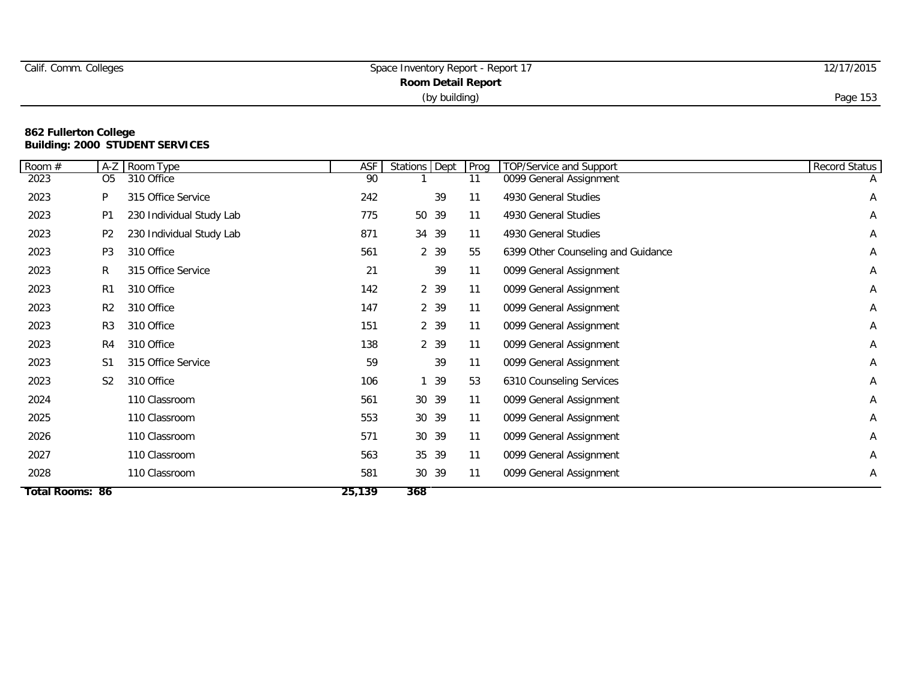|  | Calif. Comm. Colleges |
|--|-----------------------|
|  |                       |

| Room $#$               | A-Z            | Room Type                | <b>ASF</b> | Stations Dept | Prog | TOP/Service and Support            | <b>Record Status</b> |
|------------------------|----------------|--------------------------|------------|---------------|------|------------------------------------|----------------------|
| 2023                   | O <sub>5</sub> | 310 Office               | 90         |               | 11   | 0099 General Assignment            | A                    |
| 2023                   | P              | 315 Office Service       | 242        | 39            | 11   | 4930 General Studies               | Α                    |
| 2023                   | P <sub>1</sub> | 230 Individual Study Lab | 775        | 50 39         | 11   | 4930 General Studies               | Α                    |
| 2023                   | P <sub>2</sub> | 230 Individual Study Lab | 871        | 34 39         | 11   | 4930 General Studies               | Α                    |
| 2023                   | P <sub>3</sub> | 310 Office               | 561        | 2 39          | 55   | 6399 Other Counseling and Guidance | Α                    |
| 2023                   | R              | 315 Office Service       | 21         | 39            | 11   | 0099 General Assignment            | Α                    |
| 2023                   | R <sub>1</sub> | 310 Office               | 142        | 2 39          | 11   | 0099 General Assignment            | Α                    |
| 2023                   | R <sub>2</sub> | 310 Office               | 147        | 2 39          | 11   | 0099 General Assignment            | Α                    |
| 2023                   | R3             | 310 Office               | 151        | 2 39          | 11   | 0099 General Assignment            | Α                    |
| 2023                   | R4             | 310 Office               | 138        | 2 39          | 11   | 0099 General Assignment            | Α                    |
| 2023                   | S <sub>1</sub> | 315 Office Service       | 59         | 39            | 11   | 0099 General Assignment            | Α                    |
| 2023                   | S <sub>2</sub> | 310 Office               | 106        | 1 39          | 53   | 6310 Counseling Services           | Α                    |
| 2024                   |                | 110 Classroom            | 561        | 30 39         | 11   | 0099 General Assignment            | Α                    |
| 2025                   |                | 110 Classroom            | 553        | 30 39         | 11   | 0099 General Assignment            | Α                    |
| 2026                   |                | 110 Classroom            | 571        | 30 39         | 11   | 0099 General Assignment            | Α                    |
| 2027                   |                | 110 Classroom            | 563        | 35 39         | 11   | 0099 General Assignment            | Α                    |
| 2028                   |                | 110 Classroom            | 581        | 30 39         | 11   | 0099 General Assignment            | A                    |
| <b>Total Rooms: 86</b> |                |                          | 25,139     | 368           |      |                                    |                      |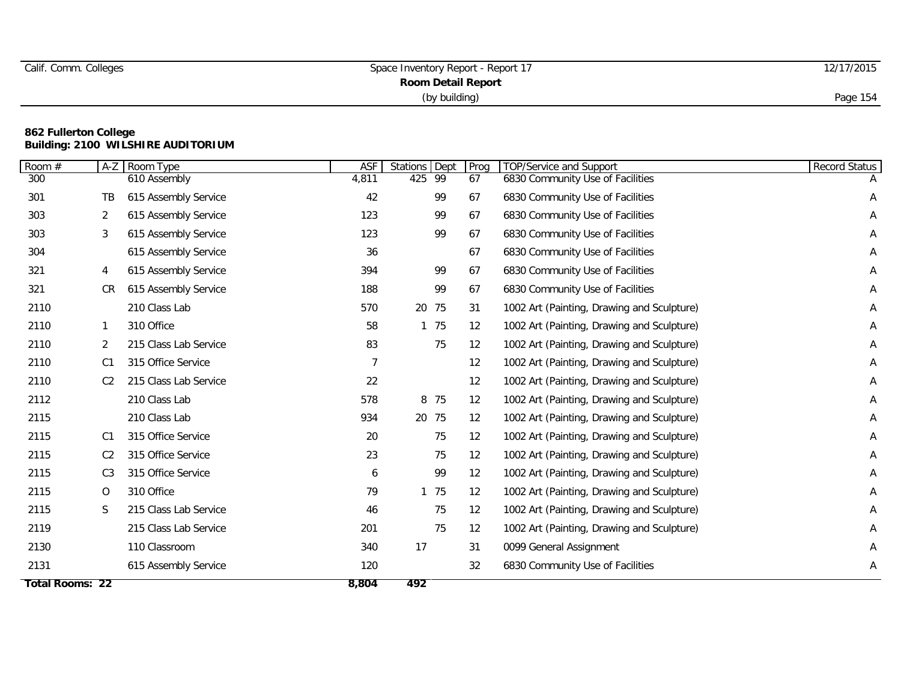|  | Calif. Comm. Colleges |
|--|-----------------------|
|  |                       |

#### **862 Fullerton College Building: 2100 WILSHIRE AUDITORIUM**

| Room #                 | $A-Z$          | Room Type             | <b>ASF</b> | Stations Dept | Prog              | TOP/Service and Support                    | Record Status |
|------------------------|----------------|-----------------------|------------|---------------|-------------------|--------------------------------------------|---------------|
| 300                    |                | 610 Assembly          | 4,811      | 99<br>425     | 67                | 6830 Community Use of Facilities           |               |
| 301                    | TB             | 615 Assembly Service  | 42         | 99            | 67                | 6830 Community Use of Facilities           | Α             |
| 303                    | 2              | 615 Assembly Service  | 123        | 99            | 67                | 6830 Community Use of Facilities           | Α             |
| 303                    | 3              | 615 Assembly Service  | 123        | 99            | 67                | 6830 Community Use of Facilities           | Α             |
| 304                    |                | 615 Assembly Service  | 36         |               | 67                | 6830 Community Use of Facilities           | Α             |
| 321                    | 4              | 615 Assembly Service  | 394        | 99            | 67                | 6830 Community Use of Facilities           | A             |
| 321                    | CR             | 615 Assembly Service  | 188        | 99            | 67                | 6830 Community Use of Facilities           | A             |
| 2110                   |                | 210 Class Lab         | 570        | 20 75         | 31                | 1002 Art (Painting, Drawing and Sculpture) | А             |
| 2110                   | $\mathbf{1}$   | 310 Office            | 58         | 1 75          | 12                | 1002 Art (Painting, Drawing and Sculpture) | Α             |
| 2110                   | 2              | 215 Class Lab Service | 83         | 75            | 12                | 1002 Art (Painting, Drawing and Sculpture) | Α             |
| 2110                   | C1             | 315 Office Service    | -7         |               | 12                | 1002 Art (Painting, Drawing and Sculpture) | A             |
| 2110                   | C <sub>2</sub> | 215 Class Lab Service | 22         |               | 12                | 1002 Art (Painting, Drawing and Sculpture) | А             |
| 2112                   |                | 210 Class Lab         | 578        | 8 75          | 12                | 1002 Art (Painting, Drawing and Sculpture) | Α             |
| 2115                   |                | 210 Class Lab         | 934        | 20 75         | $12 \overline{ }$ | 1002 Art (Painting, Drawing and Sculpture) | А             |
| 2115                   | C1             | 315 Office Service    | 20         | 75            | 12                | 1002 Art (Painting, Drawing and Sculpture) | Α             |
| 2115                   | C <sub>2</sub> | 315 Office Service    | 23         | 75            | 12                | 1002 Art (Painting, Drawing and Sculpture) | Α             |
| 2115                   | C <sub>3</sub> | 315 Office Service    | 6          | 99            | 12                | 1002 Art (Painting, Drawing and Sculpture) | A             |
| 2115                   | $\circ$        | 310 Office            | 79         | 1 75          | 12                | 1002 Art (Painting, Drawing and Sculpture) | A             |
| 2115                   | S              | 215 Class Lab Service | 46         | 75            | 12                | 1002 Art (Painting, Drawing and Sculpture) | А             |
| 2119                   |                | 215 Class Lab Service | 201        | 75            | 12                | 1002 Art (Painting, Drawing and Sculpture) | Α             |
| 2130                   |                | 110 Classroom         | 340        | 17            | 31                | 0099 General Assignment                    | A             |
| 2131                   |                | 615 Assembly Service  | 120        |               | 32                | 6830 Community Use of Facilities           | A             |
| <b>Total Rooms: 22</b> |                |                       | 8,804      | 492           |                   |                                            |               |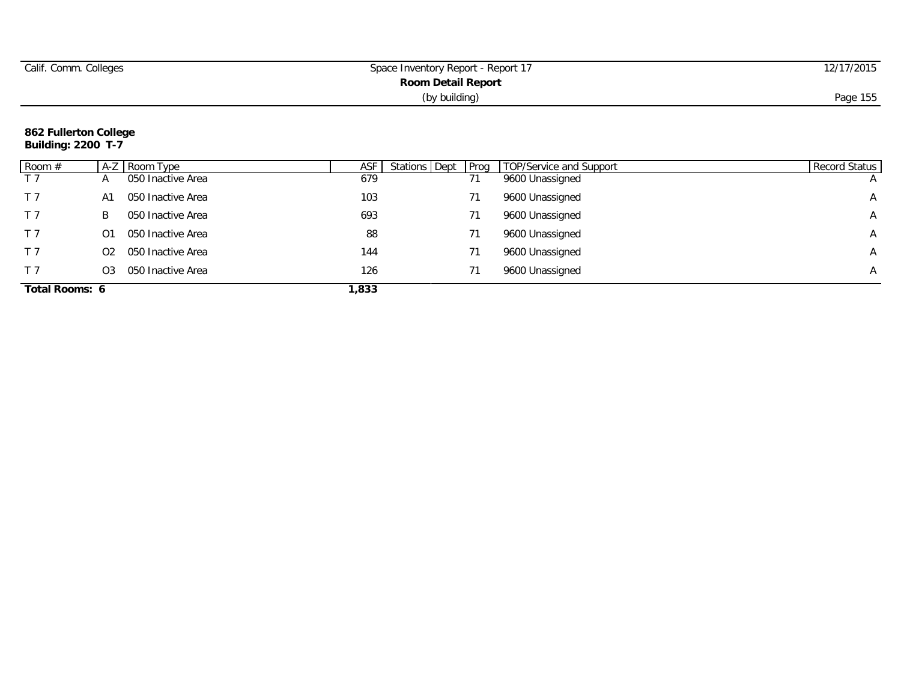| Calif. Comm. Colleges | Space Inventory Report - Report 17 | 12/17/2015 |  |  |  |  |
|-----------------------|------------------------------------|------------|--|--|--|--|
|                       | Room Detail Report                 |            |  |  |  |  |
|                       | (by building)                      | Page 155   |  |  |  |  |

#### **862 Fullerton College Building: 2200 T-7**

| Room $#$       |                | A-Z Room Type     | ASF   | Stations Dept<br>Prog | TOP/Service and Support | Record Status  |
|----------------|----------------|-------------------|-------|-----------------------|-------------------------|----------------|
|                |                | 050 Inactive Area | 679   |                       | 9600 Unassigned         | $\overline{A}$ |
|                | A1             | 050 Inactive Area | 103   |                       | 9600 Unassigned         | $\mathsf{A}$   |
| T <sub>7</sub> | B              | 050 Inactive Area | 693   |                       | 9600 Unassigned         | A              |
| T <sub>7</sub> | O <sub>1</sub> | 050 Inactive Area | 88    |                       | 9600 Unassigned         | A              |
| T 7            | O <sub>2</sub> | 050 Inactive Area | 144   |                       | 9600 Unassigned         | A              |
|                | O <sub>3</sub> | 050 Inactive Area | 126   |                       | 9600 Unassigned         | A              |
| Total Rooms: 6 |                |                   | 1,833 |                       |                         |                |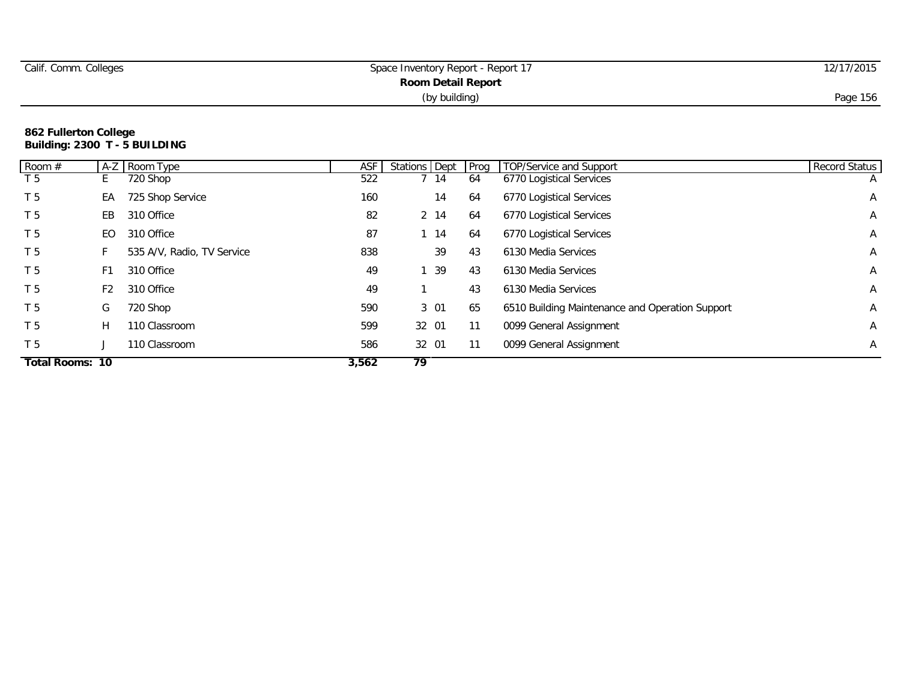| Calif. Comm. Colleges | Space Inventory Report - Report 17 | 12/17/2015 |
|-----------------------|------------------------------------|------------|
|                       | Room Detail Report                 |            |
|                       | (by building)                      | Page 156   |

#### **862 Fullerton College Building: 2300 T - 5 BUILDING**

| Room $#$        |                | A-Z Room Type              | ASF   | Stations Dept | Prog | <b>TOP/Service and Support</b>                  | <b>Record Status</b> |
|-----------------|----------------|----------------------------|-------|---------------|------|-------------------------------------------------|----------------------|
| T <sub>5</sub>  | Ŀ.             | 720 Shop                   | 522   | 7 14          | 64   | 6770 Logistical Services                        | $\overline{A}$       |
| T <sub>5</sub>  | EA             | 725 Shop Service           | 160   | 14            | 64   | 6770 Logistical Services                        | $\mathsf{A}$         |
| T <sub>5</sub>  | EB             | 310 Office                 | 82    | 2 14          | 64   | 6770 Logistical Services                        | A                    |
| T <sub>5</sub>  | EO             | 310 Office                 | 87    | 14            | 64   | 6770 Logistical Services                        | A                    |
| T <sub>5</sub>  |                | 535 A/V, Radio, TV Service | 838   | 39            | 43   | 6130 Media Services                             | A                    |
| T <sub>5</sub>  | F1             | 310 Office                 | 49    | -39           | 43   | 6130 Media Services                             | Α                    |
| T <sub>5</sub>  | F <sub>2</sub> | 310 Office                 | 49    |               | 43   | 6130 Media Services                             | A                    |
| T <sub>5</sub>  | G              | 720 Shop                   | 590   | 3 01          | 65   | 6510 Building Maintenance and Operation Support | A                    |
| T <sub>5</sub>  | H              | 110 Classroom              | 599   | 32 01         | 11   | 0099 General Assignment                         | A                    |
| T <sub>5</sub>  |                | 110 Classroom              | 586   | 32 01         | 11   | 0099 General Assignment                         | A                    |
| Total Rooms: 10 |                |                            | 3,562 | 79            |      |                                                 |                      |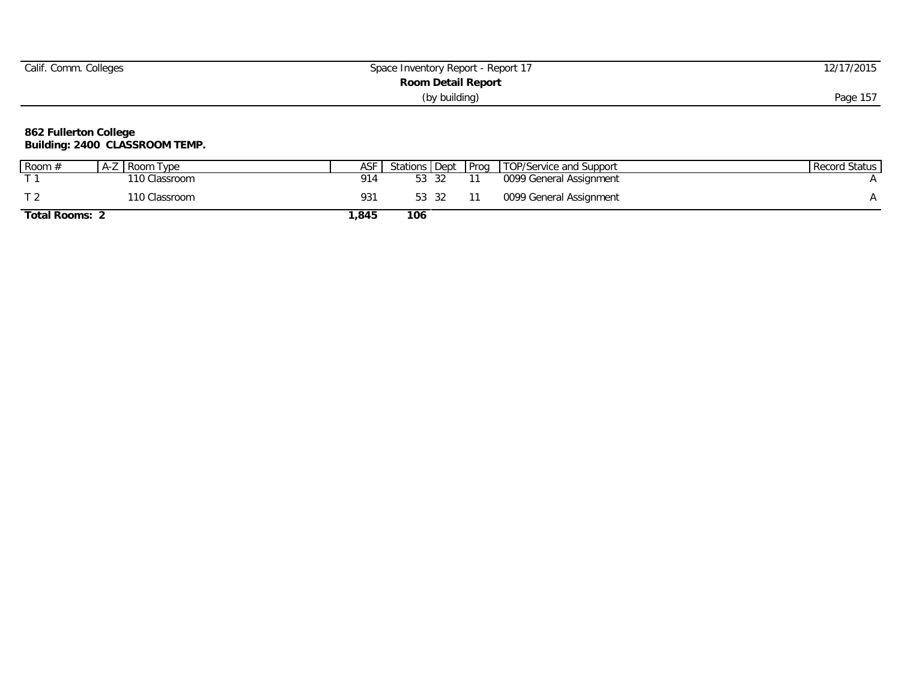| 12/17/2015 |
|------------|
|            |
| Page 157   |
|            |

#### **862 Fullerton College Building: 2400 CLASSROOM TEMP.**

| Room $#$              | A-Z Room Type | ASF  | Stations   Dept |  | <b>Prog</b> TOP/Service and Support | Record Status |
|-----------------------|---------------|------|-----------------|--|-------------------------------------|---------------|
|                       | 110 Classroom | 914  | 53 32           |  | 0099 General Assignment             |               |
|                       | 110 Classroom | 931  | 53 32           |  | 0099 General Assignment             |               |
| <b>Total Rooms: 2</b> |               | ,845 | 106             |  |                                     |               |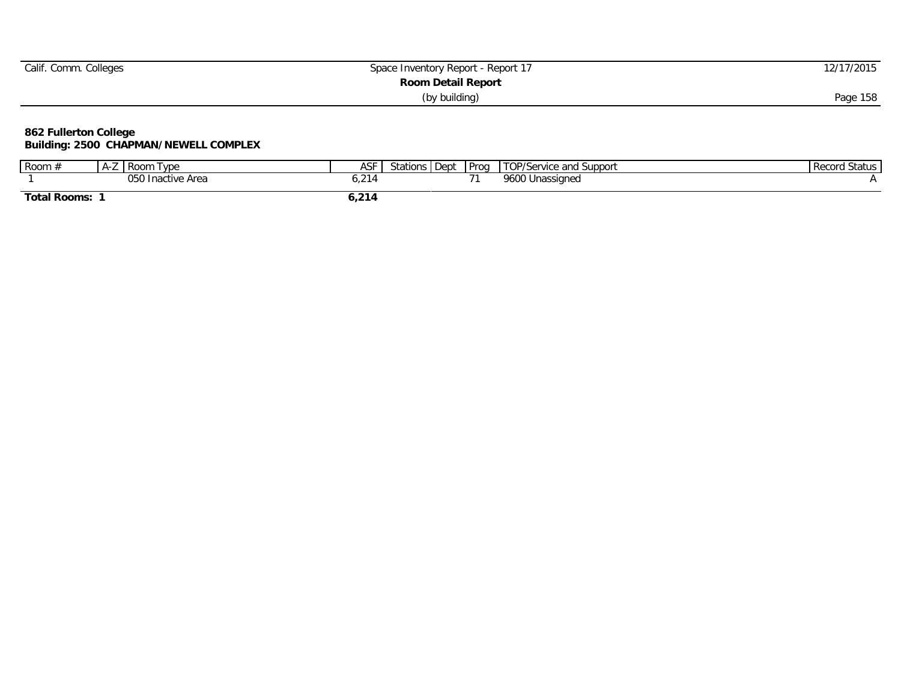| Calif. Comm. Colleges | Space Inventory Report - Report 17 | 12/17/2015 |
|-----------------------|------------------------------------|------------|
|                       | <b>Room Detail Report</b>          |            |
|                       | (by building)                      | Page 158   |

#### **862 Fullerton College Building: 2500 CHAPMAN/NEWELL COMPLEX**

| Room $#$     | ' A-∠ | Room<br>I ype                | ASF   | Dept<br>Stations <b>I</b> | Prog | TOP/Service a<br>and Suppor: ؛ | . Status<br>Record |
|--------------|-------|------------------------------|-------|---------------------------|------|--------------------------------|--------------------|
|              |       | ctive Area<br>Inactive<br>υо |       |                           |      | 960<br>Jnassigned<br>ີ         |                    |
| Total Rooms: |       |                              | 0,214 |                           |      |                                |                    |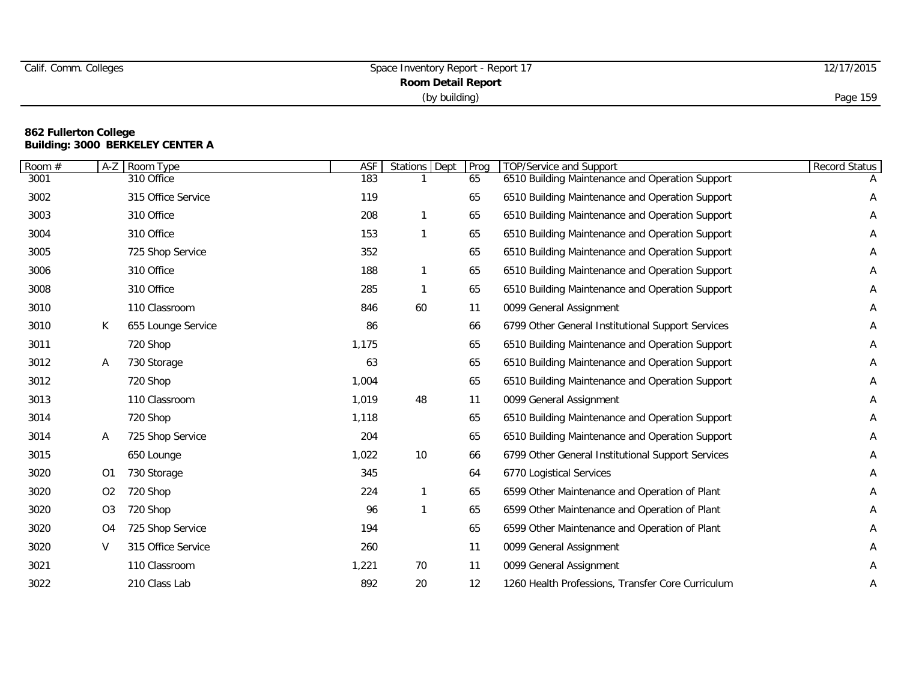|  |  |  | Calif. Comm. Colleges |
|--|--|--|-----------------------|
|--|--|--|-----------------------|

#### **862 Fullerton College Building: 3000 BERKELEY CENTER A**

| Room # | $A-Z$          | Room Type          | ASF   | Stations Dept | Prog | TOP/Service and Support                           | <b>Record Status</b> |
|--------|----------------|--------------------|-------|---------------|------|---------------------------------------------------|----------------------|
| 3001   |                | 310 Office         | 183   |               | 65   | 6510 Building Maintenance and Operation Support   |                      |
| 3002   |                | 315 Office Service | 119   |               | 65   | 6510 Building Maintenance and Operation Support   | Α                    |
| 3003   |                | 310 Office         | 208   |               | 65   | 6510 Building Maintenance and Operation Support   | А                    |
| 3004   |                | 310 Office         | 153   |               | 65   | 6510 Building Maintenance and Operation Support   | Α                    |
| 3005   |                | 725 Shop Service   | 352   |               | 65   | 6510 Building Maintenance and Operation Support   | A                    |
| 3006   |                | 310 Office         | 188   |               | 65   | 6510 Building Maintenance and Operation Support   | A                    |
| 3008   |                | 310 Office         | 285   |               | 65   | 6510 Building Maintenance and Operation Support   | Α                    |
| 3010   |                | 110 Classroom      | 846   | 60            | 11   | 0099 General Assignment                           | Α                    |
| 3010   | K              | 655 Lounge Service | 86    |               | 66   | 6799 Other General Institutional Support Services | Α                    |
| 3011   |                | 720 Shop           | 1,175 |               | 65   | 6510 Building Maintenance and Operation Support   | A                    |
| 3012   | A              | 730 Storage        | 63    |               | 65   | 6510 Building Maintenance and Operation Support   | Α                    |
| 3012   |                | 720 Shop           | 1,004 |               | 65   | 6510 Building Maintenance and Operation Support   | Α                    |
| 3013   |                | 110 Classroom      | 1,019 | 48            | 11   | 0099 General Assignment                           | Α                    |
| 3014   |                | 720 Shop           | 1,118 |               | 65   | 6510 Building Maintenance and Operation Support   | Α                    |
| 3014   | A              | 725 Shop Service   | 204   |               | 65   | 6510 Building Maintenance and Operation Support   | A                    |
| 3015   |                | 650 Lounge         | 1,022 | 10            | 66   | 6799 Other General Institutional Support Services | Α                    |
| 3020   | 01             | 730 Storage        | 345   |               | 64   | 6770 Logistical Services                          | Α                    |
| 3020   | O <sub>2</sub> | 720 Shop           | 224   |               | 65   | 6599 Other Maintenance and Operation of Plant     | Α                    |
| 3020   | O <sub>3</sub> | 720 Shop           | 96    |               | 65   | 6599 Other Maintenance and Operation of Plant     | Α                    |
| 3020   | O <sub>4</sub> | 725 Shop Service   | 194   |               | 65   | 6599 Other Maintenance and Operation of Plant     | A                    |
| 3020   | V              | 315 Office Service | 260   |               | 11   | 0099 General Assignment                           | A                    |
| 3021   |                | 110 Classroom      | 1,221 | 70            | 11   | 0099 General Assignment                           | A                    |
| 3022   |                | 210 Class Lab      | 892   | 20            | 12   | 1260 Health Professions, Transfer Core Curriculum | Α                    |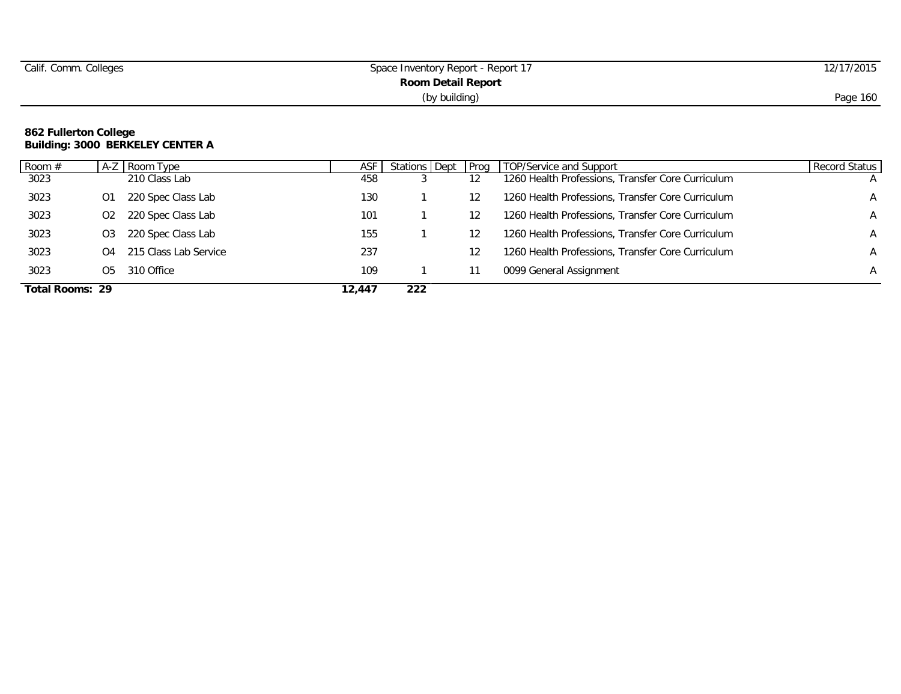| Calif. Comm. Colleges | Space Inventory Report - Report 17 | 12/17/2015 |
|-----------------------|------------------------------------|------------|
|                       | <b>Room Detail Report</b>          |            |
|                       | (by building)                      | Page 160   |

#### **862 Fullerton College Building: 3000 BERKELEY CENTER A**

| Room #          | $A-Z$          | Room Type             | ASF    | Stations Dept Prog |    | TOP/Service and Support                           | Record Status |
|-----------------|----------------|-----------------------|--------|--------------------|----|---------------------------------------------------|---------------|
| 3023            |                | 210 Class Lab         | 458    |                    |    | 1260 Health Professions, Transfer Core Curriculum |               |
| 3023            | 01             | 220 Spec Class Lab    | 130    |                    |    | 1260 Health Professions, Transfer Core Curriculum | $\mathsf{A}$  |
| 3023            | O <sub>2</sub> | 220 Spec Class Lab    | 101    |                    |    | 1260 Health Professions, Transfer Core Curriculum | $\mathsf{A}$  |
| 3023            | O <sub>3</sub> | 220 Spec Class Lab    | 155    |                    |    | 1260 Health Professions, Transfer Core Curriculum | A             |
| 3023            | $\Omega$       | 215 Class Lab Service | 237    |                    | 12 | 1260 Health Professions, Transfer Core Curriculum | A             |
| 3023            | O5.            | 310 Office            | 109    |                    |    | 0099 General Assignment                           | A             |
| Total Rooms: 29 |                |                       | 12,447 | 222                |    |                                                   |               |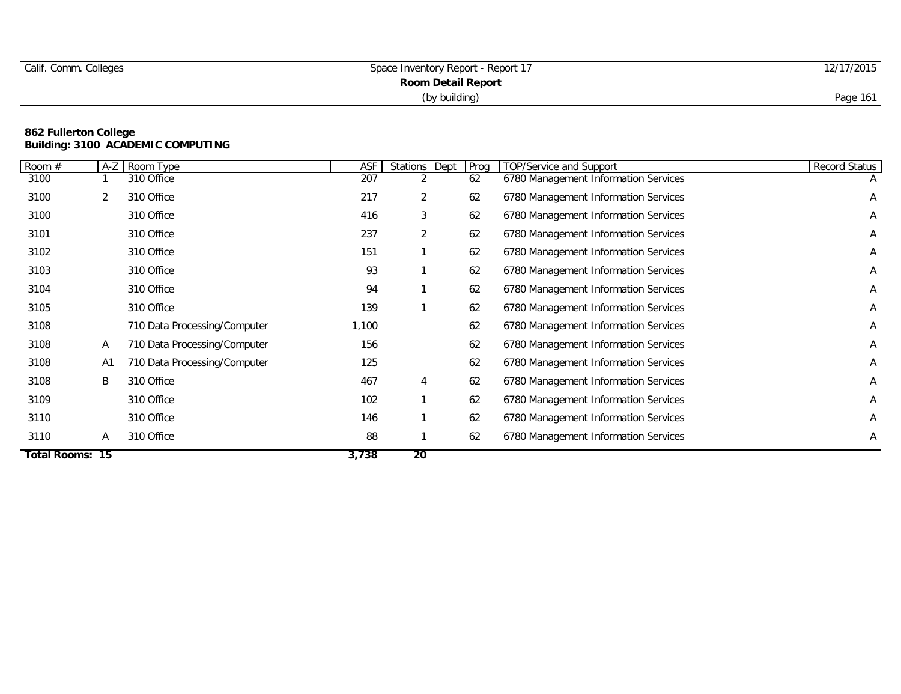|  | Calif. Comm. Colleges |
|--|-----------------------|
|  |                       |

#### **862 Fullerton College Building: 3100 ACADEMIC COMPUTING**

| Room #                 |                | A-Z Room Type                | ASF   | Stations Dept   | Prog | <b>TOP/Service and Support</b>       | Record Status |
|------------------------|----------------|------------------------------|-------|-----------------|------|--------------------------------------|---------------|
| 3100                   |                | 310 Office                   | 207   |                 | 62   | 6780 Management Information Services | A             |
| 3100                   | 2              | 310 Office                   | 217   | 2               | 62   | 6780 Management Information Services | Α             |
| 3100                   |                | 310 Office                   | 416   | 3               | 62   | 6780 Management Information Services | Α             |
| 3101                   |                | 310 Office                   | 237   | 2               | 62   | 6780 Management Information Services | Α             |
| 3102                   |                | 310 Office                   | 151   |                 | 62   | 6780 Management Information Services | Α             |
| 3103                   |                | 310 Office                   | 93    |                 | 62   | 6780 Management Information Services | Α             |
| 3104                   |                | 310 Office                   | 94    |                 | 62   | 6780 Management Information Services | Α             |
| 3105                   |                | 310 Office                   | 139   |                 | 62   | 6780 Management Information Services | Α             |
| 3108                   |                | 710 Data Processing/Computer | 1,100 |                 | 62   | 6780 Management Information Services | Α             |
| 3108                   | A              | 710 Data Processing/Computer | 156   |                 | 62   | 6780 Management Information Services | Α             |
| 3108                   | A <sub>1</sub> | 710 Data Processing/Computer | 125   |                 | 62   | 6780 Management Information Services | Α             |
| 3108                   | B              | 310 Office                   | 467   | 4               | 62   | 6780 Management Information Services | Α             |
| 3109                   |                | 310 Office                   | 102   |                 | 62   | 6780 Management Information Services | Α             |
| 3110                   |                | 310 Office                   | 146   |                 | 62   | 6780 Management Information Services | A             |
| 3110                   | A              | 310 Office                   | 88    |                 | 62   | 6780 Management Information Services | Α             |
| <b>Total Rooms: 15</b> |                |                              | 3,738 | $\overline{20}$ |      |                                      |               |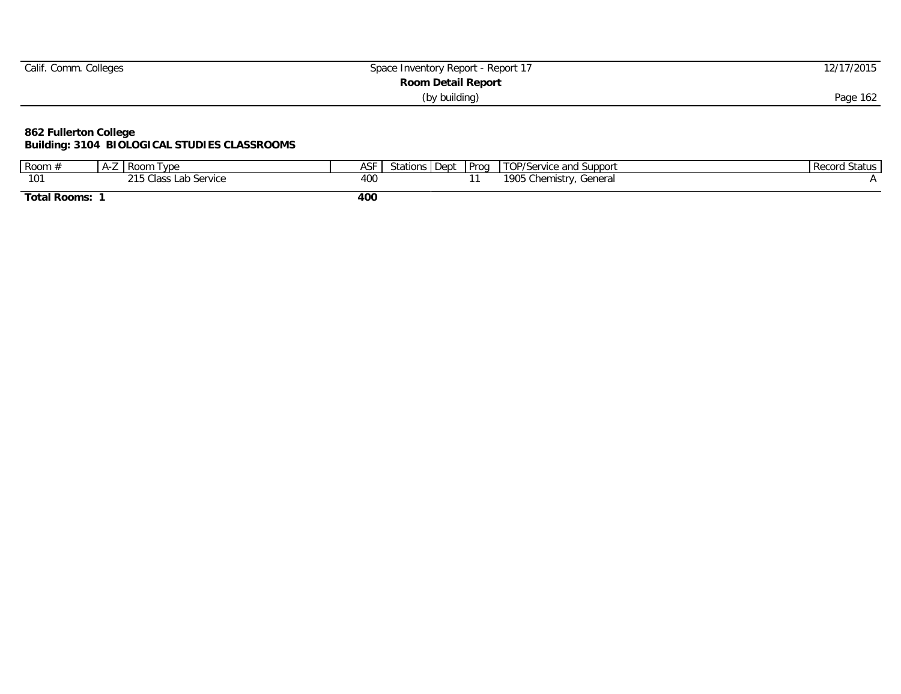| Calif. Comm. Colleges | Space Inventory Report - Report 17 | 12/17/2015 |
|-----------------------|------------------------------------|------------|
|                       | <b>Room Detail Report</b>          |            |
|                       | (by building)                      | Page 162   |

#### **862 Fullerton College Building: 3104 BIOLOGICAL STUDIES CLASSROOMS**

| Room #              | $AA - L$ | ∣ Room<br>I ype   | ASF             | Stations Dept | Prog | TOP/Service a<br>and Suppor                                 | . Status<br>Record |
|---------------------|----------|-------------------|-----------------|---------------|------|-------------------------------------------------------------|--------------------|
| 101                 |          | ∩lacci<br>Service | 40 <sub>C</sub> |               |      | 1905<br>Chem<br>General<br>$i$ $\sim$ $i$ $\sim$ $i$<br>. . |                    |
| <b>Total Rooms:</b> |          |                   | 400             |               |      |                                                             |                    |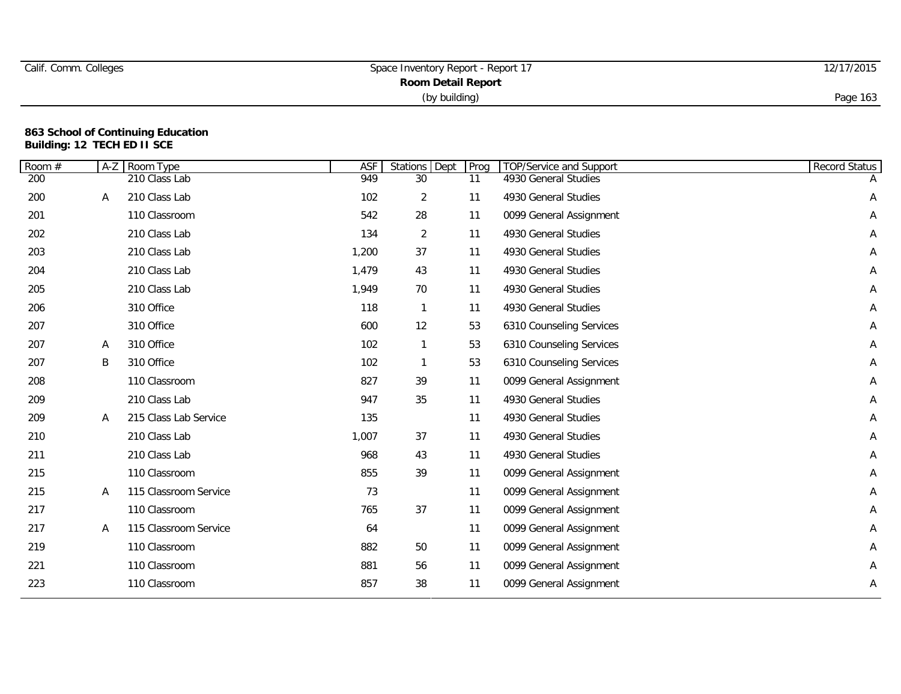|  | Calif. Comm. Colleges |
|--|-----------------------|
|  |                       |

#### **863 School of Continuing Education Building: 12 TECH ED II SCE**

| Room $#$ | $A-Z$ | Room Type             | ASF   | Stations<br>Dept | Prog | <b>TOP/Service and Support</b> | Record Status |
|----------|-------|-----------------------|-------|------------------|------|--------------------------------|---------------|
| 200      |       | 210 Class Lab         | 949   | 30               | 11   | 4930 General Studies           |               |
| 200      | Α     | 210 Class Lab         | 102   | $\overline{2}$   | 11   | 4930 General Studies           | Α             |
| 201      |       | 110 Classroom         | 542   | 28               | 11   | 0099 General Assignment        | Α             |
| 202      |       | 210 Class Lab         | 134   | $\overline{2}$   | 11   | 4930 General Studies           | Α             |
| 203      |       | 210 Class Lab         | 1,200 | 37               | 11   | 4930 General Studies           | Α             |
| 204      |       | 210 Class Lab         | 1,479 | 43               | 11   | 4930 General Studies           | Α             |
| 205      |       | 210 Class Lab         | 1,949 | 70               | 11   | 4930 General Studies           | Α             |
| 206      |       | 310 Office            | 118   |                  | 11   | 4930 General Studies           | Α             |
| 207      |       | 310 Office            | 600   | 12               | 53   | 6310 Counseling Services       | Α             |
| 207      | Α     | 310 Office            | 102   |                  | 53   | 6310 Counseling Services       | A             |
| 207      | Β     | 310 Office            | 102   |                  | 53   | 6310 Counseling Services       | Α             |
| 208      |       | 110 Classroom         | 827   | 39               | 11   | 0099 General Assignment        | Α             |
| 209      |       | 210 Class Lab         | 947   | 35               | 11   | 4930 General Studies           | Α             |
| 209      | A     | 215 Class Lab Service | 135   |                  | 11   | 4930 General Studies           | Α             |
| 210      |       | 210 Class Lab         | 1,007 | 37               | 11   | 4930 General Studies           | Α             |
| 211      |       | 210 Class Lab         | 968   | 43               | 11   | 4930 General Studies           | Α             |
| 215      |       | 110 Classroom         | 855   | 39               | 11   | 0099 General Assignment        | A             |
| 215      | Α     | 115 Classroom Service | 73    |                  | 11   | 0099 General Assignment        | A             |
| 217      |       | 110 Classroom         | 765   | 37               | 11   | 0099 General Assignment        | A             |
| 217      | Α     | 115 Classroom Service | 64    |                  | 11   | 0099 General Assignment        | Α             |
| 219      |       | 110 Classroom         | 882   | 50               | 11   | 0099 General Assignment        | Α             |
| 221      |       | 110 Classroom         | 881   | 56               | 11   | 0099 General Assignment        | Α             |
| 223      |       | 110 Classroom         | 857   | 38               | 11   | 0099 General Assignment        | Α             |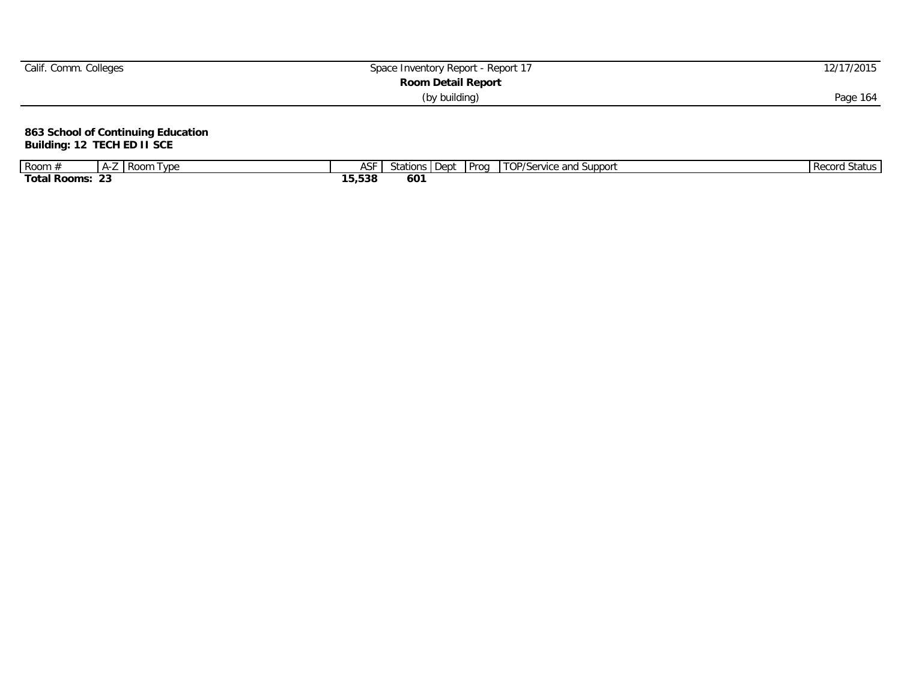| Calif. Comm. Colleges | Space Inventory Report - Report 17 | 12/17/2015 |
|-----------------------|------------------------------------|------------|
|                       | <b>Room Detail Report</b>          |            |
|                       | (by building)                      | Page 164   |
|                       |                                    |            |

**863 School of Continuing Education Building: 12 TECH ED II SCE** 

| Room                           | $\mathbf{A}$ | $\sim$<br>* / EK00m = | l vpe | ASF                    | stations.    | . Dept | Proq | TOP/S<br>Support<br>'Service<br>and<br>, , , , , | Record<br>. Status |
|--------------------------------|--------------|-----------------------|-------|------------------------|--------------|--------|------|--------------------------------------------------|--------------------|
| Tota <sub>1</sub><br>າI Rooms: | ~~<br>- 4    |                       |       | ---<br>.5,538<br>$  -$ | $60^{\circ}$ |        |      |                                                  |                    |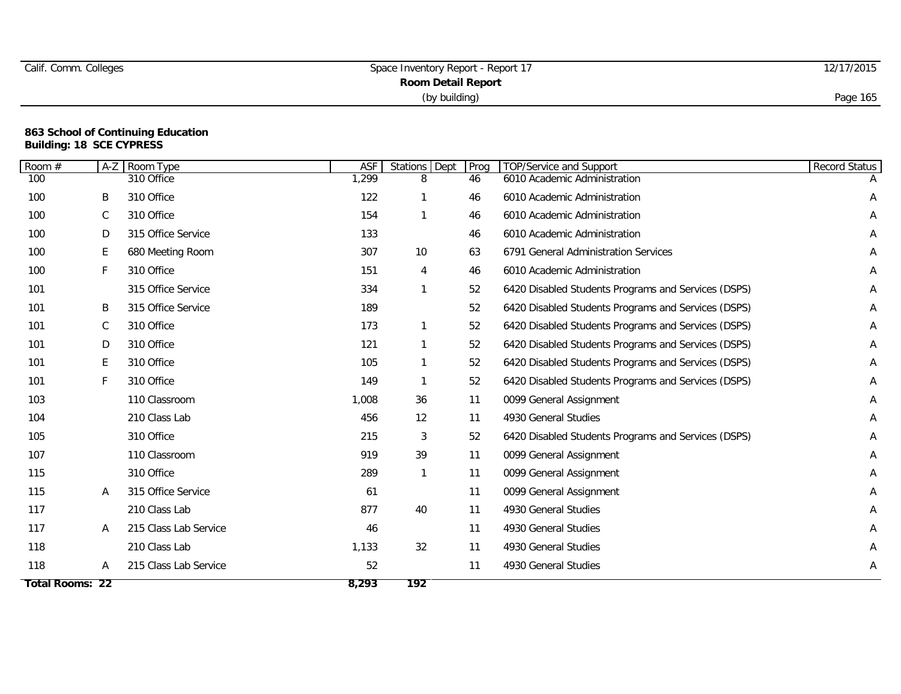# Calif. Comm. Colleges Space Inventory Report - Report 17 12/17/2015 **Room Detail Report** (by building) Page 165

### **863 School of Continuing Education Building: 18 SCE CYPRESS**

| Room #          | $A-Z$ | Room Type             | <b>ASF</b> | <b>Stations</b><br>Dept | Prog | <b>TOP/Service and Support</b>                      | Record Status |
|-----------------|-------|-----------------------|------------|-------------------------|------|-----------------------------------------------------|---------------|
| 100             |       | 310 Office            | 1,299      | 8                       | 46   | 6010 Academic Administration                        |               |
| 100             | Β     | 310 Office            | 122        |                         | 46   | 6010 Academic Administration                        | A             |
| 100             | C     | 310 Office            | 154        |                         | 46   | 6010 Academic Administration                        | Α             |
| 100             | D     | 315 Office Service    | 133        |                         | 46   | 6010 Academic Administration                        | Α             |
| 100             | E.    | 680 Meeting Room      | 307        | 10                      | 63   | 6791 General Administration Services                | Α             |
| 100             | F.    | 310 Office            | 151        | 4                       | 46   | 6010 Academic Administration                        | Α             |
| 101             |       | 315 Office Service    | 334        |                         | 52   | 6420 Disabled Students Programs and Services (DSPS) | Α             |
| 101             | B     | 315 Office Service    | 189        |                         | 52   | 6420 Disabled Students Programs and Services (DSPS) | Α             |
| 101             | C     | 310 Office            | 173        |                         | 52   | 6420 Disabled Students Programs and Services (DSPS) | Α             |
| 101             | D     | 310 Office            | 121        |                         | 52   | 6420 Disabled Students Programs and Services (DSPS) | Α             |
| 101             | E.    | 310 Office            | 105        |                         | 52   | 6420 Disabled Students Programs and Services (DSPS) | Α             |
| 101             | F     | 310 Office            | 149        |                         | 52   | 6420 Disabled Students Programs and Services (DSPS) | Α             |
| 103             |       | 110 Classroom         | 1,008      | 36                      | 11   | 0099 General Assignment                             | Α             |
| 104             |       | 210 Class Lab         | 456        | 12                      | 11   | 4930 General Studies                                | Α             |
| 105             |       | 310 Office            | 215        | 3                       | 52   | 6420 Disabled Students Programs and Services (DSPS) | Α             |
| 107             |       | 110 Classroom         | 919        | 39                      | 11   | 0099 General Assignment                             | Α             |
| 115             |       | 310 Office            | 289        |                         | 11   | 0099 General Assignment                             | Α             |
| 115             | Α     | 315 Office Service    | 61         |                         | 11   | 0099 General Assignment                             | Α             |
| 117             |       | 210 Class Lab         | 877        | 40                      | 11   | 4930 General Studies                                | Α             |
| 117             | A     | 215 Class Lab Service | 46         |                         | 11   | 4930 General Studies                                | Α             |
| 118             |       | 210 Class Lab         | 1,133      | 32                      | 11   | 4930 General Studies                                | Α             |
| 118             | A     | 215 Class Lab Service | 52         |                         | 11   | 4930 General Studies                                | Α             |
| Total Rooms: 22 |       |                       | 8,293      | 192                     |      |                                                     |               |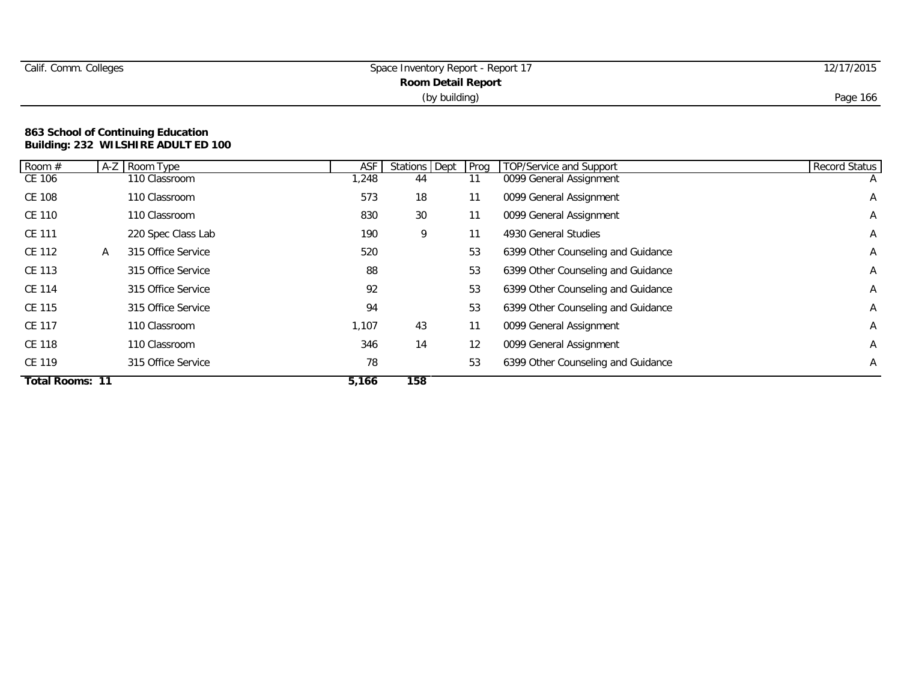| Calif. Comm. Colleges | Space Inventory Report - Report 1                                                                                                            | 12/17/2015 |
|-----------------------|----------------------------------------------------------------------------------------------------------------------------------------------|------------|
|                       | <b>Room Detail Report</b><br>the contract of the contract of the contract of the contract of the contract of the contract of the contract of |            |

(by building) Page 166

#### **863 School of Continuing Education Building: 232 WILSHIRE ADULT ED 100**

| Room $#$               |   | A-Z Room Type      | <b>ASF</b> | Stations Dept | Prog | TOP/Service and Support            | <b>Record Status</b> |
|------------------------|---|--------------------|------------|---------------|------|------------------------------------|----------------------|
| CE 106                 |   | 110 Classroom      | ,248       | 44            | 11   | 0099 General Assignment            | $\overline{A}$       |
| CE 108                 |   | 110 Classroom      | 573        | 18            | 11   | 0099 General Assignment            | $\mathsf{A}$         |
| CE 110                 |   | 110 Classroom      | 830        | 30            | 11   | 0099 General Assignment            | A                    |
| CE 111                 |   | 220 Spec Class Lab | 190        | 9             | 11   | 4930 General Studies               | $\mathsf{A}$         |
| CE 112                 | A | 315 Office Service | 520        |               | 53   | 6399 Other Counseling and Guidance | A                    |
| CE 113                 |   | 315 Office Service | 88         |               | 53   | 6399 Other Counseling and Guidance | A                    |
| CE 114                 |   | 315 Office Service | 92         |               | 53   | 6399 Other Counseling and Guidance | A                    |
| CE 115                 |   | 315 Office Service | 94         |               | 53   | 6399 Other Counseling and Guidance | A                    |
| CE 117                 |   | 110 Classroom      | 1,107      | 43            | 11   | 0099 General Assignment            | A                    |
| CE 118                 |   | 110 Classroom      | 346        | 14            | 12   | 0099 General Assignment            | A                    |
| CE 119                 |   | 315 Office Service | 78         |               | 53   | 6399 Other Counseling and Guidance | A                    |
| <b>Total Rooms: 11</b> |   |                    | 5,166      | 158           |      |                                    |                      |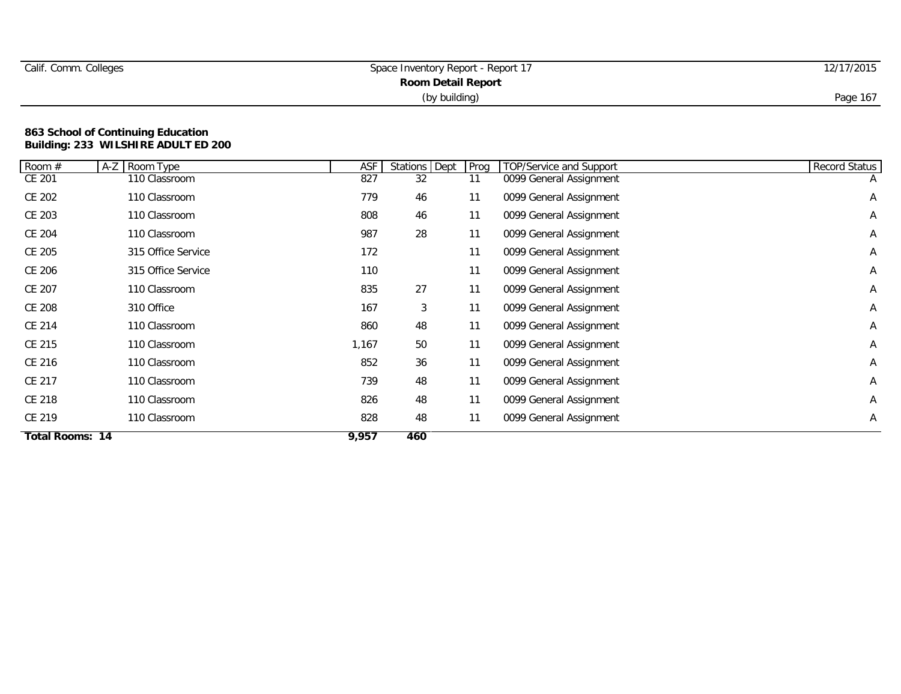| Calif. Comm. Colleges | Space Inventory Report - Report 17 | 12/17/2015 |
|-----------------------|------------------------------------|------------|
|                       | <b>Room Detail Report</b>          |            |
|                       | (by building)                      | Page 167   |

#### **863 School of Continuing Education Building: 233 WILSHIRE ADULT ED 200**

| Room #          | A-Z Room Type      | ASF   | Stations Dept | Prog | TOP/Service and Support | <b>Record Status</b> |
|-----------------|--------------------|-------|---------------|------|-------------------------|----------------------|
| CE 201          | 110 Classroom      | 827   | 32            | 11   | 0099 General Assignment | $\mathsf{A}$         |
| CE 202          | 110 Classroom      | 779   | 46            | 11   | 0099 General Assignment | A                    |
| CE 203          | 110 Classroom      | 808   | 46            | 11   | 0099 General Assignment | Α                    |
| CE 204          | 110 Classroom      | 987   | 28            | 11   | 0099 General Assignment | Α                    |
| CE 205          | 315 Office Service | 172   |               | 11   | 0099 General Assignment | A                    |
| CE 206          | 315 Office Service | 110   |               | 11   | 0099 General Assignment | A                    |
| CE 207          | 110 Classroom      | 835   | 27            | 11   | 0099 General Assignment | Α                    |
| CE 208          | 310 Office         | 167   | 3             | 11   | 0099 General Assignment | A                    |
| CE 214          | 110 Classroom      | 860   | 48            | 11   | 0099 General Assignment | Α                    |
| CE 215          | 110 Classroom      | 1,167 | 50            | 11   | 0099 General Assignment | A                    |
| CE 216          | 110 Classroom      | 852   | 36            | 11   | 0099 General Assignment | A                    |
| CE 217          | 110 Classroom      | 739   | 48            | 11   | 0099 General Assignment | A                    |
| CE 218          | 110 Classroom      | 826   | 48            | 11   | 0099 General Assignment | Α                    |
| CE 219          | 110 Classroom      | 828   | 48            | 11   | 0099 General Assignment | A                    |
| Total Rooms: 14 |                    | 9,957 | 460           |      |                         |                      |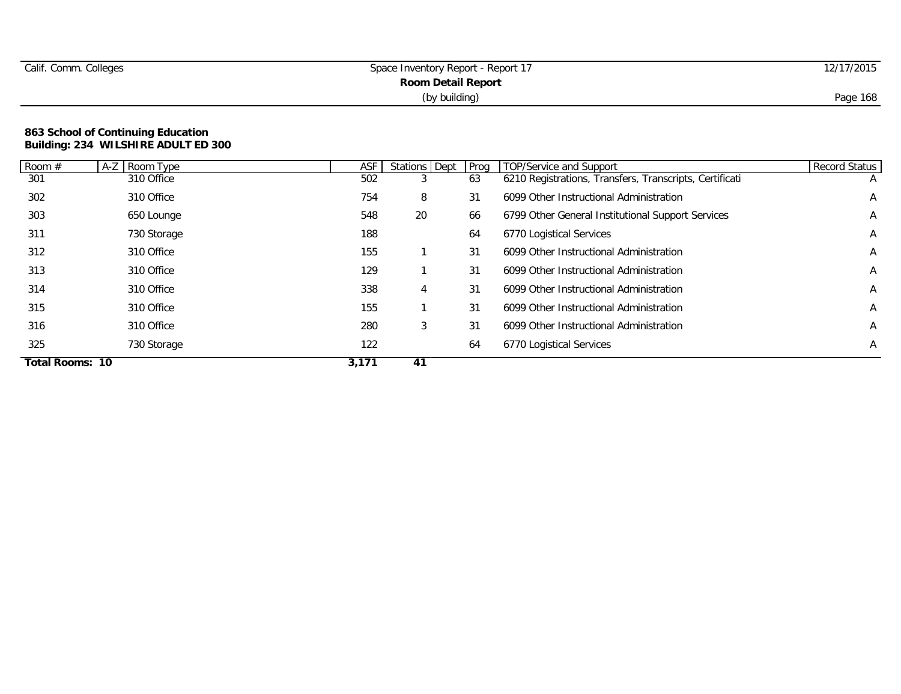|  | Calif. Comm. Colleges |
|--|-----------------------|
|  |                       |

#### **863 School of Continuing Education Building: 234 WILSHIRE ADULT ED 300**

| Room $#$               | A-Z Room Type | <b>ASF</b> | Stations Dept | Prog | TOP/Service and Support                                 | <b>Record Status</b> |
|------------------------|---------------|------------|---------------|------|---------------------------------------------------------|----------------------|
| 301                    | 310 Office    | 502        |               | 63   | 6210 Registrations, Transfers, Transcripts, Certificati | $\overline{A}$       |
| 302                    | 310 Office    | 754        | 8             | 31   | 6099 Other Instructional Administration                 | A                    |
| 303                    | 650 Lounge    | 548        | 20            | 66   | 6799 Other General Institutional Support Services       | A                    |
| 311                    | 730 Storage   | 188        |               | 64   | 6770 Logistical Services                                | A                    |
| 312                    | 310 Office    | 155        |               | 31   | 6099 Other Instructional Administration                 | A                    |
| 313                    | 310 Office    | 129        |               | 31   | 6099 Other Instructional Administration                 | A                    |
| 314                    | 310 Office    | 338        | 4             | 31   | 6099 Other Instructional Administration                 | A                    |
| 315                    | 310 Office    | 155        |               | 31   | 6099 Other Instructional Administration                 | A                    |
| 316                    | 310 Office    | 280        | 3             | 31   | 6099 Other Instructional Administration                 | A                    |
| 325                    | 730 Storage   | 122        |               | 64   | 6770 Logistical Services                                | A                    |
| <b>Total Rooms: 10</b> |               | 3,171      | 41            |      |                                                         |                      |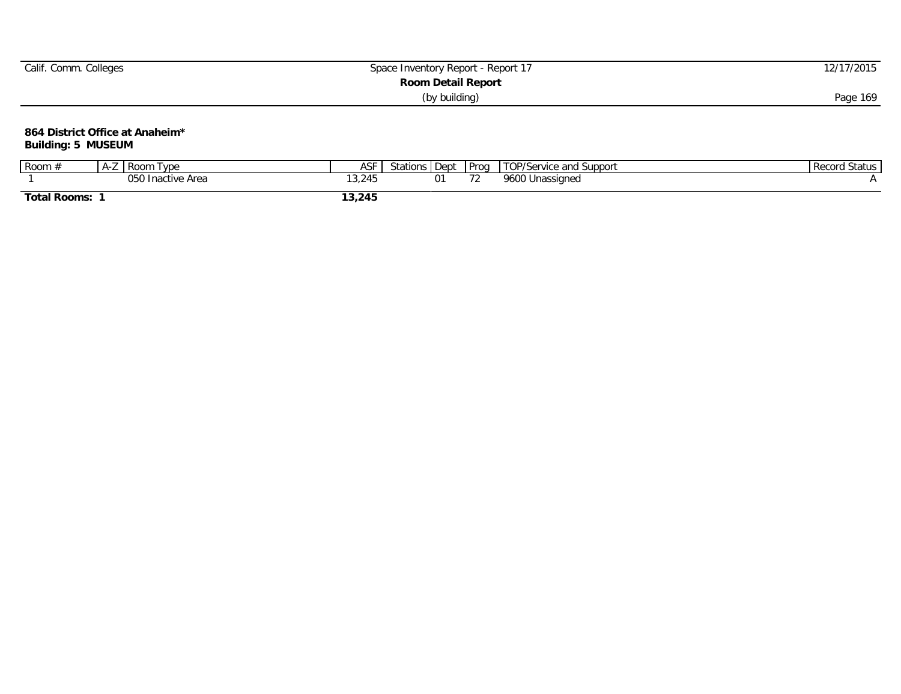| Calif. Comm. Colleges | Space Inventory Report - Report 17 | 12/17/2015 |
|-----------------------|------------------------------------|------------|
|                       | Room Detail Report                 |            |
|                       | (by building)                      | Page 169   |
|                       |                                    |            |

**864 District Office at Anaheim\***

**Building: 5 MUSEUM**

| Room                | I vpe<br><b>Room</b><br>$\overline{H}$ | ASF    | Dept<br>Stations | Prog          | TOP/Service and Support | Status<br><b>Recor</b> |
|---------------------|----------------------------------------|--------|------------------|---------------|-------------------------|------------------------|
|                     | 0501<br>' Inactive Area<br>טטע         | 3,245  |                  | $\sim$ $\sim$ | 9600 Ur<br>'Jnassigned  |                        |
| <b>Total Rooms:</b> |                                        | 13,245 |                  |               |                         |                        |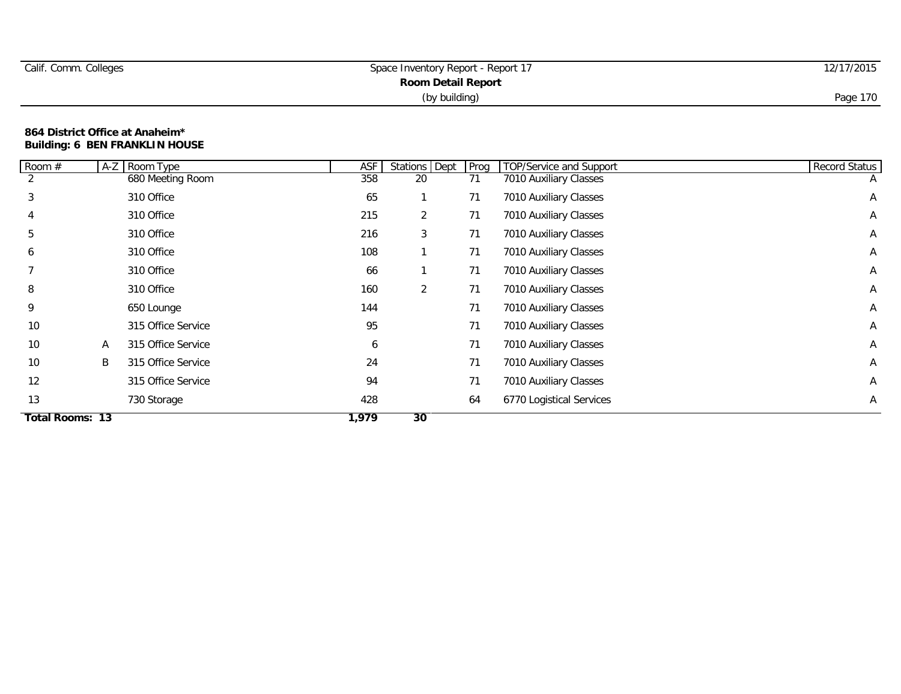| Calif. Comm. Colleges | Space Inventory Report - Report 17 | 12/17/2015 |
|-----------------------|------------------------------------|------------|
|                       | <b>Room Detail Report</b>          |            |
|                       | (by building)                      | Page 170   |

### **864 District Office at Anaheim\* Building: 6 BEN FRANKLIN HOUSE**

| Room #                 | $A-Z$ | Room Type          | ASF   | <b>Stations</b> Dept | Prog | <b>TOP/Service and Support</b> | <b>Record Status</b> |
|------------------------|-------|--------------------|-------|----------------------|------|--------------------------------|----------------------|
| 2                      |       | 680 Meeting Room   | 358   | 20                   | 71   | 7010 Auxiliary Classes         | $\overline{A}$       |
| 3                      |       | 310 Office         | 65    |                      | 71   | 7010 Auxiliary Classes         | A                    |
| 4                      |       | 310 Office         | 215   | $\overline{2}$       | 71   | 7010 Auxiliary Classes         | Α                    |
| 5                      |       | 310 Office         | 216   | 3                    | 71   | 7010 Auxiliary Classes         | Α                    |
| 6                      |       | 310 Office         | 108   |                      | 71   | 7010 Auxiliary Classes         | Α                    |
|                        |       | 310 Office         | 66    |                      | 71   | 7010 Auxiliary Classes         | A                    |
| 8                      |       | 310 Office         | 160   | $\overline{2}$       | 71   | 7010 Auxiliary Classes         | A                    |
| 9                      |       | 650 Lounge         | 144   |                      | 71   | 7010 Auxiliary Classes         | Α                    |
| 10                     |       | 315 Office Service | 95    |                      | 71   | 7010 Auxiliary Classes         | A                    |
| 10                     | A     | 315 Office Service | 6     |                      | 71   | 7010 Auxiliary Classes         | Α                    |
| 10                     | B     | 315 Office Service | 24    |                      | 71   | 7010 Auxiliary Classes         | Α                    |
| 12                     |       | 315 Office Service | 94    |                      | 71   | 7010 Auxiliary Classes         | A                    |
| 13                     |       | 730 Storage        | 428   |                      | 64   | 6770 Logistical Services       | Α                    |
| <b>Total Rooms: 13</b> |       |                    | 1,979 | 30                   |      |                                |                      |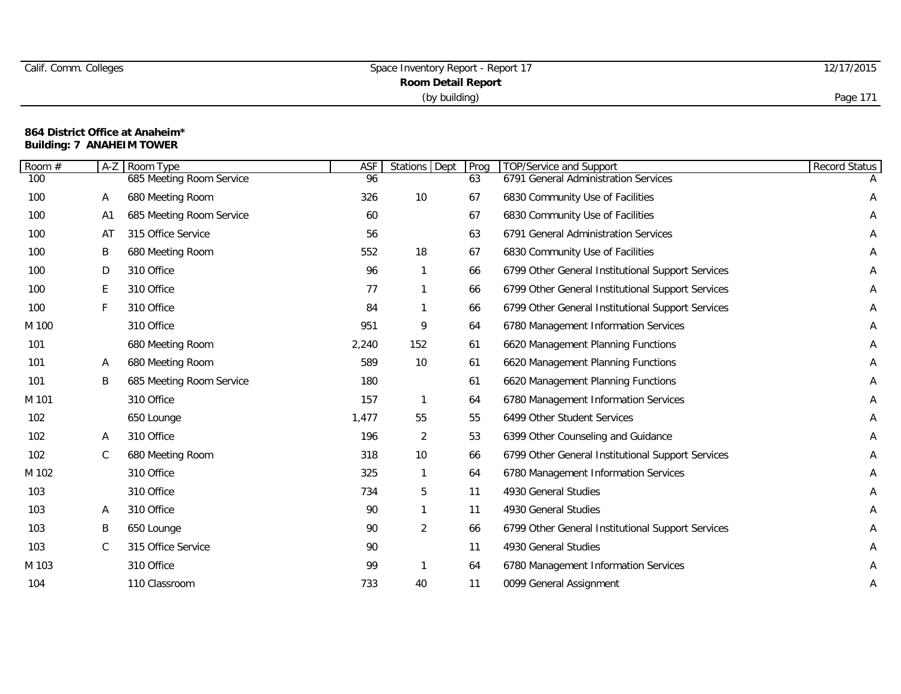|  | Calif. Comm. Colleges |
|--|-----------------------|
|  |                       |

| Room $#$ | $A-Z$ | Room Type                | ASF   | <b>Stations</b><br>Dept | Prog | TOP/Service and Support                           | Record Status |
|----------|-------|--------------------------|-------|-------------------------|------|---------------------------------------------------|---------------|
| 100      |       | 685 Meeting Room Service | 96    |                         | 63   | 6791 General Administration Services              |               |
| 100      | Α     | 680 Meeting Room         | 326   | 10                      | 67   | 6830 Community Use of Facilities                  | Α             |
| 100      | A1    | 685 Meeting Room Service | 60    |                         | 67   | 6830 Community Use of Facilities                  | Α             |
| 100      | AT    | 315 Office Service       | 56    |                         | 63   | 6791 General Administration Services              | A             |
| 100      | B     | 680 Meeting Room         | 552   | 18                      | 67   | 6830 Community Use of Facilities                  | Α             |
| 100      | D     | 310 Office               | 96    |                         | 66   | 6799 Other General Institutional Support Services | Α             |
| 100      | E     | 310 Office               | 77    |                         | 66   | 6799 Other General Institutional Support Services | Α             |
| 100      | F     | 310 Office               | 84    |                         | 66   | 6799 Other General Institutional Support Services | Α             |
| M 100    |       | 310 Office               | 951   | 9                       | 64   | 6780 Management Information Services              | Α             |
| 101      |       | 680 Meeting Room         | 2,240 | 152                     | 61   | 6620 Management Planning Functions                | Α             |
| 101      | A     | 680 Meeting Room         | 589   | 10                      | 61   | 6620 Management Planning Functions                | Α             |
| 101      | B     | 685 Meeting Room Service | 180   |                         | 61   | 6620 Management Planning Functions                | Α             |
| M 101    |       | 310 Office               | 157   |                         | 64   | 6780 Management Information Services              | Α             |
| 102      |       | 650 Lounge               | 1,477 | 55                      | 55   | 6499 Other Student Services                       | Α             |
| 102      | A     | 310 Office               | 196   | $\overline{2}$          | 53   | 6399 Other Counseling and Guidance                | Α             |
| 102      | C     | 680 Meeting Room         | 318   | 10                      | 66   | 6799 Other General Institutional Support Services | Α             |
| M 102    |       | 310 Office               | 325   |                         | 64   | 6780 Management Information Services              | Α             |
| 103      |       | 310 Office               | 734   | 5                       | 11   | 4930 General Studies                              | Α             |
| 103      | Α     | 310 Office               | 90    |                         | 11   | 4930 General Studies                              | Α             |
| 103      | B     | 650 Lounge               | 90    | 2                       | 66   | 6799 Other General Institutional Support Services | Α             |
| 103      | C     | 315 Office Service       | 90    |                         | 11   | 4930 General Studies                              | A             |
| M 103    |       | 310 Office               | 99    |                         | 64   | 6780 Management Information Services              | Α             |
| 104      |       | 110 Classroom            | 733   | 40                      | 11   | 0099 General Assignment                           | Α             |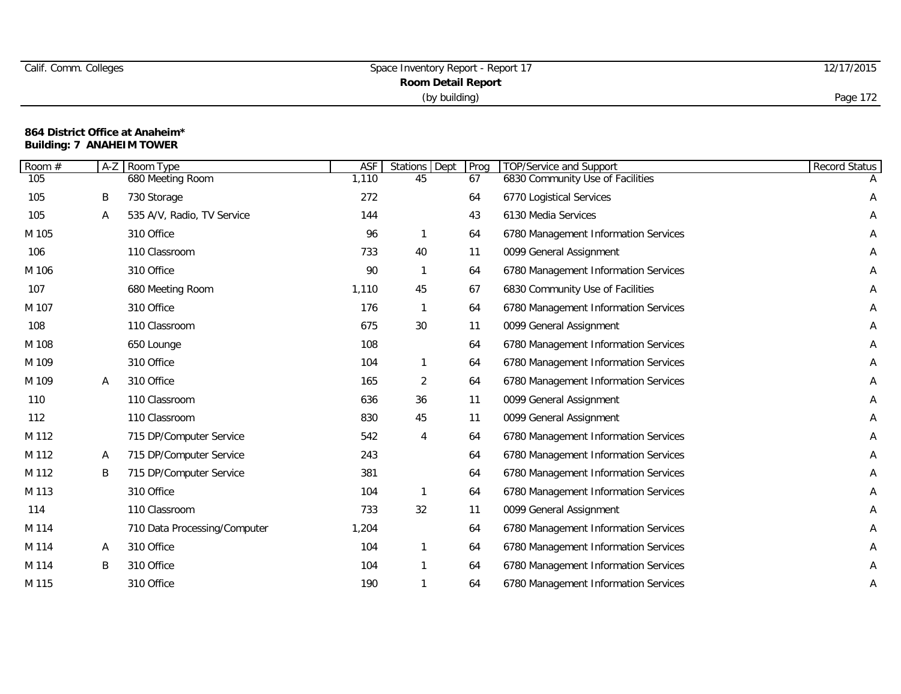|  | Calif. Comm. Colleges |
|--|-----------------------|
|  |                       |

| Room $#$ | $A-Z$ | Room Type                    | ASF   | <b>Stations</b><br>Dept | Prog | TOP/Service and Support              | <b>Record Status</b> |
|----------|-------|------------------------------|-------|-------------------------|------|--------------------------------------|----------------------|
| 105      |       | 680 Meeting Room             | 1,110 | 45                      | 67   | 6830 Community Use of Facilities     |                      |
| 105      | B     | 730 Storage                  | 272   |                         | 64   | 6770 Logistical Services             | Α                    |
| 105      | Α     | 535 A/V, Radio, TV Service   | 144   |                         | 43   | 6130 Media Services                  | Α                    |
| M 105    |       | 310 Office                   | 96    | -1                      | 64   | 6780 Management Information Services | Α                    |
| 106      |       | 110 Classroom                | 733   | 40                      | 11   | 0099 General Assignment              | A                    |
| M 106    |       | 310 Office                   | 90    |                         | 64   | 6780 Management Information Services | A                    |
| 107      |       | 680 Meeting Room             | 1,110 | 45                      | 67   | 6830 Community Use of Facilities     | Α                    |
| M 107    |       | 310 Office                   | 176   |                         | 64   | 6780 Management Information Services | А                    |
| 108      |       | 110 Classroom                | 675   | 30                      | 11   | 0099 General Assignment              | Α                    |
| M 108    |       | 650 Lounge                   | 108   |                         | 64   | 6780 Management Information Services | Α                    |
| M 109    |       | 310 Office                   | 104   |                         | 64   | 6780 Management Information Services | Α                    |
| M 109    | Α     | 310 Office                   | 165   | $\overline{2}$          | 64   | 6780 Management Information Services | Α                    |
| 110      |       | 110 Classroom                | 636   | 36                      | 11   | 0099 General Assignment              | А                    |
| 112      |       | 110 Classroom                | 830   | 45                      | 11   | 0099 General Assignment              | Α                    |
| M 112    |       | 715 DP/Computer Service      | 542   | 4                       | 64   | 6780 Management Information Services | Α                    |
| M 112    | A     | 715 DP/Computer Service      | 243   |                         | 64   | 6780 Management Information Services | A                    |
| M 112    | B     | 715 DP/Computer Service      | 381   |                         | 64   | 6780 Management Information Services | Α                    |
| M 113    |       | 310 Office                   | 104   |                         | 64   | 6780 Management Information Services | Α                    |
| 114      |       | 110 Classroom                | 733   | 32                      | 11   | 0099 General Assignment              | Α                    |
| M 114    |       | 710 Data Processing/Computer | 1,204 |                         | 64   | 6780 Management Information Services | Α                    |
| M 114    | A     | 310 Office                   | 104   |                         | 64   | 6780 Management Information Services | Α                    |
| M 114    | B     | 310 Office                   | 104   |                         | 64   | 6780 Management Information Services | Α                    |
| M 115    |       | 310 Office                   | 190   |                         | 64   | 6780 Management Information Services | Α                    |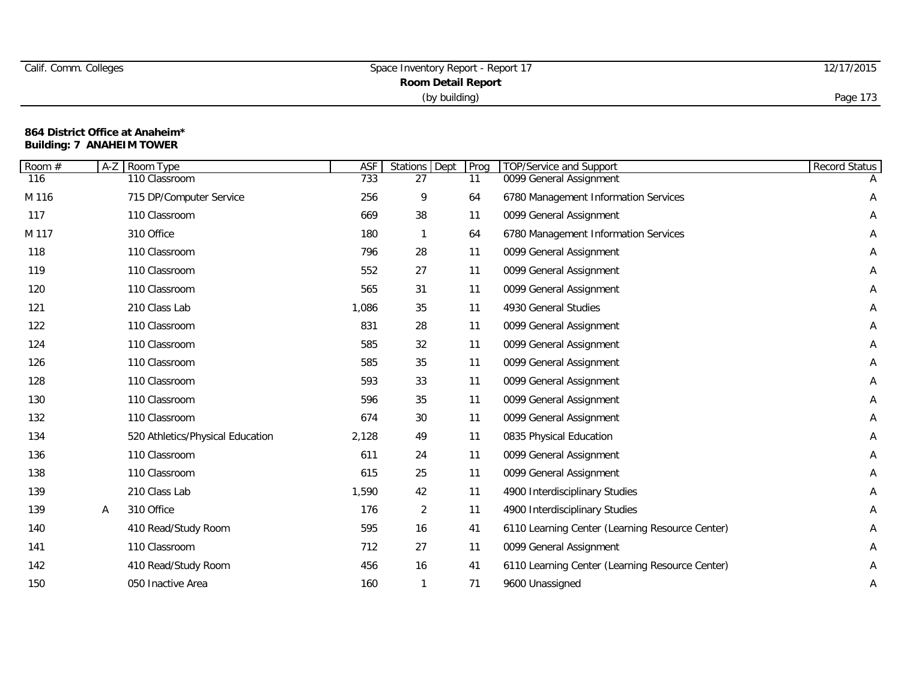|  | Calif. Comm. Colleges |
|--|-----------------------|
|  |                       |

| Room # | $A-Z$ | Room Type                        | ASF   | Stations Dept  | Prog | TOP/Service and Support                         | Record Status |
|--------|-------|----------------------------------|-------|----------------|------|-------------------------------------------------|---------------|
| 116    |       | 110 Classroom                    | 733   | 27             | 11   | 0099 General Assignment                         |               |
| M 116  |       | 715 DP/Computer Service          | 256   | 9              | 64   | 6780 Management Information Services            | Α             |
| 117    |       | 110 Classroom                    | 669   | 38             | 11   | 0099 General Assignment                         | Α             |
| M 117  |       | 310 Office                       | 180   |                | 64   | 6780 Management Information Services            | Α             |
| 118    |       | 110 Classroom                    | 796   | 28             | 11   | 0099 General Assignment                         | Α             |
| 119    |       | 110 Classroom                    | 552   | 27             | 11   | 0099 General Assignment                         | Α             |
| 120    |       | 110 Classroom                    | 565   | 31             | 11   | 0099 General Assignment                         | A             |
| 121    |       | 210 Class Lab                    | 1,086 | 35             | 11   | 4930 General Studies                            | A             |
| 122    |       | 110 Classroom                    | 831   | 28             | 11   | 0099 General Assignment                         | Α             |
| 124    |       | 110 Classroom                    | 585   | 32             | 11   | 0099 General Assignment                         | Α             |
| 126    |       | 110 Classroom                    | 585   | 35             | 11   | 0099 General Assignment                         | A             |
| 128    |       | 110 Classroom                    | 593   | 33             | 11   | 0099 General Assignment                         | Α             |
| 130    |       | 110 Classroom                    | 596   | 35             | 11   | 0099 General Assignment                         | Α             |
| 132    |       | 110 Classroom                    | 674   | 30             | 11   | 0099 General Assignment                         | Α             |
| 134    |       | 520 Athletics/Physical Education | 2,128 | 49             | 11   | 0835 Physical Education                         | Α             |
| 136    |       | 110 Classroom                    | 611   | 24             | 11   | 0099 General Assignment                         | Α             |
| 138    |       | 110 Classroom                    | 615   | 25             | 11   | 0099 General Assignment                         | A             |
| 139    |       | 210 Class Lab                    | 1,590 | 42             | 11   | 4900 Interdisciplinary Studies                  | A             |
| 139    | Α     | 310 Office                       | 176   | $\overline{2}$ | 11   | 4900 Interdisciplinary Studies                  | Α             |
| 140    |       | 410 Read/Study Room              | 595   | 16             | 41   | 6110 Learning Center (Learning Resource Center) | Α             |
| 141    |       | 110 Classroom                    | 712   | 27             | 11   | 0099 General Assignment                         | Α             |
| 142    |       | 410 Read/Study Room              | 456   | 16             | 41   | 6110 Learning Center (Learning Resource Center) | Α             |
| 150    |       | 050 Inactive Area                | 160   |                | 71   | 9600 Unassigned                                 | Α             |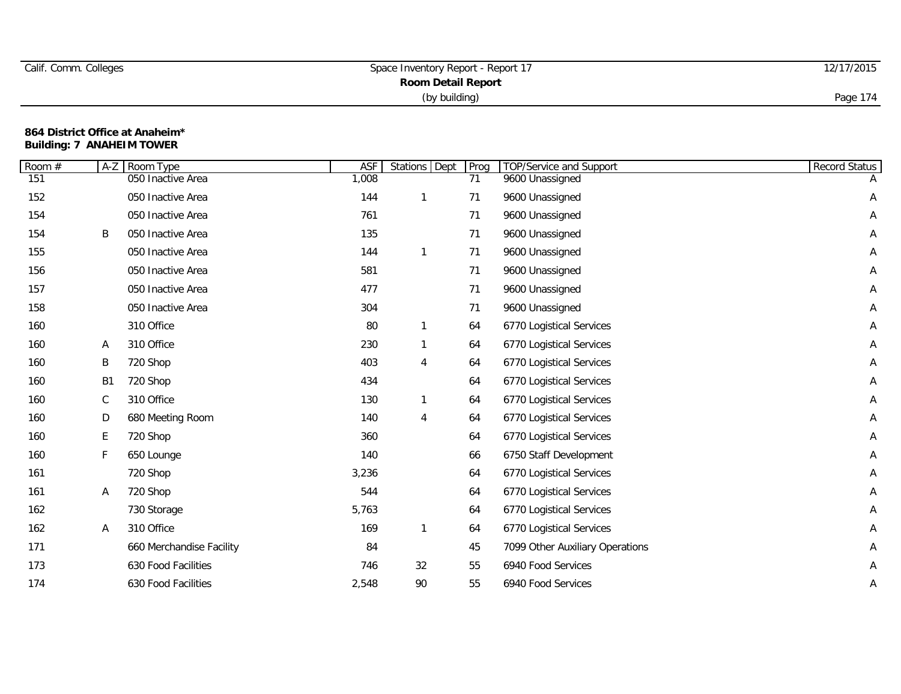| Calif. Comm. Colleges | Space Inventory Report - Report 17 | 12/17/2015 |
|-----------------------|------------------------------------|------------|
|                       |                                    |            |
|                       | (by building)                      | Page 1,    |

| Room $#$ | $A-Z$          | Room Type                | <b>ASF</b> | <b>Stations</b><br>Dept | Prog | <b>TOP/Service and Support</b>  | Record Status |
|----------|----------------|--------------------------|------------|-------------------------|------|---------------------------------|---------------|
| 151      |                | 050 Inactive Area        | 1,008      |                         | 71   | 9600 Unassigned                 |               |
| 152      |                | 050 Inactive Area        | 144        | $\mathbf{1}$            | 71   | 9600 Unassigned                 | Α             |
| 154      |                | 050 Inactive Area        | 761        |                         | 71   | 9600 Unassigned                 | Α             |
| 154      | B              | 050 Inactive Area        | 135        |                         | 71   | 9600 Unassigned                 | Α             |
| 155      |                | 050 Inactive Area        | 144        | 1                       | 71   | 9600 Unassigned                 | Α             |
| 156      |                | 050 Inactive Area        | 581        |                         | 71   | 9600 Unassigned                 | Α             |
| 157      |                | 050 Inactive Area        | 477        |                         | 71   | 9600 Unassigned                 | А             |
| 158      |                | 050 Inactive Area        | 304        |                         | 71   | 9600 Unassigned                 | Α             |
| 160      |                | 310 Office               | 80         | 1                       | 64   | 6770 Logistical Services        | Α             |
| 160      | Α              | 310 Office               | 230        | $\overline{1}$          | 64   | 6770 Logistical Services        | Α             |
| 160      | B              | 720 Shop                 | 403        | 4                       | 64   | 6770 Logistical Services        | A             |
| 160      | B <sub>1</sub> | 720 Shop                 | 434        |                         | 64   | 6770 Logistical Services        | Α             |
| 160      | C              | 310 Office               | 130        | 1                       | 64   | 6770 Logistical Services        | А             |
| 160      | $\mathsf D$    | 680 Meeting Room         | 140        | $\overline{4}$          | 64   | 6770 Logistical Services        | Α             |
| 160      | E              | 720 Shop                 | 360        |                         | 64   | 6770 Logistical Services        | Α             |
| 160      | F              | 650 Lounge               | 140        |                         | 66   | 6750 Staff Development          | Α             |
| 161      |                | 720 Shop                 | 3,236      |                         | 64   | 6770 Logistical Services        | А             |
| 161      | Α              | 720 Shop                 | 544        |                         | 64   | 6770 Logistical Services        | Α             |
| 162      |                | 730 Storage              | 5,763      |                         | 64   | 6770 Logistical Services        | Α             |
| 162      | Α              | 310 Office               | 169        | $\mathbf{1}$            | 64   | 6770 Logistical Services        | А             |
| 171      |                | 660 Merchandise Facility | 84         |                         | 45   | 7099 Other Auxiliary Operations | Α             |
| 173      |                | 630 Food Facilities      | 746        | 32                      | 55   | 6940 Food Services              | Α             |
| 174      |                | 630 Food Facilities      | 2,548      | 90                      | 55   | 6940 Food Services              | Α             |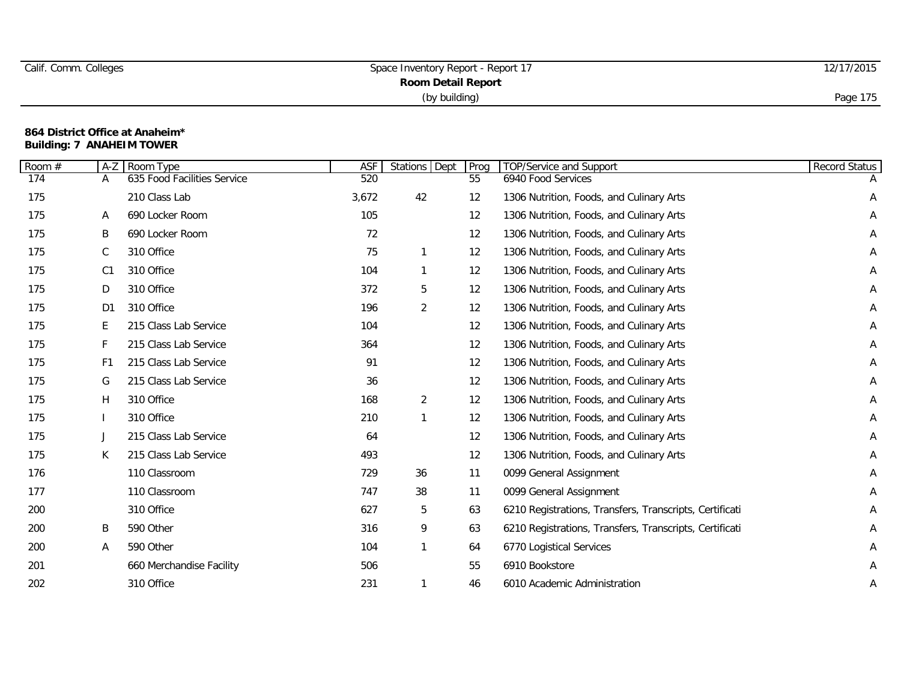# Calif. Comm. Colleges Space Inventory Report - Report 17 12/17/2015 **Room Detail Report** (by building) Page 175

# **864 District Office at Anaheim\***

# **Building: 7 ANAHEIM TOWER**

| Room # | $A-Z$          | Room Type                   | <b>ASF</b> | Stations Dept | Prog              | <b>TOP/Service and Support</b>                          | Record Status |
|--------|----------------|-----------------------------|------------|---------------|-------------------|---------------------------------------------------------|---------------|
| 174    | A              | 635 Food Facilities Service | 520        |               | 55                | 6940 Food Services                                      |               |
| 175    |                | 210 Class Lab               | 3,672      | 42            | 12                | 1306 Nutrition, Foods, and Culinary Arts                | A             |
| 175    | A              | 690 Locker Room             | 105        |               | 12                | 1306 Nutrition, Foods, and Culinary Arts                |               |
| 175    | B              | 690 Locker Room             | 72         |               | $12 \overline{ }$ | 1306 Nutrition, Foods, and Culinary Arts                |               |
| 175    | С              | 310 Office                  | 75         |               | 12                | 1306 Nutrition, Foods, and Culinary Arts                | Α             |
| 175    | C1             | 310 Office                  | 104        | $\mathbf{1}$  | $12 \overline{ }$ | 1306 Nutrition, Foods, and Culinary Arts                | A             |
| 175    | D              | 310 Office                  | 372        | 5             | 12                | 1306 Nutrition, Foods, and Culinary Arts                | Α             |
| 175    | D <sub>1</sub> | 310 Office                  | 196        | 2             | 12                | 1306 Nutrition, Foods, and Culinary Arts                | A             |
| 175    | E.             | 215 Class Lab Service       | 104        |               | 12                | 1306 Nutrition, Foods, and Culinary Arts                |               |
| 175    |                | 215 Class Lab Service       | 364        |               | $12 \overline{ }$ | 1306 Nutrition, Foods, and Culinary Arts                |               |
| 175    | F1             | 215 Class Lab Service       | 91         |               | 12                | 1306 Nutrition, Foods, and Culinary Arts                | Α             |
| 175    | G              | 215 Class Lab Service       | 36         |               | $12 \overline{ }$ | 1306 Nutrition, Foods, and Culinary Arts                | Α             |
| 175    | H              | 310 Office                  | 168        | 2             | 12                | 1306 Nutrition, Foods, and Culinary Arts                | A             |
| 175    |                | 310 Office                  | 210        | $\mathbf{1}$  | 12                | 1306 Nutrition, Foods, and Culinary Arts                | A             |
| 175    |                | 215 Class Lab Service       | 64         |               | 12                | 1306 Nutrition, Foods, and Culinary Arts                |               |
| 175    | K.             | 215 Class Lab Service       | 493        |               | 12                | 1306 Nutrition, Foods, and Culinary Arts                | A             |
| 176    |                | 110 Classroom               | 729        | 36            | 11                | 0099 General Assignment                                 | A             |
| 177    |                | 110 Classroom               | 747        | 38            | 11                | 0099 General Assignment                                 | Α             |
| 200    |                | 310 Office                  | 627        | 5             | 63                | 6210 Registrations, Transfers, Transcripts, Certificati | A             |
| 200    | Β              | 590 Other                   | 316        | 9             | 63                | 6210 Registrations, Transfers, Transcripts, Certificati | A             |
| 200    | A              | 590 Other                   | 104        | $\mathbf{1}$  | 64                | 6770 Logistical Services                                |               |
| 201    |                | 660 Merchandise Facility    | 506        |               | 55                | 6910 Bookstore                                          | Α             |
| 202    |                | 310 Office                  | 231        |               | 46                | 6010 Academic Administration                            | A             |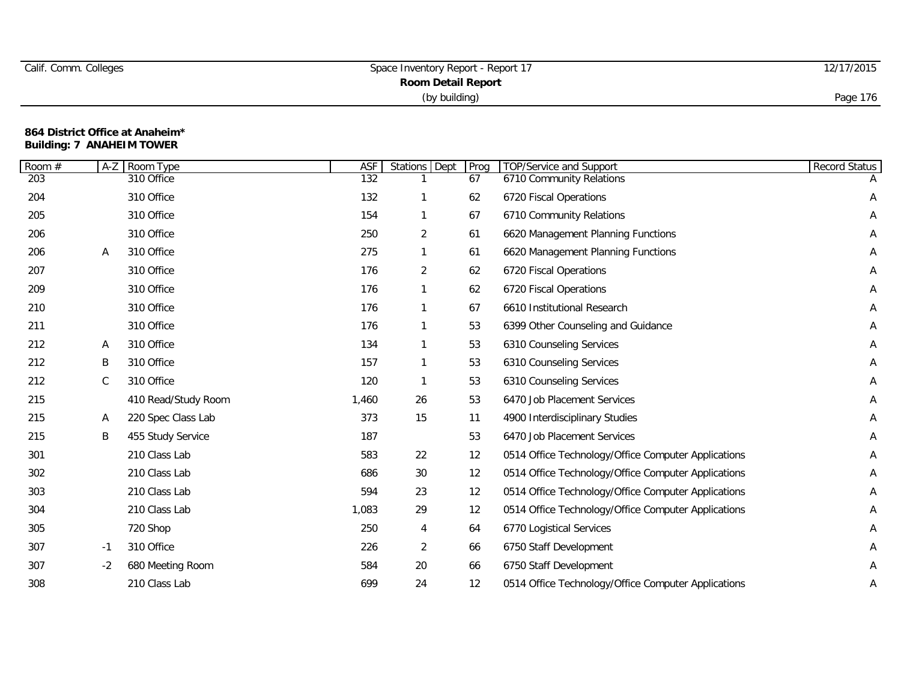| Calif. Comm. Colleges | Space Inventory Report - Report 17 | 12/17/2015 |
|-----------------------|------------------------------------|------------|
|                       |                                    |            |
|                       | (by building)                      | Page 176   |

| Room# | $A-Z$       | Room Type           | ASF   | <b>Stations</b> Dept | Prog | <b>TOP/Service and Support</b>                      | Record Status |
|-------|-------------|---------------------|-------|----------------------|------|-----------------------------------------------------|---------------|
| 203   |             | 310 Office          | 132   |                      | 67   | 6710 Community Relations                            |               |
| 204   |             | 310 Office          | 132   |                      | 62   | 6720 Fiscal Operations                              | Α             |
| 205   |             | 310 Office          | 154   |                      | 67   | 6710 Community Relations                            | Α             |
| 206   |             | 310 Office          | 250   | 2                    | 61   | 6620 Management Planning Functions                  | Α             |
| 206   | Α           | 310 Office          | 275   |                      | 61   | 6620 Management Planning Functions                  | Α             |
| 207   |             | 310 Office          | 176   | 2                    | 62   | 6720 Fiscal Operations                              | Α             |
| 209   |             | 310 Office          | 176   |                      | 62   | 6720 Fiscal Operations                              | Α             |
| 210   |             | 310 Office          | 176   |                      | 67   | 6610 Institutional Research                         | Α             |
| 211   |             | 310 Office          | 176   |                      | 53   | 6399 Other Counseling and Guidance                  | Α             |
| 212   | Α           | 310 Office          | 134   |                      | 53   | 6310 Counseling Services                            | Α             |
| 212   | B           | 310 Office          | 157   |                      | 53   | 6310 Counseling Services                            | Α             |
| 212   | $\mathbb C$ | 310 Office          | 120   |                      | 53   | 6310 Counseling Services                            | Α             |
| 215   |             | 410 Read/Study Room | 1,460 | 26                   | 53   | 6470 Job Placement Services                         | Α             |
| 215   | A           | 220 Spec Class Lab  | 373   | 15                   | 11   | 4900 Interdisciplinary Studies                      | Α             |
| 215   | B           | 455 Study Service   | 187   |                      | 53   | 6470 Job Placement Services                         | А             |
| 301   |             | 210 Class Lab       | 583   | 22                   | 12   | 0514 Office Technology/Office Computer Applications | Α             |
| 302   |             | 210 Class Lab       | 686   | 30                   | 12   | 0514 Office Technology/Office Computer Applications | A             |
| 303   |             | 210 Class Lab       | 594   | 23                   | 12   | 0514 Office Technology/Office Computer Applications | Α             |
| 304   |             | 210 Class Lab       | 1,083 | 29                   | 12   | 0514 Office Technology/Office Computer Applications | A             |
| 305   |             | 720 Shop            | 250   | 4                    | 64   | 6770 Logistical Services                            | Α             |
| 307   | $-1$        | 310 Office          | 226   | $\overline{2}$       | 66   | 6750 Staff Development                              | А             |
| 307   | $-2$        | 680 Meeting Room    | 584   | 20                   | 66   | 6750 Staff Development                              | Α             |
| 308   |             | 210 Class Lab       | 699   | 24                   | 12   | 0514 Office Technology/Office Computer Applications | A             |
|       |             |                     |       |                      |      |                                                     |               |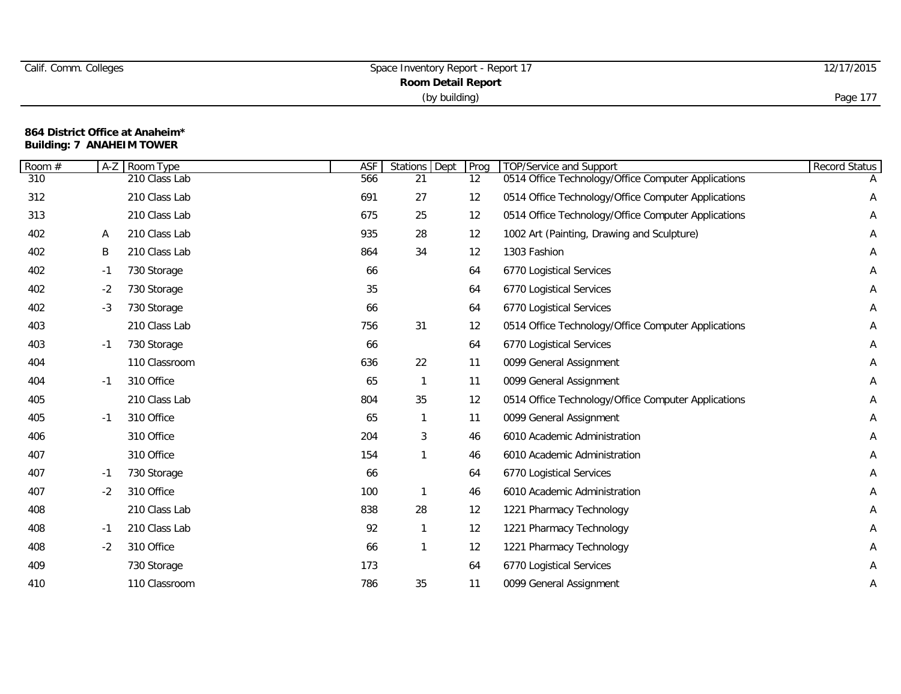| Calif. Comm. Colleges | Space Inventory Report - Report 17 | 12/17/2015     |
|-----------------------|------------------------------------|----------------|
|                       | Room Detail Report                 |                |
|                       | (by building)                      | $-1$<br>Page : |

| 0514 Office Technology/Office Computer Applications<br>310<br>210 Class Lab<br>566<br>21<br>$12 \overline{ }$<br>27<br>312<br>210 Class Lab<br>691<br>12<br>0514 Office Technology/Office Computer Applications<br>210 Class Lab<br>313<br>675<br>25<br>12<br>0514 Office Technology/Office Computer Applications<br>402<br>210 Class Lab<br>935<br>28<br>1002 Art (Painting, Drawing and Sculpture)<br>$12 \overline{ }$<br>A<br>402<br>210 Class Lab<br>34<br>1303 Fashion<br>Β<br>864<br>12<br>402<br>66<br>730 Storage<br>64<br>6770 Logistical Services<br>$-1$<br>35<br>402<br>6770 Logistical Services<br>$-2$<br>730 Storage<br>64<br>66<br>402<br>730 Storage<br>6770 Logistical Services<br>-3<br>64<br>31<br>403<br>210 Class Lab<br>756<br>12<br>0514 Office Technology/Office Computer Applications<br>403<br>730 Storage<br>66<br>64<br>6770 Logistical Services<br>$-1$<br>22<br>404<br>110 Classroom<br>636<br>11<br>0099 General Assignment<br>310 Office<br>65<br>404<br>11<br>0099 General Assignment<br>1<br>$-1$<br>210 Class Lab<br>804<br>0514 Office Technology/Office Computer Applications<br>405<br>35<br>12<br>310 Office<br>405<br>65<br>0099 General Assignment<br>$-1$<br>11<br>1<br>310 Office<br>204<br>3<br>406<br>46<br>6010 Academic Administration<br>407<br>310 Office<br>154<br>$\mathbf{1}$<br>6010 Academic Administration<br>46<br>407<br>66<br>730 Storage<br>64<br>6770 Logistical Services<br>$-1$<br>407<br>310 Office<br>100<br>46<br>6010 Academic Administration<br>$-2$<br>408<br>210 Class Lab<br>838<br>28<br>$12 \overline{ }$<br>1221 Pharmacy Technology<br>210 Class Lab<br>92<br>408<br>12<br>1221 Pharmacy Technology<br>1<br>$-1$<br>408<br>310 Office<br>12<br>$-2$<br>66<br>1221 Pharmacy Technology<br>1<br>409<br>173<br>6770 Logistical Services<br>730 Storage<br>64<br>35<br>410<br>110 Classroom<br>786<br>11<br>0099 General Assignment | Room # | $A-Z$ | Room Type | <b>ASF</b> | Stations Dept | Prog | <b>TOP/Service</b> and Support | Record Status |
|-------------------------------------------------------------------------------------------------------------------------------------------------------------------------------------------------------------------------------------------------------------------------------------------------------------------------------------------------------------------------------------------------------------------------------------------------------------------------------------------------------------------------------------------------------------------------------------------------------------------------------------------------------------------------------------------------------------------------------------------------------------------------------------------------------------------------------------------------------------------------------------------------------------------------------------------------------------------------------------------------------------------------------------------------------------------------------------------------------------------------------------------------------------------------------------------------------------------------------------------------------------------------------------------------------------------------------------------------------------------------------------------------------------------------------------------------------------------------------------------------------------------------------------------------------------------------------------------------------------------------------------------------------------------------------------------------------------------------------------------------------------------------------------------------------------------------------------------------------------------------------------------------------------|--------|-------|-----------|------------|---------------|------|--------------------------------|---------------|
|                                                                                                                                                                                                                                                                                                                                                                                                                                                                                                                                                                                                                                                                                                                                                                                                                                                                                                                                                                                                                                                                                                                                                                                                                                                                                                                                                                                                                                                                                                                                                                                                                                                                                                                                                                                                                                                                                                             |        |       |           |            |               |      |                                | A             |
|                                                                                                                                                                                                                                                                                                                                                                                                                                                                                                                                                                                                                                                                                                                                                                                                                                                                                                                                                                                                                                                                                                                                                                                                                                                                                                                                                                                                                                                                                                                                                                                                                                                                                                                                                                                                                                                                                                             |        |       |           |            |               |      |                                | A             |
|                                                                                                                                                                                                                                                                                                                                                                                                                                                                                                                                                                                                                                                                                                                                                                                                                                                                                                                                                                                                                                                                                                                                                                                                                                                                                                                                                                                                                                                                                                                                                                                                                                                                                                                                                                                                                                                                                                             |        |       |           |            |               |      |                                | Α             |
|                                                                                                                                                                                                                                                                                                                                                                                                                                                                                                                                                                                                                                                                                                                                                                                                                                                                                                                                                                                                                                                                                                                                                                                                                                                                                                                                                                                                                                                                                                                                                                                                                                                                                                                                                                                                                                                                                                             |        |       |           |            |               |      |                                | A             |
|                                                                                                                                                                                                                                                                                                                                                                                                                                                                                                                                                                                                                                                                                                                                                                                                                                                                                                                                                                                                                                                                                                                                                                                                                                                                                                                                                                                                                                                                                                                                                                                                                                                                                                                                                                                                                                                                                                             |        |       |           |            |               |      |                                | Α             |
|                                                                                                                                                                                                                                                                                                                                                                                                                                                                                                                                                                                                                                                                                                                                                                                                                                                                                                                                                                                                                                                                                                                                                                                                                                                                                                                                                                                                                                                                                                                                                                                                                                                                                                                                                                                                                                                                                                             |        |       |           |            |               |      |                                | Α             |
|                                                                                                                                                                                                                                                                                                                                                                                                                                                                                                                                                                                                                                                                                                                                                                                                                                                                                                                                                                                                                                                                                                                                                                                                                                                                                                                                                                                                                                                                                                                                                                                                                                                                                                                                                                                                                                                                                                             |        |       |           |            |               |      |                                | A             |
|                                                                                                                                                                                                                                                                                                                                                                                                                                                                                                                                                                                                                                                                                                                                                                                                                                                                                                                                                                                                                                                                                                                                                                                                                                                                                                                                                                                                                                                                                                                                                                                                                                                                                                                                                                                                                                                                                                             |        |       |           |            |               |      |                                | Α             |
|                                                                                                                                                                                                                                                                                                                                                                                                                                                                                                                                                                                                                                                                                                                                                                                                                                                                                                                                                                                                                                                                                                                                                                                                                                                                                                                                                                                                                                                                                                                                                                                                                                                                                                                                                                                                                                                                                                             |        |       |           |            |               |      |                                | Α             |
|                                                                                                                                                                                                                                                                                                                                                                                                                                                                                                                                                                                                                                                                                                                                                                                                                                                                                                                                                                                                                                                                                                                                                                                                                                                                                                                                                                                                                                                                                                                                                                                                                                                                                                                                                                                                                                                                                                             |        |       |           |            |               |      |                                | A             |
|                                                                                                                                                                                                                                                                                                                                                                                                                                                                                                                                                                                                                                                                                                                                                                                                                                                                                                                                                                                                                                                                                                                                                                                                                                                                                                                                                                                                                                                                                                                                                                                                                                                                                                                                                                                                                                                                                                             |        |       |           |            |               |      |                                | Α             |
|                                                                                                                                                                                                                                                                                                                                                                                                                                                                                                                                                                                                                                                                                                                                                                                                                                                                                                                                                                                                                                                                                                                                                                                                                                                                                                                                                                                                                                                                                                                                                                                                                                                                                                                                                                                                                                                                                                             |        |       |           |            |               |      |                                | Α             |
|                                                                                                                                                                                                                                                                                                                                                                                                                                                                                                                                                                                                                                                                                                                                                                                                                                                                                                                                                                                                                                                                                                                                                                                                                                                                                                                                                                                                                                                                                                                                                                                                                                                                                                                                                                                                                                                                                                             |        |       |           |            |               |      |                                | Α             |
|                                                                                                                                                                                                                                                                                                                                                                                                                                                                                                                                                                                                                                                                                                                                                                                                                                                                                                                                                                                                                                                                                                                                                                                                                                                                                                                                                                                                                                                                                                                                                                                                                                                                                                                                                                                                                                                                                                             |        |       |           |            |               |      |                                | A             |
|                                                                                                                                                                                                                                                                                                                                                                                                                                                                                                                                                                                                                                                                                                                                                                                                                                                                                                                                                                                                                                                                                                                                                                                                                                                                                                                                                                                                                                                                                                                                                                                                                                                                                                                                                                                                                                                                                                             |        |       |           |            |               |      |                                | Α             |
|                                                                                                                                                                                                                                                                                                                                                                                                                                                                                                                                                                                                                                                                                                                                                                                                                                                                                                                                                                                                                                                                                                                                                                                                                                                                                                                                                                                                                                                                                                                                                                                                                                                                                                                                                                                                                                                                                                             |        |       |           |            |               |      |                                | Α             |
|                                                                                                                                                                                                                                                                                                                                                                                                                                                                                                                                                                                                                                                                                                                                                                                                                                                                                                                                                                                                                                                                                                                                                                                                                                                                                                                                                                                                                                                                                                                                                                                                                                                                                                                                                                                                                                                                                                             |        |       |           |            |               |      |                                | A             |
|                                                                                                                                                                                                                                                                                                                                                                                                                                                                                                                                                                                                                                                                                                                                                                                                                                                                                                                                                                                                                                                                                                                                                                                                                                                                                                                                                                                                                                                                                                                                                                                                                                                                                                                                                                                                                                                                                                             |        |       |           |            |               |      |                                | Α             |
|                                                                                                                                                                                                                                                                                                                                                                                                                                                                                                                                                                                                                                                                                                                                                                                                                                                                                                                                                                                                                                                                                                                                                                                                                                                                                                                                                                                                                                                                                                                                                                                                                                                                                                                                                                                                                                                                                                             |        |       |           |            |               |      |                                | A             |
|                                                                                                                                                                                                                                                                                                                                                                                                                                                                                                                                                                                                                                                                                                                                                                                                                                                                                                                                                                                                                                                                                                                                                                                                                                                                                                                                                                                                                                                                                                                                                                                                                                                                                                                                                                                                                                                                                                             |        |       |           |            |               |      |                                | Α             |
|                                                                                                                                                                                                                                                                                                                                                                                                                                                                                                                                                                                                                                                                                                                                                                                                                                                                                                                                                                                                                                                                                                                                                                                                                                                                                                                                                                                                                                                                                                                                                                                                                                                                                                                                                                                                                                                                                                             |        |       |           |            |               |      |                                | Α             |
|                                                                                                                                                                                                                                                                                                                                                                                                                                                                                                                                                                                                                                                                                                                                                                                                                                                                                                                                                                                                                                                                                                                                                                                                                                                                                                                                                                                                                                                                                                                                                                                                                                                                                                                                                                                                                                                                                                             |        |       |           |            |               |      |                                | Α             |
|                                                                                                                                                                                                                                                                                                                                                                                                                                                                                                                                                                                                                                                                                                                                                                                                                                                                                                                                                                                                                                                                                                                                                                                                                                                                                                                                                                                                                                                                                                                                                                                                                                                                                                                                                                                                                                                                                                             |        |       |           |            |               |      |                                | Α             |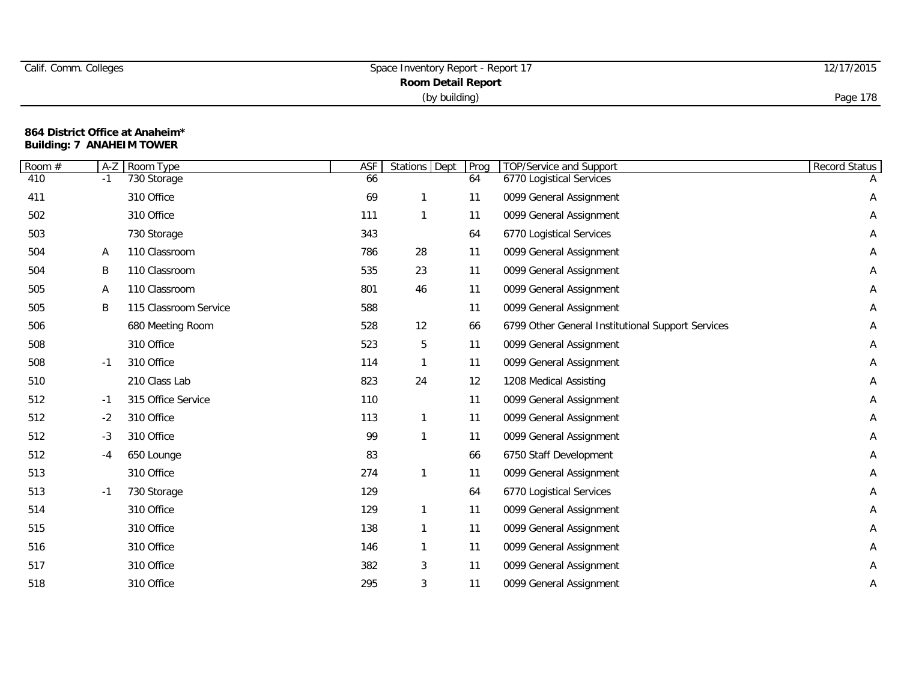| Calif. Comm. Colleges | Space Inventory Report - Report 17 | 12/17/2015 |
|-----------------------|------------------------------------|------------|
|                       | <b>Room Detail Report</b>          |            |
|                       | (by building)                      | Page 178   |

| Room# | $A-Z$ | Room Type             | <b>ASF</b> | Stations Dept | Prog | <b>TOP/Service and Support</b>                    | Record Status |
|-------|-------|-----------------------|------------|---------------|------|---------------------------------------------------|---------------|
| 410   | $-1$  | 730 Storage           | 66         |               | 64   | 6770 Logistical Services                          |               |
| 411   |       | 310 Office            | 69         | 1             | 11   | 0099 General Assignment                           | Α             |
| 502   |       | 310 Office            | 111        | $\mathbf{1}$  | 11   | 0099 General Assignment                           | Α             |
| 503   |       | 730 Storage           | 343        |               | 64   | 6770 Logistical Services                          | Α             |
| 504   | A     | 110 Classroom         | 786        | 28            | 11   | 0099 General Assignment                           | Α             |
| 504   | B     | 110 Classroom         | 535        | 23            | 11   | 0099 General Assignment                           | A             |
| 505   | A     | 110 Classroom         | 801        | 46            | 11   | 0099 General Assignment                           | A             |
| 505   | B     | 115 Classroom Service | 588        |               | 11   | 0099 General Assignment                           | Α             |
| 506   |       | 680 Meeting Room      | 528        | 12            | 66   | 6799 Other General Institutional Support Services | Α             |
| 508   |       | 310 Office            | 523        | 5             | 11   | 0099 General Assignment                           | Α             |
| 508   | $-1$  | 310 Office            | 114        | $\mathbf{1}$  | 11   | 0099 General Assignment                           | Α             |
| 510   |       | 210 Class Lab         | 823        | 24            | 12   | 1208 Medical Assisting                            | Α             |
| 512   | $-1$  | 315 Office Service    | 110        |               | 11   | 0099 General Assignment                           | A             |
| 512   | $-2$  | 310 Office            | 113        | $\mathbf{1}$  | 11   | 0099 General Assignment                           | Α             |
| 512   | $-3$  | 310 Office            | 99         | $\mathbf{1}$  | 11   | 0099 General Assignment                           | Α             |
| 512   | $-4$  | 650 Lounge            | 83         |               | 66   | 6750 Staff Development                            | Α             |
| 513   |       | 310 Office            | 274        | $\mathbf{1}$  | 11   | 0099 General Assignment                           | Α             |
| 513   | -1    | 730 Storage           | 129        |               | 64   | 6770 Logistical Services                          | A             |
| 514   |       | 310 Office            | 129        | $\mathbf{1}$  | 11   | 0099 General Assignment                           | A             |
| 515   |       | 310 Office            | 138        | $\mathbf{1}$  | 11   | 0099 General Assignment                           | Α             |
| 516   |       | 310 Office            | 146        | $\mathbf{1}$  | 11   | 0099 General Assignment                           | Α             |
| 517   |       | 310 Office            | 382        | 3             | 11   | 0099 General Assignment                           | Α             |
| 518   |       | 310 Office            | 295        | 3             | 11   | 0099 General Assignment                           | Α             |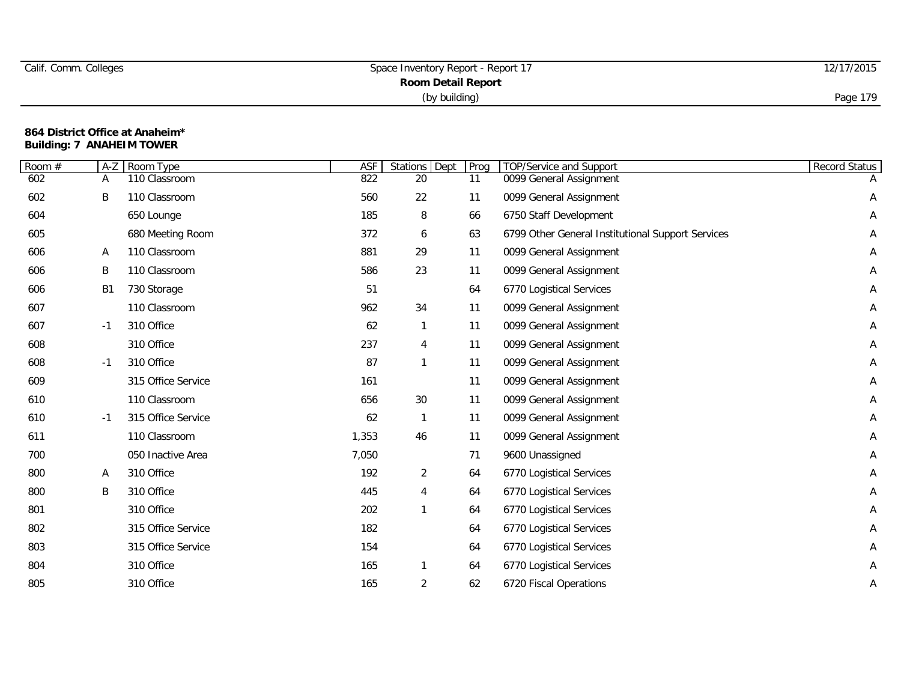|  | Calif. Comm. Colleges |
|--|-----------------------|
|  |                       |

| Room # | $A-Z$          | Room Type          | <b>ASF</b> | Stations Dept  | Prog | <b>TOP/Service and Support</b>                    | Record Status |
|--------|----------------|--------------------|------------|----------------|------|---------------------------------------------------|---------------|
| 602    | Α              | 110 Classroom      | 822        | 20             | 11   | 0099 General Assignment                           |               |
| 602    | B              | 110 Classroom      | 560        | 22             | 11   | 0099 General Assignment                           | Α             |
| 604    |                | 650 Lounge         | 185        | 8              | 66   | 6750 Staff Development                            | Α             |
| 605    |                | 680 Meeting Room   | 372        | 6              | 63   | 6799 Other General Institutional Support Services | Α             |
| 606    | A              | 110 Classroom      | 881        | 29             | 11   | 0099 General Assignment                           | Α             |
| 606    | B              | 110 Classroom      | 586        | 23             | 11   | 0099 General Assignment                           | A             |
| 606    | B <sub>1</sub> | 730 Storage        | 51         |                | 64   | 6770 Logistical Services                          | Α             |
| 607    |                | 110 Classroom      | 962        | 34             | 11   | 0099 General Assignment                           | A             |
| 607    | $-1$           | 310 Office         | 62         | $\mathbf{1}$   | 11   | 0099 General Assignment                           | Α             |
| 608    |                | 310 Office         | 237        | 4              | 11   | 0099 General Assignment                           | Α             |
| 608    | $-1$           | 310 Office         | 87         | $\mathbf{1}$   | 11   | 0099 General Assignment                           | Α             |
| 609    |                | 315 Office Service | 161        |                | 11   | 0099 General Assignment                           | A             |
| 610    |                | 110 Classroom      | 656        | 30             | 11   | 0099 General Assignment                           | Α             |
| 610    | $-1$           | 315 Office Service | 62         | $\mathbf{1}$   | 11   | 0099 General Assignment                           | Α             |
| 611    |                | 110 Classroom      | 1,353      | 46             | 11   | 0099 General Assignment                           | Α             |
| 700    |                | 050 Inactive Area  | 7,050      |                | 71   | 9600 Unassigned                                   | Α             |
| 800    | A              | 310 Office         | 192        | 2              | 64   | 6770 Logistical Services                          | Α             |
| 800    | B              | 310 Office         | 445        | 4              | 64   | 6770 Logistical Services                          | Α             |
| 801    |                | 310 Office         | 202        | $\mathbf{1}$   | 64   | 6770 Logistical Services                          | A             |
| 802    |                | 315 Office Service | 182        |                | 64   | 6770 Logistical Services                          | Α             |
| 803    |                | 315 Office Service | 154        |                | 64   | 6770 Logistical Services                          | Α             |
| 804    |                | 310 Office         | 165        | $\mathbf{1}$   | 64   | 6770 Logistical Services                          | Α             |
| 805    |                | 310 Office         | 165        | $\overline{2}$ | 62   | 6720 Fiscal Operations                            | Α             |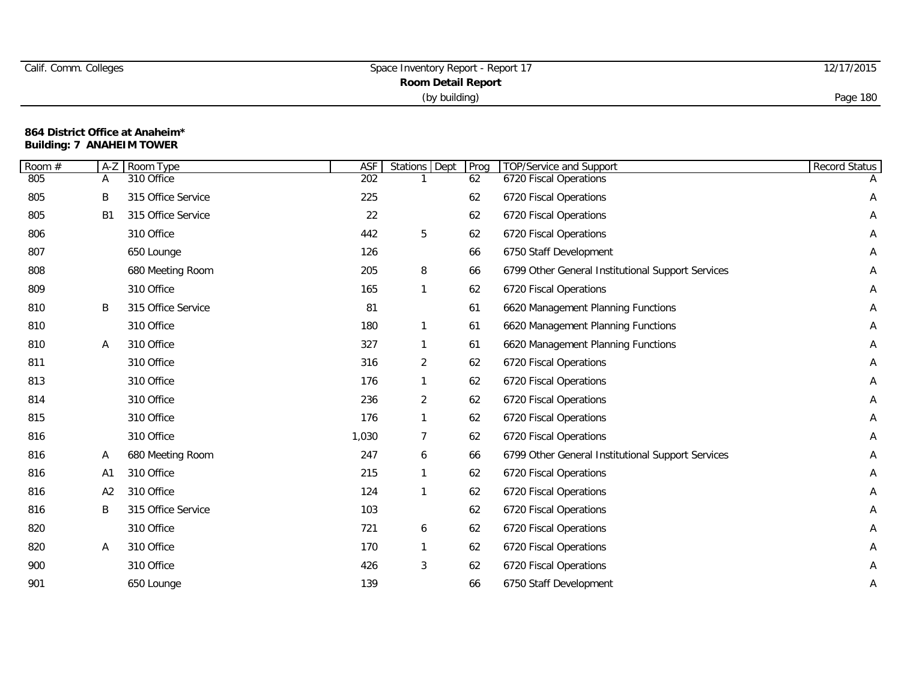| Calif. Comm. Colleges | Space Inventory Report - Report 17 | 12/17/2015 |  |  |
|-----------------------|------------------------------------|------------|--|--|
|                       | <b>Room Detail Report</b>          |            |  |  |
|                       | (by building)                      | Page 180   |  |  |

| Room # | $A-Z$          | Room Type          | <b>ASF</b> | Stations Dept  | Prog | <b>TOP/Service and Support</b>                    | Record Status |
|--------|----------------|--------------------|------------|----------------|------|---------------------------------------------------|---------------|
| 805    | A              | 310 Office         | 202        |                | 62   | 6720 Fiscal Operations                            |               |
| 805    | B              | 315 Office Service | 225        |                | 62   | 6720 Fiscal Operations                            | Α             |
| 805    | B <sub>1</sub> | 315 Office Service | 22         |                | 62   | 6720 Fiscal Operations                            | Α             |
| 806    |                | 310 Office         | 442        | 5              | 62   | 6720 Fiscal Operations                            | Α             |
| 807    |                | 650 Lounge         | 126        |                | 66   | 6750 Staff Development                            | Α             |
| 808    |                | 680 Meeting Room   | 205        | 8              | 66   | 6799 Other General Institutional Support Services | Α             |
| 809    |                | 310 Office         | 165        |                | 62   | 6720 Fiscal Operations                            | Α             |
| 810    | B              | 315 Office Service | 81         |                | 61   | 6620 Management Planning Functions                | Α             |
| 810    |                | 310 Office         | 180        |                | 61   | 6620 Management Planning Functions                | Α             |
| 810    | A              | 310 Office         | 327        |                | 61   | 6620 Management Planning Functions                | Α             |
| 811    |                | 310 Office         | 316        | 2              | 62   | 6720 Fiscal Operations                            | Α             |
| 813    |                | 310 Office         | 176        |                | 62   | 6720 Fiscal Operations                            | Α             |
| 814    |                | 310 Office         | 236        | $\overline{2}$ | 62   | 6720 Fiscal Operations                            | Α             |
| 815    |                | 310 Office         | 176        |                | 62   | 6720 Fiscal Operations                            | Α             |
| 816    |                | 310 Office         | 1,030      | $\overline{7}$ | 62   | 6720 Fiscal Operations                            | Α             |
| 816    | A              | 680 Meeting Room   | 247        | 6              | 66   | 6799 Other General Institutional Support Services | Α             |
| 816    | A <sub>1</sub> | 310 Office         | 215        |                | 62   | 6720 Fiscal Operations                            | Α             |
| 816    | A2             | 310 Office         | 124        |                | 62   | 6720 Fiscal Operations                            | Α             |
| 816    | B              | 315 Office Service | 103        |                | 62   | 6720 Fiscal Operations                            | Α             |
| 820    |                | 310 Office         | 721        | 6              | 62   | 6720 Fiscal Operations                            | Α             |
| 820    | Α              | 310 Office         | 170        |                | 62   | 6720 Fiscal Operations                            | Α             |
| 900    |                | 310 Office         | 426        | 3              | 62   | 6720 Fiscal Operations                            | Α             |
| 901    |                | 650 Lounge         | 139        |                | 66   | 6750 Staff Development                            | Α             |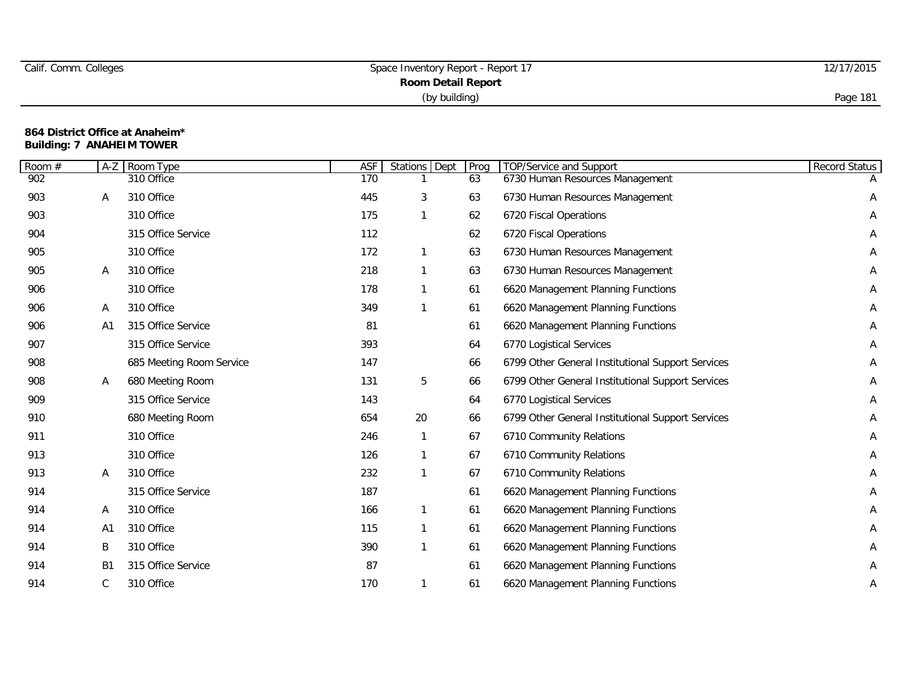|  | Calif. Comm. Colleges |
|--|-----------------------|
|  |                       |

# Space Inventory Report - Report 17 12/17/2015 **Room Detail Report** (by building) Page 181

## **864 District Office at Anaheim\* Building: 7 ANAHEIM TOWER**

| $\overline{\text{Room}}$ # | $A-Z$          | Room Type                | <b>ASF</b> | Stations Dept | Prog | TOP/Service and Support                           | Record Status |
|----------------------------|----------------|--------------------------|------------|---------------|------|---------------------------------------------------|---------------|
| 902                        |                | 310 Office               | 170        |               | 63   | 6730 Human Resources Management                   |               |
| 903                        | A              | 310 Office               | 445        | 3             | 63   | 6730 Human Resources Management                   | Α             |
| 903                        |                | 310 Office               | 175        |               | 62   | 6720 Fiscal Operations                            | Α             |
| 904                        |                | 315 Office Service       | 112        |               | 62   | 6720 Fiscal Operations                            | Α             |
| 905                        |                | 310 Office               | 172        | $\mathbf{1}$  | 63   | 6730 Human Resources Management                   | A             |
| 905                        | Α              | 310 Office               | 218        |               | 63   | 6730 Human Resources Management                   | Α             |
| 906                        |                | 310 Office               | 178        | $\mathbf{1}$  | 61   | 6620 Management Planning Functions                | Α             |
| 906                        | Α              | 310 Office               | 349        | $\mathbf{1}$  | 61   | 6620 Management Planning Functions                | А             |
| 906                        | A <sub>1</sub> | 315 Office Service       | 81         |               | 61   | 6620 Management Planning Functions                | Α             |
| 907                        |                | 315 Office Service       | 393        |               | 64   | 6770 Logistical Services                          | Α             |
| 908                        |                | 685 Meeting Room Service | 147        |               | 66   | 6799 Other General Institutional Support Services | Α             |
| 908                        | A              | 680 Meeting Room         | 131        | 5             | 66   | 6799 Other General Institutional Support Services | A             |
| 909                        |                | 315 Office Service       | 143        |               | 64   | 6770 Logistical Services                          | Α             |
| 910                        |                | 680 Meeting Room         | 654        | 20            | 66   | 6799 Other General Institutional Support Services | Α             |
| 911                        |                | 310 Office               | 246        | 1             | 67   | 6710 Community Relations                          | Α             |
| 913                        |                | 310 Office               | 126        | $\mathbf{1}$  | 67   | 6710 Community Relations                          | Α             |
| 913                        | Α              | 310 Office               | 232        |               | 67   | 6710 Community Relations                          | Α             |
| 914                        |                | 315 Office Service       | 187        |               | 61   | 6620 Management Planning Functions                | A             |
| 914                        | Α              | 310 Office               | 166        | 1             | 61   | 6620 Management Planning Functions                | Α             |
| 914                        | A <sub>1</sub> | 310 Office               | 115        | 1             | 61   | 6620 Management Planning Functions                | Α             |
| 914                        | B              | 310 Office               | 390        |               | 61   | 6620 Management Planning Functions                | Α             |
| 914                        | <b>B1</b>      | 315 Office Service       | 87         |               | 61   | 6620 Management Planning Functions                | Α             |
| 914                        | С              | 310 Office               | 170        |               | 61   | 6620 Management Planning Functions                | Α             |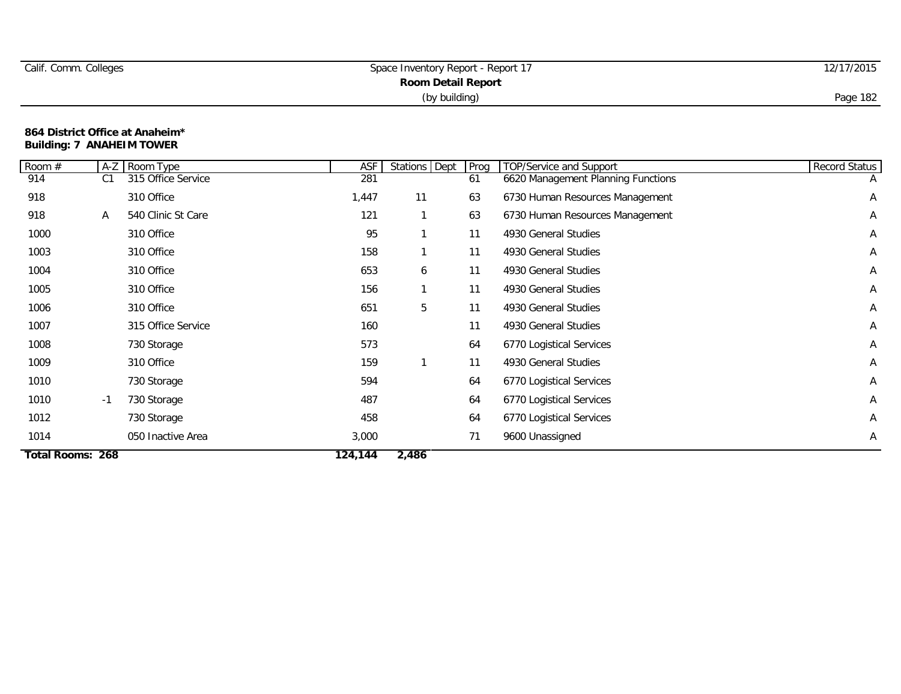| Calif. Comm. Colleges | Space Inventory Report - Report 17 | 12/17/2015 |
|-----------------------|------------------------------------|------------|
|                       | Room Detail Report                 |            |
|                       | (by building)                      | Page 182   |

## **864 District Office at Anaheim\* Building: 7 ANAHEIM TOWER**

| Room $#$                |      | A-Z Room Type      | ASF     | Stations Dept | Prog | TOP/Service and Support            | Record Status |
|-------------------------|------|--------------------|---------|---------------|------|------------------------------------|---------------|
| 914                     | C1   | 315 Office Service | 281     |               | 61   | 6620 Management Planning Functions | A             |
| 918                     |      | 310 Office         | 1,447   | 11            | 63   | 6730 Human Resources Management    | Α             |
| 918                     | A    | 540 Clinic St Care | 121     |               | 63   | 6730 Human Resources Management    | Α             |
| 1000                    |      | 310 Office         | 95      |               | 11   | 4930 General Studies               | Α             |
| 1003                    |      | 310 Office         | 158     |               | 11   | 4930 General Studies               | Α             |
| 1004                    |      | 310 Office         | 653     | 6             | 11   | 4930 General Studies               | A             |
| 1005                    |      | 310 Office         | 156     |               | 11   | 4930 General Studies               | Α             |
| 1006                    |      | 310 Office         | 651     | 5             | 11   | 4930 General Studies               | Α             |
| 1007                    |      | 315 Office Service | 160     |               | 11   | 4930 General Studies               | A             |
| 1008                    |      | 730 Storage        | 573     |               | 64   | 6770 Logistical Services           | A             |
| 1009                    |      | 310 Office         | 159     |               | 11   | 4930 General Studies               | Α             |
| 1010                    |      | 730 Storage        | 594     |               | 64   | 6770 Logistical Services           | Α             |
| 1010                    | $-1$ | 730 Storage        | 487     |               | 64   | 6770 Logistical Services           | Α             |
| 1012                    |      | 730 Storage        | 458     |               | 64   | 6770 Logistical Services           | Α             |
| 1014                    |      | 050 Inactive Area  | 3,000   |               | 71   | 9600 Unassigned                    | Α             |
| <b>Total Rooms: 268</b> |      |                    | 124,144 | 2,486         |      |                                    |               |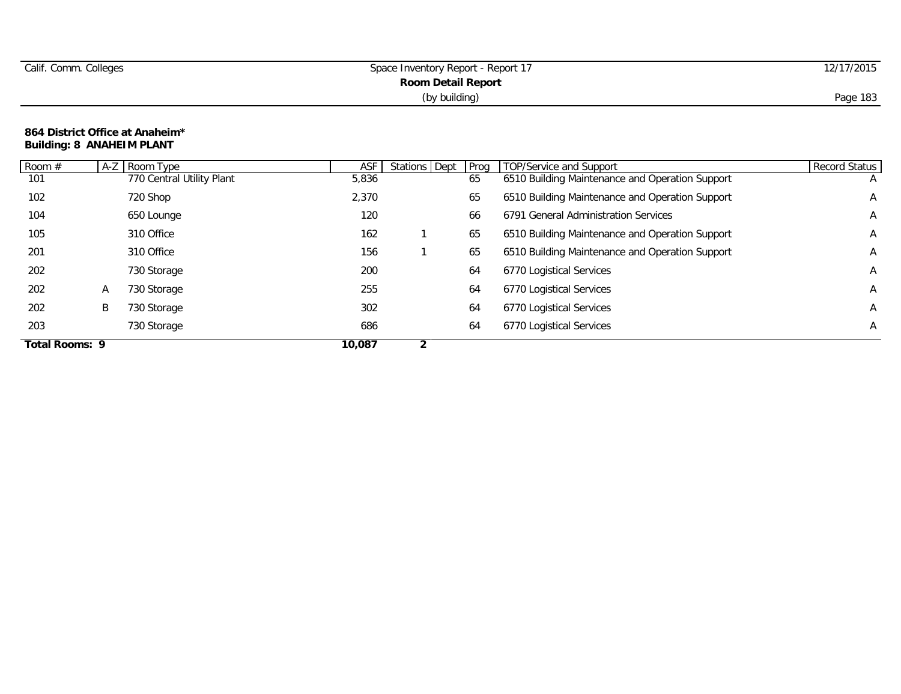| Calif. Comm. Colleges | Space Inventory Report - Report 17 | 12/17/2015 |
|-----------------------|------------------------------------|------------|
|                       | <b>Room Detail Report</b>          |            |
|                       | (by building)                      | Page 183   |

### **864 District Office at Anaheim\* Building: 8 ANAHEIM PLANT**

| Room #                | $A-Z$ | Room Type                 | ASF    | Stations Dept | Prog | TOP/Service and Support                         | Record Status  |
|-----------------------|-------|---------------------------|--------|---------------|------|-------------------------------------------------|----------------|
| 101                   |       | 770 Central Utility Plant | 5,836  |               | 65   | 6510 Building Maintenance and Operation Support | $\overline{A}$ |
| 102                   |       | 720 Shop                  | 2,370  |               | 65   | 6510 Building Maintenance and Operation Support | A              |
| 104                   |       | 650 Lounge                | 120    |               | 66   | 6791 General Administration Services            | A              |
| 105                   |       | 310 Office                | 162    |               | 65   | 6510 Building Maintenance and Operation Support | A              |
| 201                   |       | 310 Office                | 156    |               | 65   | 6510 Building Maintenance and Operation Support | A              |
| 202                   |       | 730 Storage               | 200    |               | 64   | 6770 Logistical Services                        | A              |
| 202                   | A     | 730 Storage               | 255    |               | 64   | 6770 Logistical Services                        | A              |
| 202                   | B     | 730 Storage               | 302    |               | 64   | 6770 Logistical Services                        | A              |
| 203                   |       | 730 Storage               | 686    |               | 64   | 6770 Logistical Services                        | A              |
| <b>Total Rooms: 9</b> |       |                           | 10,087 |               |      |                                                 |                |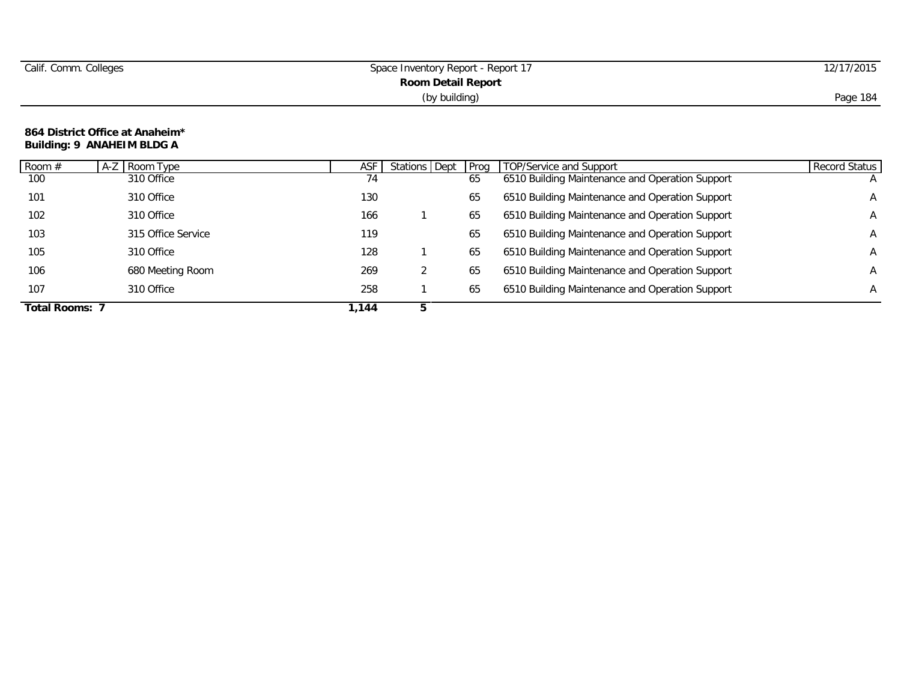| Calif. Comm. Colleges | Space Inventory Report - Report 17 | 12/17/2015 |
|-----------------------|------------------------------------|------------|
|                       | <b>Room Detail Report</b>          |            |
|                       | (by building)                      | Page 184   |

### **864 District Office at Anaheim\* Building: 9 ANAHEIM BLDG A**

| Room $#$              | Room Type<br>A-Z   | ASF  | Stations Dept | l Prog | TOP/Service and Support                         | Record Status  |
|-----------------------|--------------------|------|---------------|--------|-------------------------------------------------|----------------|
| 100                   | 310 Office         | 74   |               | 65     | 6510 Building Maintenance and Operation Support |                |
| 101                   | 310 Office         | 130  |               | 65     | 6510 Building Maintenance and Operation Support |                |
| 102                   | 310 Office         | 166  |               | 65     | 6510 Building Maintenance and Operation Support | $\mathsf{A}$   |
| 103                   | 315 Office Service | 119  |               | 65     | 6510 Building Maintenance and Operation Support | A              |
| 105                   | 310 Office         | 128  |               | 65     | 6510 Building Maintenance and Operation Support | A              |
| 106                   | 680 Meeting Room   | 269  |               | 65     | 6510 Building Maintenance and Operation Support | A              |
| 107                   | 310 Office         | 258  |               | 65     | 6510 Building Maintenance and Operation Support | $\overline{A}$ |
| <b>Total Rooms: 7</b> |                    | .144 |               |        |                                                 |                |